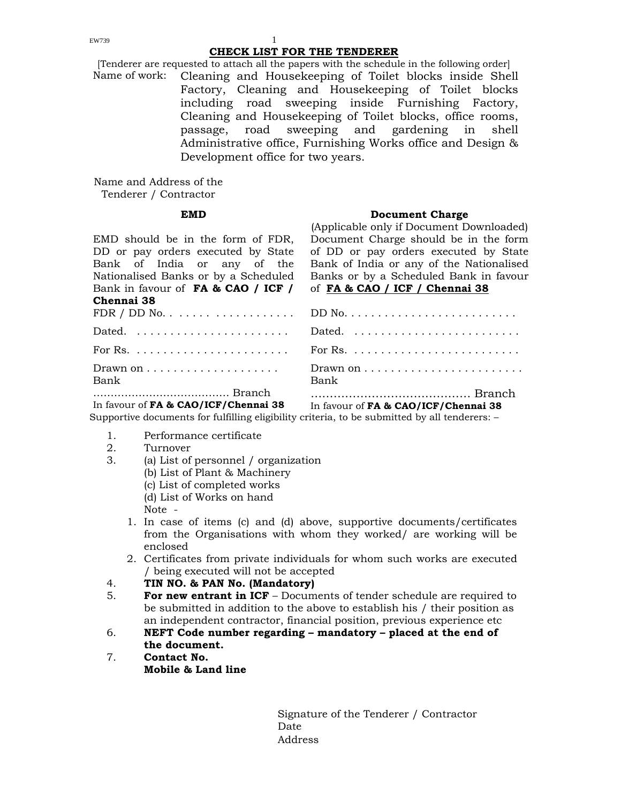### **CHECK LIST FOR THE TENDERER**

[Tenderer are requested to attach all the papers with the schedule in the following order] Name of work: Cleaning and Housekeeping of Toilet blocks inside Shell Factory, Cleaning and Housekeeping of Toilet blocks including road sweeping inside Furnishing Factory, Cleaning and Housekeeping of Toilet blocks, office rooms, passage, road sweeping and gardening in shell Administrative office, Furnishing Works office and Design & Development office for two years.

Name and Address of the Tenderer / Contractor

EMD should be in the form of FDR, DD or pay orders executed by State Bank of India or any of the Nationalised Banks or by a Scheduled Bank in favour of **FA & CAO / ICF / C**<sup>1</sup>

### **EMD** Document Charge

(Applicable only if Document Downloaded) Document Charge should be in the form of DD or pay orders executed by State Bank of India or any of the Nationalised Banks or by a Scheduled Bank in favour of **FA & CAO / ICF / Chennai 38**

| Chennai 38                                     |                                                                                                                |
|------------------------------------------------|----------------------------------------------------------------------------------------------------------------|
|                                                |                                                                                                                |
|                                                |                                                                                                                |
|                                                | For Rs. $\ldots \ldots \ldots \ldots \ldots \ldots$ For Rs. $\ldots \ldots \ldots \ldots \ldots \ldots \ldots$ |
| Drawn on $\dots \dots \dots \dots \dots \dots$ | Drawn on $\dots\dots\dots\dots\dots\dots\dots\dots\dots$                                                       |
| Bank                                           | Bank                                                                                                           |
|                                                |                                                                                                                |
| In favour of FA & CAO/ICF/Chennai 38           | In favour of FA & CAO/ICF/Chennai 38                                                                           |

Supportive documents for fulfilling eligibility criteria, to be submitted by all tenderers: –

1. Performance certificate

### 2. Turnover

- 3. (a) List of personnel / organization (b) List of Plant & Machinery (c) List of completed works (d) List of Works on hand Note -
	- 1. In case of items (c) and (d) above, supportive documents/certificates from the Organisations with whom they worked/ are working will be enclosed
	- 2. Certificates from private individuals for whom such works are executed / being executed will not be accepted

### 4. **TIN NO. & PAN No. (Mandatory)**

- 5. **For new entrant in ICF** Documents of tender schedule are required to be submitted in addition to the above to establish his / their position as an independent contractor, financial position, previous experience etc
- 6. **NEFT Code number regarding mandatory placed at the end of the document.**
- 7. **Contact No. Mobile & Land line**

Signature of the Tenderer / Contractor de de la provincia de la provincia de la provincia de la provincia de la provincia de la provincia de la provi Address

 $EW739$  1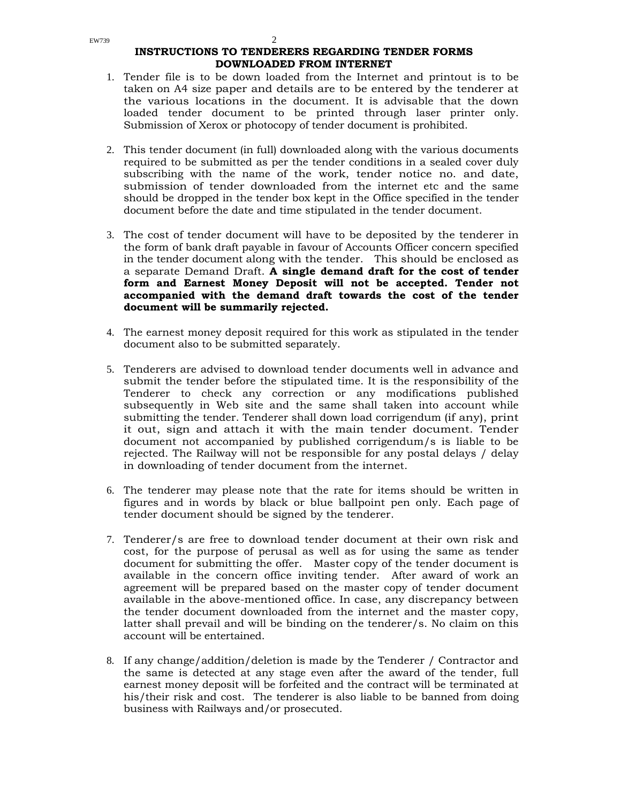### **INSTRUCTIONS TO TENDERERS REGARDING TENDER FORMS DOWNLOADED FROM INTERNET**

- 1. Tender file is to be down loaded from the Internet and printout is to be taken on A4 size paper and details are to be entered by the tenderer at the various locations in the document. It is advisable that the down loaded tender document to be printed through laser printer only. Submission of Xerox or photocopy of tender document is prohibited.
- 2. This tender document (in full) downloaded along with the various documents required to be submitted as per the tender conditions in a sealed cover duly subscribing with the name of the work, tender notice no. and date, submission of tender downloaded from the internet etc and the same should be dropped in the tender box kept in the Office specified in the tender document before the date and time stipulated in the tender document.
- 3. The cost of tender document will have to be deposited by the tenderer in the form of bank draft payable in favour of Accounts Officer concern specified in the tender document along with the tender. This should be enclosed as a separate Demand Draft. **A single demand draft for the cost of tender form and Earnest Money Deposit will not be accepted. Tender not accompanied with the demand draft towards the cost of the tender document will be summarily rejected.**
- 4. The earnest money deposit required for this work as stipulated in the tender document also to be submitted separately.
- 5. Tenderers are advised to download tender documents well in advance and submit the tender before the stipulated time. It is the responsibility of the Tenderer to check any correction or any modifications published subsequently in Web site and the same shall taken into account while submitting the tender. Tenderer shall down load corrigendum (if any), print it out, sign and attach it with the main tender document. Tender document not accompanied by published corrigendum/s is liable to be rejected. The Railway will not be responsible for any postal delays / delay in downloading of tender document from the internet.
- 6. The tenderer may please note that the rate for items should be written in figures and in words by black or blue ballpoint pen only. Each page of tender document should be signed by the tenderer.
- 7. Tenderer/s are free to download tender document at their own risk and cost, for the purpose of perusal as well as for using the same as tender document for submitting the offer. Master copy of the tender document is available in the concern office inviting tender. After award of work an agreement will be prepared based on the master copy of tender document available in the above-mentioned office. In case, any discrepancy between the tender document downloaded from the internet and the master copy, latter shall prevail and will be binding on the tenderer/s. No claim on this account will be entertained.
- 8. If any change/addition/deletion is made by the Tenderer / Contractor and the same is detected at any stage even after the award of the tender, full earnest money deposit will be forfeited and the contract will be terminated at his/their risk and cost. The tenderer is also liable to be banned from doing business with Railways and/or prosecuted.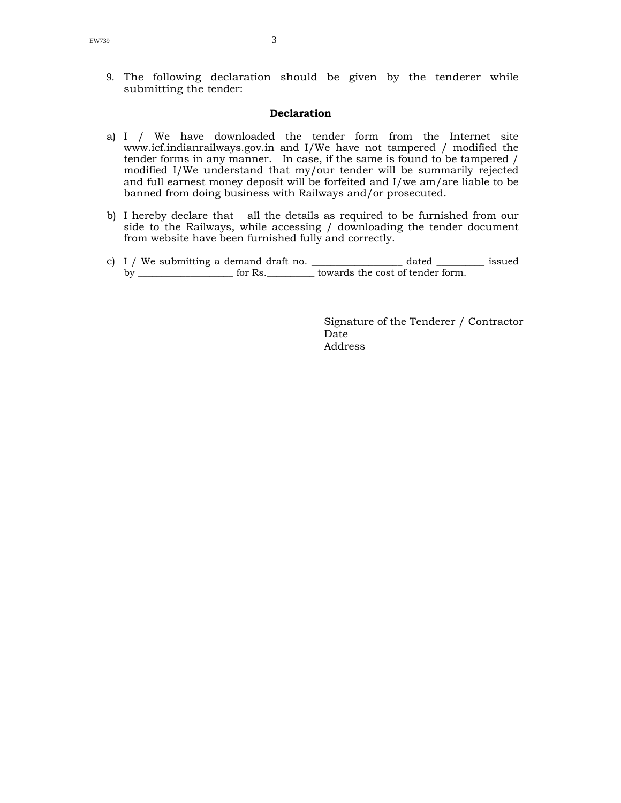9. The following declaration should be given by the tenderer while submitting the tender:

### **Declaration**

- a) I / We have downloaded the tender form from the Internet site www.icf.indianrailways.gov.in and I/We have not tampered / modified the tender forms in any manner. In case, if the same is found to be tampered / modified I/We understand that my/our tender will be summarily rejected and full earnest money deposit will be forfeited and I/we am/are liable to be banned from doing business with Railways and/or prosecuted.
- b) I hereby declare that all the details as required to be furnished from our side to the Railways, while accessing / downloading the tender document from website have been furnished fully and correctly.
- c) I / We submitting a demand draft no. \_\_\_\_\_\_\_\_\_\_\_\_\_\_\_\_\_ dated \_\_\_\_\_\_\_\_\_ issued by \_\_\_\_\_\_\_\_\_\_\_\_\_\_\_\_\_\_\_\_\_\_\_ for Rs.\_\_\_\_\_\_\_\_\_\_\_ towards the cost of tender form.

 Signature of the Tenderer / Contractor <u>Date</u> and the Date of the Date of the Date of the Date of the Date of the United States of the United States of the United States of the United States of the United States of the United States of the United States of the Address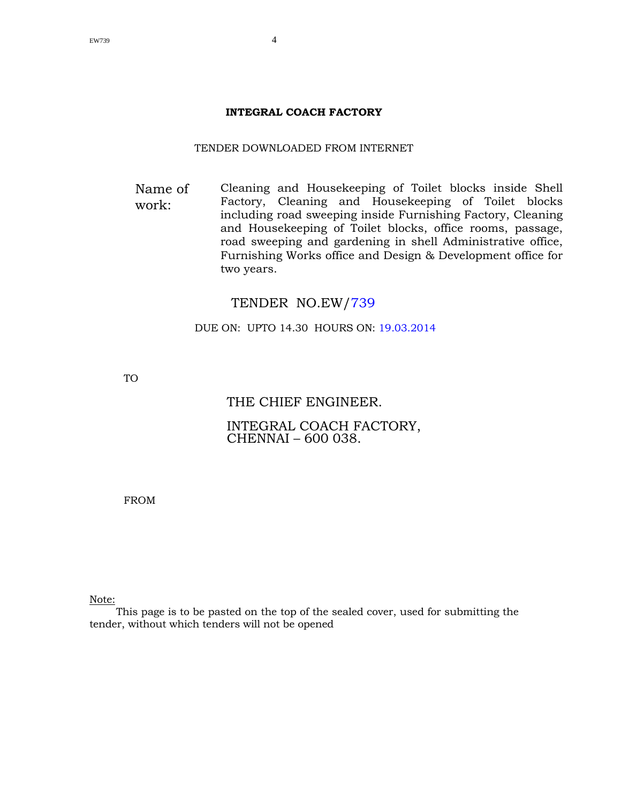### **INTEGRAL COACH FACTORY**

### TENDER DOWNLOADED FROM INTERNET

Name of work: Cleaning and Housekeeping of Toilet blocks inside Shell Factory, Cleaning and Housekeeping of Toilet blocks including road sweeping inside Furnishing Factory, Cleaning and Housekeeping of Toilet blocks, office rooms, passage, road sweeping and gardening in shell Administrative office, Furnishing Works office and Design & Development office for two years.

# TENDER NO.EW/739

DUE ON: UPTO 14.30 HOURS ON: 19.03.2014

TO

# THE CHIEF ENGINEER.

# INTEGRAL COACH FACTORY, CHENNAI – 600 038.

FROM

Note:

This page is to be pasted on the top of the sealed cover, used for submitting the tender, without which tenders will not be opened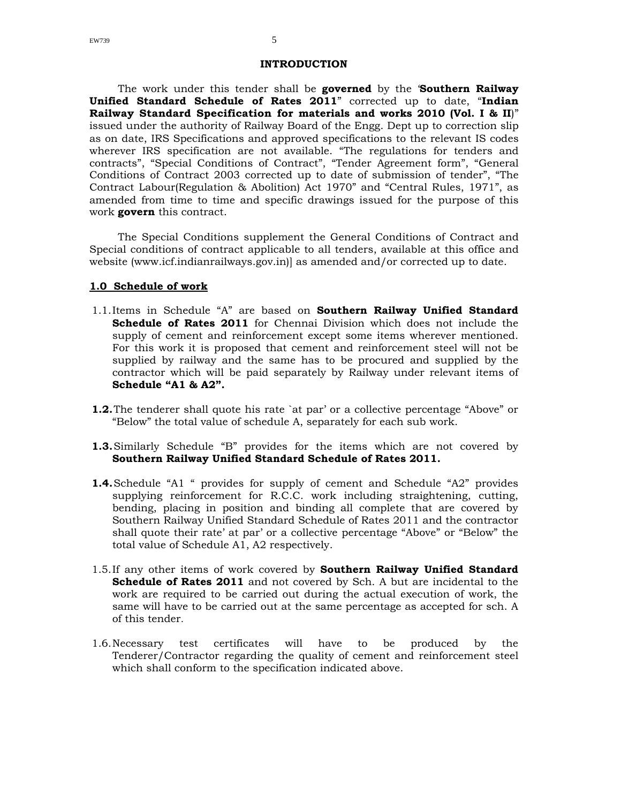The work under this tender shall be **governed** by the '**Southern Railway Unified Standard Schedule of Rates 2011**" corrected up to date, "**Indian Railway Standard Specification for materials and works 2010 (Vol. I & II**)" issued under the authority of Railway Board of the Engg. Dept up to correction slip as on date, IRS Specifications and approved specifications to the relevant IS codes wherever IRS specification are not available. "The regulations for tenders and contracts", "Special Conditions of Contract", "Tender Agreement form", "General Conditions of Contract 2003 corrected up to date of submission of tender", "The Contract Labour(Regulation & Abolition) Act 1970" and "Central Rules, 1971", as amended from time to time and specific drawings issued for the purpose of this work **govern** this contract.

The Special Conditions supplement the General Conditions of Contract and Special conditions of contract applicable to all tenders, available at this office and website (www.icf.indianrailways.gov.in)] as amended and/or corrected up to date.

### **1.0 Schedule of work**

- 1.1.Items in Schedule "A" are based on **Southern Railway Unified Standard Schedule of Rates 2011** for Chennai Division which does not include the supply of cement and reinforcement except some items wherever mentioned. For this work it is proposed that cement and reinforcement steel will not be supplied by railway and the same has to be procured and supplied by the contractor which will be paid separately by Railway under relevant items of **Schedule "A1 & A2".**
- **1.2.** The tenderer shall quote his rate `at par' or a collective percentage "Above" or "Below" the total value of schedule A, separately for each sub work.
- **1.3.**Similarly Schedule "B" provides for the items which are not covered by **Southern Railway Unified Standard Schedule of Rates 2011.**
- **1.4.**Schedule "A1 " provides for supply of cement and Schedule "A2" provides supplying reinforcement for R.C.C. work including straightening, cutting, bending, placing in position and binding all complete that are covered by Southern Railway Unified Standard Schedule of Rates 2011 and the contractor shall quote their rate' at par' or a collective percentage "Above" or "Below" the total value of Schedule A1, A2 respectively.
- 1.5.If any other items of work covered by **Southern Railway Unified Standard Schedule of Rates 2011** and not covered by Sch. A but are incidental to the work are required to be carried out during the actual execution of work, the same will have to be carried out at the same percentage as accepted for sch. A of this tender.
- 1.6.Necessary test certificates will have to be produced by the Tenderer/Contractor regarding the quality of cement and reinforcement steel which shall conform to the specification indicated above.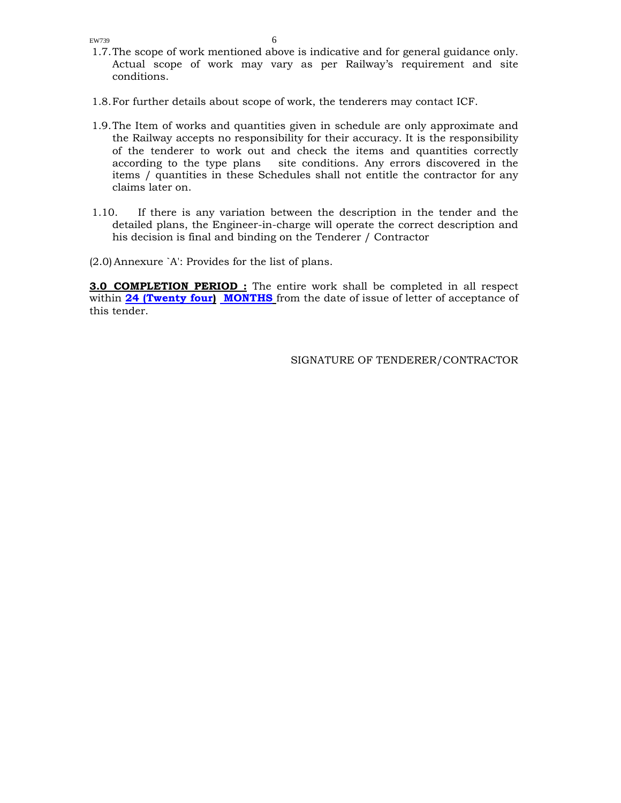- 1.7.The scope of work mentioned above is indicative and for general guidance only. Actual scope of work may vary as per Railway's requirement and site conditions.
- 1.8.For further details about scope of work, the tenderers may contact ICF.
- 1.9.The Item of works and quantities given in schedule are only approximate and the Railway accepts no responsibility for their accuracy. It is the responsibility of the tenderer to work out and check the items and quantities correctly according to the type plans site conditions. Any errors discovered in the items / quantities in these Schedules shall not entitle the contractor for any claims later on.
- 1.10. If there is any variation between the description in the tender and the detailed plans, the Engineer-in-charge will operate the correct description and his decision is final and binding on the Tenderer / Contractor
- (2.0) Annexure `A': Provides for the list of plans.

**3.0 COMPLETION PERIOD :** The entire work shall be completed in all respect within **24 (Twenty four) MONTHS** from the date of issue of letter of acceptance of this tender.

SIGNATURE OF TENDERER/CONTRACTOR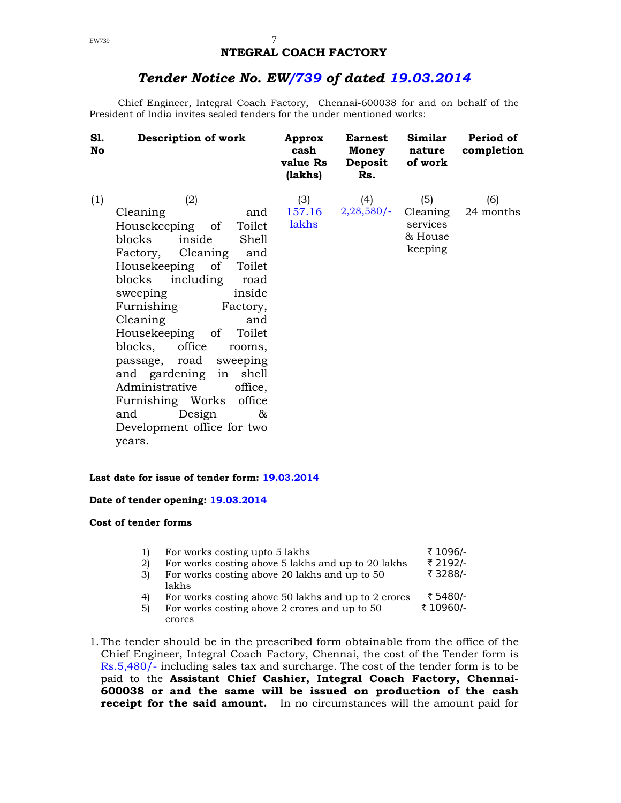# **NTEGRAL COACH FACTORY**

# *Tender Notice No. EW/739 of dated 19.03.2014*

Chief Engineer, Integral Coach Factory, Chennai-600038 for and on behalf of the President of India invites sealed tenders for the under mentioned works:

| S1.<br>No | Description of work                                                                                                                                                                                                                                                                                                                                                                                                                                                            | Approx<br>cash<br>value Rs<br>(lakhs) | <b>Earnest</b><br><b>Money</b><br>Deposit<br>Rs. | Similar<br>nature<br>of work                      | Period of<br>completion |
|-----------|--------------------------------------------------------------------------------------------------------------------------------------------------------------------------------------------------------------------------------------------------------------------------------------------------------------------------------------------------------------------------------------------------------------------------------------------------------------------------------|---------------------------------------|--------------------------------------------------|---------------------------------------------------|-------------------------|
| (1)       | (2)<br>Cleaning<br>and<br>Toilet<br>Housekeeping of<br>inside<br>blocks<br>Shell<br>Factory, Cleaning<br>and<br>Housekeeping of Toilet<br>blocks including<br>road<br>inside<br>sweeping<br>Furnishing<br>Factory,<br>Cleaning<br>and<br>Housekeeping of Toilet<br>blocks, office<br>rooms.<br>passage, road<br>sweeping<br>and gardening<br>in shell<br>Administrative<br>office,<br>Furnishing Works<br>office<br>Design<br>and<br>&<br>Development office for two<br>years. | (3)<br>157.16<br>lakhs                | (4)<br>$2,28,580/-$                              | (5)<br>Cleaning<br>services<br>& House<br>keeping | (6)<br>24 months        |

### **Last date for issue of tender form: 19.03.2014**

### **Date of tender opening: 19.03.2014**

### **Cost of tender forms**

| 11 | For works costing upto 5 lakhs                      | ₹ 1096/- |
|----|-----------------------------------------------------|----------|
| 2) | For works costing above 5 lakhs and up to 20 lakhs  | ₹ 2192/- |
| 3) | For works costing above 20 lakhs and up to 50       | ₹ 3288/- |
|    | lakhs                                               |          |
| 4) | For works costing above 50 lakhs and up to 2 crores | ₹ 5480/- |
|    | For works costing above 2 crores and up to $50$     | 710960/L |

- 5) For works costing above 2 crores and up to 50 crores ` 10960/-
- 1. The tender should be in the prescribed form obtainable from the office of the Chief Engineer, Integral Coach Factory, Chennai, the cost of the Tender form is Rs.5,480/- including sales tax and surcharge. The cost of the tender form is to be paid to the **Assistant Chief Cashier, Integral Coach Factory, Chennai-600038 or and the same will be issued on production of the cash receipt for the said amount.** In no circumstances will the amount paid for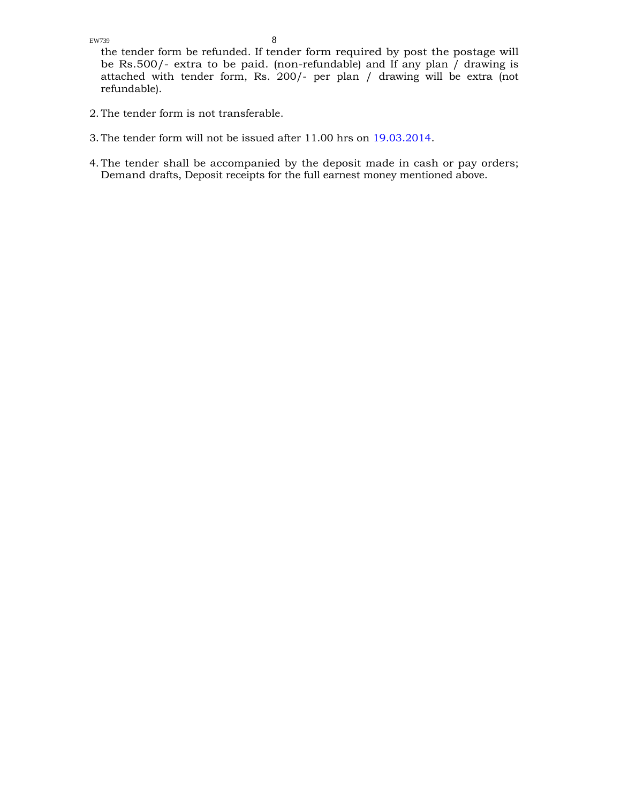the tender form be refunded. If tender form required by post the postage will be Rs.500/- extra to be paid. (non-refundable) and If any plan / drawing is attached with tender form, Rs. 200/- per plan / drawing will be extra (not refundable).

- 2. The tender form is not transferable.
- 3. The tender form will not be issued after 11.00 hrs on 19.03.2014.
- 4. The tender shall be accompanied by the deposit made in cash or pay orders; Demand drafts, Deposit receipts for the full earnest money mentioned above.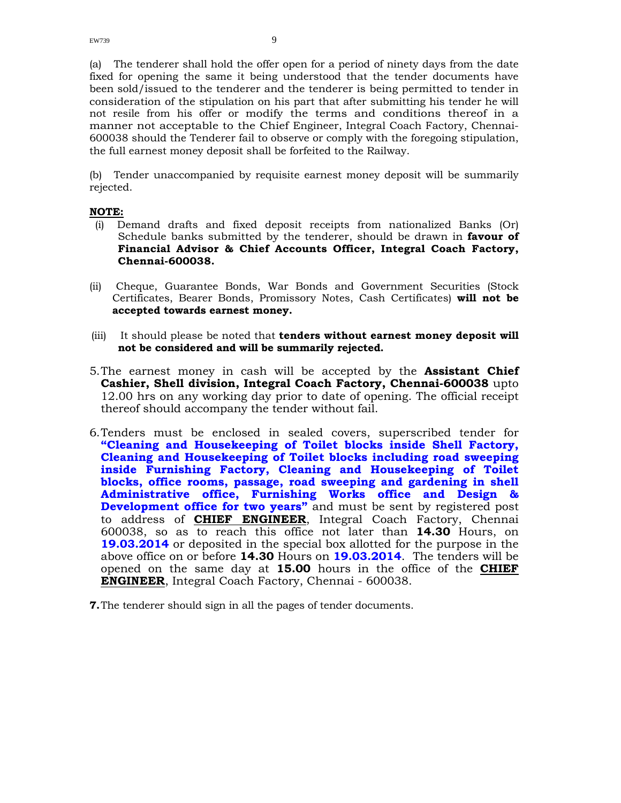(a) The tenderer shall hold the offer open for a period of ninety days from the date fixed for opening the same it being understood that the tender documents have been sold/issued to the tenderer and the tenderer is being permitted to tender in consideration of the stipulation on his part that after submitting his tender he will not resile from his offer or modify the terms and conditions thereof in a manner not acceptable to the Chief Engineer, Integral Coach Factory, Chennai-600038 should the Tenderer fail to observe or comply with the foregoing stipulation, the full earnest money deposit shall be forfeited to the Railway.

(b) Tender unaccompanied by requisite earnest money deposit will be summarily rejected.

### **NOTE:**

- (i) Demand drafts and fixed deposit receipts from nationalized Banks (Or) Schedule banks submitted by the tenderer, should be drawn in **favour of Financial Advisor & Chief Accounts Officer, Integral Coach Factory, Chennai-600038.**
- (ii) Cheque, Guarantee Bonds, War Bonds and Government Securities (Stock Certificates, Bearer Bonds, Promissory Notes, Cash Certificates) **will not be accepted towards earnest money.**
- (iii) It should please be noted that **tenders without earnest money deposit will not be considered and will be summarily rejected.**
- 5.The earnest money in cash will be accepted by the **Assistant Chief Cashier, Shell division, Integral Coach Factory, Chennai-600038** upto 12.00 hrs on any working day prior to date of opening. The official receipt thereof should accompany the tender without fail.
- 6.Tenders must be enclosed in sealed covers, superscribed tender for **"Cleaning and Housekeeping of Toilet blocks inside Shell Factory, Cleaning and Housekeeping of Toilet blocks including road sweeping inside Furnishing Factory, Cleaning and Housekeeping of Toilet blocks, office rooms, passage, road sweeping and gardening in shell Administrative office, Furnishing Works office and Design & Development office for two years"** and must be sent by registered post to address of **CHIEF ENGINEER**, Integral Coach Factory, Chennai 600038, so as to reach this office not later than **14.30** Hours, on **19.03.2014** or deposited in the special box allotted for the purpose in the above office on or before **14.30** Hours on **19.03.2014**.The tenders will be opened on the same day at **15.00** hours in the office of the **CHIEF ENGINEER**, Integral Coach Factory, Chennai - 600038.
- **7.**The tenderer should sign in all the pages of tender documents.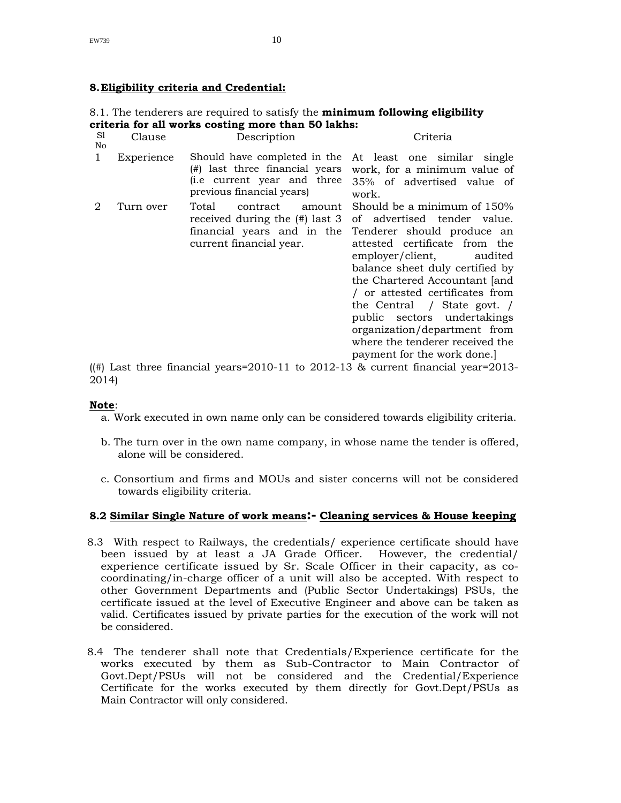### **8.Eligibility criteria and Credential:**

### 8.1. The tenderers are required to satisfy the **minimum following eligibility criteria for all works costing more than 50 lakhs:**

| S1<br>No | Clause     | Description                                                                                                                | Criteria                                                                                                                                                                                                                                                                                                                                                                                                                    |
|----------|------------|----------------------------------------------------------------------------------------------------------------------------|-----------------------------------------------------------------------------------------------------------------------------------------------------------------------------------------------------------------------------------------------------------------------------------------------------------------------------------------------------------------------------------------------------------------------------|
| 1        | Experience | Should have completed in the<br>(#) last three financial years<br>(i.e current year and three<br>previous financial years) | At least one similar single<br>work, for a minimum value of<br>35% of advertised value of<br>work.                                                                                                                                                                                                                                                                                                                          |
| 2        | Turn over  | Total<br>contract<br>amount<br>received during the $(\#)$ last 3<br>financial years and in the<br>current financial year.  | Should be a minimum of 150%<br>of advertised tender value.<br>Tenderer should produce an<br>attested certificate from the<br>employer/client, audited<br>balance sheet duly certified by<br>the Chartered Accountant [and<br>/ or attested certificates from<br>the Central / State govt. /<br>public sectors undertakings<br>organization/department from<br>where the tenderer received the<br>payment for the work done. |

((#) Last three financial years=2010-11 to 2012-13  $\&$  current financial year=2013-2014)

### **Note**:

- a. Work executed in own name only can be considered towards eligibility criteria.
- b. The turn over in the own name company, in whose name the tender is offered, alone will be considered.
- c. Consortium and firms and MOUs and sister concerns will not be considered towards eligibility criteria.

### **8.2 Similar Single Nature of work means:- Cleaning services & House keeping**

- 8.3 With respect to Railways, the credentials/ experience certificate should have been issued by at least a JA Grade Officer. However, the credential/ experience certificate issued by Sr. Scale Officer in their capacity, as cocoordinating/in-charge officer of a unit will also be accepted. With respect to other Government Departments and (Public Sector Undertakings) PSUs, the certificate issued at the level of Executive Engineer and above can be taken as valid. Certificates issued by private parties for the execution of the work will not be considered.
- 8.4 The tenderer shall note that Credentials/Experience certificate for the works executed by them as Sub-Contractor to Main Contractor of Govt.Dept/PSUs will not be considered and the Credential/Experience Certificate for the works executed by them directly for Govt.Dept/PSUs as Main Contractor will only considered.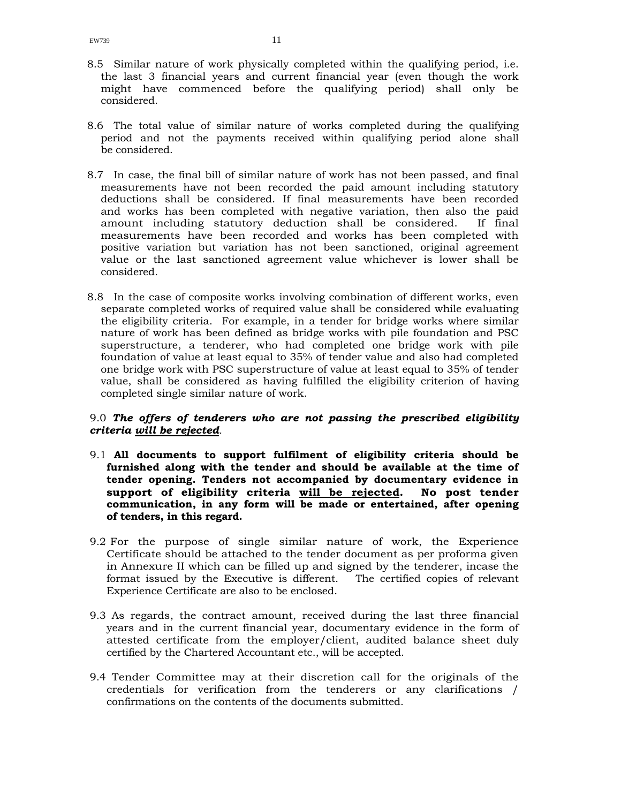- 8.5 Similar nature of work physically completed within the qualifying period, i.e. the last 3 financial years and current financial year (even though the work might have commenced before the qualifying period) shall only be considered.
- 8.6 The total value of similar nature of works completed during the qualifying period and not the payments received within qualifying period alone shall be considered.
- 8.7 In case, the final bill of similar nature of work has not been passed, and final measurements have not been recorded the paid amount including statutory deductions shall be considered. If final measurements have been recorded and works has been completed with negative variation, then also the paid amount including statutory deduction shall be considered. If final measurements have been recorded and works has been completed with positive variation but variation has not been sanctioned, original agreement value or the last sanctioned agreement value whichever is lower shall be considered.
- 8.8 In the case of composite works involving combination of different works, even separate completed works of required value shall be considered while evaluating the eligibility criteria. For example, in a tender for bridge works where similar nature of work has been defined as bridge works with pile foundation and PSC superstructure, a tenderer, who had completed one bridge work with pile foundation of value at least equal to 35% of tender value and also had completed one bridge work with PSC superstructure of value at least equal to 35% of tender value, shall be considered as having fulfilled the eligibility criterion of having completed single similar nature of work.

### 9.0 *The offers of tenderers who are not passing the prescribed eligibility criteria will be rejected.*

- 9.1 **All documents to support fulfilment of eligibility criteria should be furnished along with the tender and should be available at the time of tender opening. Tenders not accompanied by documentary evidence in support of eligibility criteria will be rejected. No post tender communication, in any form will be made or entertained, after opening of tenders, in this regard.**
- 9.2 For the purpose of single similar nature of work, the Experience Certificate should be attached to the tender document as per proforma given in Annexure II which can be filled up and signed by the tenderer, incase the format issued by the Executive is different. The certified copies of relevant Experience Certificate are also to be enclosed.
- 9.3 As regards, the contract amount, received during the last three financial years and in the current financial year, documentary evidence in the form of attested certificate from the employer/client, audited balance sheet duly certified by the Chartered Accountant etc., will be accepted.
- 9.4 Tender Committee may at their discretion call for the originals of the credentials for verification from the tenderers or any clarifications / confirmations on the contents of the documents submitted.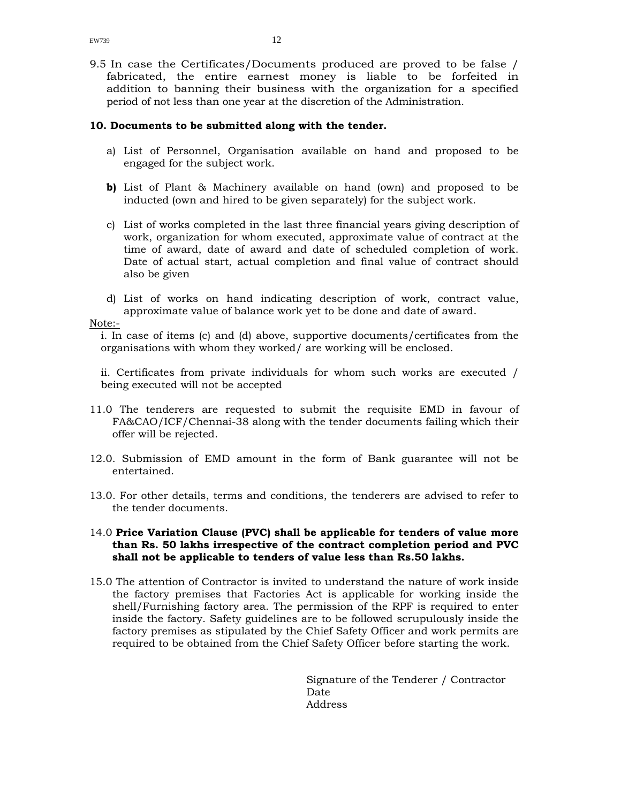9.5 In case the Certificates/Documents produced are proved to be false / fabricated, the entire earnest money is liable to be forfeited in addition to banning their business with the organization for a specified period of not less than one year at the discretion of the Administration.

### **10. Documents to be submitted along with the tender.**

- a) List of Personnel, Organisation available on hand and proposed to be engaged for the subject work.
- **b)** List of Plant & Machinery available on hand (own) and proposed to be inducted (own and hired to be given separately) for the subject work.
- c) List of works completed in the last three financial years giving description of work, organization for whom executed, approximate value of contract at the time of award, date of award and date of scheduled completion of work. Date of actual start, actual completion and final value of contract should also be given
- d) List of works on hand indicating description of work, contract value, approximate value of balance work yet to be done and date of award.

### Note:-

i. In case of items (c) and (d) above, supportive documents/certificates from the organisations with whom they worked/ are working will be enclosed.

ii. Certificates from private individuals for whom such works are executed / being executed will not be accepted

- 11.0 The tenderers are requested to submit the requisite EMD in favour of FA&CAO/ICF/Chennai-38 along with the tender documents failing which their offer will be rejected.
- 12.0. Submission of EMD amount in the form of Bank guarantee will not be entertained.
- 13.0. For other details, terms and conditions, the tenderers are advised to refer to the tender documents.

### 14.0 **Price Variation Clause (PVC) shall be applicable for tenders of value more than Rs. 50 lakhs irrespective of the contract completion period and PVC shall not be applicable to tenders of value less than Rs.50 lakhs.**

15.0 The attention of Contractor is invited to understand the nature of work inside the factory premises that Factories Act is applicable for working inside the shell/Furnishing factory area. The permission of the RPF is required to enter inside the factory. Safety guidelines are to be followed scrupulously inside the factory premises as stipulated by the Chief Safety Officer and work permits are required to be obtained from the Chief Safety Officer before starting the work.

> Signature of the Tenderer / Contractor Date Address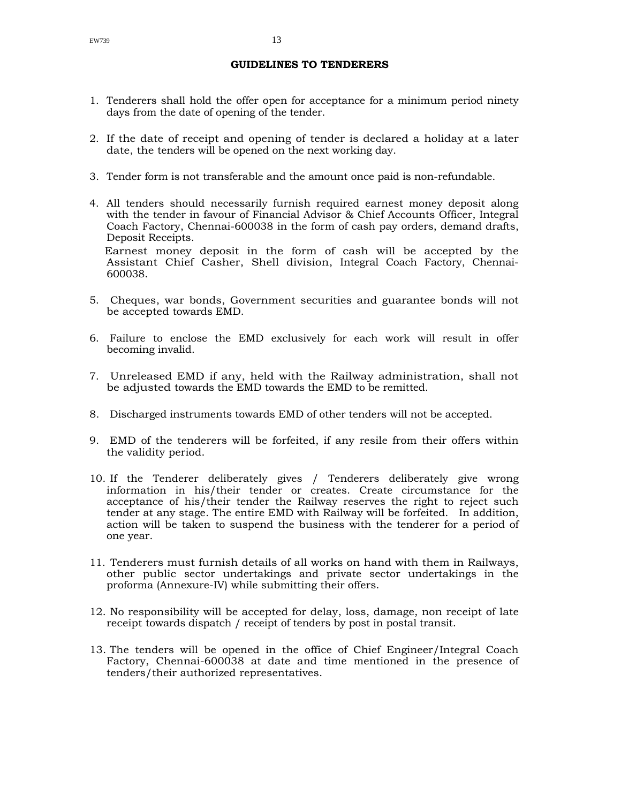### **GUIDELINES TO TENDERERS**

- 1. Tenderers shall hold the offer open for acceptance for a minimum period ninety days from the date of opening of the tender.
- 2. If the date of receipt and opening of tender is declared a holiday at a later date, the tenders will be opened on the next working day.
- 3. Tender form is not transferable and the amount once paid is non-refundable.
- 4. All tenders should necessarily furnish required earnest money deposit along with the tender in favour of Financial Advisor & Chief Accounts Officer, Integral Coach Factory, Chennai-600038 in the form of cash pay orders, demand drafts, Deposit Receipts.

Earnest money deposit in the form of cash will be accepted by the Assistant Chief Casher, Shell division, Integral Coach Factory, Chennai-600038.

- 5. Cheques, war bonds, Government securities and guarantee bonds will not be accepted towards EMD.
- 6. Failure to enclose the EMD exclusively for each work will result in offer becoming invalid.
- 7. Unreleased EMD if any, held with the Railway administration, shall not be adjusted towards the EMD towards the EMD to be remitted.
- 8. Discharged instruments towards EMD of other tenders will not be accepted.
- 9. EMD of the tenderers will be forfeited, if any resile from their offers within the validity period.
- 10. If the Tenderer deliberately gives / Tenderers deliberately give wrong information in his/their tender or creates. Create circumstance for the acceptance of his/their tender the Railway reserves the right to reject such tender at any stage. The entire EMD with Railway will be forfeited. In addition, action will be taken to suspend the business with the tenderer for a period of one year.
- 11. Tenderers must furnish details of all works on hand with them in Railways, other public sector undertakings and private sector undertakings in the proforma (Annexure-IV) while submitting their offers.
- 12. No responsibility will be accepted for delay, loss, damage, non receipt of late receipt towards dispatch / receipt of tenders by post in postal transit.
- 13. The tenders will be opened in the office of Chief Engineer/Integral Coach Factory, Chennai-600038 at date and time mentioned in the presence of tenders/their authorized representatives.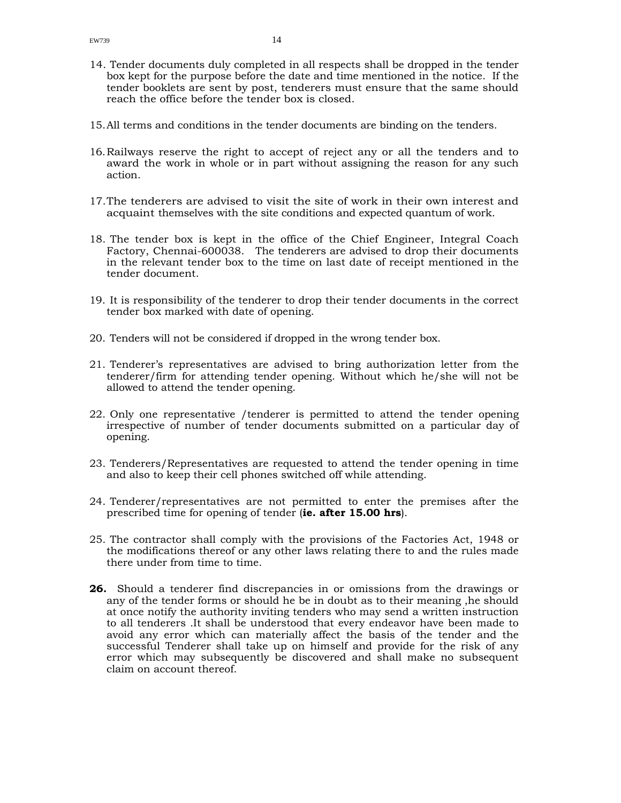- 14. Tender documents duly completed in all respects shall be dropped in the tender box kept for the purpose before the date and time mentioned in the notice. If the tender booklets are sent by post, tenderers must ensure that the same should reach the office before the tender box is closed.
- 15.All terms and conditions in the tender documents are binding on the tenders.
- 16.Railways reserve the right to accept of reject any or all the tenders and to award the work in whole or in part without assigning the reason for any such action.
- 17.The tenderers are advised to visit the site of work in their own interest and acquaint themselves with the site conditions and expected quantum of work.
- 18. The tender box is kept in the office of the Chief Engineer, Integral Coach Factory, Chennai-600038. The tenderers are advised to drop their documents in the relevant tender box to the time on last date of receipt mentioned in the tender document.
- 19. It is responsibility of the tenderer to drop their tender documents in the correct tender box marked with date of opening.
- 20. Tenders will not be considered if dropped in the wrong tender box.
- 21. Tenderer's representatives are advised to bring authorization letter from the tenderer/firm for attending tender opening. Without which he/she will not be allowed to attend the tender opening.
- 22. Only one representative /tenderer is permitted to attend the tender opening irrespective of number of tender documents submitted on a particular day of opening.
- 23. Tenderers/Representatives are requested to attend the tender opening in time and also to keep their cell phones switched off while attending.
- 24. Tenderer/representatives are not permitted to enter the premises after the prescribed time for opening of tender (**ie. after 15.00 hrs**).
- 25. The contractor shall comply with the provisions of the Factories Act, 1948 or the modifications thereof or any other laws relating there to and the rules made there under from time to time.
- **26.** Should a tenderer find discrepancies in or omissions from the drawings or any of the tender forms or should he be in doubt as to their meaning ,he should at once notify the authority inviting tenders who may send a written instruction to all tenderers .It shall be understood that every endeavor have been made to avoid any error which can materially affect the basis of the tender and the successful Tenderer shall take up on himself and provide for the risk of any error which may subsequently be discovered and shall make no subsequent claim on account thereof.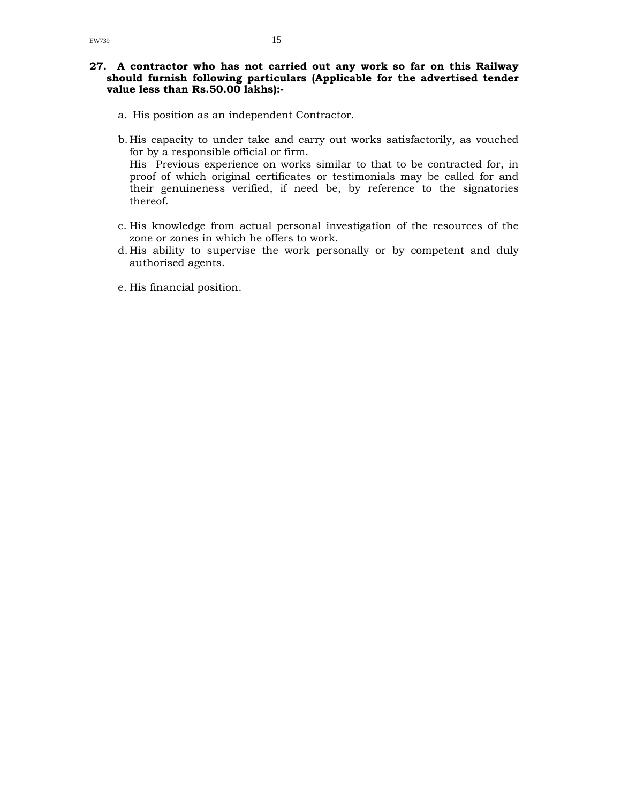- a. His position as an independent Contractor.
- b. His capacity to under take and carry out works satisfactorily, as vouched for by a responsible official or firm.

His Previous experience on works similar to that to be contracted for, in proof of which original certificates or testimonials may be called for and their genuineness verified, if need be, by reference to the signatories thereof.

- c. His knowledge from actual personal investigation of the resources of the zone or zones in which he offers to work.
- d. His ability to supervise the work personally or by competent and duly authorised agents.
- e. His financial position.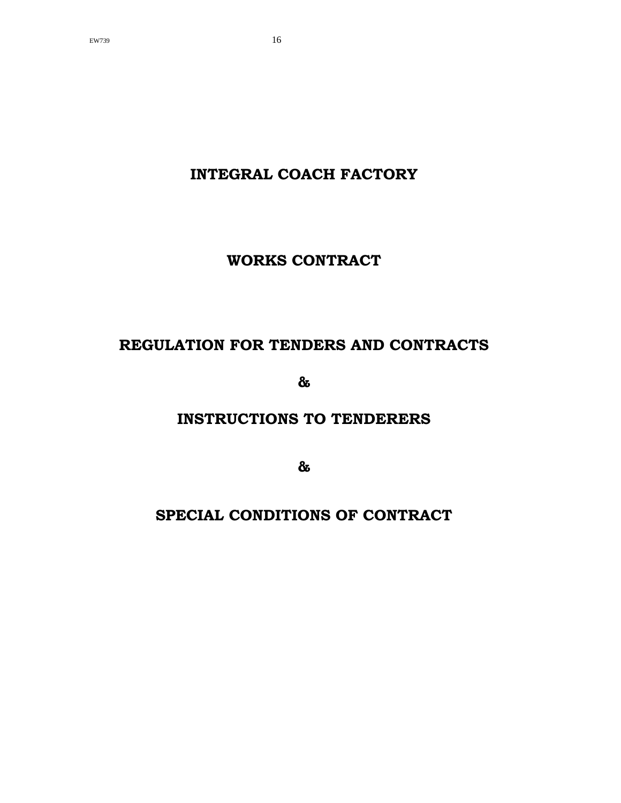**INTEGRAL COACH FACTORY** 

**WORKS CONTRACT** 

# **REGULATION FOR TENDERS AND CONTRACTS**

**&** 

# **INSTRUCTIONS TO TENDERERS**

**&** 

# **SPECIAL CONDITIONS OF CONTRACT**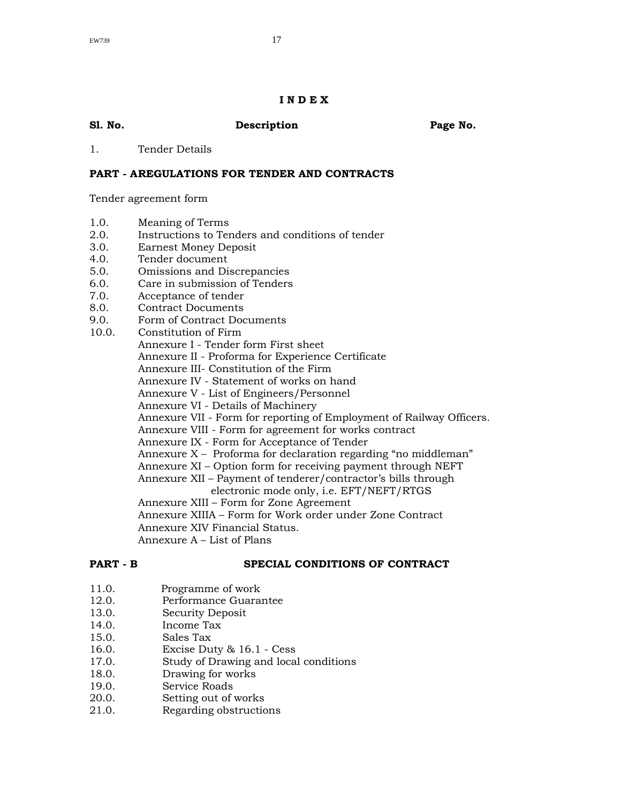### **I N D E X**

| Sl. No. | Description | Page No. |
|---------|-------------|----------|
|         |             |          |

1. Tender Details

### **PART - A REGULATIONS FOR TENDER AND CONTRACTS**

Tender agreement form

- 1.0. Meaning of Terms
- 2.0. Instructions to Tenders and conditions of tender
- 3.0. Earnest Money Deposit
- 4.0. Tender document
- 5.0. Omissions and Discrepancies
- 6.0. Care in submission of Tenders
- 7.0. Acceptance of tender
- 8.0. Contract Documents
- 9.0. Form of Contract Documents
- 10.0. Constitution of Firm
	- Annexure I Tender form First sheet
	- Annexure II Proforma for Experience Certificate
	- Annexure III- Constitution of the Firm
		- Annexure IV Statement of works on hand
		- Annexure V List of Engineers/Personnel
		- Annexure VI Details of Machinery
		- Annexure VII Form for reporting of Employment of Railway Officers.
		- Annexure VIII Form for agreement for works contract
		- Annexure IX Form for Acceptance of Tender
		- Annexure X Proforma for declaration regarding "no middleman"
		- Annexure XI Option form for receiving payment through NEFT
		- Annexure XII Payment of tenderer/contractor's bills through
			- electronic mode only, i.e. EFT/NEFT/RTGS
		- Annexure XIII Form for Zone Agreement
		- Annexure XIIIA Form for Work order under Zone Contract
		- Annexure XIV Financial Status.
		- Annexure A List of Plans

### **PART - B SPECIAL CONDITIONS OF CONTRACT**

- 11.0. Programme of work
- 12.0. Performance Guarantee
- 13.0. Security Deposit
- 14.0. Income Tax
- 15.0. Sales Tax
- 16.0. Excise Duty & 16.1 Cess
- 17.0. Study of Drawing and local conditions
- 18.0. Drawing for works<br>19.0. Service Roads
- Service Roads
- 20.0. Setting out of works
- 21.0. Regarding obstructions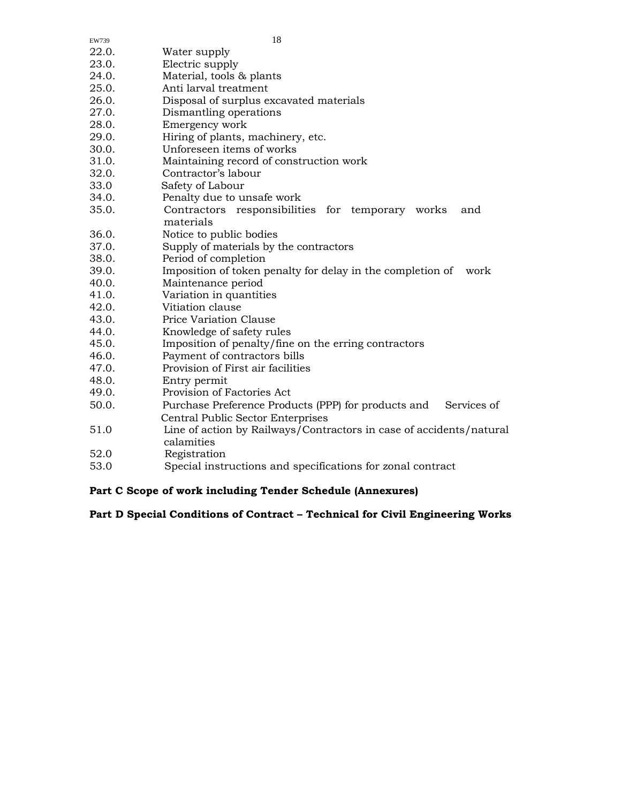| 22.0. | Water supply                                                                      |
|-------|-----------------------------------------------------------------------------------|
| 23.0. | Electric supply                                                                   |
| 24.0. | Material, tools & plants                                                          |
| 25.0. | Anti larval treatment                                                             |
| 26.0. | Disposal of surplus excavated materials                                           |
| 27.0. | Dismantling operations                                                            |
| 28.0. | Emergency work                                                                    |
| 29.0. | Hiring of plants, machinery, etc.                                                 |
| 30.0. | Unforeseen items of works                                                         |
| 31.0. | Maintaining record of construction work                                           |
| 32.0. | Contractor's labour                                                               |
| 33.0  | Safety of Labour                                                                  |
| 34.0. | Penalty due to unsafe work                                                        |
| 35.0. | Contractors responsibilities for temporary works<br>and<br>materials              |
| 36.0. | Notice to public bodies                                                           |
| 37.0. | Supply of materials by the contractors                                            |
| 38.0. | Period of completion                                                              |
| 39.0. | Imposition of token penalty for delay in the completion of<br>work                |
| 40.0. | Maintenance period                                                                |
| 41.0. | Variation in quantities                                                           |
| 42.0. | Vitiation clause                                                                  |
| 43.0. | Price Variation Clause                                                            |
| 44.0. | Knowledge of safety rules                                                         |
| 45.0. | Imposition of penalty/fine on the erring contractors                              |
| 46.0. | Payment of contractors bills                                                      |
| 47.0. | Provision of First air facilities                                                 |
| 48.0. | Entry permit                                                                      |
| 49.0. | Provision of Factories Act                                                        |
| 50.0. | Purchase Preference Products (PPP) for products and<br>Services of                |
|       | <b>Central Public Sector Enterprises</b>                                          |
| 51.0  | Line of action by Railways/Contractors in case of accidents/natural<br>calamities |
| 52.0  | Registration                                                                      |
| 53.0  | Special instructions and specifications for zonal contract                        |

EW739 18

# **Part C Scope of work including Tender Schedule (Annexures)**

# **Part D Special Conditions of Contract – Technical for Civil Engineering Works**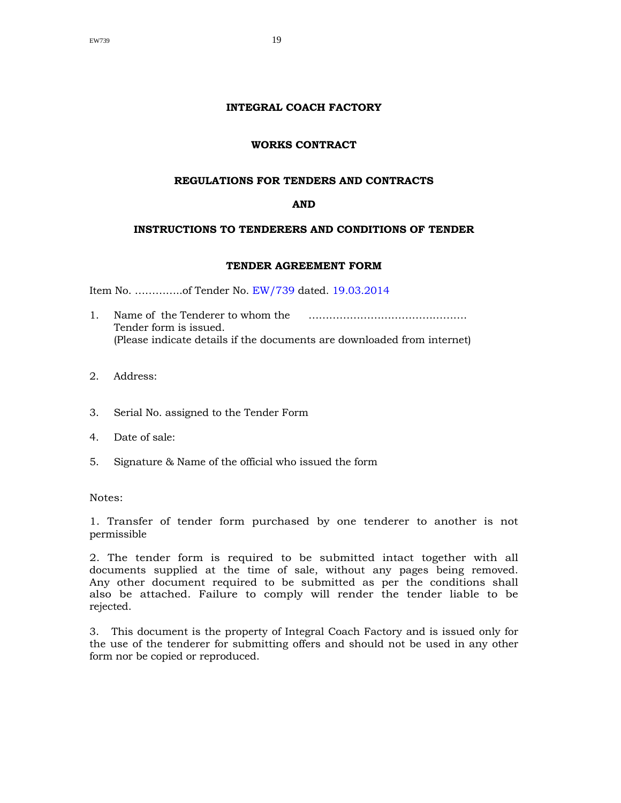### **INTEGRAL COACH FACTORY**

### **WORKS CONTRACT**

### **REGULATIONS FOR TENDERS AND CONTRACTS**

### **AND**

## **INSTRUCTIONS TO TENDERERS AND CONDITIONS OF TENDER**

### **TENDER AGREEMENT FORM**

Item No. …………..of Tender No. EW/739 dated. 19.03.2014

- 1. Name of the Tenderer to whom the ………………………………………. Tender form is issued. (Please indicate details if the documents are downloaded from internet)
- 2. Address:
- 3. Serial No. assigned to the Tender Form
- 4. Date of sale:
- 5. Signature & Name of the official who issued the form

Notes:

1. Transfer of tender form purchased by one tenderer to another is not permissible

2. The tender form is required to be submitted intact together with all documents supplied at the time of sale, without any pages being removed. Any other document required to be submitted as per the conditions shall also be attached. Failure to comply will render the tender liable to be rejected.

3. This document is the property of Integral Coach Factory and is issued only for the use of the tenderer for submitting offers and should not be used in any other form nor be copied or reproduced.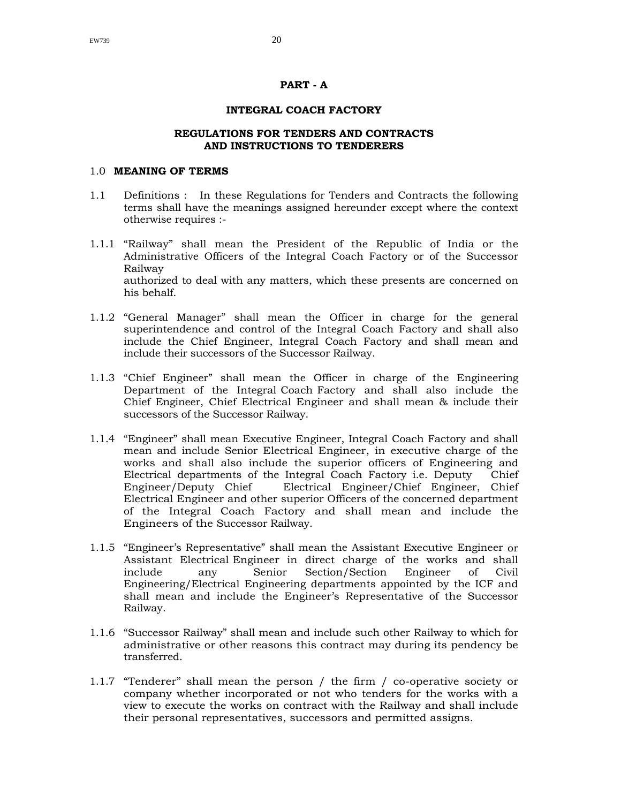### **PART - A**

### **INTEGRAL COACH FACTORY**

### **REGULATIONS FOR TENDERS AND CONTRACTS AND INSTRUCTIONS TO TENDERERS**

### 1.0 **MEANING OF TERMS**

- 1.1 Definitions : In these Regulations for Tenders and Contracts the following terms shall have the meanings assigned hereunder except where the context otherwise requires :-
- 1.1.1 "Railway" shall mean the President of the Republic of India or the Administrative Officers of the Integral Coach Factory or of the Successor Railway authorized to deal with any matters, which these presents are concerned on his behalf.
- 1.1.2 "General Manager" shall mean the Officer in charge for the general superintendence and control of the Integral Coach Factory and shall also include the Chief Engineer, Integral Coach Factory and shall mean and include their successors of the Successor Railway.
- 1.1.3 "Chief Engineer" shall mean the Officer in charge of the Engineering Department of the Integral Coach Factory and shall also include the Chief Engineer, Chief Electrical Engineer and shall mean & include their successors of the Successor Railway.
- 1.1.4 "Engineer" shall mean Executive Engineer, Integral Coach Factory and shall mean and include Senior Electrical Engineer, in executive charge of the works and shall also include the superior officers of Engineering and Electrical departments of the Integral Coach Factory i.e. Deputy Chief Engineer/Deputy Chief Electrical Engineer/Chief Engineer, Chief Electrical Engineer and other superior Officers of the concerned department of the Integral Coach Factory and shall mean and include the Engineers of the Successor Railway.
- 1.1.5 "Engineer's Representative" shall mean the Assistant Executive Engineer or Assistant Electrical Engineer in direct charge of the works and shall include any Senior Section/Section Engineer of Civil Engineering/Electrical Engineering departments appointed by the ICF and shall mean and include the Engineer's Representative of the Successor Railway.
- 1.1.6 "Successor Railway" shall mean and include such other Railway to which for administrative or other reasons this contract may during its pendency be transferred.
- 1.1.7 "Tenderer" shall mean the person / the firm / co-operative society or company whether incorporated or not who tenders for the works with a view to execute the works on contract with the Railway and shall include their personal representatives, successors and permitted assigns.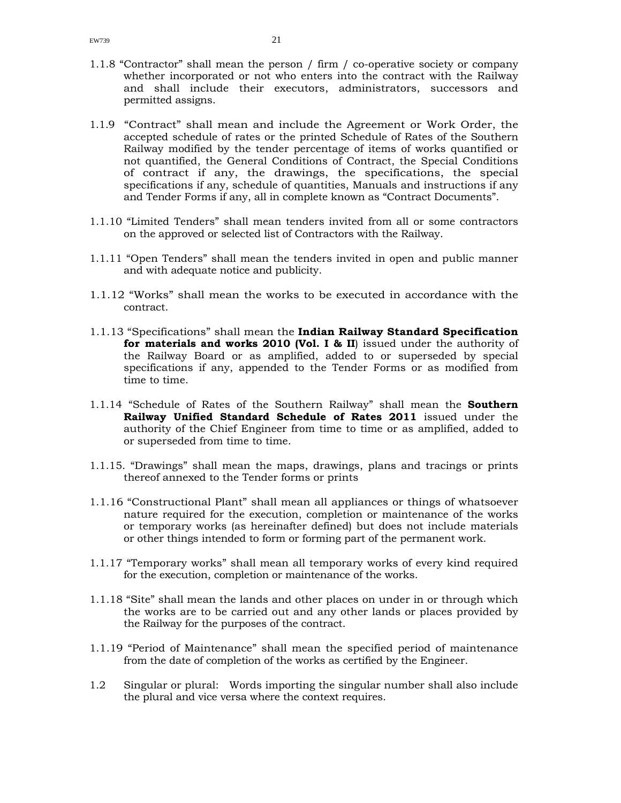- 1.1.8 "Contractor" shall mean the person / firm / co-operative society or company whether incorporated or not who enters into the contract with the Railway and shall include their executors, administrators, successors and permitted assigns.
- 1.1.9 "Contract" shall mean and include the Agreement or Work Order, the accepted schedule of rates or the printed Schedule of Rates of the Southern Railway modified by the tender percentage of items of works quantified or not quantified, the General Conditions of Contract, the Special Conditions of contract if any, the drawings, the specifications, the special specifications if any, schedule of quantities, Manuals and instructions if any and Tender Forms if any, all in complete known as "Contract Documents".
- 1.1.10 "Limited Tenders" shall mean tenders invited from all or some contractors on the approved or selected list of Contractors with the Railway.
- 1.1.11 "Open Tenders" shall mean the tenders invited in open and public manner and with adequate notice and publicity.
- 1.1.12 "Works" shall mean the works to be executed in accordance with the contract.
- 1.1.13 "Specifications" shall mean the **Indian Railway Standard Specification for materials and works 2010 (Vol. I & II**) issued under the authority of the Railway Board or as amplified, added to or superseded by special specifications if any, appended to the Tender Forms or as modified from time to time.
- 1.1.14 "Schedule of Rates of the Southern Railway" shall mean the **Southern Railway Unified Standard Schedule of Rates 2011** issued under the authority of the Chief Engineer from time to time or as amplified, added to or superseded from time to time.
- 1.1.15. "Drawings" shall mean the maps, drawings, plans and tracings or prints thereof annexed to the Tender forms or prints
- 1.1.16 "Constructional Plant" shall mean all appliances or things of whatsoever nature required for the execution, completion or maintenance of the works or temporary works (as hereinafter defined) but does not include materials or other things intended to form or forming part of the permanent work.
- 1.1.17 "Temporary works" shall mean all temporary works of every kind required for the execution, completion or maintenance of the works.
- 1.1.18 "Site" shall mean the lands and other places on under in or through which the works are to be carried out and any other lands or places provided by the Railway for the purposes of the contract.
- 1.1.19 "Period of Maintenance" shall mean the specified period of maintenance from the date of completion of the works as certified by the Engineer.
- 1.2 Singular or plural: Words importing the singular number shall also include the plural and vice versa where the context requires.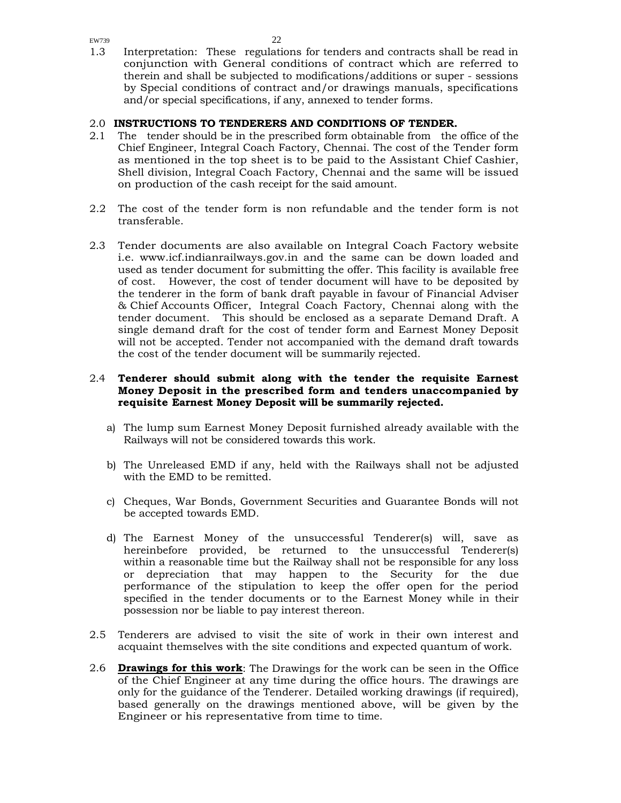1.3 Interpretation: These regulations for tenders and contracts shall be read in conjunction with General conditions of contract which are referred to therein and shall be subjected to modifications/additions or super - sessions by Special conditions of contract and/or drawings manuals, specifications and/or special specifications, if any, annexed to tender forms.

# 2.0 **INSTRUCTIONS TO TENDERERS AND CONDITIONS OF TENDER.**

- 2.1 The tender should be in the prescribed form obtainable from the office of the Chief Engineer, Integral Coach Factory, Chennai. The cost of the Tender form as mentioned in the top sheet is to be paid to the Assistant Chief Cashier, Shell division, Integral Coach Factory, Chennai and the same will be issued on production of the cash receipt for the said amount.
- 2.2 The cost of the tender form is non refundable and the tender form is not transferable.
- 2.3 Tender documents are also available on Integral Coach Factory website i.e. www.icf.indianrailways.gov.in and the same can be down loaded and used as tender document for submitting the offer. This facility is available free of cost. However, the cost of tender document will have to be deposited by the tenderer in the form of bank draft payable in favour of Financial Adviser & Chief Accounts Officer, Integral Coach Factory, Chennai along with the tender document. This should be enclosed as a separate Demand Draft. A single demand draft for the cost of tender form and Earnest Money Deposit will not be accepted. Tender not accompanied with the demand draft towards the cost of the tender document will be summarily rejected.

### 2.4 **Tenderer should submit along with the tender the requisite Earnest Money Deposit in the prescribed form and tenders unaccompanied by requisite Earnest Money Deposit will be summarily rejected.**

- a) The lump sum Earnest Money Deposit furnished already available with the Railways will not be considered towards this work.
- b) The Unreleased EMD if any, held with the Railways shall not be adjusted with the EMD to be remitted.
- c) Cheques, War Bonds, Government Securities and Guarantee Bonds will not be accepted towards EMD.
- d) The Earnest Money of the unsuccessful Tenderer(s) will, save as hereinbefore provided, be returned to the unsuccessful Tenderer(s) within a reasonable time but the Railway shall not be responsible for any loss or depreciation that may happen to the Security for the due performance of the stipulation to keep the offer open for the period specified in the tender documents or to the Earnest Money while in their possession nor be liable to pay interest thereon.
- 2.5 Tenderers are advised to visit the site of work in their own interest and acquaint themselves with the site conditions and expected quantum of work.
- 2.6 **Drawings for this work**: The Drawings for the work can be seen in the Office of the Chief Engineer at any time during the office hours. The drawings are only for the guidance of the Tenderer. Detailed working drawings (if required), based generally on the drawings mentioned above, will be given by the Engineer or his representative from time to time.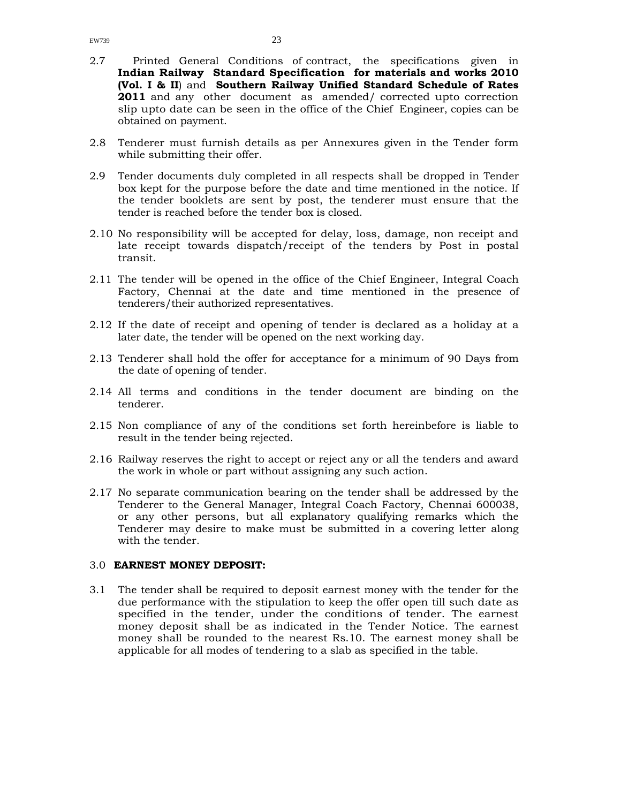- 2.7 Printed General Conditions of contract, the specifications given in **Indian Railway Standard Specification for materials and works 2010 (Vol. I & II**) and **Southern Railway Unified Standard Schedule of Rates 2011** and any other document as amended/ corrected upto correction slip upto date can be seen in the office of the Chief Engineer, copies can be obtained on payment.
- 2.8 Tenderer must furnish details as per Annexures given in the Tender form while submitting their offer.
- 2.9 Tender documents duly completed in all respects shall be dropped in Tender box kept for the purpose before the date and time mentioned in the notice. If the tender booklets are sent by post, the tenderer must ensure that the tender is reached before the tender box is closed.
- 2.10 No responsibility will be accepted for delay, loss, damage, non receipt and late receipt towards dispatch/receipt of the tenders by Post in postal transit.
- 2.11 The tender will be opened in the office of the Chief Engineer, Integral Coach Factory, Chennai at the date and time mentioned in the presence of tenderers/their authorized representatives.
- 2.12 If the date of receipt and opening of tender is declared as a holiday at a later date, the tender will be opened on the next working day.
- 2.13 Tenderer shall hold the offer for acceptance for a minimum of 90 Days from the date of opening of tender.
- 2.14 All terms and conditions in the tender document are binding on the tenderer.
- 2.15 Non compliance of any of the conditions set forth hereinbefore is liable to result in the tender being rejected.
- 2.16 Railway reserves the right to accept or reject any or all the tenders and award the work in whole or part without assigning any such action.
- 2.17 No separate communication bearing on the tender shall be addressed by the Tenderer to the General Manager, Integral Coach Factory, Chennai 600038, or any other persons, but all explanatory qualifying remarks which the Tenderer may desire to make must be submitted in a covering letter along with the tender.

### 3.0 **EARNEST MONEY DEPOSIT:**

3.1 The tender shall be required to deposit earnest money with the tender for the due performance with the stipulation to keep the offer open till such date as specified in the tender, under the conditions of tender. The earnest money deposit shall be as indicated in the Tender Notice. The earnest money shall be rounded to the nearest Rs.10. The earnest money shall be applicable for all modes of tendering to a slab as specified in the table.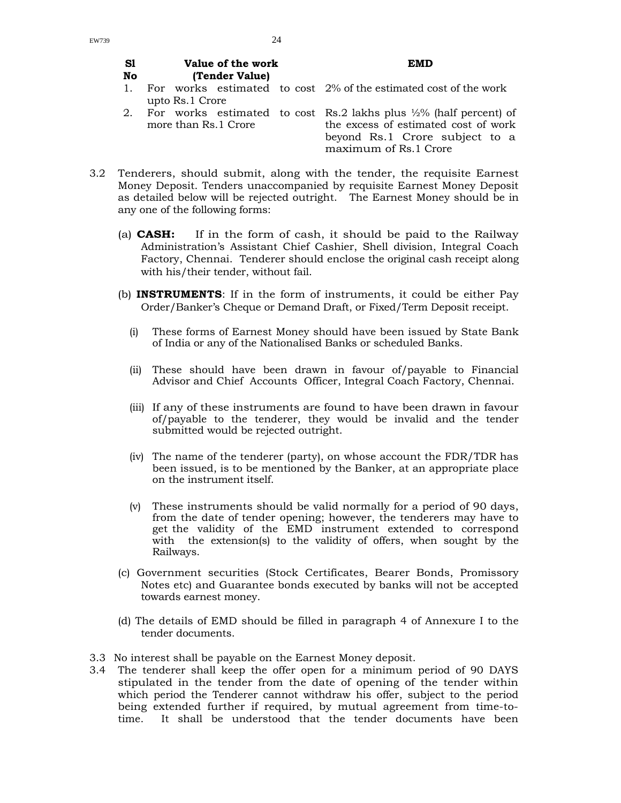**Sl No** 

**Value of the work** 

### **EMD**

- **(Tender Value)**  1. For works estimated to cost 2% of the estimated cost of the work upto Rs.1 Crore
- 2. For works estimated to cost Rs.2 lakhs plus ½% (half percent) of more than Rs.1 Crore the excess of estimated cost of work beyond Rs.1 Crore subject to a maximum of Rs.1 Crore
- 3.2 Tenderers, should submit, along with the tender, the requisite Earnest Money Deposit. Tenders unaccompanied by requisite Earnest Money Deposit as detailed below will be rejected outright. The Earnest Money should be in any one of the following forms:
	- (a) **CASH:** If in the form of cash, it should be paid to the Railway Administration's Assistant Chief Cashier, Shell division, Integral Coach Factory, Chennai. Tenderer should enclose the original cash receipt along with his/their tender, without fail.
	- (b) **INSTRUMENTS**: If in the form of instruments, it could be either Pay Order/Banker's Cheque or Demand Draft, or Fixed/Term Deposit receipt.
		- (i) These forms of Earnest Money should have been issued by State Bank of India or any of the Nationalised Banks or scheduled Banks.
		- (ii) These should have been drawn in favour of/payable to Financial Advisor and Chief Accounts Officer, Integral Coach Factory, Chennai.
		- (iii) If any of these instruments are found to have been drawn in favour of/payable to the tenderer, they would be invalid and the tender submitted would be rejected outright.
		- (iv) The name of the tenderer (party), on whose account the FDR/TDR has been issued, is to be mentioned by the Banker, at an appropriate place on the instrument itself.
		- (v) These instruments should be valid normally for a period of 90 days, from the date of tender opening; however, the tenderers may have to get the validity of the EMD instrument extended to correspond with the extension(s) to the validity of offers, when sought by the Railways.
	- (c) Government securities (Stock Certificates, Bearer Bonds, Promissory Notes etc) and Guarantee bonds executed by banks will not be accepted towards earnest money.
	- (d) The details of EMD should be filled in paragraph 4 of Annexure I to the tender documents.
- 3.3 No interest shall be payable on the Earnest Money deposit.
- 3.4 The tenderer shall keep the offer open for a minimum period of 90 DAYS stipulated in the tender from the date of opening of the tender within which period the Tenderer cannot withdraw his offer, subject to the period being extended further if required, by mutual agreement from time-totime. It shall be understood that the tender documents have been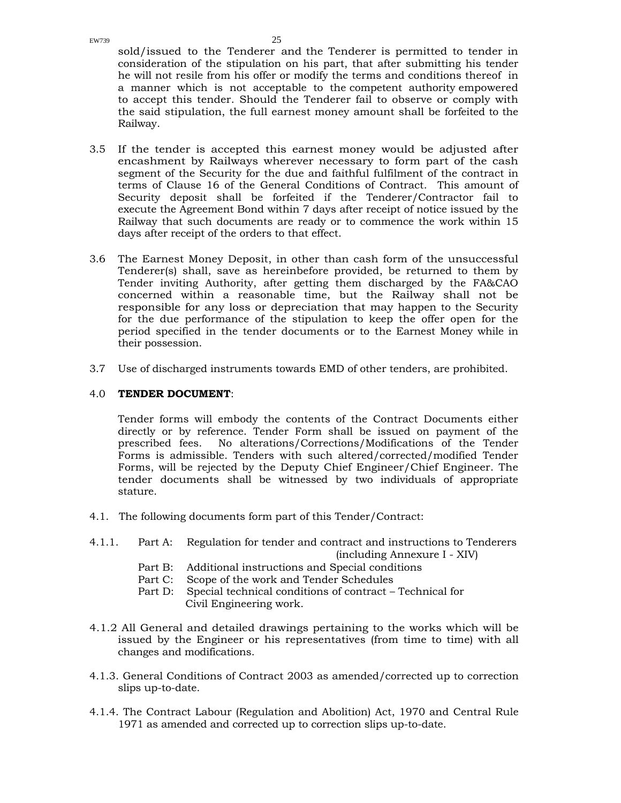sold/issued to the Tenderer and the Tenderer is permitted to tender in consideration of the stipulation on his part, that after submitting his tender he will not resile from his offer or modify the terms and conditions thereof in a manner which is not acceptable to the competent authority empowered to accept this tender. Should the Tenderer fail to observe or comply with the said stipulation, the full earnest money amount shall be forfeited to the Railway.

- 3.5 If the tender is accepted this earnest money would be adjusted after encashment by Railways wherever necessary to form part of the cash segment of the Security for the due and faithful fulfilment of the contract in terms of Clause 16 of the General Conditions of Contract. This amount of Security deposit shall be forfeited if the Tenderer/Contractor fail to execute the Agreement Bond within 7 days after receipt of notice issued by the Railway that such documents are ready or to commence the work within 15 days after receipt of the orders to that effect.
- 3.6 The Earnest Money Deposit, in other than cash form of the unsuccessful Tenderer(s) shall, save as hereinbefore provided, be returned to them by Tender inviting Authority, after getting them discharged by the FA&CAO concerned within a reasonable time, but the Railway shall not be responsible for any loss or depreciation that may happen to the Security for the due performance of the stipulation to keep the offer open for the period specified in the tender documents or to the Earnest Money while in their possession.
- 3.7 Use of discharged instruments towards EMD of other tenders, are prohibited.

### 4.0 **TENDER DOCUMENT**:

Tender forms will embody the contents of the Contract Documents either directly or by reference. Tender Form shall be issued on payment of the prescribed fees. No alterations/Corrections/Modifications of the Tender Forms is admissible. Tenders with such altered/corrected/modified Tender Forms, will be rejected by the Deputy Chief Engineer/Chief Engineer. The tender documents shall be witnessed by two individuals of appropriate stature.

- 4.1. The following documents form part of this Tender/Contract:
- 4.1.1. Part A: Regulation for tender and contract and instructions to Tenderers (including Annexure I - XIV)
	- Part B: Additional instructions and Special conditions
	- Part C: Scope of the work and Tender Schedules
	- Part D: Special technical conditions of contract Technical for Civil Engineering work.
- 4.1.2 All General and detailed drawings pertaining to the works which will be issued by the Engineer or his representatives (from time to time) with all changes and modifications.
- 4.1.3. General Conditions of Contract 2003 as amended/corrected up to correction slips up-to-date.
- 4.1.4. The Contract Labour (Regulation and Abolition) Act, 1970 and Central Rule 1971 as amended and corrected up to correction slips up-to-date.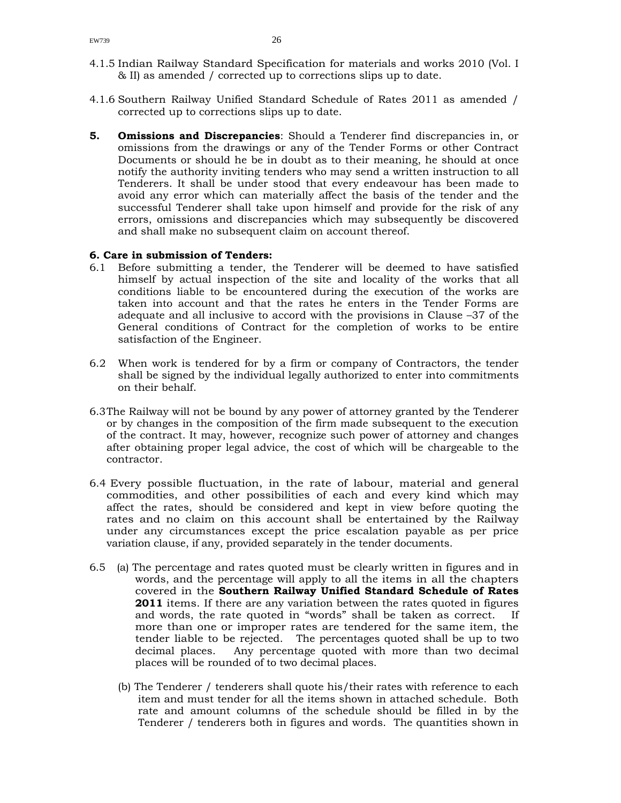- 4.1.5 Indian Railway Standard Specification for materials and works 2010 (Vol. I & II) as amended / corrected up to corrections slips up to date.
- 4.1.6 Southern Railway Unified Standard Schedule of Rates 2011 as amended / corrected up to corrections slips up to date.
- **5. Omissions and Discrepancies**: Should a Tenderer find discrepancies in, or omissions from the drawings or any of the Tender Forms or other Contract Documents or should he be in doubt as to their meaning, he should at once notify the authority inviting tenders who may send a written instruction to all Tenderers. It shall be under stood that every endeavour has been made to avoid any error which can materially affect the basis of the tender and the successful Tenderer shall take upon himself and provide for the risk of any errors, omissions and discrepancies which may subsequently be discovered and shall make no subsequent claim on account thereof.

### **6. Care in submission of Tenders:**

- 6.1 Before submitting a tender, the Tenderer will be deemed to have satisfied himself by actual inspection of the site and locality of the works that all conditions liable to be encountered during the execution of the works are taken into account and that the rates he enters in the Tender Forms are adequate and all inclusive to accord with the provisions in Clause –37 of the General conditions of Contract for the completion of works to be entire satisfaction of the Engineer.
- 6.2 When work is tendered for by a firm or company of Contractors, the tender shall be signed by the individual legally authorized to enter into commitments on their behalf.
- 6.3The Railway will not be bound by any power of attorney granted by the Tenderer or by changes in the composition of the firm made subsequent to the execution of the contract. It may, however, recognize such power of attorney and changes after obtaining proper legal advice, the cost of which will be chargeable to the contractor.
- 6.4 Every possible fluctuation, in the rate of labour, material and general commodities, and other possibilities of each and every kind which may affect the rates, should be considered and kept in view before quoting the rates and no claim on this account shall be entertained by the Railway under any circumstances except the price escalation payable as per price variation clause, if any, provided separately in the tender documents.
- 6.5 (a) The percentage and rates quoted must be clearly written in figures and in words, and the percentage will apply to all the items in all the chapters covered in the **Southern Railway Unified Standard Schedule of Rates 2011** items. If there are any variation between the rates quoted in figures and words, the rate quoted in "words" shall be taken as correct. If more than one or improper rates are tendered for the same item, the tender liable to be rejected. The percentages quoted shall be up to two decimal places. Any percentage quoted with more than two decimal places will be rounded of to two decimal places.
	- (b) The Tenderer / tenderers shall quote his/their rates with reference to each item and must tender for all the items shown in attached schedule. Both rate and amount columns of the schedule should be filled in by the Tenderer / tenderers both in figures and words. The quantities shown in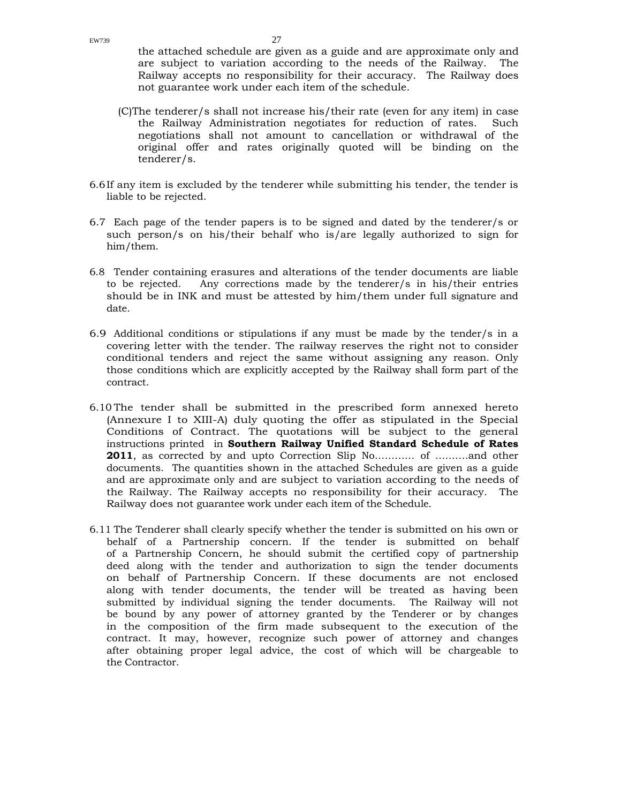the attached schedule are given as a guide and are approximate only and are subject to variation according to the needs of the Railway. The Railway accepts no responsibility for their accuracy. The Railway does not guarantee work under each item of the schedule.

- (C)The tenderer/s shall not increase his/their rate (even for any item) in case the Railway Administration negotiates for reduction of rates. Such negotiations shall not amount to cancellation or withdrawal of the original offer and rates originally quoted will be binding on the tenderer/s.
- 6.6If any item is excluded by the tenderer while submitting his tender, the tender is liable to be rejected.
- 6.7 Each page of the tender papers is to be signed and dated by the tenderer/s or such person/s on his/their behalf who is/are legally authorized to sign for him/them.
- 6.8 Tender containing erasures and alterations of the tender documents are liable to be rejected. Any corrections made by the tenderer/s in his/their entries should be in INK and must be attested by him/them under full signature and date.
- 6.9 Additional conditions or stipulations if any must be made by the tender/s in a covering letter with the tender. The railway reserves the right not to consider conditional tenders and reject the same without assigning any reason. Only those conditions which are explicitly accepted by the Railway shall form part of the contract.
- 6.10 The tender shall be submitted in the prescribed form annexed hereto (Annexure I to XIII-A) duly quoting the offer as stipulated in the Special Conditions of Contract. The quotations will be subject to the general instructions printed in **Southern Railway Unified Standard Schedule of Rates 2011**, as corrected by and upto Correction Slip No………… of ……….and other documents. The quantities shown in the attached Schedules are given as a guide and are approximate only and are subject to variation according to the needs of the Railway. The Railway accepts no responsibility for their accuracy. The Railway does not guarantee work under each item of the Schedule.
- 6.11 The Tenderer shall clearly specify whether the tender is submitted on his own or behalf of a Partnership concern. If the tender is submitted on behalf of a Partnership Concern, he should submit the certified copy of partnership deed along with the tender and authorization to sign the tender documents on behalf of Partnership Concern. If these documents are not enclosed along with tender documents, the tender will be treated as having been submitted by individual signing the tender documents. The Railway will not be bound by any power of attorney granted by the Tenderer or by changes in the composition of the firm made subsequent to the execution of the contract. It may, however, recognize such power of attorney and changes after obtaining proper legal advice, the cost of which will be chargeable to the Contractor.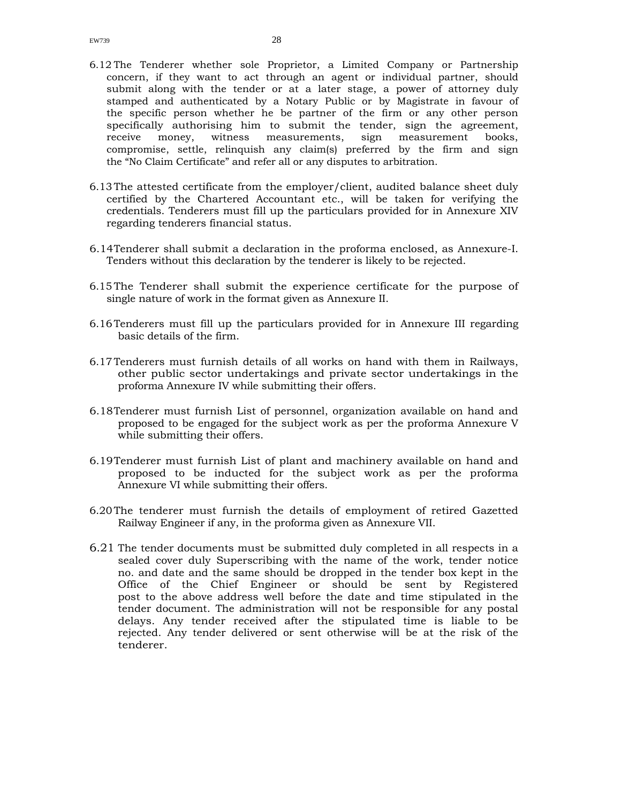- 6.12 The Tenderer whether sole Proprietor, a Limited Company or Partnership concern, if they want to act through an agent or individual partner, should submit along with the tender or at a later stage, a power of attorney duly stamped and authenticated by a Notary Public or by Magistrate in favour of the specific person whether he be partner of the firm or any other person specifically authorising him to submit the tender, sign the agreement, receive money, witness measurements, sign measurement books, compromise, settle, relinquish any claim(s) preferred by the firm and sign the "No Claim Certificate" and refer all or any disputes to arbitration.
- 6.13The attested certificate from the employer/client, audited balance sheet duly certified by the Chartered Accountant etc., will be taken for verifying the credentials. Tenderers must fill up the particulars provided for in Annexure XIV regarding tenderers financial status.
- 6.14Tenderer shall submit a declaration in the proforma enclosed, as Annexure-I. Tenders without this declaration by the tenderer is likely to be rejected.
- 6.15 The Tenderer shall submit the experience certificate for the purpose of single nature of work in the format given as Annexure II.
- 6.16Tenderers must fill up the particulars provided for in Annexure III regarding basic details of the firm.
- 6.17Tenderers must furnish details of all works on hand with them in Railways, other public sector undertakings and private sector undertakings in the proforma Annexure IV while submitting their offers.
- 6.18Tenderer must furnish List of personnel, organization available on hand and proposed to be engaged for the subject work as per the proforma Annexure V while submitting their offers.
- 6.19Tenderer must furnish List of plant and machinery available on hand and proposed to be inducted for the subject work as per the proforma Annexure VI while submitting their offers.
- 6.20The tenderer must furnish the details of employment of retired Gazetted Railway Engineer if any, in the proforma given as Annexure VII.
- 6.21 The tender documents must be submitted duly completed in all respects in a sealed cover duly Superscribing with the name of the work, tender notice no. and date and the same should be dropped in the tender box kept in the Office of the Chief Engineer or should be sent by Registered post to the above address well before the date and time stipulated in the tender document. The administration will not be responsible for any postal delays. Any tender received after the stipulated time is liable to be rejected. Any tender delivered or sent otherwise will be at the risk of the tenderer.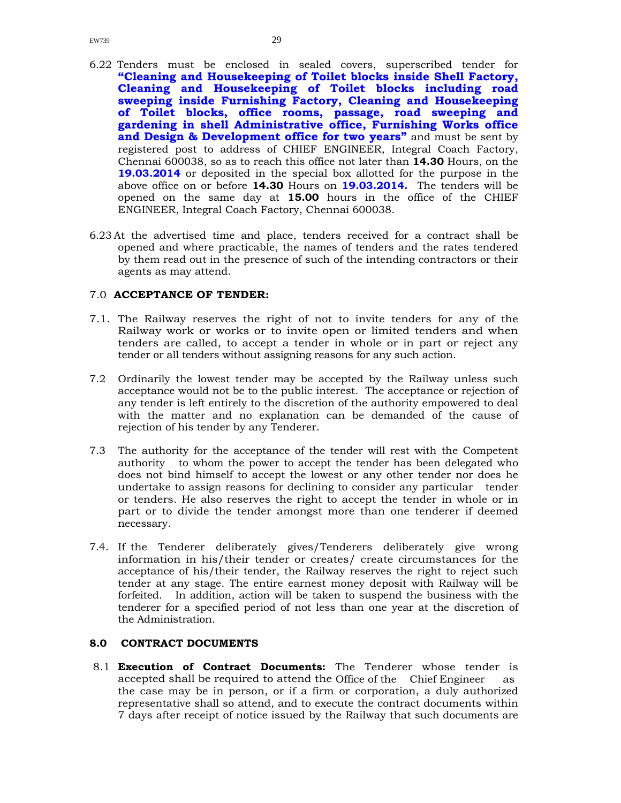- 6.22 Tenders must be enclosed in sealed covers, superscribed tender for **"Cleaning and Housekeeping of Toilet blocks inside Shell Factory, Cleaning and Housekeeping of Toilet blocks including road sweeping inside Furnishing Factory, Cleaning and Housekeeping of Toilet blocks, office rooms, passage, road sweeping and gardening in shell Administrative office, Furnishing Works office and Design & Development office for two years"** and must be sent by registered post to address of CHIEF ENGINEER, Integral Coach Factory, Chennai 600038, so as to reach this office not later than **14.30** Hours, on the **19.03.2014** or deposited in the special box allotted for the purpose in the above office on or before **14.30** Hours on **19.03.2014.** The tenders will be opened on the same day at **15.00** hours in the office of the CHIEF ENGINEER, Integral Coach Factory, Chennai 600038.
- 6.23 At the advertised time and place, tenders received for a contract shall be opened and where practicable, the names of tenders and the rates tendered by them read out in the presence of such of the intending contractors or their agents as may attend.

### 7.0 **ACCEPTANCE OF TENDER:**

- 7.1. The Railway reserves the right of not to invite tenders for any of the Railway work or works or to invite open or limited tenders and when tenders are called, to accept a tender in whole or in part or reject any tender or all tenders without assigning reasons for any such action.
- 7.2 Ordinarily the lowest tender may be accepted by the Railway unless such acceptance would not be to the public interest. The acceptance or rejection of any tender is left entirely to the discretion of the authority empowered to deal with the matter and no explanation can be demanded of the cause of rejection of his tender by any Tenderer.
- 7.3 The authority for the acceptance of the tender will rest with the Competent authority to whom the power to accept the tender has been delegated who does not bind himself to accept the lowest or any other tender nor does he undertake to assign reasons for declining to consider any particular tender or tenders. He also reserves the right to accept the tender in whole or in part or to divide the tender amongst more than one tenderer if deemed necessary.
- 7.4. If the Tenderer deliberately gives/Tenderers deliberately give wrong information in his/their tender or creates/ create circumstances for the acceptance of his/their tender, the Railway reserves the right to reject such tender at any stage. The entire earnest money deposit with Railway will be forfeited. In addition, action will be taken to suspend the business with the tenderer for a specified period of not less than one year at the discretion of the Administration.

### **8.0 CONTRACT DOCUMENTS**

 8.1 **Execution of Contract Documents:** The Tenderer whose tender is accepted shall be required to attend the Office of the Chief Engineer as the case may be in person, or if a firm or corporation, a duly authorized representative shall so attend, and to execute the contract documents within 7 days after receipt of notice issued by the Railway that such documents are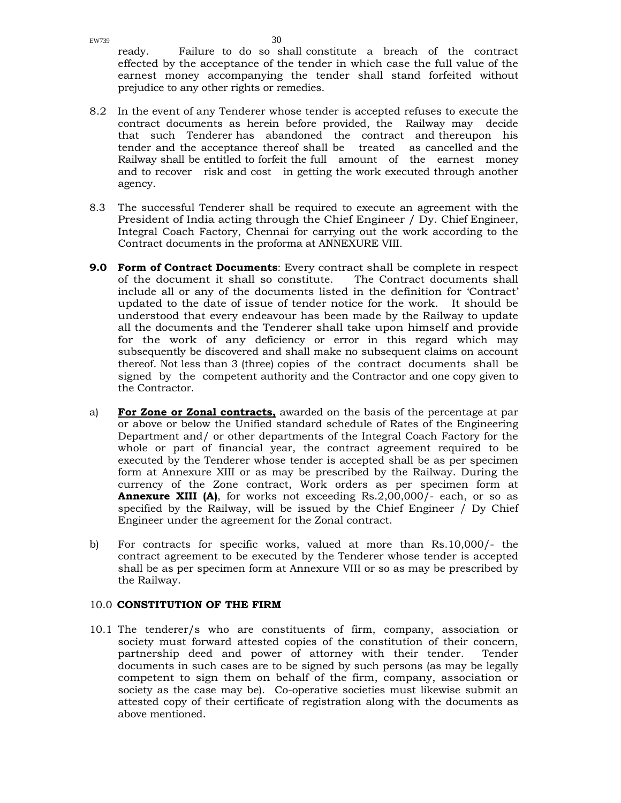ready. Failure to do so shall constitute a breach of the contract effected by the acceptance of the tender in which case the full value of the earnest money accompanying the tender shall stand forfeited without prejudice to any other rights or remedies.

- 8.2 In the event of any Tenderer whose tender is accepted refuses to execute the contract documents as herein before provided, the Railway may decide that such Tenderer has abandoned the contract and thereupon his tender and the acceptance thereof shall be treated as cancelled and the Railway shall be entitled to forfeit the full amount of the earnest money and to recover risk and cost in getting the work executed through another agency.
- 8.3 The successful Tenderer shall be required to execute an agreement with the President of India acting through the Chief Engineer / Dy. Chief Engineer, Integral Coach Factory, Chennai for carrying out the work according to the Contract documents in the proforma at ANNEXURE VIII.
- **9.0 Form of Contract Documents**: Every contract shall be complete in respect of the document it shall so constitute. The Contract documents shall include all or any of the documents listed in the definition for 'Contract' updated to the date of issue of tender notice for the work. It should be understood that every endeavour has been made by the Railway to update all the documents and the Tenderer shall take upon himself and provide for the work of any deficiency or error in this regard which may subsequently be discovered and shall make no subsequent claims on account thereof. Not less than 3 (three) copies of the contract documents shall be signed by the competent authority and the Contractor and one copy given to the Contractor.
- a) **For Zone or Zonal contracts,** awarded on the basis of the percentage at par or above or below the Unified standard schedule of Rates of the Engineering Department and/ or other departments of the Integral Coach Factory for the whole or part of financial year, the contract agreement required to be executed by the Tenderer whose tender is accepted shall be as per specimen form at Annexure XIII or as may be prescribed by the Railway. During the currency of the Zone contract, Work orders as per specimen form at **Annexure XIII (A)**, for works not exceeding Rs.2,00,000/- each, or so as specified by the Railway, will be issued by the Chief Engineer / Dy Chief Engineer under the agreement for the Zonal contract.
- b) For contracts for specific works, valued at more than Rs.10,000/- the contract agreement to be executed by the Tenderer whose tender is accepted shall be as per specimen form at Annexure VIII or so as may be prescribed by the Railway.

### 10.0 **CONSTITUTION OF THE FIRM**

10.1 The tenderer/s who are constituents of firm, company, association or society must forward attested copies of the constitution of their concern, partnership deed and power of attorney with their tender. Tender documents in such cases are to be signed by such persons (as may be legally competent to sign them on behalf of the firm, company, association or society as the case may be). Co-operative societies must likewise submit an attested copy of their certificate of registration along with the documents as above mentioned.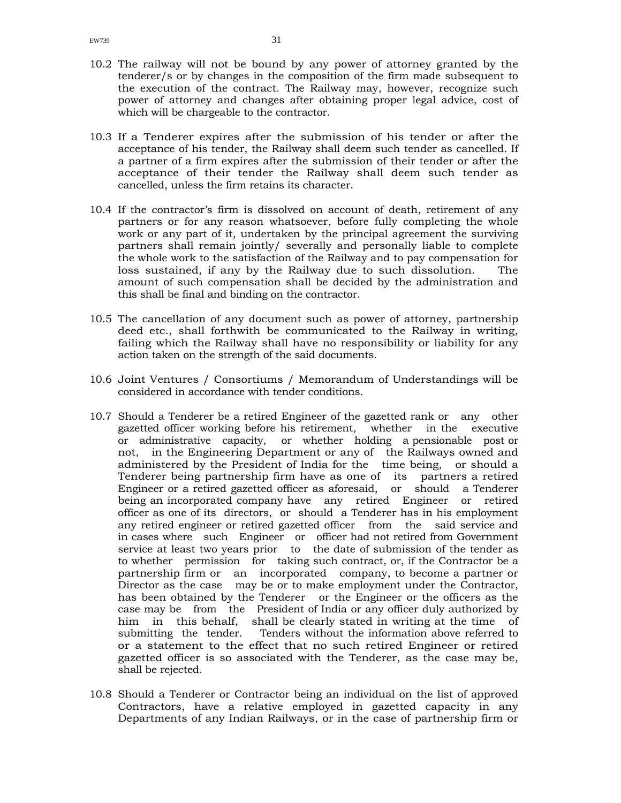- 10.3 If a Tenderer expires after the submission of his tender or after the acceptance of his tender, the Railway shall deem such tender as cancelled. If a partner of a firm expires after the submission of their tender or after the acceptance of their tender the Railway shall deem such tender as cancelled, unless the firm retains its character.
- 10.4 If the contractor's firm is dissolved on account of death, retirement of any partners or for any reason whatsoever, before fully completing the whole work or any part of it, undertaken by the principal agreement the surviving partners shall remain jointly/ severally and personally liable to complete the whole work to the satisfaction of the Railway and to pay compensation for loss sustained, if any by the Railway due to such dissolution. The amount of such compensation shall be decided by the administration and this shall be final and binding on the contractor.
- 10.5 The cancellation of any document such as power of attorney, partnership deed etc., shall forthwith be communicated to the Railway in writing, failing which the Railway shall have no responsibility or liability for any action taken on the strength of the said documents.
- 10.6 Joint Ventures / Consortiums / Memorandum of Understandings will be considered in accordance with tender conditions.
- 10.7 Should a Tenderer be a retired Engineer of the gazetted rank or any other gazetted officer working before his retirement, whether in the executive or administrative capacity, or whether holding a pensionable post or not, in the Engineering Department or any of the Railways owned and administered by the President of India for the time being, or should a Tenderer being partnership firm have as one of its partners a retired Engineer or a retired gazetted officer as aforesaid, or should a Tenderer being an incorporated company have any retired Engineer or retired officer as one of its directors, or should a Tenderer has in his employment any retired engineer or retired gazetted officer from the said service and in cases where such Engineer or officer had not retired from Government service at least two years prior to the date of submission of the tender as to whether permission for taking such contract, or, if the Contractor be a partnership firm or an incorporated company, to become a partner or Director as the case may be or to make employment under the Contractor, has been obtained by the Tenderer or the Engineer or the officers as the case may be from the President of India or any officer duly authorized by him in this behalf, shall be clearly stated in writing at the time of submitting the tender. Tenders without the information above referred to or a statement to the effect that no such retired Engineer or retired gazetted officer is so associated with the Tenderer, as the case may be, shall be rejected.
- 10.8 Should a Tenderer or Contractor being an individual on the list of approved Contractors, have a relative employed in gazetted capacity in any Departments of any Indian Railways, or in the case of partnership firm or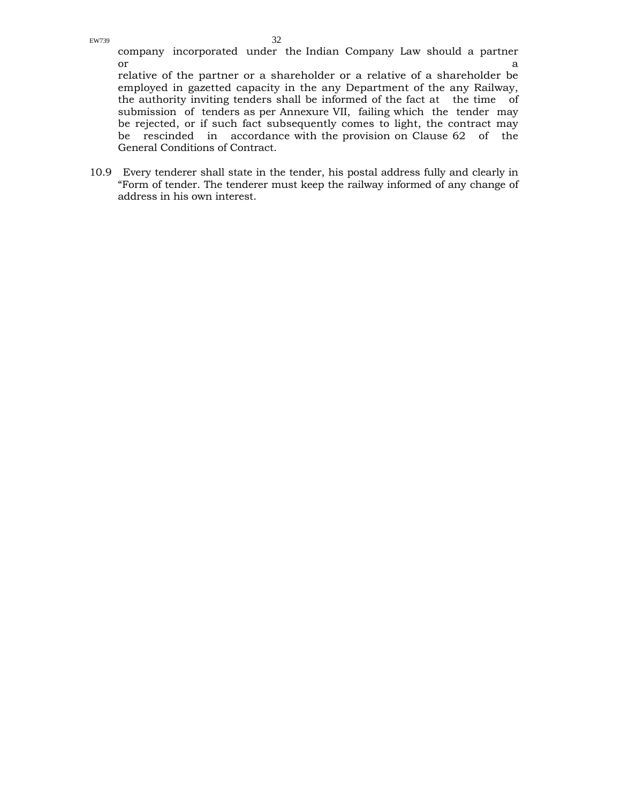company incorporated under the Indian Company Law should a partner  $\alpha$  and  $\alpha$  and  $\alpha$  and  $\alpha$  and  $\alpha$  and  $\alpha$  and  $\alpha$  and  $\alpha$  and  $\alpha$  and  $\alpha$ 

relative of the partner or a shareholder or a relative of a shareholder be employed in gazetted capacity in the any Department of the any Railway, the authority inviting tenders shall be informed of the fact at the time of submission of tenders as per Annexure VII, failing which the tender may be rejected, or if such fact subsequently comes to light, the contract may be rescinded in accordance with the provision on Clause 62 of the General Conditions of Contract.

10.9 Every tenderer shall state in the tender, his postal address fully and clearly in "Form of tender. The tenderer must keep the railway informed of any change of address in his own interest.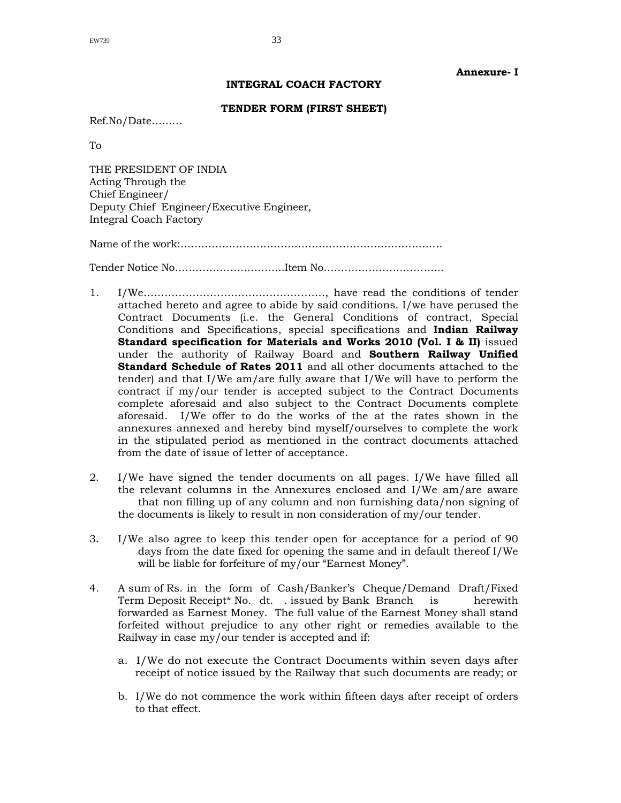### **Annexure- I**

### **INTEGRAL COACH FACTORY**

### **TENDER FORM (FIRST SHEET)**

Ref.No/Date………

To

THE PRESIDENT OF INDIA Acting Through the Chief Engineer/ Deputy Chief Engineer/Executive Engineer, Integral Coach Factory

Name of the work:………………………………………………………………….

Tender Notice No…………………………..Item No……………………………..

- 1. I/We……………………………………………., have read the conditions of tender attached hereto and agree to abide by said conditions. I/we have perused the Contract Documents (i.e. the General Conditions of contract, Special Conditions and Specifications, special specifications and **Indian Railway Standard specification for Materials and Works 2010 (Vol. I & II)** issued under the authority of Railway Board and **Southern Railway Unified Standard Schedule of Rates 2011** and all other documents attached to the tender) and that I/We am/are fully aware that I/We will have to perform the contract if my/our tender is accepted subject to the Contract Documents complete aforesaid and also subject to the Contract Documents complete aforesaid. I/We offer to do the works of the at the rates shown in the annexures annexed and hereby bind myself/ourselves to complete the work in the stipulated period as mentioned in the contract documents attached from the date of issue of letter of acceptance.
- 2. I/We have signed the tender documents on all pages. I/We have filled all the relevant columns in the Annexures enclosed and I/We am/are aware that non filling up of any column and non furnishing data/non signing of the documents is likely to result in non consideration of my/our tender.
- 3. I/We also agree to keep this tender open for acceptance for a period of 90 days from the date fixed for opening the same and in default thereof I/We will be liable for forfeiture of my/our "Earnest Money".
- 4. A sum of Rs. in the form of Cash/Banker's Cheque/Demand Draft/Fixed Term Deposit Receipt\* No. dt. . issued by Bank Branch is herewith forwarded as Earnest Money. The full value of the Earnest Money shall stand forfeited without prejudice to any other right or remedies available to the Railway in case my/our tender is accepted and if:
	- a. I/We do not execute the Contract Documents within seven days after receipt of notice issued by the Railway that such documents are ready; or
	- b. I/We do not commence the work within fifteen days after receipt of orders to that effect.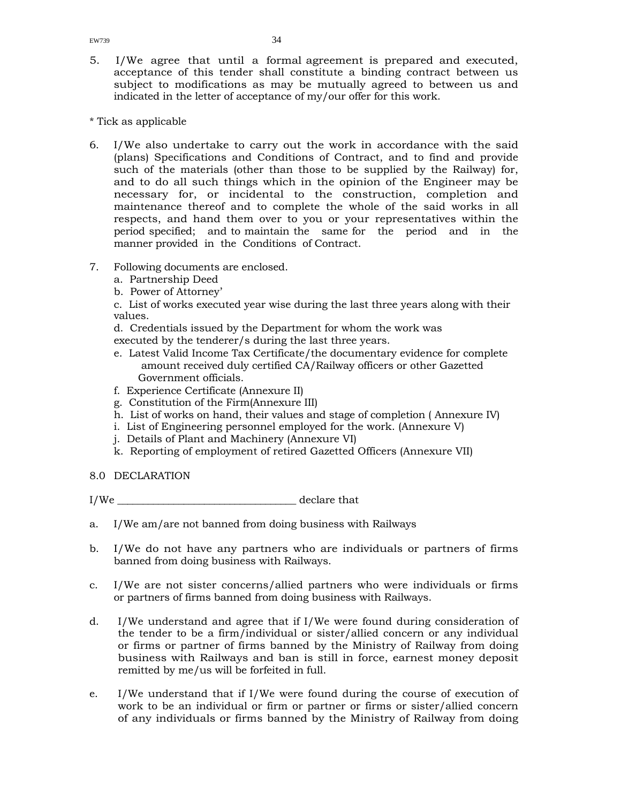5. I/We agree that until a formal agreement is prepared and executed, acceptance of this tender shall constitute a binding contract between us subject to modifications as may be mutually agreed to between us and indicated in the letter of acceptance of my/our offer for this work.

\* Tick as applicable

- 6. I/We also undertake to carry out the work in accordance with the said (plans) Specifications and Conditions of Contract, and to find and provide such of the materials (other than those to be supplied by the Railway) for, and to do all such things which in the opinion of the Engineer may be necessary for, or incidental to the construction, completion and maintenance thereof and to complete the whole of the said works in all respects, and hand them over to you or your representatives within the period specified; and to maintain the same for the period and in the manner provided in the Conditions of Contract.
- 7. Following documents are enclosed.
	- a. Partnership Deed
	- b. Power of Attorney'

c. List of works executed year wise during the last three years along with their values.

d. Credentials issued by the Department for whom the work was executed by the tenderer/s during the last three years.

- e. Latest Valid Income Tax Certificate/the documentary evidence for complete amount received duly certified CA/Railway officers or other Gazetted Government officials.
- f. Experience Certificate (Annexure II)
- g. Constitution of the Firm(Annexure III)
- h. List of works on hand, their values and stage of completion ( Annexure IV)
- i. List of Engineering personnel employed for the work. (Annexure V)
- j. Details of Plant and Machinery (Annexure VI)
- k. Reporting of employment of retired Gazetted Officers (Annexure VII)
- 8.0 DECLARATION

I/We \_\_\_\_\_\_\_\_\_\_\_\_\_\_\_\_\_\_\_\_\_\_\_\_\_\_\_\_\_\_\_\_\_\_\_ declare that

- a. I/We am/are not banned from doing business with Railways
- b. I/We do not have any partners who are individuals or partners of firms banned from doing business with Railways.
- c. I/We are not sister concerns/allied partners who were individuals or firms or partners of firms banned from doing business with Railways.
- d. I/We understand and agree that if I/We were found during consideration of the tender to be a firm/individual or sister/allied concern or any individual or firms or partner of firms banned by the Ministry of Railway from doing business with Railways and ban is still in force, earnest money deposit remitted by me/us will be forfeited in full.
- e. I/We understand that if I/We were found during the course of execution of work to be an individual or firm or partner or firms or sister/allied concern of any individuals or firms banned by the Ministry of Railway from doing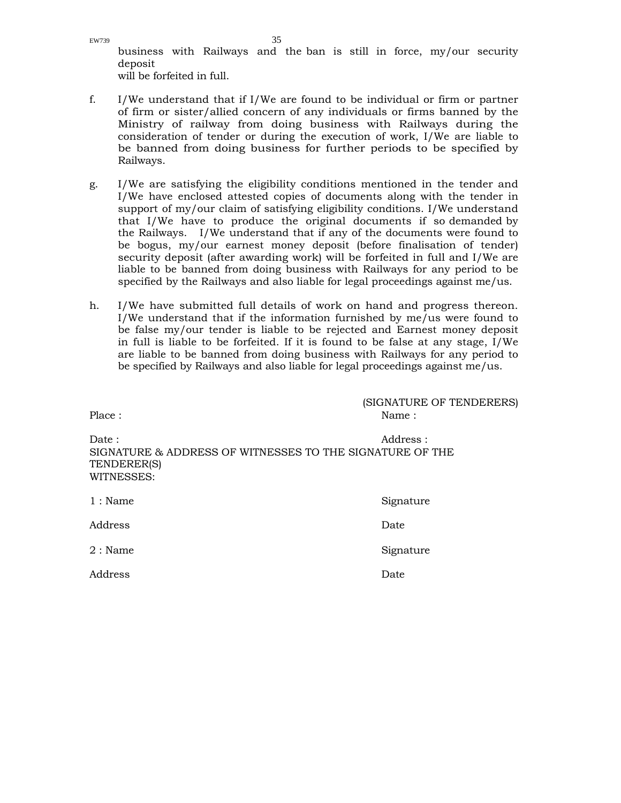EW739  $35$ business with Railways and the ban is still in force, my/our security deposit will be forfeited in full.

- f. I/We understand that if I/We are found to be individual or firm or partner of firm or sister/allied concern of any individuals or firms banned by the Ministry of railway from doing business with Railways during the consideration of tender or during the execution of work, I/We are liable to be banned from doing business for further periods to be specified by Railways.
- g. I/We are satisfying the eligibility conditions mentioned in the tender and I/We have enclosed attested copies of documents along with the tender in support of my/our claim of satisfying eligibility conditions. I/We understand that I/We have to produce the original documents if so demanded by the Railways. I/We understand that if any of the documents were found to be bogus, my/our earnest money deposit (before finalisation of tender) security deposit (after awarding work) will be forfeited in full and I/We are liable to be banned from doing business with Railways for any period to be specified by the Railways and also liable for legal proceedings against me/us.
- h. I/We have submitted full details of work on hand and progress thereon. I/We understand that if the information furnished by me/us were found to be false my/our tender is liable to be rejected and Earnest money deposit in full is liable to be forfeited. If it is found to be false at any stage, I/We are liable to be banned from doing business with Railways for any period to be specified by Railways and also liable for legal proceedings against me/us.

| Place:                                                                                         | (SIGNATURE OF TENDERERS)<br>Name: |
|------------------------------------------------------------------------------------------------|-----------------------------------|
| Date:<br>SIGNATURE & ADDRESS OF WITNESSES TO THE SIGNATURE OF THE<br>TENDERER(S)<br>WITNESSES: | Address:                          |
| $1:$ Name                                                                                      | Signature                         |
| Address                                                                                        | Date                              |
| $2:$ Name                                                                                      | Signature                         |
| Address                                                                                        | Date                              |
|                                                                                                |                                   |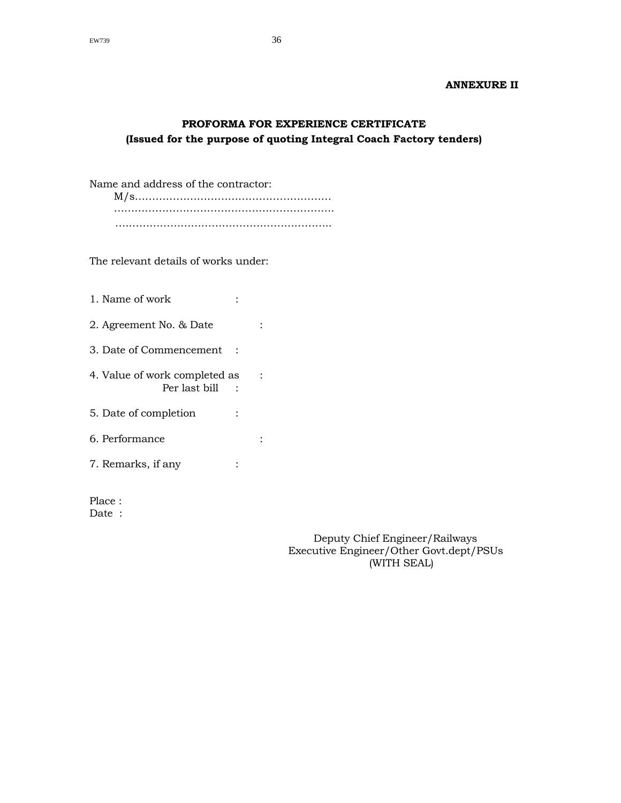# **ANNEXURE II**

# **PROFORMA FOR EXPERIENCE CERTIFICATE (Issued for the purpose of quoting Integral Coach Factory tenders)**

Name and address of the contractor:

 M/s………………………………………………… ………………………………………………………. ….…………………………………………………..

The relevant details of works under:

| 1. Name of work                                |  |
|------------------------------------------------|--|
| 2. Agreement No. & Date                        |  |
| 3. Date of Commencement                        |  |
| 4. Value of work completed as<br>Per last bill |  |
| 5. Date of completion                          |  |
| 6. Performance                                 |  |
| 7. Remarks, if any                             |  |
|                                                |  |

Place : Date :

> Deputy Chief Engineer/Railways Executive Engineer/Other Govt.dept/PSUs (WITH SEAL)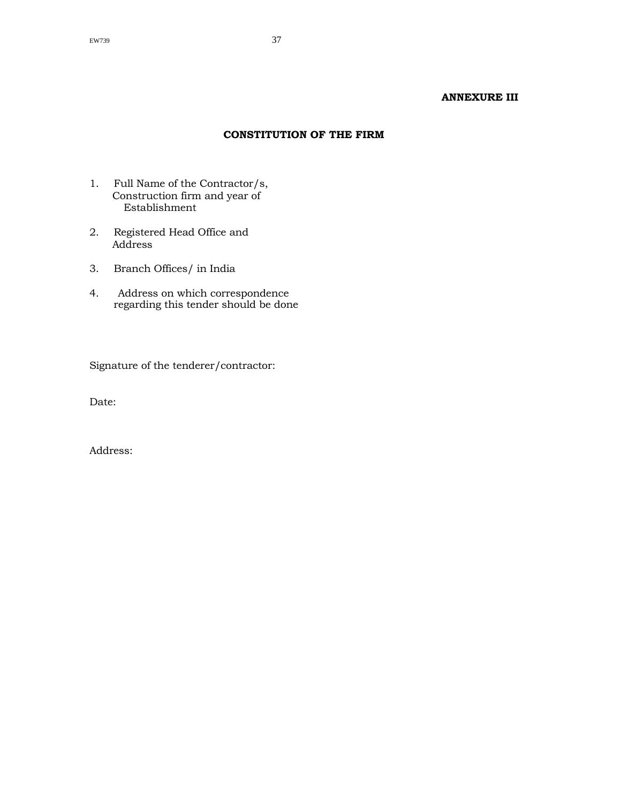#### **ANNEXURE III**

#### **CONSTITUTION OF THE FIRM**

- 1. Full Name of the Contractor/s, Construction firm and year of Establishment
- 2. Registered Head Office and Address
- 3. Branch Offices/ in India
- 4. Address on which correspondence regarding this tender should be done

Signature of the tenderer/contractor:

Date: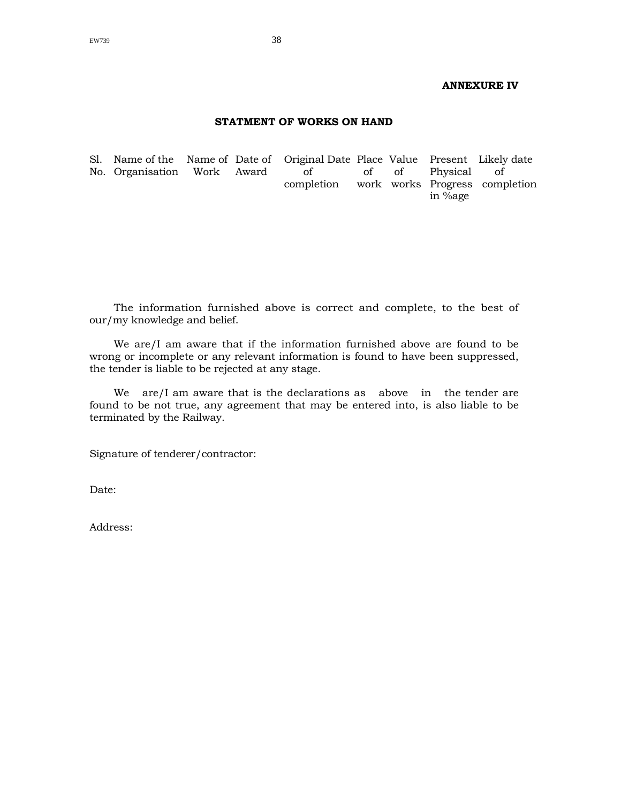#### **ANNEXURE IV**

#### **STATMENT OF WORKS ON HAND**

Sl. Name of the Name of Date of Original Date Place Value Present Likely date No. Organisation Work Award of of of Physical of completion work works Progress completion in %age

The information furnished above is correct and complete, to the best of our/my knowledge and belief.

We are/I am aware that if the information furnished above are found to be wrong or incomplete or any relevant information is found to have been suppressed, the tender is liable to be rejected at any stage.

We are/I am aware that is the declarations as above in the tender are found to be not true, any agreement that may be entered into, is also liable to be terminated by the Railway.

Signature of tenderer/contractor:

Date: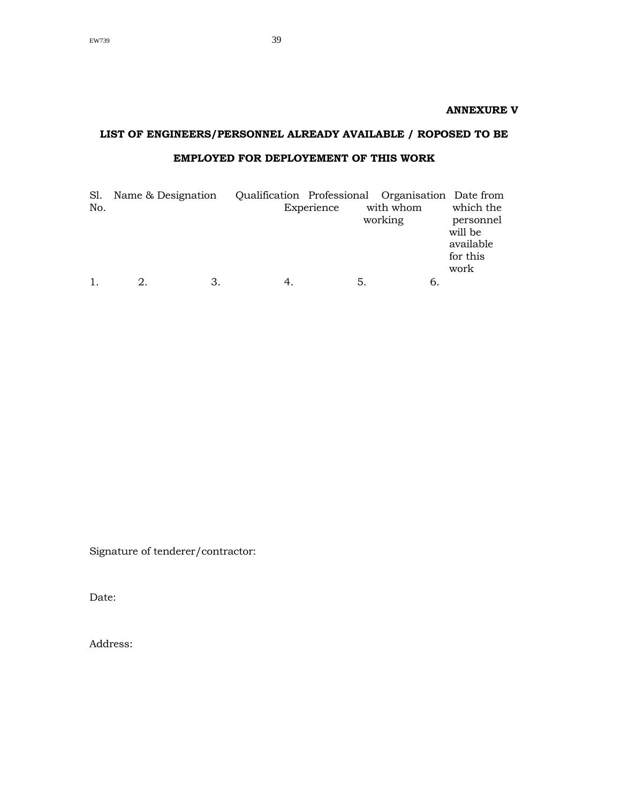**ANNEXURE V** 

# **LIST OF ENGINEERS/PERSONNEL ALREADY AVAILABLE / ROPOSED TO BE EMPLOYED FOR DEPLOYEMENT OF THIS WORK**

| Sl. | Name & Designation |    |            | Qualification Professional Organisation Date from |           |
|-----|--------------------|----|------------|---------------------------------------------------|-----------|
| No. |                    |    | Experience | with whom                                         | which the |
|     |                    |    |            | working                                           | personnel |
|     |                    |    |            |                                                   | will be   |
|     |                    |    |            |                                                   | available |
|     |                    |    |            |                                                   | for this  |
|     |                    |    |            |                                                   | work      |
|     |                    | З. | 5          |                                                   |           |

Signature of tenderer/contractor:

Date: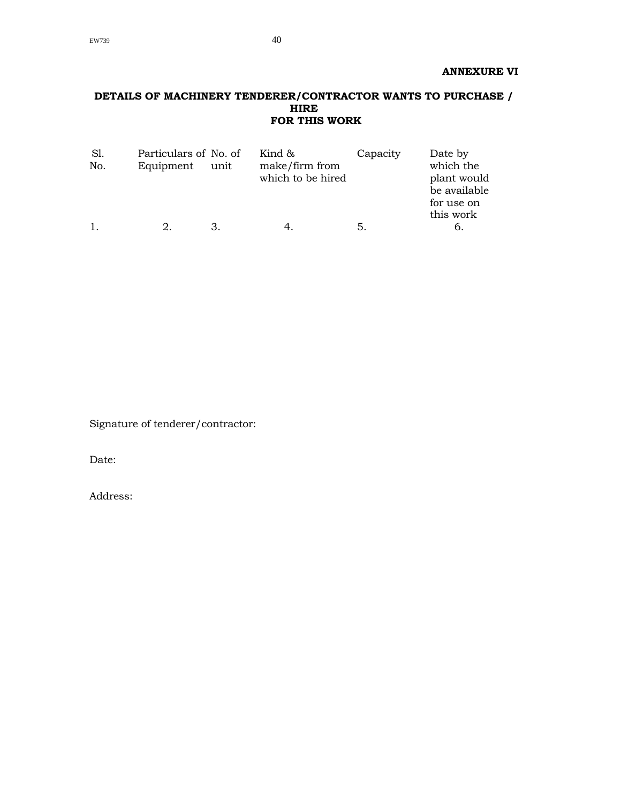#### **DETAILS OF MACHINERY TENDERER/CONTRACTOR WANTS TO PURCHASE / HIRE FOR THIS WORK**

| Sl.<br>No. | Particulars of No. of<br>Equipment | unit | Kind &<br>make/firm from<br>which to be hired | Capacity | Date by<br>which the<br>plant would<br>be available<br>for use on<br>this work |
|------------|------------------------------------|------|-----------------------------------------------|----------|--------------------------------------------------------------------------------|
| 1.         |                                    |      |                                               | 5.       | b.                                                                             |

Signature of tenderer/contractor:

Date: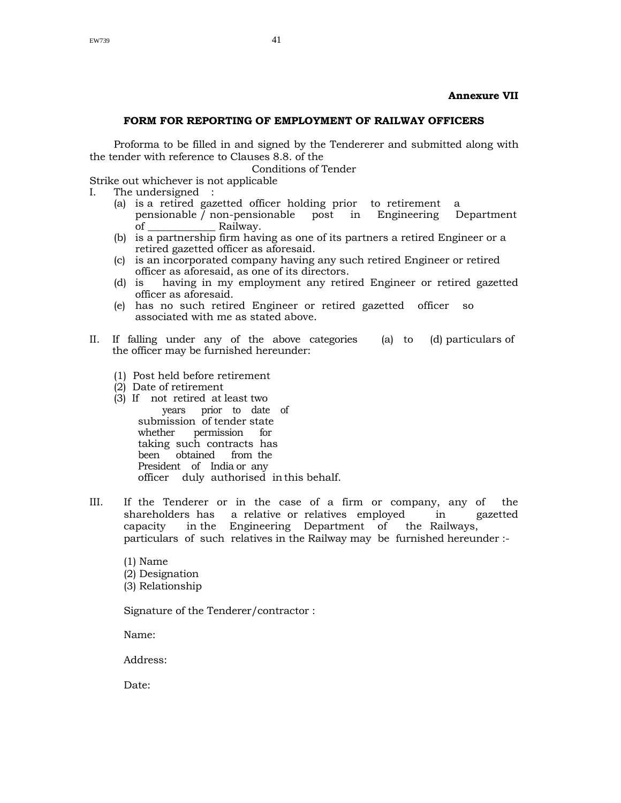#### **Annexure VII**

#### **FORM FOR REPORTING OF EMPLOYMENT OF RAILWAY OFFICERS**

Proforma to be filled in and signed by the Tendererer and submitted along with the tender with reference to Clauses 8.8. of the

Conditions of Tender

Strike out whichever is not applicable

- I. The undersigned :
	- (a) is a retired gazetted officer holding prior to retirement a pensionable  $\bar{1}$  non-pensionable post in Engineering Department of \_\_\_\_\_\_\_\_\_\_\_\_\_ Railway.
	- (b) is a partnership firm having as one of its partners a retired Engineer or a retired gazetted officer as aforesaid.
	- (c) is an incorporated company having any such retired Engineer or retired officer as aforesaid, as one of its directors.
	- (d) is having in my employment any retired Engineer or retired gazetted officer as aforesaid.
	- (e) has no such retired Engineer or retired gazetted officer so associated with me as stated above.
- II. If falling under any of the above categories (a) to (d) particulars of the officer may be furnished hereunder:
	- (1) Post held before retirement
	- (2) Date of retirement
	- (3) If not retired at least two years prior to date of submission of tender state whether permission for taking such contracts has been obtained from the President of India or any officer duly authorised in this behalf.
- III. If the Tenderer or in the case of a firm or company, any of the shareholders has a relative or relatives employed in gazetted capacity in the Engineering Department of the Railways, particulars of such relatives in the Railway may be furnished hereunder :-
	- (1) Name (2) Designation (3) Relationship

Signature of the Tenderer/contractor :

Name:

Address:

Date: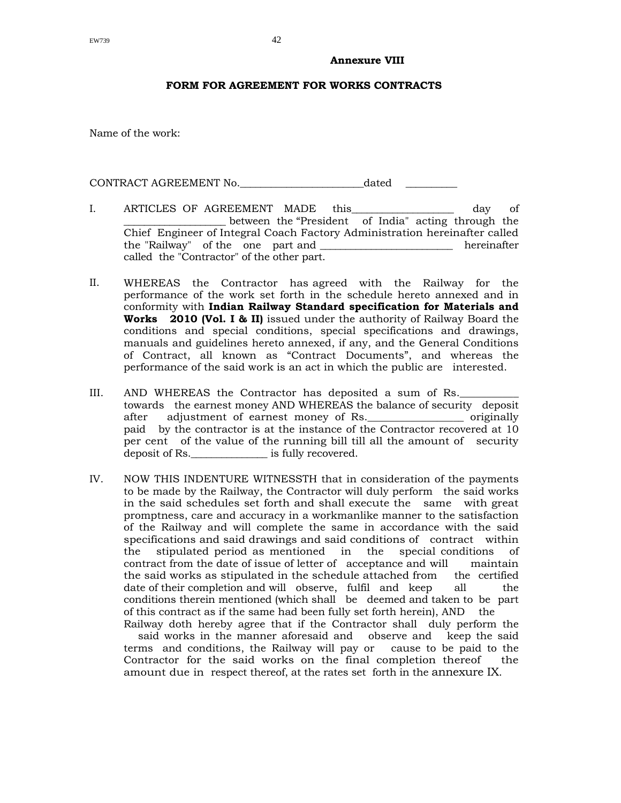#### **Annexure VIII**

#### **FORM FOR AGREEMENT FOR WORKS CONTRACTS**

Name of the work:

CONTRACT AGREEMENT No. 2008 at the dated dated that the set of the set of the set of the set of the set of the set of the set of the set of the set of the set of the set of the set of the set of the set of the set of the s

- I. ARTICLES OF AGREEMENT MADE this and day of \_\_\_\_\_\_\_\_\_\_\_\_\_\_\_\_\_\_\_\_ between the "President of India" acting through the Chief Engineer of Integral Coach Factory Administration hereinafter called the "Railway" of the one part and \_\_\_\_\_\_\_\_\_\_\_\_\_\_\_\_\_\_\_\_\_\_\_\_\_\_ hereinafter called the "Contractor" of the other part.
- II. WHEREAS the Contractor has agreed with the Railway for the performance of the work set forth in the schedule hereto annexed and in conformity with **Indian Railway Standard specification for Materials and Works 2010 (Vol. I & II)** issued under the authority of Railway Board the conditions and special conditions, special specifications and drawings, manuals and guidelines hereto annexed, if any, and the General Conditions of Contract, all known as "Contract Documents", and whereas the performance of the said work is an act in which the public are interested.
- III. AND WHEREAS the Contractor has deposited a sum of Rs. towards the earnest money AND WHEREAS the balance of security deposit after adjustment of earnest money of Rs. The originally paid by the contractor is at the instance of the Contractor recovered at 10 per cent of the value of the running bill till all the amount of security deposit of Rs.  $\qquad \qquad$  is fully recovered.
- IV. NOW THIS INDENTURE WITNESSTH that in consideration of the payments to be made by the Railway, the Contractor will duly perform the said works in the said schedules set forth and shall execute the same with great promptness, care and accuracy in a workmanlike manner to the satisfaction of the Railway and will complete the same in accordance with the said specifications and said drawings and said conditions of contract within the stipulated period as mentioned in the special conditions of contract from the date of issue of letter of acceptance and will maintain the said works as stipulated in the schedule attached from the certified date of their completion and will observe, fulfil and keep all the conditions therein mentioned (which shall be deemed and taken to be part of this contract as if the same had been fully set forth herein), AND the Railway doth hereby agree that if the Contractor shall duly perform the

 said works in the manner aforesaid and observe and keep the said terms and conditions, the Railway will pay or cause to be paid to the Contractor for the said works on the final completion thereof the amount due in respect thereof, at the rates set forth in the annexure IX.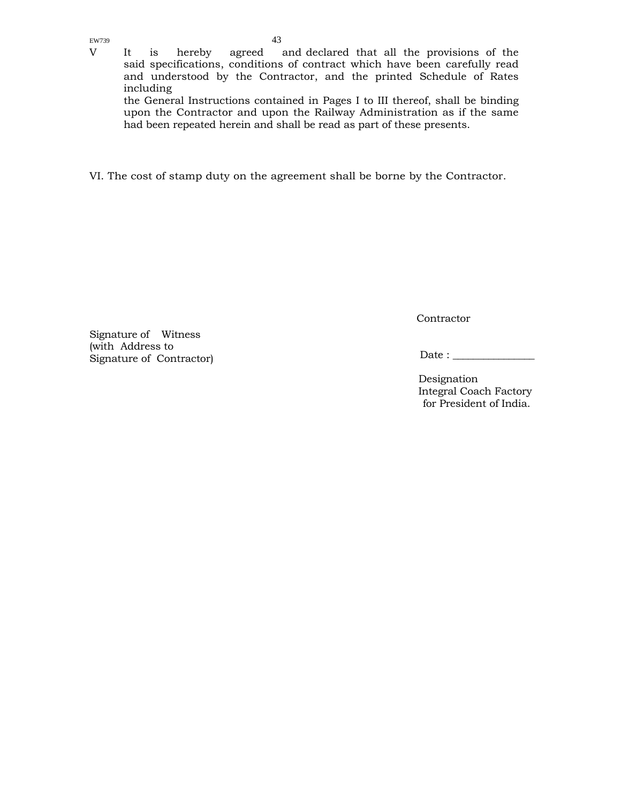V It is hereby agreed and declared that all the provisions of the said specifications, conditions of contract which have been carefully read and understood by the Contractor, and the printed Schedule of Rates including

the General Instructions contained in Pages I to III thereof, shall be binding upon the Contractor and upon the Railway Administration as if the same had been repeated herein and shall be read as part of these presents.

VI. The cost of stamp duty on the agreement shall be borne by the Contractor.

Signature of Witness (with Address to Signature of Contractor) **Contractor** 

Date : \_\_\_\_\_\_\_\_\_\_\_\_\_\_\_\_

Designation Integral Coach Factory for President of India.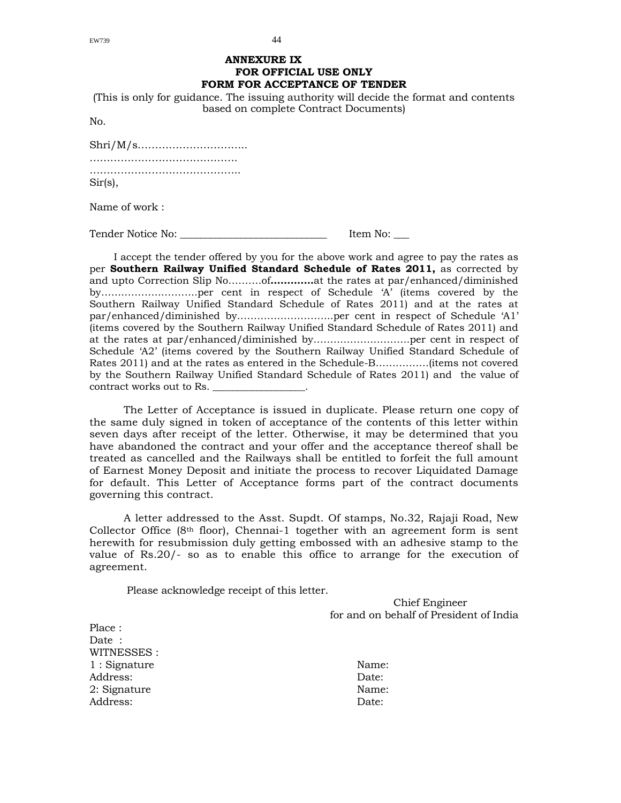#### **ANNEXURE IX FOR OFFICIAL USE ONLY FORM FOR ACCEPTANCE OF TENDER**

(This is only for guidance. The issuing authority will decide the format and contents based on complete Contract Documents)

No.

| Sir(s), |  |
|---------|--|

Name of work :

Tender Notice No: \_\_\_\_\_\_\_\_\_\_\_\_\_\_\_\_\_\_\_\_\_\_\_\_\_\_\_\_\_ Item No: \_\_\_

I accept the tender offered by you for the above work and agree to pay the rates as per **Southern Railway Unified Standard Schedule of Rates 2011,** as corrected by and upto Correction Slip No……….of**………….**at the rates at par/enhanced/diminished by………………………..per cent in respect of Schedule 'A' (items covered by the Southern Railway Unified Standard Schedule of Rates 2011) and at the rates at par/enhanced/diminished by………………………..per cent in respect of Schedule 'A1' (items covered by the Southern Railway Unified Standard Schedule of Rates 2011) and at the rates at par/enhanced/diminished by………………………..per cent in respect of Schedule 'A2' (items covered by the Southern Railway Unified Standard Schedule of Rates 2011) and at the rates as entered in the Schedule-B…………….(items not covered by the Southern Railway Unified Standard Schedule of Rates 2011) and the value of contract works out to Rs. \_\_\_\_\_\_\_\_\_\_\_\_\_\_\_\_\_\_\_.

The Letter of Acceptance is issued in duplicate. Please return one copy of the same duly signed in token of acceptance of the contents of this letter within seven days after receipt of the letter. Otherwise, it may be determined that you have abandoned the contract and your offer and the acceptance thereof shall be treated as cancelled and the Railways shall be entitled to forfeit the full amount of Earnest Money Deposit and initiate the process to recover Liquidated Damage for default. This Letter of Acceptance forms part of the contract documents governing this contract.

A letter addressed to the Asst. Supdt. Of stamps, No.32, Rajaji Road, New Collector Office ( $8<sup>th</sup>$  floor), Chennai-1 together with an agreement form is sent herewith for resubmission duly getting embossed with an adhesive stamp to the value of Rs.20/- so as to enable this office to arrange for the execution of agreement.

Please acknowledge receipt of this letter.

Chief Engineer for and on behalf of President of India

Place : Date · WITNESSES : 1 : Signature Name: Address: Date: 2: Signature Name: Address: Date: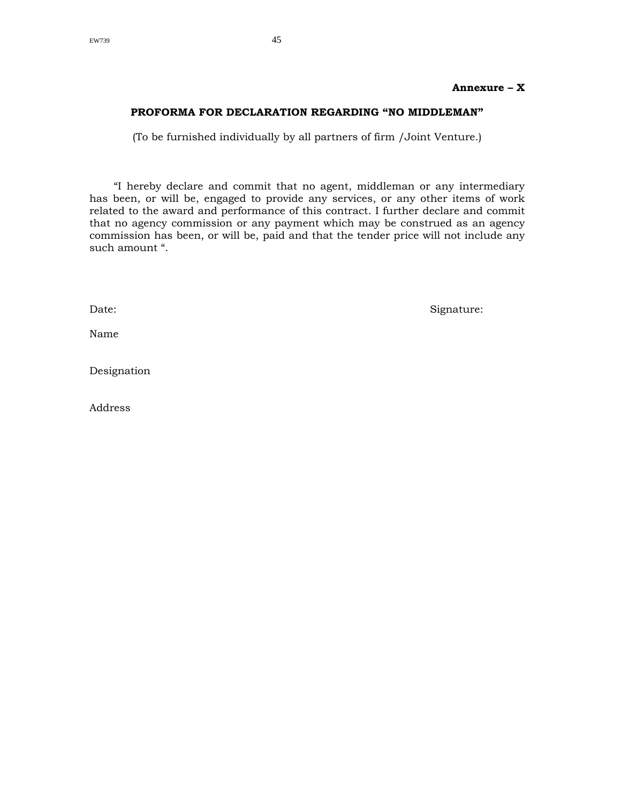### **PROFORMA FOR DECLARATION REGARDING "NO MIDDLEMAN"**

(To be furnished individually by all partners of firm /Joint Venture.)

"I hereby declare and commit that no agent, middleman or any intermediary has been, or will be, engaged to provide any services, or any other items of work related to the award and performance of this contract. I further declare and commit that no agency commission or any payment which may be construed as an agency commission has been, or will be, paid and that the tender price will not include any such amount ".

Name

Date: Signature: Signature: Signature: Signature: Signature: Signature: Signature: Signature: Signature: Signature: Signature: Signature: Signature: Signature: Signature: Signature: Signature: Signature: Signature: Signatu

Designation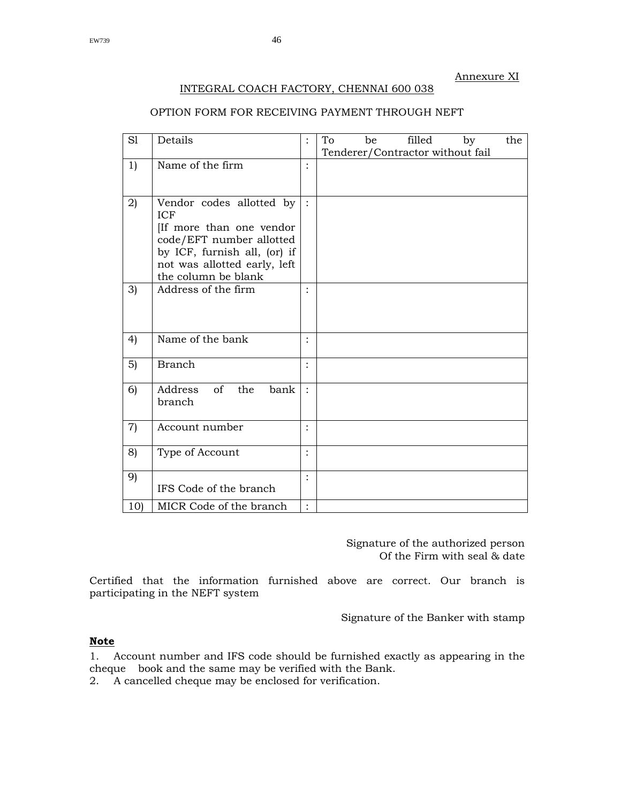#### Annexure XI

#### INTEGRAL COACH FACTORY, CHENNAI 600 038

### OPTION FORM FOR RECEIVING PAYMENT THROUGH NEFT

| S1                | Details                                                                                                                                                                              | $\ddot{\cdot}$       | To | be | filled                           | by | the |
|-------------------|--------------------------------------------------------------------------------------------------------------------------------------------------------------------------------------|----------------------|----|----|----------------------------------|----|-----|
|                   |                                                                                                                                                                                      |                      |    |    | Tenderer/Contractor without fail |    |     |
| 1)                | Name of the firm                                                                                                                                                                     | $\ddot{\cdot}$       |    |    |                                  |    |     |
| 2)                | Vendor codes allotted by<br><b>ICF</b><br>If more than one vendor<br>code/EFT number allotted<br>by ICF, furnish all, (or) if<br>not was allotted early, left<br>the column be blank | $\cdot$ :            |    |    |                                  |    |     |
| 3)                | Address of the firm                                                                                                                                                                  | $\ddot{\cdot}$       |    |    |                                  |    |     |
| 4)                | Name of the bank                                                                                                                                                                     |                      |    |    |                                  |    |     |
| 5)                | <b>Branch</b>                                                                                                                                                                        | $\ddot{\cdot}$       |    |    |                                  |    |     |
| 6)                | of<br>Address<br>the<br>bank<br>branch                                                                                                                                               | $\cdot$              |    |    |                                  |    |     |
| $\left( 7\right)$ | Account number                                                                                                                                                                       | $\ddot{\cdot}$       |    |    |                                  |    |     |
| 8)                | Type of Account                                                                                                                                                                      | $\ddot{\cdot}$       |    |    |                                  |    |     |
| 9)                | IFS Code of the branch                                                                                                                                                               | $\ddot{\cdot}$       |    |    |                                  |    |     |
| 10)               | MICR Code of the branch                                                                                                                                                              | $\ddot{\phantom{a}}$ |    |    |                                  |    |     |

Signature of the authorized person Of the Firm with seal & date

Certified that the information furnished above are correct. Our branch is participating in the NEFT system

Signature of the Banker with stamp

### **Note**

1. Account number and IFS code should be furnished exactly as appearing in the cheque book and the same may be verified with the Bank.

2. A cancelled cheque may be enclosed for verification.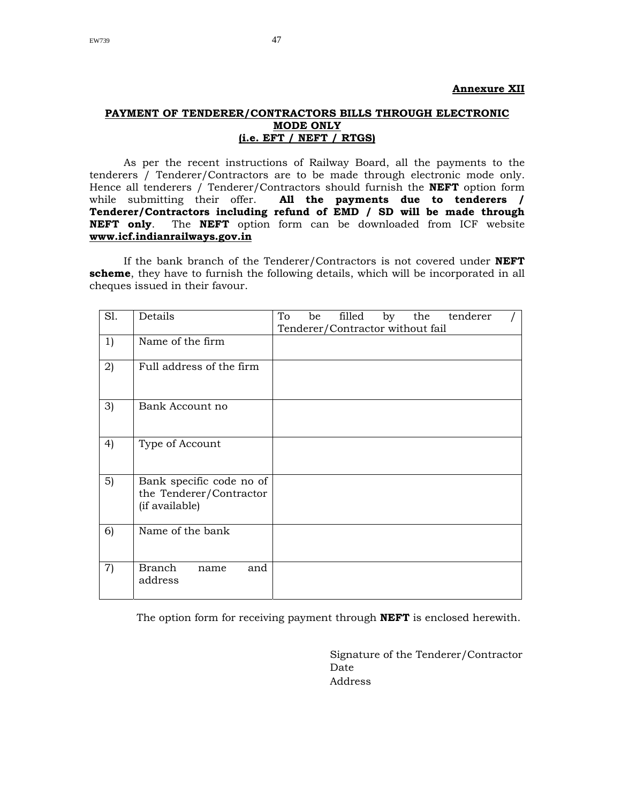#### **PAYMENT OF TENDERER/CONTRACTORS BILLS THROUGH ELECTRONIC MODE ONLY (i.e. EFT / NEFT / RTGS)**

As per the recent instructions of Railway Board, all the payments to the tenderers / Tenderer/Contractors are to be made through electronic mode only. Hence all tenderers / Tenderer/Contractors should furnish the **NEFT** option form while submitting their offer. **All the payments due to tenderers / Tenderer/Contractors including refund of EMD / SD will be made through NEFT only**. The **NEFT** option form can be downloaded from ICF website **www.icf.indianrailways.gov.in** 

If the bank branch of the Tenderer/Contractors is not covered under **NEFT scheme**, they have to furnish the following details, which will be incorporated in all cheques issued in their favour.

| S1. | Details                                                               | To<br>filled<br>by<br>the tenderer<br>be |
|-----|-----------------------------------------------------------------------|------------------------------------------|
|     |                                                                       | Tenderer/Contractor without fail         |
| 1)  | Name of the firm                                                      |                                          |
| 2)  | Full address of the firm                                              |                                          |
| 3)  | Bank Account no                                                       |                                          |
| 4)  | Type of Account                                                       |                                          |
| 5)  | Bank specific code no of<br>the Tenderer/Contractor<br>(if available) |                                          |
| 6)  | Name of the bank                                                      |                                          |
| 7)  | Branch<br>and<br>name<br>address                                      |                                          |

The option form for receiving payment through **NEFT** is enclosed herewith.

 Signature of the Tenderer/Contractor **Date** Date Address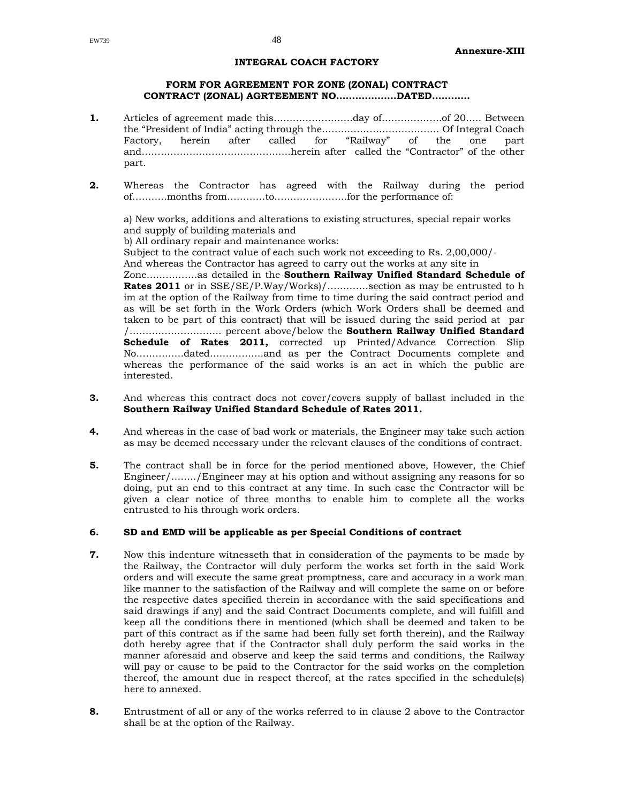#### **INTEGRAL COACH FACTORY**

#### **FORM FOR AGREEMENT FOR ZONE (ZONAL) CONTRACT CONTRACT (ZONAL) AGRTEEMENT NO……………….DATED…………**

- **1.** Articles of agreement made this…………………….day of……………….of 20….. Between the "President of India" acting through the………………………………. Of Integral Coach Factory, herein after called for "Railway" of the one part and………………………………………..herein after called the "Contractor" of the other part.
- **2.** Whereas the Contractor has agreed with the Railway during the period of………..months from…………to…………………..for the performance of:

a) New works, additions and alterations to existing structures, special repair works and supply of building materials and

b) All ordinary repair and maintenance works:

Subject to the contract value of each such work not exceeding to Rs. 2,00,000/-

And whereas the Contractor has agreed to carry out the works at any site in

Zone…………….as detailed in the **Southern Railway Unified Standard Schedule of Rates 2011** or in SSE/SE/P.Way/Works)/............section as may be entrusted to h im at the option of the Railway from time to time during the said contract period and as will be set forth in the Work Orders (which Work Orders shall be deemed and taken to be part of this contract) that will be issued during the said period at par /……………………….. percent above/below the **Southern Railway Unified Standard Schedule of Rates 2011,** corrected up Printed/Advance Correction Slip No……………dated……………..and as per the Contract Documents complete and whereas the performance of the said works is an act in which the public are interested.

- **3.** And whereas this contract does not cover/covers supply of ballast included in the **Southern Railway Unified Standard Schedule of Rates 2011.**
- **4.** And whereas in the case of bad work or materials, the Engineer may take such action as may be deemed necessary under the relevant clauses of the conditions of contract.
- **5.** The contract shall be in force for the period mentioned above, However, the Chief Engineer/……../Engineer may at his option and without assigning any reasons for so doing, put an end to this contract at any time. In such case the Contractor will be given a clear notice of three months to enable him to complete all the works entrusted to his through work orders.

#### **6. SD and EMD will be applicable as per Special Conditions of contract**

- **7.** Now this indenture witnesseth that in consideration of the payments to be made by the Railway, the Contractor will duly perform the works set forth in the said Work orders and will execute the same great promptness, care and accuracy in a work man like manner to the satisfaction of the Railway and will complete the same on or before the respective dates specified therein in accordance with the said specifications and said drawings if any) and the said Contract Documents complete, and will fulfill and keep all the conditions there in mentioned (which shall be deemed and taken to be part of this contract as if the same had been fully set forth therein), and the Railway doth hereby agree that if the Contractor shall duly perform the said works in the manner aforesaid and observe and keep the said terms and conditions, the Railway will pay or cause to be paid to the Contractor for the said works on the completion thereof, the amount due in respect thereof, at the rates specified in the schedule(s) here to annexed.
- **8.** Entrustment of all or any of the works referred to in clause 2 above to the Contractor shall be at the option of the Railway.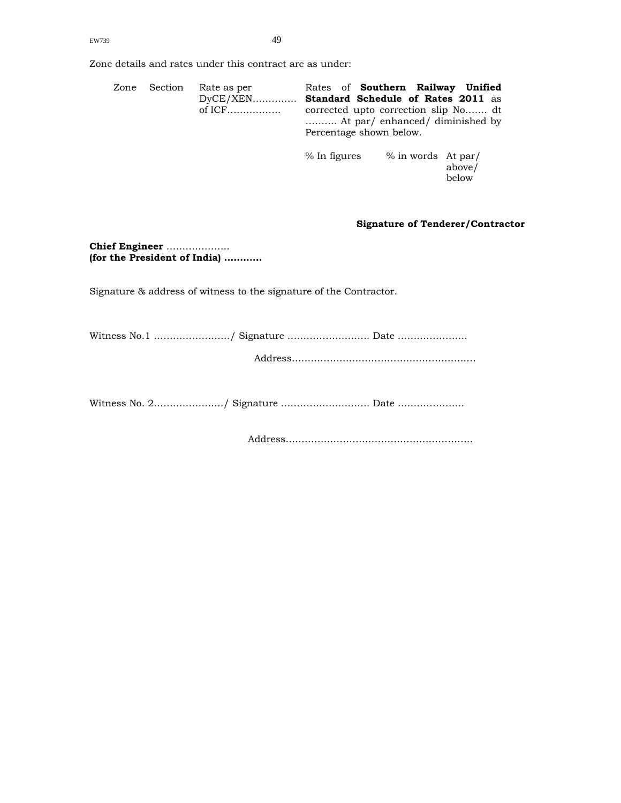Zone details and rates under this contract are as under:

| Zone | Section | Rate as per<br>$DyCE/XEN$ | Rates of <b>Southern Railway Unified</b><br><b>Standard Schedule of Rates 2011 as</b><br>corrected upto correction slip No dt<br>At par/enhanced/diminished by<br>Percentage shown below. |                    |                 |
|------|---------|---------------------------|-------------------------------------------------------------------------------------------------------------------------------------------------------------------------------------------|--------------------|-----------------|
|      |         |                           | % In figures                                                                                                                                                                              | % in words At par/ | above/<br>below |

#### **Signature of Tenderer/Contractor**

**Chief Engineer** ……………….. **(for the President of India) …………** 

Signature & address of witness to the signature of the Contractor.

Witness No.1 ……………………/ Signature …………………….. Date …………………. Address………………………………………………….

Witness No. 2…………………./ Signature ………………………. Date …………………

Address…………………………………………………..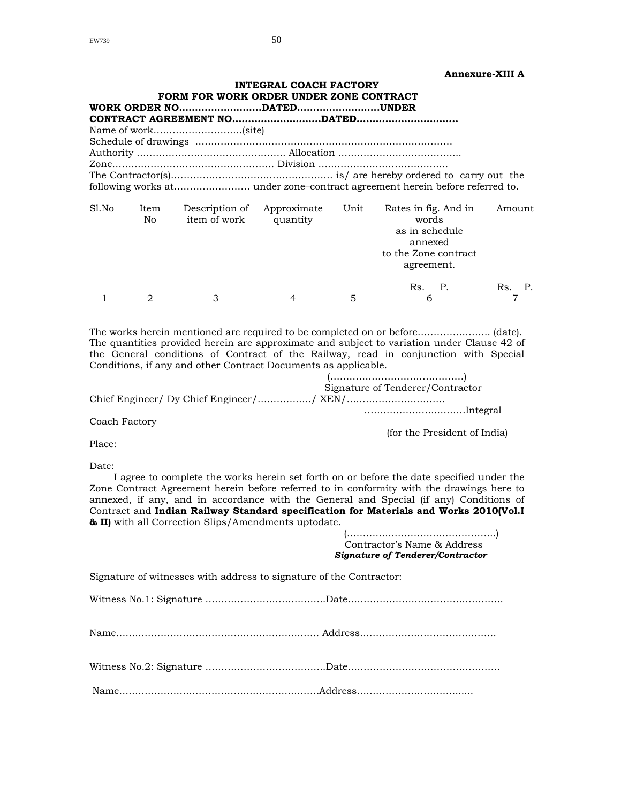| <b>Annexure-XIII A</b> |
|------------------------|
|------------------------|

|       |              | FORM FOR WORK ORDER UNDER ZONE CONTRACT | <b>INTEGRAL COACH FACTORY</b>   |   |                                                                                                  | AIIIICAUI C'AIII A |
|-------|--------------|-----------------------------------------|---------------------------------|---|--------------------------------------------------------------------------------------------------|--------------------|
|       |              |                                         |                                 |   |                                                                                                  |                    |
|       |              | Name of work(site)                      |                                 |   |                                                                                                  |                    |
|       |              |                                         |                                 |   |                                                                                                  |                    |
|       |              |                                         |                                 |   |                                                                                                  |                    |
|       |              |                                         |                                 |   |                                                                                                  |                    |
|       |              |                                         |                                 |   |                                                                                                  |                    |
|       |              |                                         |                                 |   |                                                                                                  |                    |
| Sl.No | Item<br>No l | item of work quantity                   | Description of Approximate Unit |   | Rates in fig. And in<br>words<br>as in schedule<br>annexed<br>to the Zone contract<br>agreement. | Amount             |
|       |              | $\mathcal{S}$                           | 4                               | 5 | Rs. P.<br>$6 \qquad \qquad$                                                                      | Rs.<br>Ρ.          |

The works herein mentioned are required to be completed on or before………………….. (date). The quantities provided herein are approximate and subject to variation under Clause 42 of the General conditions of Contract of the Railway, read in conjunction with Special Conditions, if any and other Contract Documents as applicable.

1 2 3 4 5 6 7

 (……………………………………) Signature of Tenderer/Contractor Chief Engineer/ Dy Chief Engineer/……………../ XEN/…………………………. …………………..………Integral

Coach Factory

(for the President of India)

Place:

Date:

I agree to complete the works herein set forth on or before the date specified under the Zone Contract Agreement herein before referred to in conformity with the drawings here to annexed, if any, and in accordance with the General and Special (if any) Conditions of Contract and **Indian Railway Standard specification for Materials and Works 2010(Vol.I & II)** with all Correction Slips/Amendments uptodate.

|                                                                     | Contractor's Name & Address<br><b>Signature of Tenderer/Contractor</b> |
|---------------------------------------------------------------------|------------------------------------------------------------------------|
| Signature of witnesses with address to signature of the Contractor: |                                                                        |
|                                                                     |                                                                        |
|                                                                     |                                                                        |
|                                                                     |                                                                        |
|                                                                     |                                                                        |
|                                                                     |                                                                        |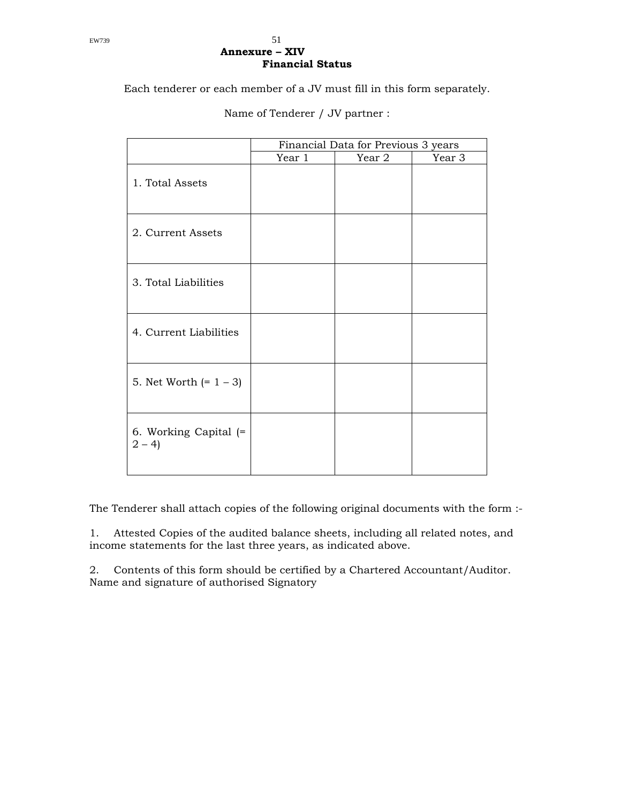#### EW739  $51$ **Annexure – XIV Financial Status**

Each tenderer or each member of a JV must fill in this form separately.

|                                  | Financial Data for Previous 3 years |        |  |
|----------------------------------|-------------------------------------|--------|--|
|                                  | Year 1                              | Year 3 |  |
| 1. Total Assets                  |                                     |        |  |
| 2. Current Assets                |                                     |        |  |
| 3. Total Liabilities             |                                     |        |  |
| 4. Current Liabilities           |                                     |        |  |
| 5. Net Worth $(= 1 - 3)$         |                                     |        |  |
| 6. Working Capital (=<br>$2 - 4$ |                                     |        |  |

Name of Tenderer / JV partner :

The Tenderer shall attach copies of the following original documents with the form :-

1. Attested Copies of the audited balance sheets, including all related notes, and income statements for the last three years, as indicated above.

2. Contents of this form should be certified by a Chartered Accountant/Auditor. Name and signature of authorised Signatory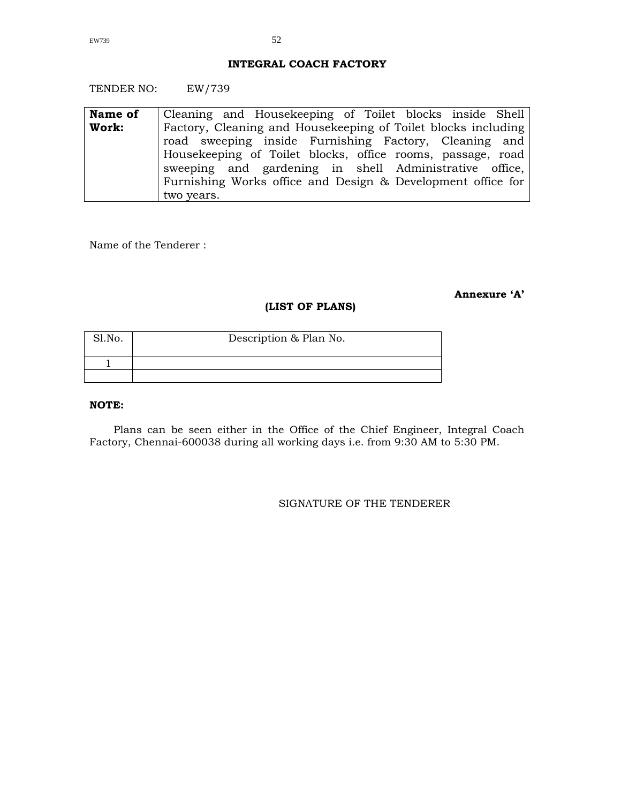#### **INTEGRAL COACH FACTORY**

TENDER NO: EW/739

| Name of | Cleaning and Housekeeping of Toilet blocks inside Shell       |
|---------|---------------------------------------------------------------|
| Work:   | Factory, Cleaning and Housekeeping of Toilet blocks including |
|         | road sweeping inside Furnishing Factory, Cleaning and         |
|         | Housekeeping of Toilet blocks, office rooms, passage, road    |
|         | sweeping and gardening in shell Administrative office,        |
|         | Furnishing Works office and Design & Development office for   |
|         | two years.                                                    |

Name of the Tenderer :

## **Annexure 'A'**

#### **(LIST OF PLANS)**

| Sl.No. | Description & Plan No. |
|--------|------------------------|
|        |                        |
|        |                        |

#### **NOTE:**

Plans can be seen either in the Office of the Chief Engineer, Integral Coach Factory, Chennai-600038 during all working days i.e. from 9:30 AM to 5:30 PM.

#### SIGNATURE OF THE TENDERER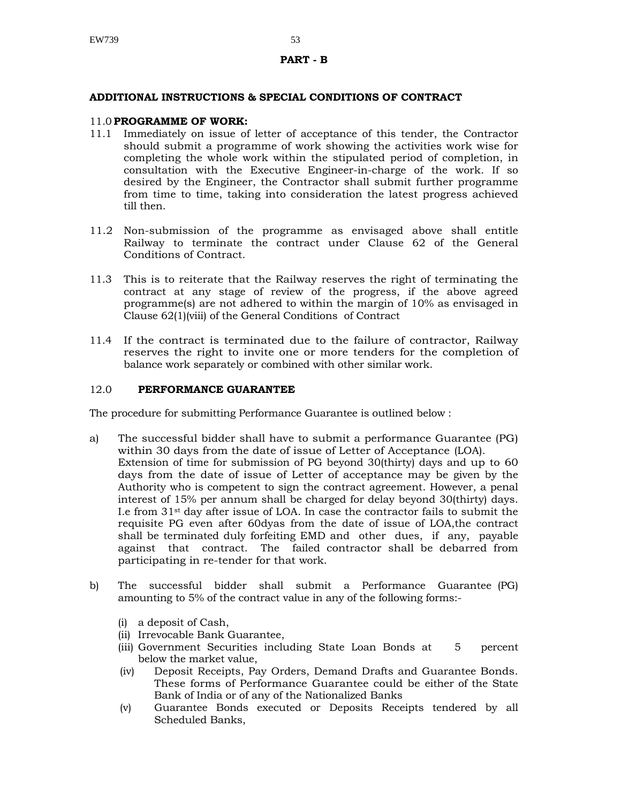#### **PART - B**

#### **ADDITIONAL INSTRUCTIONS & SPECIAL CONDITIONS OF CONTRACT**

#### 11.0 **PROGRAMME OF WORK:**

- 11.1 Immediately on issue of letter of acceptance of this tender, the Contractor should submit a programme of work showing the activities work wise for completing the whole work within the stipulated period of completion, in consultation with the Executive Engineer-in-charge of the work. If so desired by the Engineer, the Contractor shall submit further programme from time to time, taking into consideration the latest progress achieved till then.
- 11.2 Non-submission of the programme as envisaged above shall entitle Railway to terminate the contract under Clause 62 of the General Conditions of Contract.
- 11.3 This is to reiterate that the Railway reserves the right of terminating the contract at any stage of review of the progress, if the above agreed programme(s) are not adhered to within the margin of 10% as envisaged in Clause 62(1)(viii) of the General Conditions of Contract
- 11.4 If the contract is terminated due to the failure of contractor, Railway reserves the right to invite one or more tenders for the completion of balance work separately or combined with other similar work.

#### 12.0 **PERFORMANCE GUARANTEE**

The procedure for submitting Performance Guarantee is outlined below :

- a) The successful bidder shall have to submit a performance Guarantee (PG) within 30 days from the date of issue of Letter of Acceptance (LOA). Extension of time for submission of PG beyond 30(thirty) days and up to 60 days from the date of issue of Letter of acceptance may be given by the Authority who is competent to sign the contract agreement. However, a penal interest of 15% per annum shall be charged for delay beyond 30(thirty) days. I.e from 31st day after issue of LOA. In case the contractor fails to submit the requisite PG even after 60dyas from the date of issue of LOA,the contract shall be terminated duly forfeiting EMD and other dues, if any, payable against that contract. The failed contractor shall be debarred from participating in re-tender for that work.
- b) The successful bidder shall submit a Performance Guarantee (PG) amounting to 5% of the contract value in any of the following forms:-
	- (i) a deposit of Cash,
	- (ii) Irrevocable Bank Guarantee,
	- (iii) Government Securities including State Loan Bonds at 5 percent below the market value,
	- (iv) Deposit Receipts, Pay Orders, Demand Drafts and Guarantee Bonds. These forms of Performance Guarantee could be either of the State Bank of India or of any of the Nationalized Banks
	- (v) Guarantee Bonds executed or Deposits Receipts tendered by all Scheduled Banks,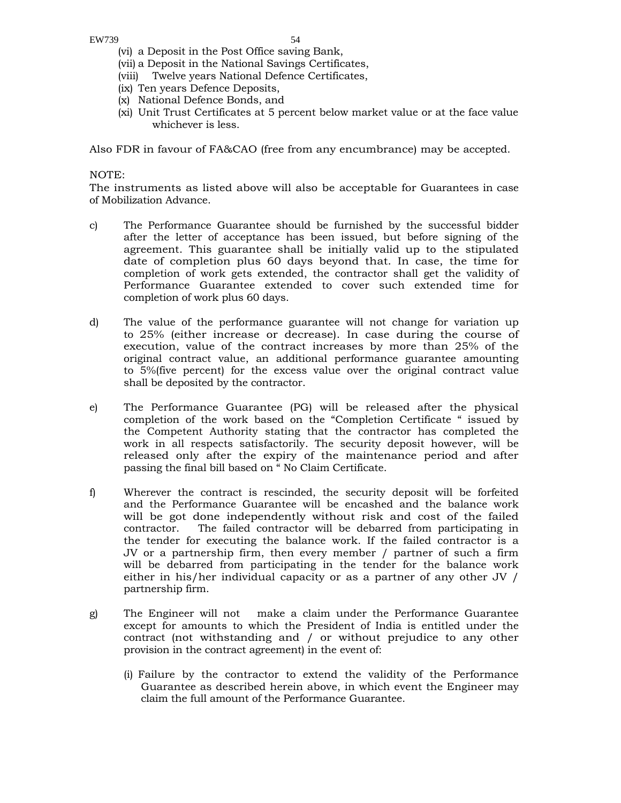- (vi) a Deposit in the Post Office saving Bank,
- (vii) a Deposit in the National Savings Certificates,
- (viii) Twelve years National Defence Certificates,
- (ix) Ten years Defence Deposits,
- (x) National Defence Bonds, and
- (xi) Unit Trust Certificates at 5 percent below market value or at the face value whichever is less.

Also FDR in favour of FA&CAO (free from any encumbrance) may be accepted.

#### NOTE:

The instruments as listed above will also be acceptable for Guarantees in case of Mobilization Advance.

- c) The Performance Guarantee should be furnished by the successful bidder after the letter of acceptance has been issued, but before signing of the agreement. This guarantee shall be initially valid up to the stipulated date of completion plus 60 days beyond that. In case, the time for completion of work gets extended, the contractor shall get the validity of Performance Guarantee extended to cover such extended time for completion of work plus 60 days.
- d) The value of the performance guarantee will not change for variation up to 25% (either increase or decrease). In case during the course of execution, value of the contract increases by more than 25% of the original contract value, an additional performance guarantee amounting to 5%(five percent) for the excess value over the original contract value shall be deposited by the contractor.
- e) The Performance Guarantee (PG) will be released after the physical completion of the work based on the "Completion Certificate " issued by the Competent Authority stating that the contractor has completed the work in all respects satisfactorily. The security deposit however, will be released only after the expiry of the maintenance period and after passing the final bill based on " No Claim Certificate.
- f) Wherever the contract is rescinded, the security deposit will be forfeited and the Performance Guarantee will be encashed and the balance work will be got done independently without risk and cost of the failed contractor. The failed contractor will be debarred from participating in the tender for executing the balance work. If the failed contractor is a JV or a partnership firm, then every member / partner of such a firm will be debarred from participating in the tender for the balance work either in his/her individual capacity or as a partner of any other JV / partnership firm.
- g) The Engineer will not make a claim under the Performance Guarantee except for amounts to which the President of India is entitled under the contract (not withstanding and / or without prejudice to any other provision in the contract agreement) in the event of:
	- (i) Failure by the contractor to extend the validity of the Performance Guarantee as described herein above, in which event the Engineer may claim the full amount of the Performance Guarantee.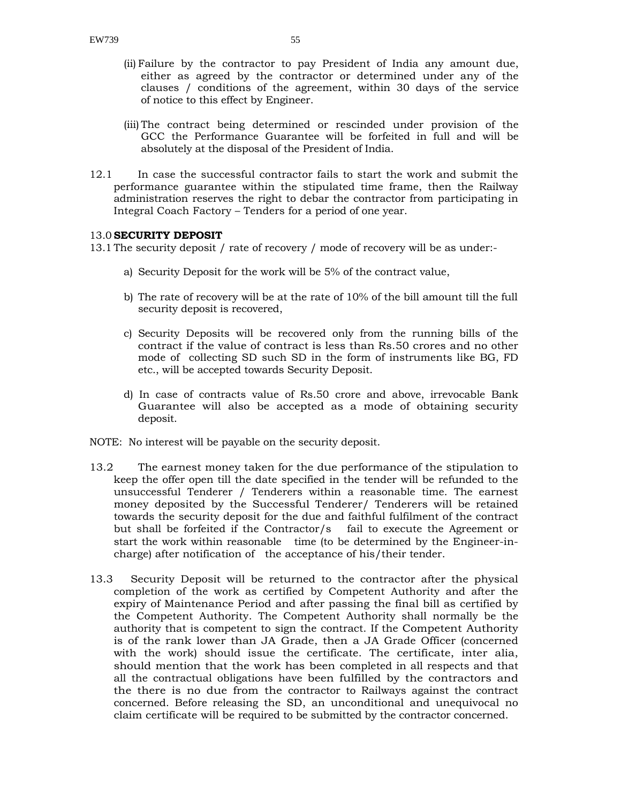- (ii) Failure by the contractor to pay President of India any amount due, either as agreed by the contractor or determined under any of the clauses / conditions of the agreement, within 30 days of the service of notice to this effect by Engineer.
- (iii) The contract being determined or rescinded under provision of the GCC the Performance Guarantee will be forfeited in full and will be absolutely at the disposal of the President of India.
- 12.1 In case the successful contractor fails to start the work and submit the performance guarantee within the stipulated time frame, then the Railway administration reserves the right to debar the contractor from participating in Integral Coach Factory – Tenders for a period of one year.

#### 13.0 **SECURITY DEPOSIT**

13.1 The security deposit / rate of recovery / mode of recovery will be as under:-

- a) Security Deposit for the work will be 5% of the contract value,
- b) The rate of recovery will be at the rate of 10% of the bill amount till the full security deposit is recovered,
- c) Security Deposits will be recovered only from the running bills of the contract if the value of contract is less than Rs.50 crores and no other mode of collecting SD such SD in the form of instruments like BG, FD etc., will be accepted towards Security Deposit.
- d) In case of contracts value of Rs.50 crore and above, irrevocable Bank Guarantee will also be accepted as a mode of obtaining security deposit.
- NOTE: No interest will be payable on the security deposit.
- 13.2 The earnest money taken for the due performance of the stipulation to keep the offer open till the date specified in the tender will be refunded to the unsuccessful Tenderer / Tenderers within a reasonable time. The earnest money deposited by the Successful Tenderer/ Tenderers will be retained towards the security deposit for the due and faithful fulfilment of the contract but shall be forfeited if the Contractor/s fail to execute the Agreement or start the work within reasonable time (to be determined by the Engineer-incharge) after notification of the acceptance of his/their tender.
- 13.3 Security Deposit will be returned to the contractor after the physical completion of the work as certified by Competent Authority and after the expiry of Maintenance Period and after passing the final bill as certified by the Competent Authority. The Competent Authority shall normally be the authority that is competent to sign the contract. If the Competent Authority is of the rank lower than JA Grade, then a JA Grade Officer (concerned with the work) should issue the certificate. The certificate, inter alia, should mention that the work has been completed in all respects and that all the contractual obligations have been fulfilled by the contractors and the there is no due from the contractor to Railways against the contract concerned. Before releasing the SD, an unconditional and unequivocal no claim certificate will be required to be submitted by the contractor concerned.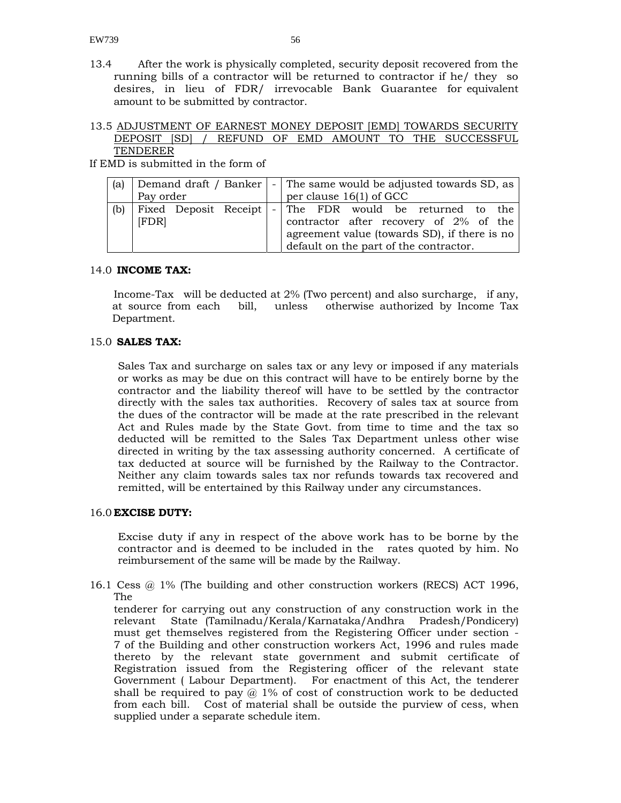13.4 After the work is physically completed, security deposit recovered from the running bills of a contractor will be returned to contractor if he/ they so desires, in lieu of FDR/ irrevocable Bank Guarantee for equivalent amount to be submitted by contractor.

#### 13.5 ADJUSTMENT OF EARNEST MONEY DEPOSIT [EMD] TOWARDS SECURITY DEPOSIT [SD] / REFUND OF EMD AMOUNT TO THE SUCCESSFUL TENDERER

If EMD is submitted in the form of

| (a) | Pay order | Demand draft / Banker   - The same would be adjusted towards SD, as |  |  | per clause $16(1)$ of GCC |                                                                                                                                  |  |  |
|-----|-----------|---------------------------------------------------------------------|--|--|---------------------------|----------------------------------------------------------------------------------------------------------------------------------|--|--|
| (b) | [FDR]     | Fixed Deposit Receipt   - The FDR would be returned to the          |  |  |                           | contractor after recovery of 2% of the<br>agreement value (towards SD), if there is no<br>default on the part of the contractor. |  |  |

#### 14.0 **INCOME TAX:**

Income-Tax will be deducted at 2% (Two percent) and also surcharge, if any, at source from each bill, unless otherwise authorized by Income Tax Department.

#### 15.0 **SALES TAX:**

Sales Tax and surcharge on sales tax or any levy or imposed if any materials or works as may be due on this contract will have to be entirely borne by the contractor and the liability thereof will have to be settled by the contractor directly with the sales tax authorities. Recovery of sales tax at source from the dues of the contractor will be made at the rate prescribed in the relevant Act and Rules made by the State Govt. from time to time and the tax so deducted will be remitted to the Sales Tax Department unless other wise directed in writing by the tax assessing authority concerned. A certificate of tax deducted at source will be furnished by the Railway to the Contractor. Neither any claim towards sales tax nor refunds towards tax recovered and remitted, will be entertained by this Railway under any circumstances.

#### 16.0 **EXCISE DUTY:**

Excise duty if any in respect of the above work has to be borne by the contractor and is deemed to be included in the rates quoted by him. No reimbursement of the same will be made by the Railway.

16.1 Cess @ 1% (The building and other construction workers (RECS) ACT 1996, The

tenderer for carrying out any construction of any construction work in the relevant State (Tamilnadu/Kerala/Karnataka/Andhra Pradesh/Pondicery) must get themselves registered from the Registering Officer under section - 7 of the Building and other construction workers Act, 1996 and rules made thereto by the relevant state government and submit certificate of Registration issued from the Registering officer of the relevant state Government ( Labour Department). For enactment of this Act, the tenderer shall be required to pay  $\omega$  1% of cost of construction work to be deducted from each bill. Cost of material shall be outside the purview of cess, when supplied under a separate schedule item.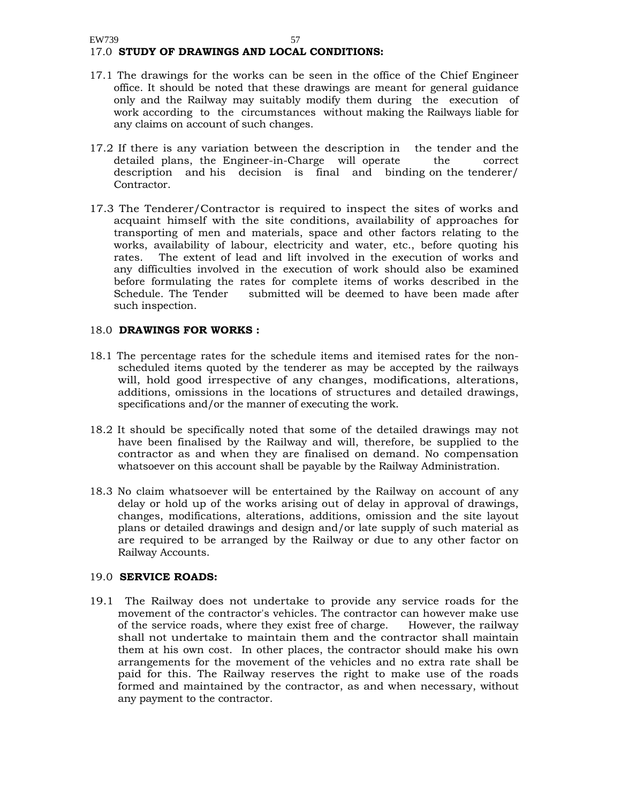#### EW739 57 17.0 **STUDY OF DRAWINGS AND LOCAL CONDITIONS:**

- 17.1 The drawings for the works can be seen in the office of the Chief Engineer office. It should be noted that these drawings are meant for general guidance only and the Railway may suitably modify them during the execution of work according to the circumstances without making the Railways liable for any claims on account of such changes.
- 17.2 If there is any variation between the description in the tender and the detailed plans, the Engineer-in-Charge will operate the correct description and his decision is final and binding on the tenderer/ Contractor.
- 17.3 The Tenderer/Contractor is required to inspect the sites of works and acquaint himself with the site conditions, availability of approaches for transporting of men and materials, space and other factors relating to the works, availability of labour, electricity and water, etc., before quoting his rates. The extent of lead and lift involved in the execution of works and any difficulties involved in the execution of work should also be examined before formulating the rates for complete items of works described in the Schedule. The Tender submitted will be deemed to have been made after such inspection.

#### 18.0 **DRAWINGS FOR WORKS :**

- 18.1 The percentage rates for the schedule items and itemised rates for the nonscheduled items quoted by the tenderer as may be accepted by the railways will, hold good irrespective of any changes, modifications, alterations, additions, omissions in the locations of structures and detailed drawings, specifications and/or the manner of executing the work.
- 18.2 It should be specifically noted that some of the detailed drawings may not have been finalised by the Railway and will, therefore, be supplied to the contractor as and when they are finalised on demand. No compensation whatsoever on this account shall be payable by the Railway Administration.
- 18.3 No claim whatsoever will be entertained by the Railway on account of any delay or hold up of the works arising out of delay in approval of drawings, changes, modifications, alterations, additions, omission and the site layout plans or detailed drawings and design and/or late supply of such material as are required to be arranged by the Railway or due to any other factor on Railway Accounts.

#### 19.0 **SERVICE ROADS:**

19.1 The Railway does not undertake to provide any service roads for the movement of the contractor's vehicles. The contractor can however make use of the service roads, where they exist free of charge. However, the railway shall not undertake to maintain them and the contractor shall maintain them at his own cost. In other places, the contractor should make his own arrangements for the movement of the vehicles and no extra rate shall be paid for this. The Railway reserves the right to make use of the roads formed and maintained by the contractor, as and when necessary, without any payment to the contractor.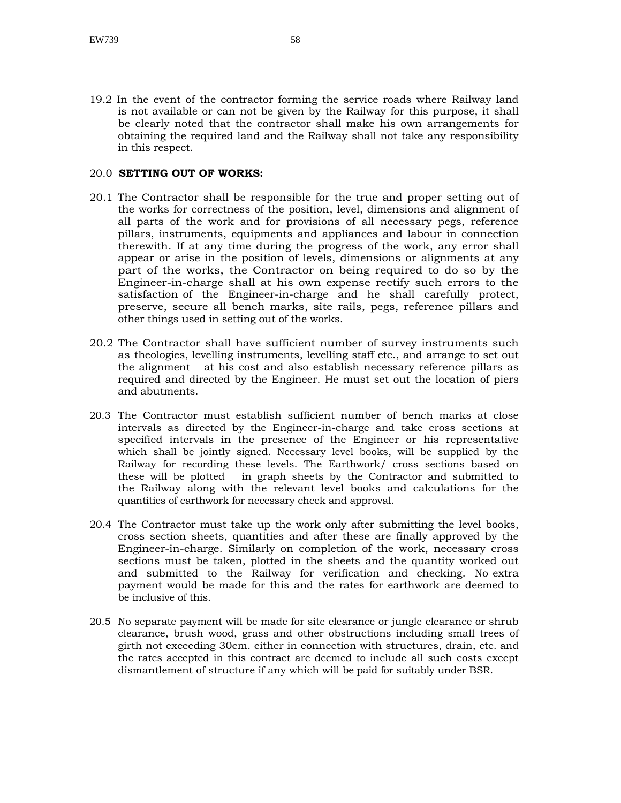19.2 In the event of the contractor forming the service roads where Railway land is not available or can not be given by the Railway for this purpose, it shall be clearly noted that the contractor shall make his own arrangements for obtaining the required land and the Railway shall not take any responsibility in this respect.

#### 20.0 **SETTING OUT OF WORKS:**

- 20.1 The Contractor shall be responsible for the true and proper setting out of the works for correctness of the position, level, dimensions and alignment of all parts of the work and for provisions of all necessary pegs, reference pillars, instruments, equipments and appliances and labour in connection therewith. If at any time during the progress of the work, any error shall appear or arise in the position of levels, dimensions or alignments at any part of the works, the Contractor on being required to do so by the Engineer-in-charge shall at his own expense rectify such errors to the satisfaction of the Engineer-in-charge and he shall carefully protect, preserve, secure all bench marks, site rails, pegs, reference pillars and other things used in setting out of the works.
- 20.2 The Contractor shall have sufficient number of survey instruments such as theologies, levelling instruments, levelling staff etc., and arrange to set out the alignment at his cost and also establish necessary reference pillars as required and directed by the Engineer. He must set out the location of piers and abutments.
- 20.3 The Contractor must establish sufficient number of bench marks at close intervals as directed by the Engineer-in-charge and take cross sections at specified intervals in the presence of the Engineer or his representative which shall be jointly signed. Necessary level books, will be supplied by the Railway for recording these levels. The Earthwork/ cross sections based on these will be plotted in graph sheets by the Contractor and submitted to the Railway along with the relevant level books and calculations for the quantities of earthwork for necessary check and approval.
- 20.4 The Contractor must take up the work only after submitting the level books, cross section sheets, quantities and after these are finally approved by the Engineer-in-charge. Similarly on completion of the work, necessary cross sections must be taken, plotted in the sheets and the quantity worked out and submitted to the Railway for verification and checking. No extra payment would be made for this and the rates for earthwork are deemed to be inclusive of this.
- 20.5 No separate payment will be made for site clearance or jungle clearance or shrub clearance, brush wood, grass and other obstructions including small trees of girth not exceeding 30cm. either in connection with structures, drain, etc. and the rates accepted in this contract are deemed to include all such costs except dismantlement of structure if any which will be paid for suitably under BSR.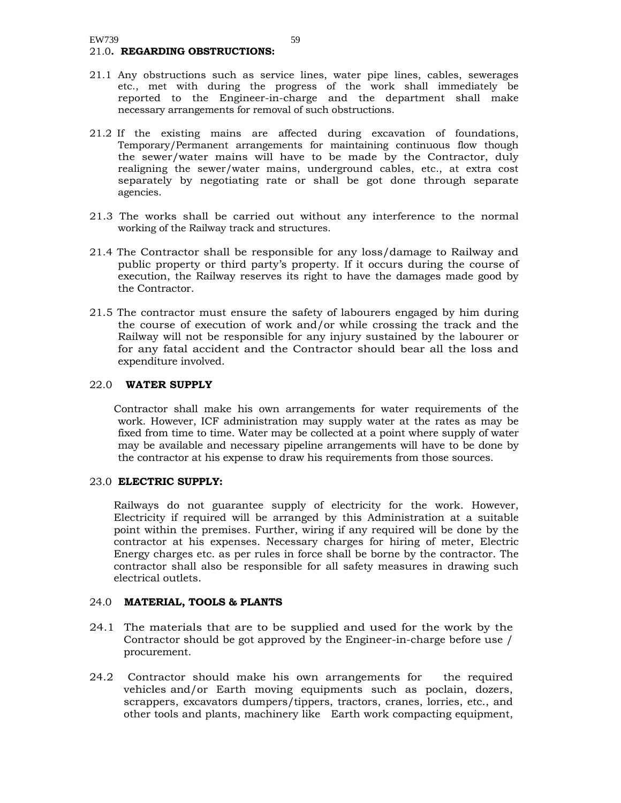#### 21.0**. REGARDING OBSTRUCTIONS:**

- 21.1 Any obstructions such as service lines, water pipe lines, cables, sewerages etc., met with during the progress of the work shall immediately be reported to the Engineer-in-charge and the department shall make necessary arrangements for removal of such obstructions.
- 21.2 If the existing mains are affected during excavation of foundations, Temporary/Permanent arrangements for maintaining continuous flow though the sewer/water mains will have to be made by the Contractor, duly realigning the sewer/water mains, underground cables, etc., at extra cost separately by negotiating rate or shall be got done through separate agencies.
- 21.3 The works shall be carried out without any interference to the normal working of the Railway track and structures.
- 21.4 The Contractor shall be responsible for any loss/damage to Railway and public property or third party's property. If it occurs during the course of execution, the Railway reserves its right to have the damages made good by the Contractor.
- 21.5 The contractor must ensure the safety of labourers engaged by him during the course of execution of work and/or while crossing the track and the Railway will not be responsible for any injury sustained by the labourer or for any fatal accident and the Contractor should bear all the loss and expenditure involved.

#### 22.0 **WATER SUPPLY**

Contractor shall make his own arrangements for water requirements of the work. However, ICF administration may supply water at the rates as may be fixed from time to time. Water may be collected at a point where supply of water may be available and necessary pipeline arrangements will have to be done by the contractor at his expense to draw his requirements from those sources.

#### 23.0 **ELECTRIC SUPPLY:**

Railways do not guarantee supply of electricity for the work. However, Electricity if required will be arranged by this Administration at a suitable point within the premises. Further, wiring if any required will be done by the contractor at his expenses. Necessary charges for hiring of meter, Electric Energy charges etc. as per rules in force shall be borne by the contractor. The contractor shall also be responsible for all safety measures in drawing such electrical outlets.

#### 24.0 **MATERIAL, TOOLS & PLANTS**

- 24.1 The materials that are to be supplied and used for the work by the Contractor should be got approved by the Engineer-in-charge before use / procurement.
- 24.2 Contractor should make his own arrangements for the required vehicles and/or Earth moving equipments such as poclain, dozers, scrappers, excavators dumpers/tippers, tractors, cranes, lorries, etc., and other tools and plants, machinery like Earth work compacting equipment,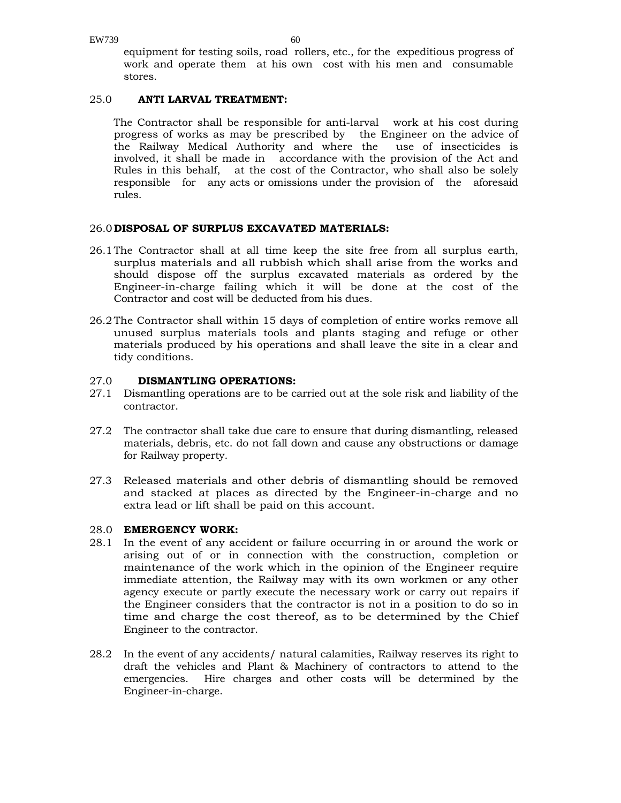equipment for testing soils, road rollers, etc., for the expeditious progress of work and operate them at his own cost with his men and consumable stores.

#### 25.0 **ANTI LARVAL TREATMENT:**

The Contractor shall be responsible for anti-larval work at his cost during progress of works as may be prescribed by the Engineer on the advice of the Railway Medical Authority and where the use of insecticides is involved, it shall be made in accordance with the provision of the Act and Rules in this behalf, at the cost of the Contractor, who shall also be solely responsible for any acts or omissions under the provision of the aforesaid rules.

#### 26.0 **DISPOSAL OF SURPLUS EXCAVATED MATERIALS:**

- 26.1 The Contractor shall at all time keep the site free from all surplus earth, surplus materials and all rubbish which shall arise from the works and should dispose off the surplus excavated materials as ordered by the Engineer-in-charge failing which it will be done at the cost of the Contractor and cost will be deducted from his dues.
- 26.2 The Contractor shall within 15 days of completion of entire works remove all unused surplus materials tools and plants staging and refuge or other materials produced by his operations and shall leave the site in a clear and tidy conditions.

#### 27.0 **DISMANTLING OPERATIONS:**

- 27.1 Dismantling operations are to be carried out at the sole risk and liability of the contractor.
- 27.2 The contractor shall take due care to ensure that during dismantling, released materials, debris, etc. do not fall down and cause any obstructions or damage for Railway property.
- 27.3 Released materials and other debris of dismantling should be removed and stacked at places as directed by the Engineer-in-charge and no extra lead or lift shall be paid on this account.

#### 28.0 **EMERGENCY WORK:**

- 28.1 In the event of any accident or failure occurring in or around the work or arising out of or in connection with the construction, completion or maintenance of the work which in the opinion of the Engineer require immediate attention, the Railway may with its own workmen or any other agency execute or partly execute the necessary work or carry out repairs if the Engineer considers that the contractor is not in a position to do so in time and charge the cost thereof, as to be determined by the Chief Engineer to the contractor.
- 28.2 In the event of any accidents/ natural calamities, Railway reserves its right to draft the vehicles and Plant & Machinery of contractors to attend to the emergencies. Hire charges and other costs will be determined by the Engineer-in-charge.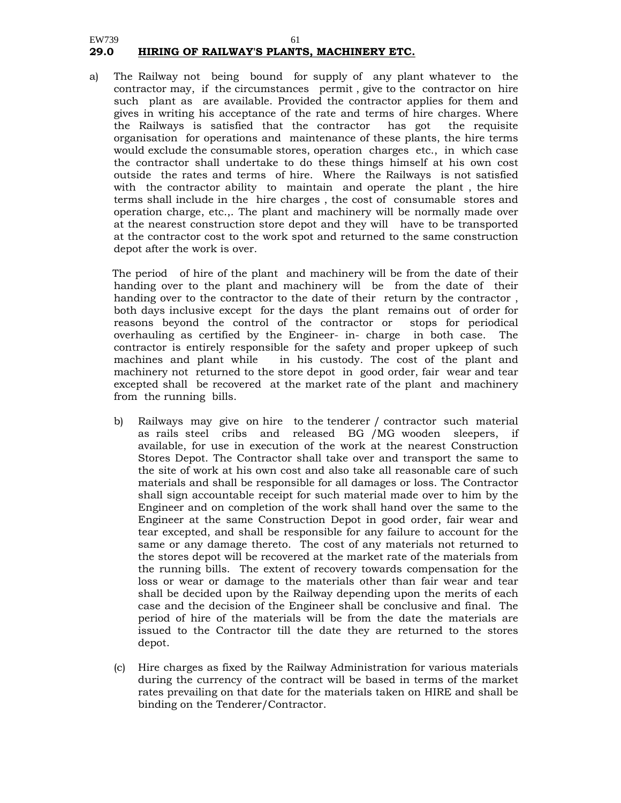#### EW739 61 **29.0 HIRING OF RAILWAY'S PLANTS, MACHINERY ETC.**

a) The Railway not being bound for supply of any plant whatever to the contractor may, if the circumstances permit , give to the contractor on hire such plant as are available. Provided the contractor applies for them and gives in writing his acceptance of the rate and terms of hire charges. Where the Railways is satisfied that the contractor has got the requisite organisation for operations and maintenance of these plants, the hire terms would exclude the consumable stores, operation charges etc., in which case the contractor shall undertake to do these things himself at his own cost outside the rates and terms of hire. Where the Railways is not satisfied with the contractor ability to maintain and operate the plant , the hire terms shall include in the hire charges , the cost of consumable stores and operation charge, etc.,. The plant and machinery will be normally made over at the nearest construction store depot and they will have to be transported at the contractor cost to the work spot and returned to the same construction depot after the work is over.

The period of hire of the plant and machinery will be from the date of their handing over to the plant and machinery will be from the date of their handing over to the contractor to the date of their return by the contractor , both days inclusive except for the days the plant remains out of order for reasons beyond the control of the contractor or stops for periodical overhauling as certified by the Engineer- in- charge in both case. The contractor is entirely responsible for the safety and proper upkeep of such machines and plant while in his custody. The cost of the plant and machinery not returned to the store depot in good order, fair wear and tear excepted shall be recovered at the market rate of the plant and machinery from the running bills.

- b) Railways may give on hire to the tenderer / contractor such material as rails steel cribs and released BG /MG wooden sleepers, if available, for use in execution of the work at the nearest Construction Stores Depot. The Contractor shall take over and transport the same to the site of work at his own cost and also take all reasonable care of such materials and shall be responsible for all damages or loss. The Contractor shall sign accountable receipt for such material made over to him by the Engineer and on completion of the work shall hand over the same to the Engineer at the same Construction Depot in good order, fair wear and tear excepted, and shall be responsible for any failure to account for the same or any damage thereto. The cost of any materials not returned to the stores depot will be recovered at the market rate of the materials from the running bills. The extent of recovery towards compensation for the loss or wear or damage to the materials other than fair wear and tear shall be decided upon by the Railway depending upon the merits of each case and the decision of the Engineer shall be conclusive and final. The period of hire of the materials will be from the date the materials are issued to the Contractor till the date they are returned to the stores depot.
- (c) Hire charges as fixed by the Railway Administration for various materials during the currency of the contract will be based in terms of the market rates prevailing on that date for the materials taken on HIRE and shall be binding on the Tenderer/Contractor.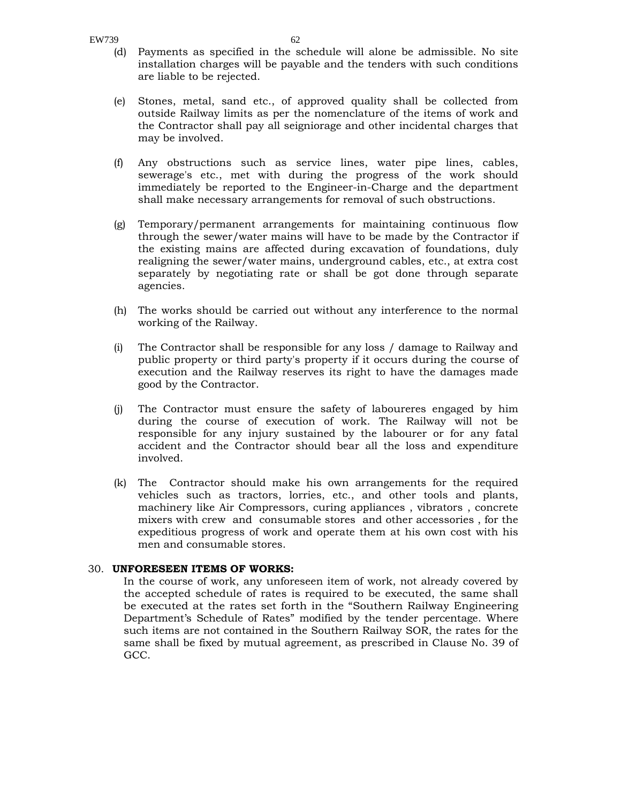- (d) Payments as specified in the schedule will alone be admissible. No site installation charges will be payable and the tenders with such conditions are liable to be rejected.
- (e) Stones, metal, sand etc., of approved quality shall be collected from outside Railway limits as per the nomenclature of the items of work and the Contractor shall pay all seigniorage and other incidental charges that may be involved.
- (f) Any obstructions such as service lines, water pipe lines, cables, sewerage's etc., met with during the progress of the work should immediately be reported to the Engineer-in-Charge and the department shall make necessary arrangements for removal of such obstructions.
- (g) Temporary/permanent arrangements for maintaining continuous flow through the sewer/water mains will have to be made by the Contractor if the existing mains are affected during excavation of foundations, duly realigning the sewer/water mains, underground cables, etc., at extra cost separately by negotiating rate or shall be got done through separate agencies.
- (h) The works should be carried out without any interference to the normal working of the Railway.
- (i) The Contractor shall be responsible for any loss / damage to Railway and public property or third party's property if it occurs during the course of execution and the Railway reserves its right to have the damages made good by the Contractor.
- (j) The Contractor must ensure the safety of laboureres engaged by him during the course of execution of work. The Railway will not be responsible for any injury sustained by the labourer or for any fatal accident and the Contractor should bear all the loss and expenditure involved.
- (k) The Contractor should make his own arrangements for the required vehicles such as tractors, lorries, etc., and other tools and plants, machinery like Air Compressors, curing appliances , vibrators , concrete mixers with crew and consumable stores and other accessories , for the expeditious progress of work and operate them at his own cost with his men and consumable stores.

#### 30. **UNFORESEEN ITEMS OF WORKS:**

In the course of work, any unforeseen item of work, not already covered by the accepted schedule of rates is required to be executed, the same shall be executed at the rates set forth in the "Southern Railway Engineering Department's Schedule of Rates" modified by the tender percentage. Where such items are not contained in the Southern Railway SOR, the rates for the same shall be fixed by mutual agreement, as prescribed in Clause No. 39 of GCC.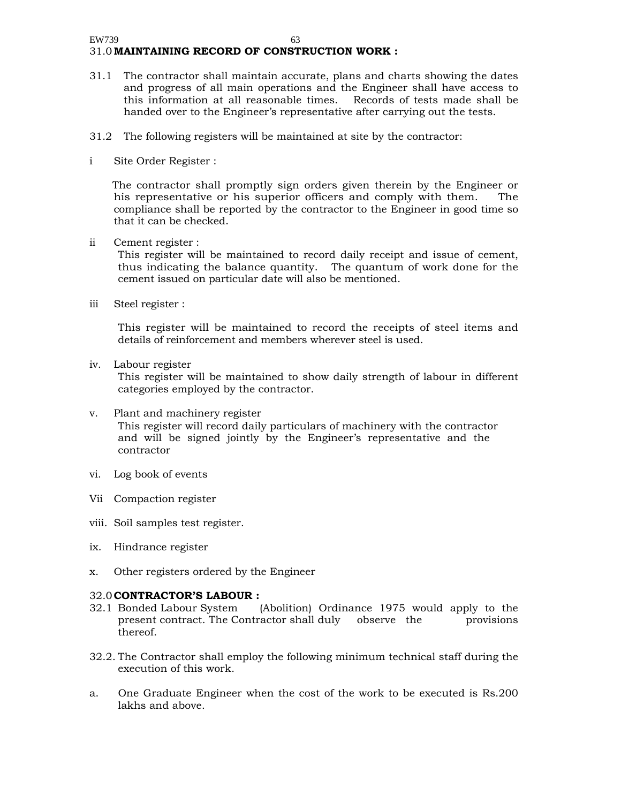#### EW739 63 31.0 **MAINTAINING RECORD OF CONSTRUCTION WORK :**

- 31.1 The contractor shall maintain accurate, plans and charts showing the dates and progress of all main operations and the Engineer shall have access to this information at all reasonable times. Records of tests made shall be handed over to the Engineer's representative after carrying out the tests.
- 31.2 The following registers will be maintained at site by the contractor:
- i Site Order Register :

The contractor shall promptly sign orders given therein by the Engineer or his representative or his superior officers and comply with them. The compliance shall be reported by the contractor to the Engineer in good time so that it can be checked.

ii Cement register :

This register will be maintained to record daily receipt and issue of cement, thus indicating the balance quantity. The quantum of work done for the cement issued on particular date will also be mentioned.

iii Steel register :

This register will be maintained to record the receipts of steel items and details of reinforcement and members wherever steel is used.

iv. Labour register

This register will be maintained to show daily strength of labour in different categories employed by the contractor.

- v. Plant and machinery register This register will record daily particulars of machinery with the contractor and will be signed jointly by the Engineer's representative and the contractor
- vi. Log book of events
- Vii Compaction register
- viii. Soil samples test register.
- ix. Hindrance register
- x. Other registers ordered by the Engineer

#### 32.0 **CONTRACTOR'S LABOUR :**

- 32.1 Bonded Labour System (Abolition) Ordinance 1975 would apply to the present contract. The Contractor shall duly observe the provisions thereof.
- 32.2. The Contractor shall employ the following minimum technical staff during the execution of this work.
- a. One Graduate Engineer when the cost of the work to be executed is Rs.200 lakhs and above.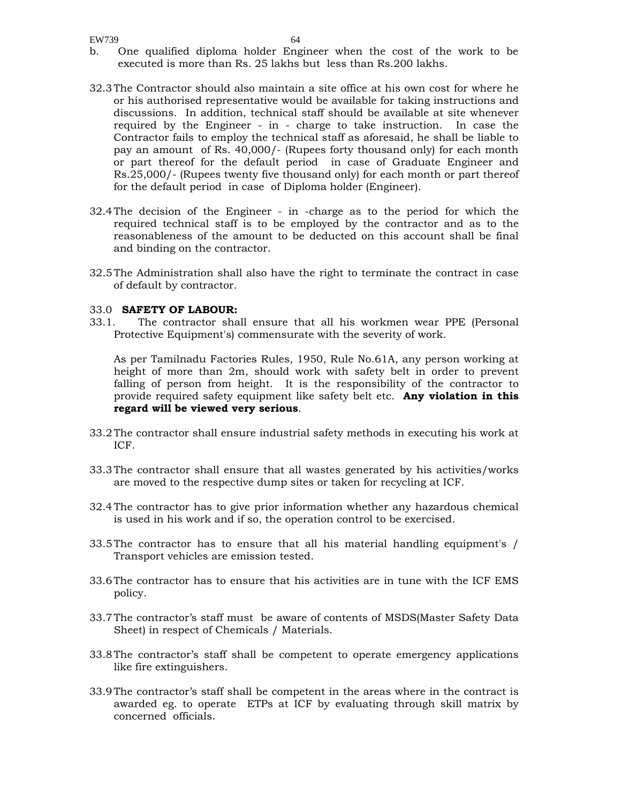- b. One qualified diploma holder Engineer when the cost of the work to be executed is more than Rs. 25 lakhs but less than Rs.200 lakhs.
- 32.3 The Contractor should also maintain a site office at his own cost for where he or his authorised representative would be available for taking instructions and discussions. In addition, technical staff should be available at site whenever required by the Engineer - in - charge to take instruction. In case the Contractor fails to employ the technical staff as aforesaid, he shall be liable to pay an amount of Rs. 40,000/- (Rupees forty thousand only) for each month or part thereof for the default period in case of Graduate Engineer and Rs.25,000/- (Rupees twenty five thousand only) for each month or part thereof for the default period in case of Diploma holder (Engineer).
- 32.4 The decision of the Engineer in -charge as to the period for which the required technical staff is to be employed by the contractor and as to the reasonableness of the amount to be deducted on this account shall be final and binding on the contractor.
- 32.5 The Administration shall also have the right to terminate the contract in case of default by contractor.

#### 33.0 **SAFETY OF LABOUR:**

33.1. The contractor shall ensure that all his workmen wear PPE (Personal Protective Equipment's) commensurate with the severity of work.

 As per Tamilnadu Factories Rules, 1950, Rule No.61A, any person working at height of more than 2m, should work with safety belt in order to prevent falling of person from height. It is the responsibility of the contractor to provide required safety equipment like safety belt etc. **Any violation in this regard will be viewed very serious**.

- 33.2 The contractor shall ensure industrial safety methods in executing his work at ICF.
- 33.3 The contractor shall ensure that all wastes generated by his activities/works are moved to the respective dump sites or taken for recycling at ICF.
- 32.4 The contractor has to give prior information whether any hazardous chemical is used in his work and if so, the operation control to be exercised.
- 33.5 The contractor has to ensure that all his material handling equipment's / Transport vehicles are emission tested.
- 33.6 The contractor has to ensure that his activities are in tune with the ICF EMS policy.
- 33.7 The contractor's staff must be aware of contents of MSDS(Master Safety Data Sheet) in respect of Chemicals / Materials.
- 33.8 The contractor's staff shall be competent to operate emergency applications like fire extinguishers.
- 33.9 The contractor's staff shall be competent in the areas where in the contract is awarded eg. to operate ETPs at ICF by evaluating through skill matrix by concerned officials.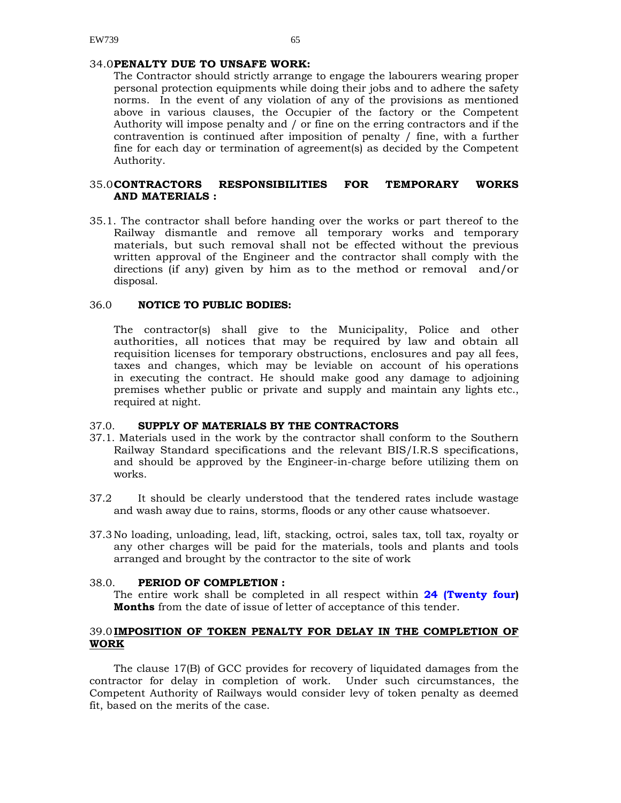#### 34.0 **PENALTY DUE TO UNSAFE WORK:**

The Contractor should strictly arrange to engage the labourers wearing proper personal protection equipments while doing their jobs and to adhere the safety norms. In the event of any violation of any of the provisions as mentioned above in various clauses, the Occupier of the factory or the Competent Authority will impose penalty and / or fine on the erring contractors and if the contravention is continued after imposition of penalty / fine, with a further fine for each day or termination of agreement(s) as decided by the Competent Authority.

#### 35.0 **CONTRACTORS RESPONSIBILITIES FOR TEMPORARY WORKS AND MATERIALS :**

35.1. The contractor shall before handing over the works or part thereof to the Railway dismantle and remove all temporary works and temporary materials, but such removal shall not be effected without the previous written approval of the Engineer and the contractor shall comply with the directions (if any) given by him as to the method or removal and/or disposal.

#### 36.0 **NOTICE TO PUBLIC BODIES:**

The contractor(s) shall give to the Municipality, Police and other authorities, all notices that may be required by law and obtain all requisition licenses for temporary obstructions, enclosures and pay all fees, taxes and changes, which may be leviable on account of his operations in executing the contract. He should make good any damage to adjoining premises whether public or private and supply and maintain any lights etc., required at night.

#### 37.0. **SUPPLY OF MATERIALS BY THE CONTRACTORS**

- 37.1. Materials used in the work by the contractor shall conform to the Southern Railway Standard specifications and the relevant BIS/I.R.S specifications, and should be approved by the Engineer-in-charge before utilizing them on works.
- 37.2 It should be clearly understood that the tendered rates include wastage and wash away due to rains, storms, floods or any other cause whatsoever.
- 37.3 No loading, unloading, lead, lift, stacking, octroi, sales tax, toll tax, royalty or any other charges will be paid for the materials, tools and plants and tools arranged and brought by the contractor to the site of work

#### 38.0. **PERIOD OF COMPLETION :**

The entire work shall be completed in all respect within **24 (Twenty four) Months** from the date of issue of letter of acceptance of this tender.

#### 39.0 **IMPOSITION OF TOKEN PENALTY FOR DELAY IN THE COMPLETION OF WORK**

The clause 17(B) of GCC provides for recovery of liquidated damages from the contractor for delay in completion of work. Under such circumstances, the Competent Authority of Railways would consider levy of token penalty as deemed fit, based on the merits of the case.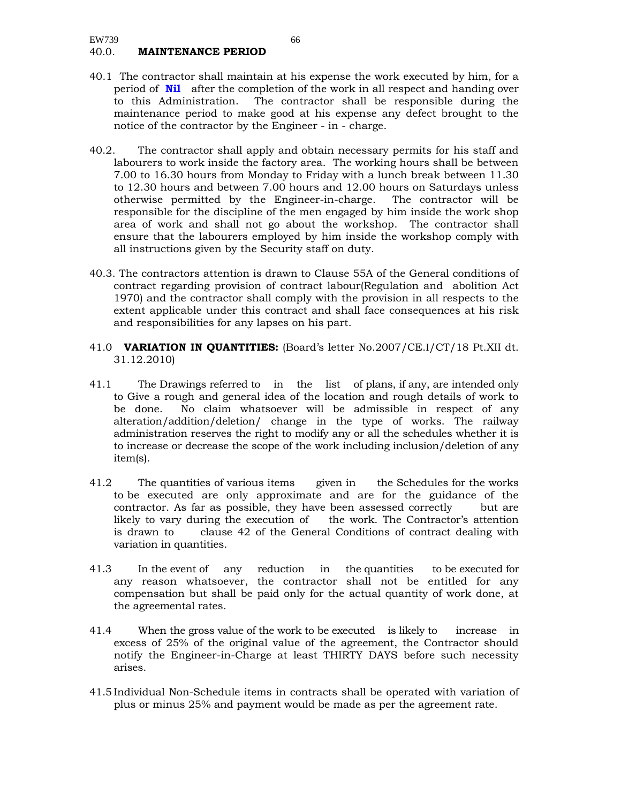- 40.1 The contractor shall maintain at his expense the work executed by him, for a period of **Nil** after the completion of the work in all respect and handing over to this Administration. The contractor shall be responsible during the maintenance period to make good at his expense any defect brought to the notice of the contractor by the Engineer - in - charge.
- 40.2. The contractor shall apply and obtain necessary permits for his staff and labourers to work inside the factory area. The working hours shall be between 7.00 to 16.30 hours from Monday to Friday with a lunch break between 11.30 to 12.30 hours and between 7.00 hours and 12.00 hours on Saturdays unless otherwise permitted by the Engineer-in-charge. The contractor will be responsible for the discipline of the men engaged by him inside the work shop area of work and shall not go about the workshop. The contractor shall ensure that the labourers employed by him inside the workshop comply with all instructions given by the Security staff on duty.
- 40.3. The contractors attention is drawn to Clause 55A of the General conditions of contract regarding provision of contract labour(Regulation and abolition Act 1970) and the contractor shall comply with the provision in all respects to the extent applicable under this contract and shall face consequences at his risk and responsibilities for any lapses on his part.
- 41.0 **VARIATION IN QUANTITIES:** (Board's letter No.2007/CE.I/CT/18 Pt.XII dt. 31.12.2010)
- 41.1 The Drawings referred to in the list of plans, if any, are intended only to Give a rough and general idea of the location and rough details of work to be done. No claim whatsoever will be admissible in respect of any alteration/addition/deletion/ change in the type of works. The railway administration reserves the right to modify any or all the schedules whether it is to increase or decrease the scope of the work including inclusion/deletion of any item(s).
- 41.2 The quantities of various items given in the Schedules for the works to be executed are only approximate and are for the guidance of the contractor. As far as possible, they have been assessed correctly but are likely to vary during the execution of the work. The Contractor's attention is drawn to clause 42 of the General Conditions of contract dealing with variation in quantities.
- 41.3 In the event of any reduction in the quantities to be executed for any reason whatsoever, the contractor shall not be entitled for any compensation but shall be paid only for the actual quantity of work done, at the agreemental rates.
- 41.4 When the gross value of the work to be executed is likely to increase in excess of 25% of the original value of the agreement, the Contractor should notify the Engineer-in-Charge at least THIRTY DAYS before such necessity arises.
- 41.5 Individual Non-Schedule items in contracts shall be operated with variation of plus or minus 25% and payment would be made as per the agreement rate.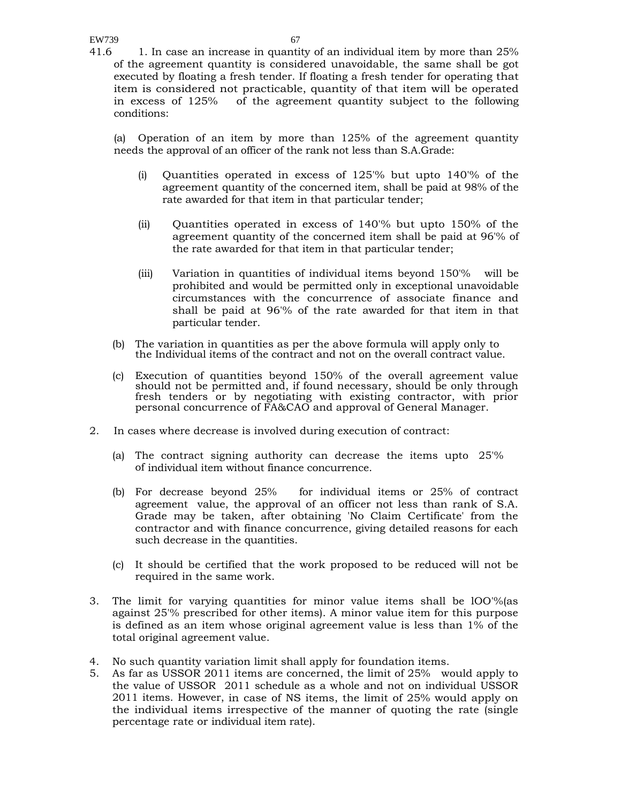41.6 1. In case an increase in quantity of an individual item by more than 25% of the agreement quantity is considered unavoidable, the same shall be got executed by floating a fresh tender. If floating a fresh tender for operating that item is considered not practicable, quantity of that item will be operated in excess of 125% of the agreement quantity subject to the following conditions:

(a) Operation of an item by more than 125% of the agreement quantity needs the approval of an officer of the rank not less than S.A.Grade:

- (i) Quantities operated in excess of 125'% but upto 140'% of the agreement quantity of the concerned item, shall be paid at 98% of the rate awarded for that item in that particular tender;
- (ii) Quantities operated in excess of 140'% but upto 150% of the agreement quantity of the concerned item shall be paid at 96'% of the rate awarded for that item in that particular tender;
- (iii) Variation in quantities of individual items beyond 150'% will be prohibited and would be permitted only in exceptional unavoidable circumstances with the concurrence of associate finance and shall be paid at 96'% of the rate awarded for that item in that particular tender.
- (b) The variation in quantities as per the above formula will apply only to the Individual items of the contract and not on the overall contract value.
- (c) Execution of quantities beyond 150% of the overall agreement value should not be permitted and, if found necessary, should be only through fresh tenders or by negotiating with existing contractor, with prior personal concurrence of FA&CAO and approval of General Manager.
- 2. In cases where decrease is involved during execution of contract:
	- (a) The contract signing authority can decrease the items upto 25'% of individual item without finance concurrence.
	- (b) For decrease beyond 25% for individual items or 25% of contract agreement value, the approval of an officer not less than rank of S.A. Grade may be taken, after obtaining 'No Claim Certificate' from the contractor and with finance concurrence, giving detailed reasons for each such decrease in the quantities.
	- (c) It should be certified that the work proposed to be reduced will not be required in the same work.
- 3. The limit for varying quantities for minor value items shall be lOO'%(as against 25'% prescribed for other items). A minor value item for this purpose is defined as an item whose original agreement value is less than 1% of the total original agreement value.
- 4. No such quantity variation limit shall apply for foundation items.
- 5. As far as USSOR 2011 items are concerned, the limit of 25% would apply to the value of USSOR 2011 schedule as a whole and not on individual USSOR 2011 items. However, in case of NS items, the limit of 25% would apply on the individual items irrespective of the manner of quoting the rate (single percentage rate or individual item rate).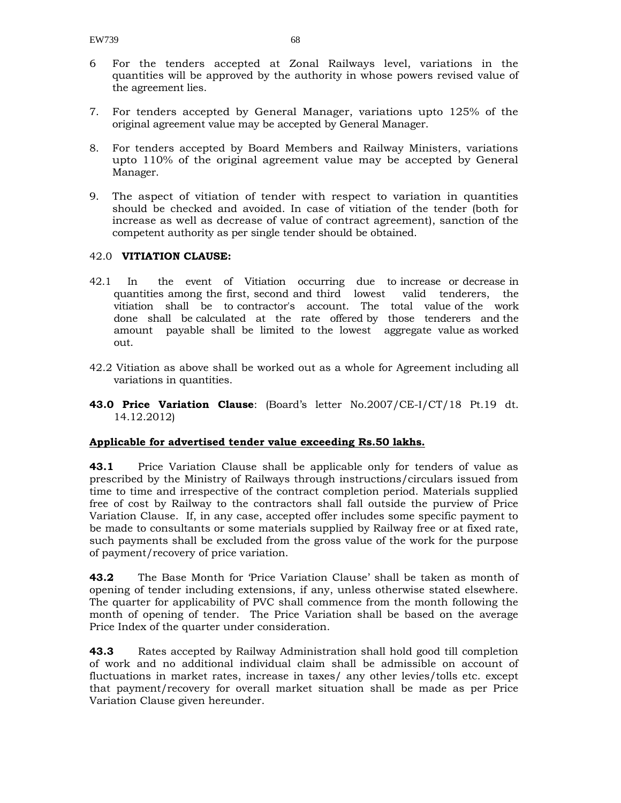- 6 For the tenders accepted at Zonal Railways level, variations in the quantities will be approved by the authority in whose powers revised value of the agreement lies.
- 7. For tenders accepted by General Manager, variations upto 125% of the original agreement value may be accepted by General Manager.
- 8. For tenders accepted by Board Members and Railway Ministers, variations upto 110% of the original agreement value may be accepted by General Manager.
- 9. The aspect of vitiation of tender with respect to variation in quantities should be checked and avoided. In case of vitiation of the tender (both for increase as well as decrease of value of contract agreement), sanction of the competent authority as per single tender should be obtained.

#### 42.0 **VITIATION CLAUSE:**

- 42.1 In the event of Vitiation occurring due to increase or decrease in quantities among the first, second and third lowest valid tenderers, the vitiation shall be to contractor's account. The total value of the work done shall be calculated at the rate offered by those tenderers and the amount payable shall be limited to the lowest aggregate value as worked out.
- 42.2 Vitiation as above shall be worked out as a whole for Agreement including all variations in quantities.
- **43.0 Price Variation Clause**: (Board's letter No.2007/CE-I/CT/18 Pt.19 dt. 14.12.2012)

#### **Applicable for advertised tender value exceeding Rs.50 lakhs.**

**43.1** Price Variation Clause shall be applicable only for tenders of value as prescribed by the Ministry of Railways through instructions/circulars issued from time to time and irrespective of the contract completion period. Materials supplied free of cost by Railway to the contractors shall fall outside the purview of Price Variation Clause. If, in any case, accepted offer includes some specific payment to be made to consultants or some materials supplied by Railway free or at fixed rate, such payments shall be excluded from the gross value of the work for the purpose of payment/recovery of price variation.

**43.2** The Base Month for 'Price Variation Clause' shall be taken as month of opening of tender including extensions, if any, unless otherwise stated elsewhere. The quarter for applicability of PVC shall commence from the month following the month of opening of tender. The Price Variation shall be based on the average Price Index of the quarter under consideration.

**43.3** Rates accepted by Railway Administration shall hold good till completion of work and no additional individual claim shall be admissible on account of fluctuations in market rates, increase in taxes/ any other levies/tolls etc. except that payment/recovery for overall market situation shall be made as per Price Variation Clause given hereunder.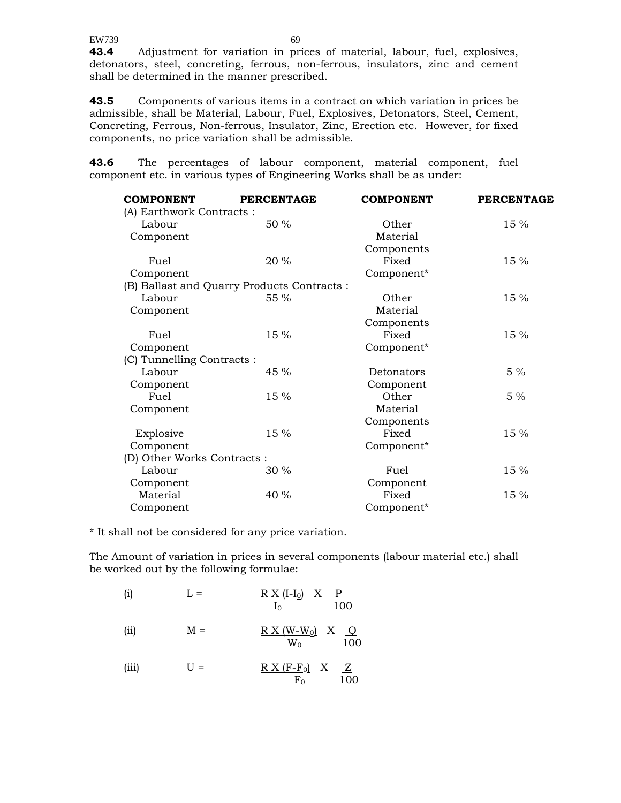**43.4** Adjustment for variation in prices of material, labour, fuel, explosives, detonators, steel, concreting, ferrous, non-ferrous, insulators, zinc and cement shall be determined in the manner prescribed.

**43.5** Components of various items in a contract on which variation in prices be admissible, shall be Material, Labour, Fuel, Explosives, Detonators, Steel, Cement, Concreting, Ferrous, Non-ferrous, Insulator, Zinc, Erection etc. However, for fixed components, no price variation shall be admissible.

**43.6** The percentages of labour component, material component, fuel component etc. in various types of Engineering Works shall be as under:

| <b>COMPONENT</b>           | <b>PERCENTAGE</b>                           | <b>COMPONENT</b> | <b>PERCENTAGE</b> |
|----------------------------|---------------------------------------------|------------------|-------------------|
| (A) Earthwork Contracts :  |                                             |                  |                   |
| Labour                     | 50 %                                        | Other            | 15 %              |
| Component                  |                                             | Material         |                   |
|                            |                                             | Components       |                   |
| Fuel                       | 20 %                                        | Fixed            | 15 %              |
| Component                  |                                             | Component*       |                   |
|                            | (B) Ballast and Quarry Products Contracts : |                  |                   |
| Labour                     | 55 %                                        | Other            | 15 %              |
| Component                  |                                             | Material         |                   |
|                            |                                             | Components       |                   |
| Fuel                       | 15 %                                        | Fixed            | 15 %              |
| Component                  |                                             | Component*       |                   |
| (C) Tunnelling Contracts : |                                             |                  |                   |
| Labour                     | 45 %                                        | Detonators       | $5\%$             |
| Component                  |                                             | Component        |                   |
| Fuel                       | 15 %                                        | Other            | $5\%$             |
| Component                  |                                             | Material         |                   |
|                            |                                             | Components       |                   |
| Explosive                  | 15 %                                        | Fixed            | 15 %              |
| Component                  |                                             | Component*       |                   |
| (D) Other Works Contracts: |                                             |                  |                   |
| Labour                     | 30 %                                        | Fuel             | 15 %              |
| Component                  |                                             | Component        |                   |
| Material                   | 40 %                                        | Fixed            | 15 %              |
| Component                  |                                             | Component*       |                   |

\* It shall not be considered for any price variation.

The Amount of variation in prices in several components (labour material etc.) shall be worked out by the following formulae:

| (i)   | $L =$ | $R X (I-I0) X P$<br>100<br>$I_0$          |
|-------|-------|-------------------------------------------|
| (iii) | $M =$ | $R X (W-W0) X Q$<br>100<br>$W_{0}$        |
| (iii) | $U =$ | $R X (F-F0) X Z$<br>100<br>$\mathrm{F}_0$ |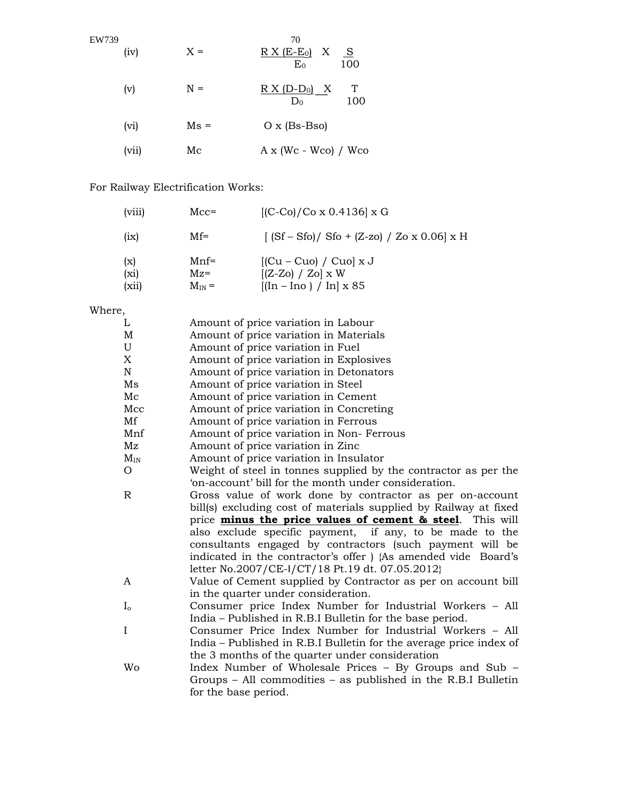| EW739 | (iv)  | $X =$         | 70<br>$R X (E-E0) X S$<br>100<br>$E_0$ |
|-------|-------|---------------|----------------------------------------|
|       | (v)   | $N =$         | T<br>$R X (D-D0) X$<br>100<br>$D_0$    |
|       | (vi)  | $\text{Ms} =$ | $O x (Bs-Bso)$                         |
|       | (vii) | Мc            | $A \times (Wc - Wco) / Wco$            |

# For Railway Electrification Works:

| (viii)               | $Mcc=$                         | $[(C-Co)/Co \times 0.4136] \times G$                                                                       |
|----------------------|--------------------------------|------------------------------------------------------------------------------------------------------------|
| (ix)                 | $Mf =$                         | $[(Sf - Sfo) / Sfo + (Z-zo) / Zo x 0.06] x H]$                                                             |
| (x)<br>(xi)<br>(xii) | $Mnf=$<br>$Mz =$<br>$M_{IN} =$ | $[(Cu - Cuo) / Cuo] x J$<br>$[(Z-Zo) / Zo] \times W$<br>$[(\text{In} - \text{Ino}) / \text{In}] \times 85$ |

# Where,

| L            | Amount of price variation in Labour                                   |  |  |  |
|--------------|-----------------------------------------------------------------------|--|--|--|
| M            | Amount of price variation in Materials                                |  |  |  |
| U            | Amount of price variation in Fuel                                     |  |  |  |
| X            | Amount of price variation in Explosives                               |  |  |  |
| N            | Amount of price variation in Detonators                               |  |  |  |
| Ms           | Amount of price variation in Steel                                    |  |  |  |
| Mc           | Amount of price variation in Cement                                   |  |  |  |
| Mcc          | Amount of price variation in Concreting                               |  |  |  |
| Mf           | Amount of price variation in Ferrous                                  |  |  |  |
| Mnf          | Amount of price variation in Non-Ferrous                              |  |  |  |
| Mz           | Amount of price variation in Zinc                                     |  |  |  |
| $\rm M_{IN}$ | Amount of price variation in Insulator                                |  |  |  |
| О            | Weight of steel in tonnes supplied by the contractor as per the       |  |  |  |
|              | 'on-account' bill for the month under consideration.                  |  |  |  |
| R            | Gross value of work done by contractor as per on-account              |  |  |  |
|              | bill(s) excluding cost of materials supplied by Railway at fixed      |  |  |  |
|              | price <b>minus the price values of cement &amp; steel</b> . This will |  |  |  |
|              | also exclude specific payment, if any, to be made to the              |  |  |  |
|              | consultants engaged by contractors (such payment will be              |  |  |  |
|              | indicated in the contractor's offer ) {As amended vide Board's        |  |  |  |
|              | letter No.2007/CE-I/CT/18 Pt.19 dt. 07.05.2012}                       |  |  |  |
| A            | Value of Cement supplied by Contractor as per on account bill         |  |  |  |
|              | in the quarter under consideration.                                   |  |  |  |
| $I_{o}$      | Consumer price Index Number for Industrial Workers - All              |  |  |  |
|              | India – Published in R.B.I Bulletin for the base period.              |  |  |  |
| I            | Consumer Price Index Number for Industrial Workers – All              |  |  |  |
|              | India - Published in R.B.I Bulletin for the average price index of    |  |  |  |
|              | the 3 months of the quarter under consideration                       |  |  |  |
| Wo           | Index Number of Wholesale Prices - By Groups and Sub -                |  |  |  |
|              | Groups $-$ All commodities $-$ as published in the R.B.I Bulletin     |  |  |  |
|              | for the base period.                                                  |  |  |  |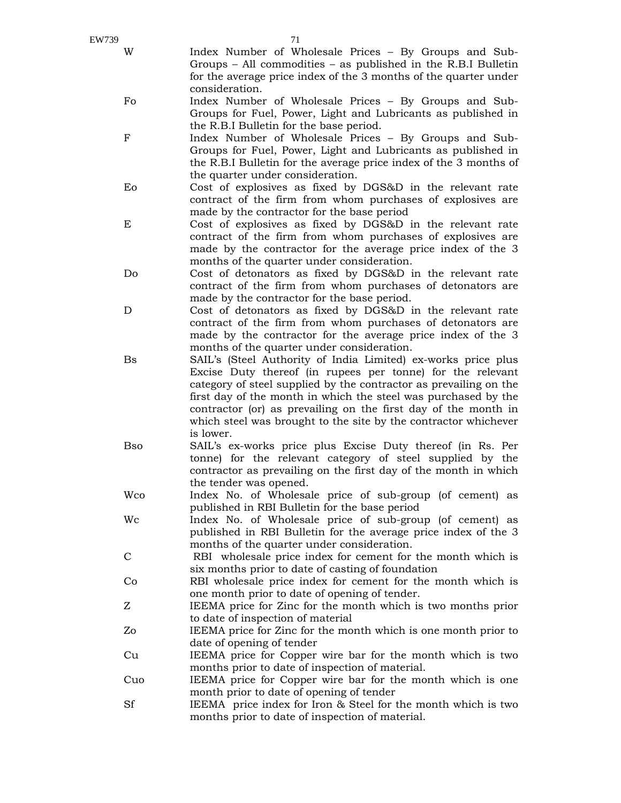| EW739        | 71                                                                                                                                    |
|--------------|---------------------------------------------------------------------------------------------------------------------------------------|
| W            | Index Number of Wholesale Prices - By Groups and Sub-                                                                                 |
|              | Groups $-$ All commodities $-$ as published in the R.B.I Bulletin<br>for the average price index of the 3 months of the quarter under |
|              | consideration.                                                                                                                        |
| Fo           | Index Number of Wholesale Prices - By Groups and Sub-                                                                                 |
|              | Groups for Fuel, Power, Light and Lubricants as published in                                                                          |
|              | the R.B.I Bulletin for the base period.                                                                                               |
| ${\bf F}$    | Index Number of Wholesale Prices - By Groups and Sub-                                                                                 |
|              | Groups for Fuel, Power, Light and Lubricants as published in                                                                          |
|              | the R.B.I Bulletin for the average price index of the 3 months of                                                                     |
|              | the quarter under consideration.                                                                                                      |
| Eo           | Cost of explosives as fixed by DGS&D in the relevant rate<br>contract of the firm from whom purchases of explosives are               |
|              | made by the contractor for the base period                                                                                            |
| E            | Cost of explosives as fixed by DGS&D in the relevant rate                                                                             |
|              | contract of the firm from whom purchases of explosives are                                                                            |
|              | made by the contractor for the average price index of the 3                                                                           |
|              | months of the quarter under consideration.                                                                                            |
| Do           | Cost of detonators as fixed by DGS&D in the relevant rate                                                                             |
|              | contract of the firm from whom purchases of detonators are                                                                            |
| D            | made by the contractor for the base period.<br>Cost of detonators as fixed by DGS&D in the relevant rate                              |
|              | contract of the firm from whom purchases of detonators are                                                                            |
|              | made by the contractor for the average price index of the 3                                                                           |
|              | months of the quarter under consideration.                                                                                            |
| <b>Bs</b>    | SAIL's (Steel Authority of India Limited) ex-works price plus                                                                         |
|              | Excise Duty thereof (in rupees per tonne) for the relevant                                                                            |
|              | category of steel supplied by the contractor as prevailing on the                                                                     |
|              | first day of the month in which the steel was purchased by the                                                                        |
|              | contractor (or) as prevailing on the first day of the month in<br>which steel was brought to the site by the contractor whichever     |
|              | is lower.                                                                                                                             |
| <b>B</b> so  | SAIL's ex-works price plus Excise Duty thereof (in Rs. Per                                                                            |
|              | tonne) for the relevant category of steel supplied by the                                                                             |
|              | contractor as prevailing on the first day of the month in which                                                                       |
|              | the tender was opened.                                                                                                                |
| Wco          | Index No. of Wholesale price of sub-group (of cement) as                                                                              |
|              | published in RBI Bulletin for the base period                                                                                         |
| Wc           | Index No. of Wholesale price of sub-group (of cement) as<br>published in RBI Bulletin for the average price index of the 3            |
|              | months of the quarter under consideration.                                                                                            |
| $\mathsf{C}$ | RBI wholesale price index for cement for the month which is                                                                           |
|              | six months prior to date of casting of foundation                                                                                     |
| Co           | RBI wholesale price index for cement for the month which is                                                                           |
|              | one month prior to date of opening of tender.                                                                                         |

- Z IEEMA price for Zinc for the month which is two months prior to date of inspection of material
- Zo IEEMA price for Zinc for the month which is one month prior to date of opening of tender
- Cu IEEMA price for Copper wire bar for the month which is two months prior to date of inspection of material.
- Cuo IEEMA price for Copper wire bar for the month which is one month prior to date of opening of tender
- Sf IEEMA price index for Iron & Steel for the month which is two months prior to date of inspection of material.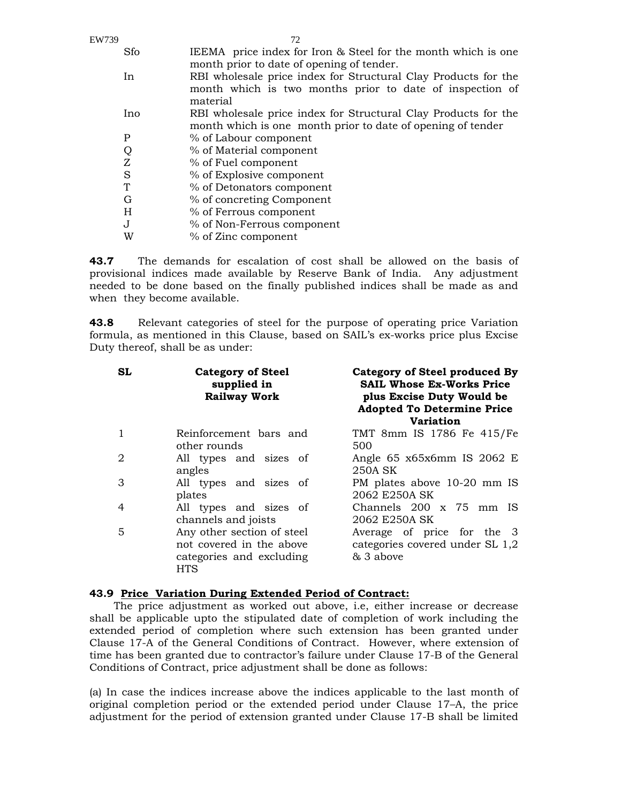| Sfo     | IEEMA price index for Iron & Steel for the month which is one  |
|---------|----------------------------------------------------------------|
|         | month prior to date of opening of tender.                      |
| In      | RBI wholesale price index for Structural Clay Products for the |
|         | month which is two months prior to date of inspection of       |
|         | material                                                       |
| Ino     | RBI wholesale price index for Structural Clay Products for the |
|         | month which is one month prior to date of opening of tender    |
| Ρ       | % of Labour component                                          |
|         | % of Material component                                        |
| Z       | % of Fuel component                                            |
| S       | % of Explosive component                                       |
| T       | % of Detonators component                                      |
| G       | % of concreting Component                                      |
| H       | % of Ferrous component                                         |
| $\cdot$ | % of Non-Ferrous component                                     |
| W       | % of Zinc component                                            |
|         | Q                                                              |

**43.7** The demands for escalation of cost shall be allowed on the basis of provisional indices made available by Reserve Bank of India. Any adjustment needed to be done based on the finally published indices shall be made as and when they become available.

**43.8** Relevant categories of steel for the purpose of operating price Variation formula, as mentioned in this Clause, based on SAIL's ex-works price plus Excise Duty thereof, shall be as under:

| <b>SL</b>      | <b>Category of Steel</b><br>supplied in<br><b>Railway Work</b>                                   | Category of Steel produced By<br><b>SAIL Whose Ex-Works Price</b><br>plus Excise Duty Would be<br><b>Adopted To Determine Price</b><br><b>Variation</b> |
|----------------|--------------------------------------------------------------------------------------------------|---------------------------------------------------------------------------------------------------------------------------------------------------------|
| $\mathbf{1}$   | Reinforcement bars and<br>other rounds                                                           | TMT 8mm IS 1786 Fe 415/Fe<br>500                                                                                                                        |
| $\overline{2}$ | All types and sizes of<br>angles                                                                 | Angle $65 \times 65 \times 6$ mm IS 2062 E<br>250A SK                                                                                                   |
| 3              | All types and sizes of<br>plates                                                                 | PM plates above 10-20 mm IS<br>2062 E250A SK                                                                                                            |
| 4              | All types and sizes of<br>channels and joists                                                    | Channels 200 x 75 mm IS<br>2062 E250A SK                                                                                                                |
| 5              | Any other section of steel<br>not covered in the above<br>categories and excluding<br><b>HTS</b> | Average of price for the 3<br>categories covered under SL 1,2<br>& 3 above                                                                              |

#### **43.9 Price Variation During Extended Period of Contract:**

The price adjustment as worked out above, i.e, either increase or decrease shall be applicable upto the stipulated date of completion of work including the extended period of completion where such extension has been granted under Clause 17-A of the General Conditions of Contract. However, where extension of time has been granted due to contractor's failure under Clause 17-B of the General Conditions of Contract, price adjustment shall be done as follows:

(a) In case the indices increase above the indices applicable to the last month of original completion period or the extended period under Clause 17–A, the price adjustment for the period of extension granted under Clause 17-B shall be limited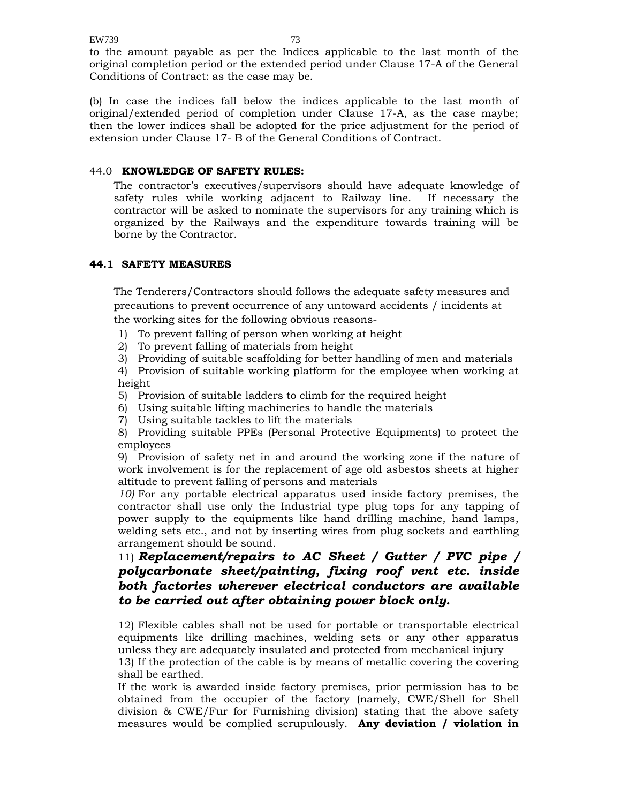to the amount payable as per the Indices applicable to the last month of the original completion period or the extended period under Clause 17-A of the General Conditions of Contract: as the case may be.

(b) In case the indices fall below the indices applicable to the last month of original/extended period of completion under Clause 17-A, as the case maybe; then the lower indices shall be adopted for the price adjustment for the period of extension under Clause 17- B of the General Conditions of Contract.

#### 44.0 **KNOWLEDGE OF SAFETY RULES:**

The contractor's executives/supervisors should have adequate knowledge of safety rules while working adjacent to Railway line. If necessary the contractor will be asked to nominate the supervisors for any training which is organized by the Railways and the expenditure towards training will be borne by the Contractor.

### **44.1 SAFETY MEASURES**

The Tenderers/Contractors should follows the adequate safety measures and precautions to prevent occurrence of any untoward accidents / incidents at the working sites for the following obvious reasons-

- 1) To prevent falling of person when working at height
- 2) To prevent falling of materials from height
- 3) Providing of suitable scaffolding for better handling of men and materials

4) Provision of suitable working platform for the employee when working at height

- 5) Provision of suitable ladders to climb for the required height
- 6) Using suitable lifting machineries to handle the materials
- 7) Using suitable tackles to lift the materials

8) Providing suitable PPEs (Personal Protective Equipments) to protect the employees

9) Provision of safety net in and around the working zone if the nature of work involvement is for the replacement of age old asbestos sheets at higher altitude to prevent falling of persons and materials

*10)* For any portable electrical apparatus used inside factory premises, the contractor shall use only the Industrial type plug tops for any tapping of power supply to the equipments like hand drilling machine, hand lamps, welding sets etc., and not by inserting wires from plug sockets and earthling arrangement should be sound.

## 11) *Replacement/repairs to AC Sheet / Gutter / PVC pipe / polycarbonate sheet/painting, fixing roof vent etc. inside both factories wherever electrical conductors are available to be carried out after obtaining power block only.*

12) Flexible cables shall not be used for portable or transportable electrical equipments like drilling machines, welding sets or any other apparatus unless they are adequately insulated and protected from mechanical injury

13) If the protection of the cable is by means of metallic covering the covering shall be earthed.

If the work is awarded inside factory premises, prior permission has to be obtained from the occupier of the factory (namely, CWE/Shell for Shell division & CWE/Fur for Furnishing division) stating that the above safety measures would be complied scrupulously. **Any deviation / violation in**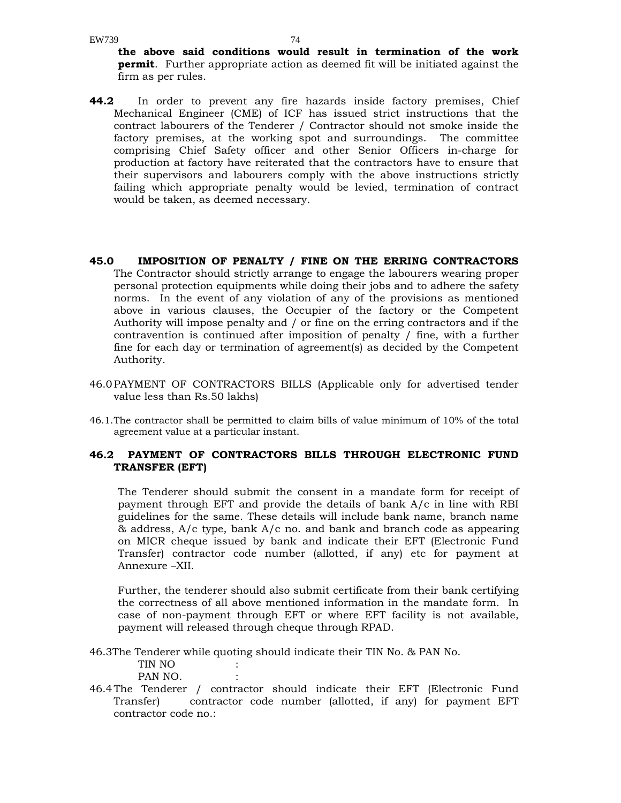**the above said conditions would result in termination of the work permit**. Further appropriate action as deemed fit will be initiated against the firm as per rules.

- **44.2** In order to prevent any fire hazards inside factory premises, Chief Mechanical Engineer (CME) of ICF has issued strict instructions that the contract labourers of the Tenderer / Contractor should not smoke inside the factory premises, at the working spot and surroundings. The committee comprising Chief Safety officer and other Senior Officers in-charge for production at factory have reiterated that the contractors have to ensure that their supervisors and labourers comply with the above instructions strictly failing which appropriate penalty would be levied, termination of contract would be taken, as deemed necessary.
- **45.0 IMPOSITION OF PENALTY / FINE ON THE ERRING CONTRACTORS**  The Contractor should strictly arrange to engage the labourers wearing proper personal protection equipments while doing their jobs and to adhere the safety norms. In the event of any violation of any of the provisions as mentioned above in various clauses, the Occupier of the factory or the Competent Authority will impose penalty and / or fine on the erring contractors and if the contravention is continued after imposition of penalty / fine, with a further fine for each day or termination of agreement(s) as decided by the Competent Authority.
- 46.0 PAYMENT OF CONTRACTORS BILLS (Applicable only for advertised tender value less than Rs.50 lakhs)
- 46.1. The contractor shall be permitted to claim bills of value minimum of 10% of the total agreement value at a particular instant.

#### **46.2 PAYMENT OF CONTRACTORS BILLS THROUGH ELECTRONIC FUND TRANSFER (EFT)**

The Tenderer should submit the consent in a mandate form for receipt of payment through EFT and provide the details of bank A/c in line with RBI guidelines for the same. These details will include bank name, branch name  $\&$  address, A/c type, bank A/c no. and bank and branch code as appearing on MICR cheque issued by bank and indicate their EFT (Electronic Fund Transfer) contractor code number (allotted, if any) etc for payment at Annexure –XII.

Further, the tenderer should also submit certificate from their bank certifying the correctness of all above mentioned information in the mandate form. In case of non-payment through EFT or where EFT facility is not available, payment will released through cheque through RPAD.

46.3The Tenderer while quoting should indicate their TIN No. & PAN No.

 TIN NO : PAN NO.

46.4 The Tenderer / contractor should indicate their EFT (Electronic Fund Transfer) contractor code number (allotted, if any) for payment EFT contractor code no.: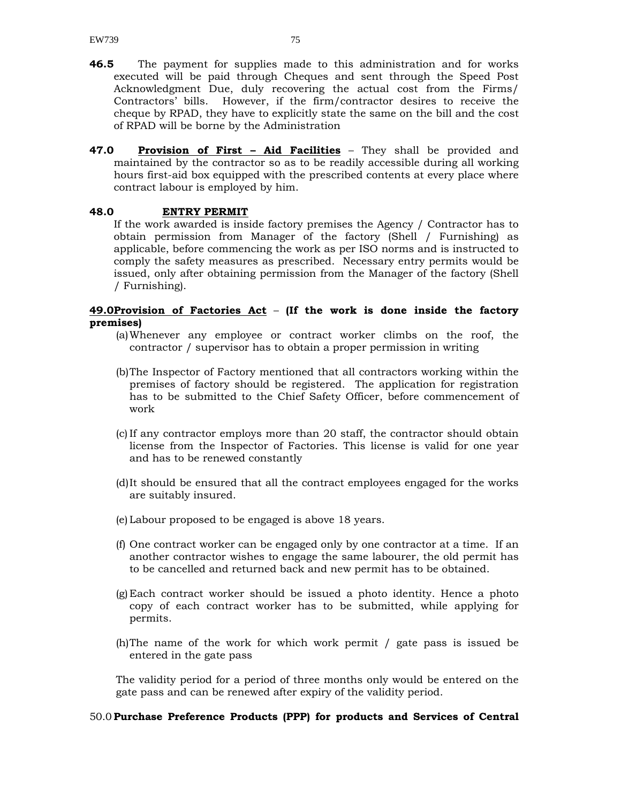- **46.5** The payment for supplies made to this administration and for works executed will be paid through Cheques and sent through the Speed Post Acknowledgment Due, duly recovering the actual cost from the Firms/ Contractors' bills. However, if the firm/contractor desires to receive the cheque by RPAD, they have to explicitly state the same on the bill and the cost of RPAD will be borne by the Administration
- **47.0 Provision of First Aid Facilities** They shall be provided and maintained by the contractor so as to be readily accessible during all working hours first-aid box equipped with the prescribed contents at every place where contract labour is employed by him.

#### **48.0 ENTRY PERMIT**

If the work awarded is inside factory premises the Agency / Contractor has to obtain permission from Manager of the factory (Shell / Furnishing) as applicable, before commencing the work as per ISO norms and is instructed to comply the safety measures as prescribed. Necessary entry permits would be issued, only after obtaining permission from the Manager of the factory (Shell / Furnishing).

#### **49.0Provision of Factories Act** – **(If the work is done inside the factory premises)**

- (a)Whenever any employee or contract worker climbs on the roof, the contractor / supervisor has to obtain a proper permission in writing
- (b)The Inspector of Factory mentioned that all contractors working within the premises of factory should be registered. The application for registration has to be submitted to the Chief Safety Officer, before commencement of work
- (c) If any contractor employs more than 20 staff, the contractor should obtain license from the Inspector of Factories. This license is valid for one year and has to be renewed constantly
- (d)It should be ensured that all the contract employees engaged for the works are suitably insured.
- (e) Labour proposed to be engaged is above 18 years.
- (f) One contract worker can be engaged only by one contractor at a time. If an another contractor wishes to engage the same labourer, the old permit has to be cancelled and returned back and new permit has to be obtained.
- (g) Each contract worker should be issued a photo identity. Hence a photo copy of each contract worker has to be submitted, while applying for permits.
- (h)The name of the work for which work permit / gate pass is issued be entered in the gate pass

The validity period for a period of three months only would be entered on the gate pass and can be renewed after expiry of the validity period.

#### 50.0 **Purchase Preference Products (PPP) for products and Services of Central**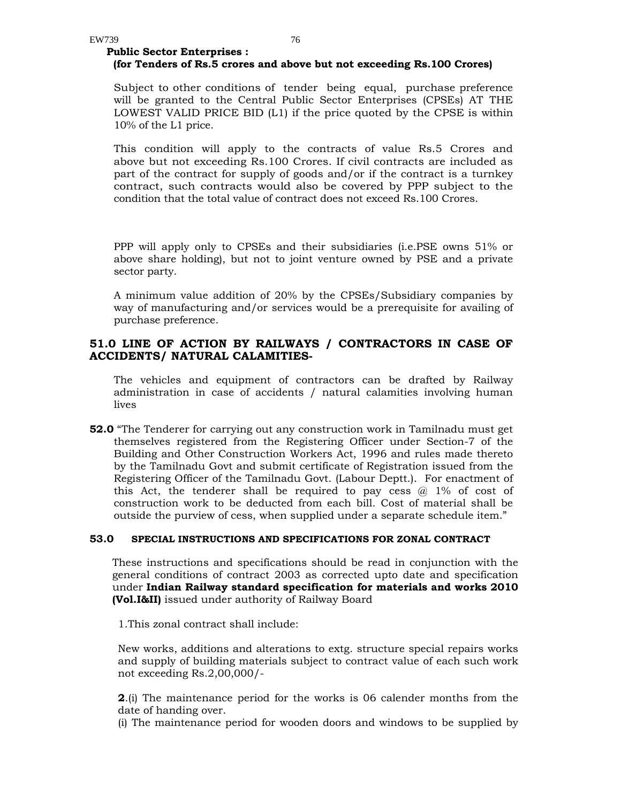#### **Public Sector Enterprises : (for Tenders of Rs.5 crores and above but not exceeding Rs.100 Crores)**

Subject to other conditions of tender being equal, purchase preference will be granted to the Central Public Sector Enterprises (CPSEs) AT THE LOWEST VALID PRICE BID (L1) if the price quoted by the CPSE is within 10% of the L1 price.

This condition will apply to the contracts of value Rs.5 Crores and above but not exceeding Rs.100 Crores. If civil contracts are included as part of the contract for supply of goods and/or if the contract is a turnkey contract, such contracts would also be covered by PPP subject to the condition that the total value of contract does not exceed Rs.100 Crores.

PPP will apply only to CPSEs and their subsidiaries (i.e.PSE owns 51% or above share holding), but not to joint venture owned by PSE and a private sector party.

A minimum value addition of 20% by the CPSEs/Subsidiary companies by way of manufacturing and/or services would be a prerequisite for availing of purchase preference.

#### **51.0 LINE OF ACTION BY RAILWAYS / CONTRACTORS IN CASE OF ACCIDENTS/ NATURAL CALAMITIES-**

The vehicles and equipment of contractors can be drafted by Railway administration in case of accidents / natural calamities involving human lives

**52.0** "The Tenderer for carrying out any construction work in Tamilnadu must get themselves registered from the Registering Officer under Section-7 of the Building and Other Construction Workers Act, 1996 and rules made thereto by the Tamilnadu Govt and submit certificate of Registration issued from the Registering Officer of the Tamilnadu Govt. (Labour Deptt.). For enactment of this Act, the tenderer shall be required to pay cess  $\omega$  1% of cost of construction work to be deducted from each bill. Cost of material shall be outside the purview of cess, when supplied under a separate schedule item."

#### **53.0 SPECIAL INSTRUCTIONS AND SPECIFICATIONS FOR ZONAL CONTRACT**

These instructions and specifications should be read in conjunction with the general conditions of contract 2003 as corrected upto date and specification under **Indian Railway standard specification for materials and works 2010 (Vol.I&II)** issued under authority of Railway Board

1.This zonal contract shall include:

New works, additions and alterations to extg. structure special repairs works and supply of building materials subject to contract value of each such work not exceeding Rs.2,00,000/-

**2**.(i) The maintenance period for the works is 06 calender months from the date of handing over.

(i) The maintenance period for wooden doors and windows to be supplied by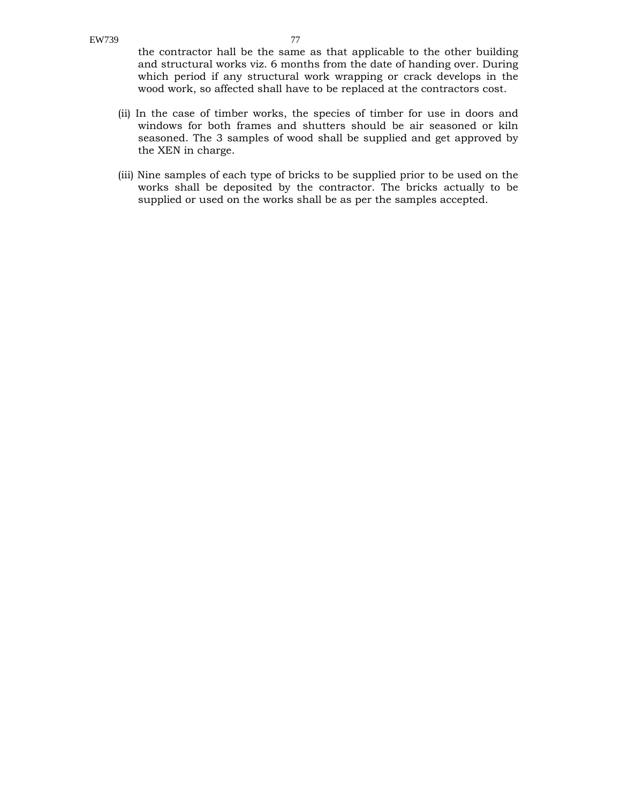the contractor hall be the same as that applicable to the other building and structural works viz. 6 months from the date of handing over. During which period if any structural work wrapping or crack develops in the wood work, so affected shall have to be replaced at the contractors cost.

- (ii) In the case of timber works, the species of timber for use in doors and windows for both frames and shutters should be air seasoned or kiln seasoned. The 3 samples of wood shall be supplied and get approved by the XEN in charge.
- (iii) Nine samples of each type of bricks to be supplied prior to be used on the works shall be deposited by the contractor. The bricks actually to be supplied or used on the works shall be as per the samples accepted.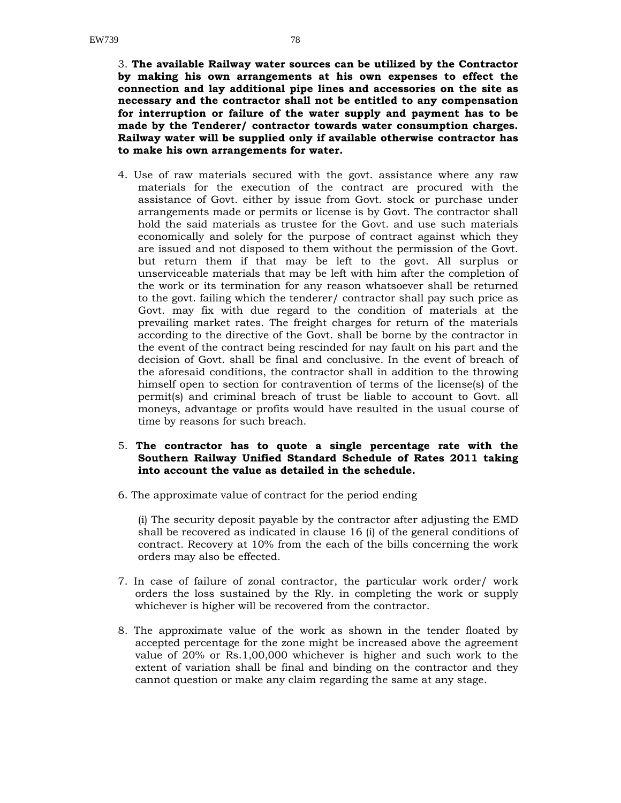3. **The available Railway water sources can be utilized by the Contractor by making his own arrangements at his own expenses to effect the connection and lay additional pipe lines and accessories on the site as necessary and the contractor shall not be entitled to any compensation for interruption or failure of the water supply and payment has to be made by the Tenderer/ contractor towards water consumption charges. Railway water will be supplied only if available otherwise contractor has to make his own arrangements for water.** 

- 4. Use of raw materials secured with the govt. assistance where any raw materials for the execution of the contract are procured with the assistance of Govt. either by issue from Govt. stock or purchase under arrangements made or permits or license is by Govt. The contractor shall hold the said materials as trustee for the Govt. and use such materials economically and solely for the purpose of contract against which they are issued and not disposed to them without the permission of the Govt. but return them if that may be left to the govt. All surplus or unserviceable materials that may be left with him after the completion of the work or its termination for any reason whatsoever shall be returned to the govt. failing which the tenderer/ contractor shall pay such price as Govt. may fix with due regard to the condition of materials at the prevailing market rates. The freight charges for return of the materials according to the directive of the Govt. shall be borne by the contractor in the event of the contract being rescinded for nay fault on his part and the decision of Govt. shall be final and conclusive. In the event of breach of the aforesaid conditions, the contractor shall in addition to the throwing himself open to section for contravention of terms of the license(s) of the permit(s) and criminal breach of trust be liable to account to Govt. all moneys, advantage or profits would have resulted in the usual course of time by reasons for such breach.
- 5. **The contractor has to quote a single percentage rate with the Southern Railway Unified Standard Schedule of Rates 2011 taking into account the value as detailed in the schedule.**
- 6. The approximate value of contract for the period ending

(i) The security deposit payable by the contractor after adjusting the EMD shall be recovered as indicated in clause 16 (i) of the general conditions of contract. Recovery at 10% from the each of the bills concerning the work orders may also be effected.

- 7. In case of failure of zonal contractor, the particular work order/ work orders the loss sustained by the Rly. in completing the work or supply whichever is higher will be recovered from the contractor.
- 8. The approximate value of the work as shown in the tender floated by accepted percentage for the zone might be increased above the agreement value of 20% or Rs.1,00,000 whichever is higher and such work to the extent of variation shall be final and binding on the contractor and they cannot question or make any claim regarding the same at any stage.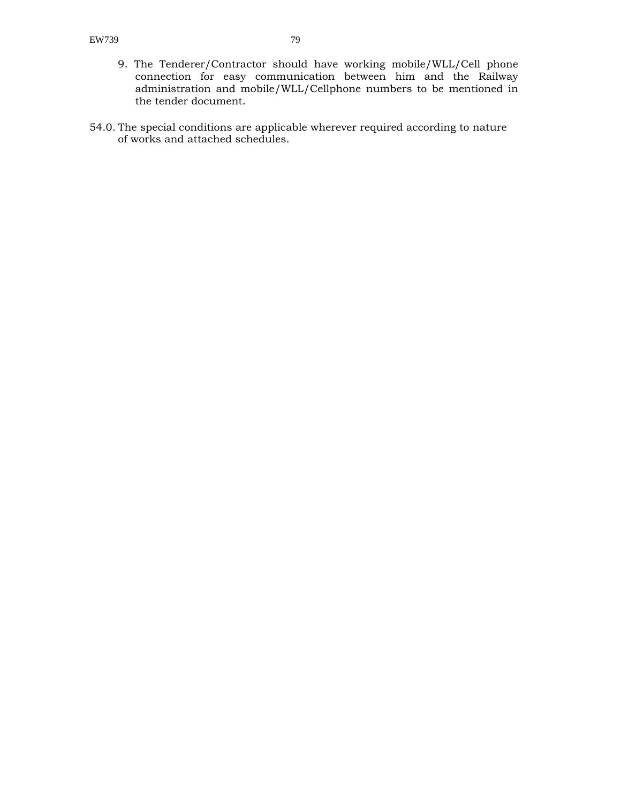- 9. The Tenderer/Contractor should have working mobile/WLL/Cell phone connection for easy communication between him and the Railway administration and mobile/WLL/Cellphone numbers to be mentioned in the tender document.
- 54.0. The special conditions are applicable wherever required according to nature of works and attached schedules.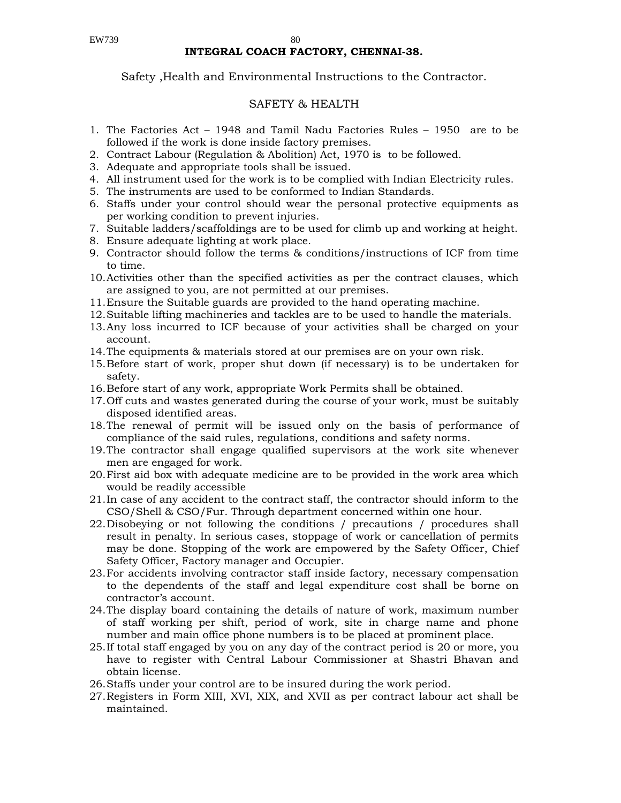#### EW739 80 **INTEGRAL COACH FACTORY, CHENNAI-38.**

#### Safety ,Health and Environmental Instructions to the Contractor.

#### SAFETY & HEALTH

- 1. The Factories Act 1948 and Tamil Nadu Factories Rules 1950 are to be followed if the work is done inside factory premises.
- 2. Contract Labour (Regulation & Abolition) Act, 1970 is to be followed.
- 3. Adequate and appropriate tools shall be issued.
- 4. All instrument used for the work is to be complied with Indian Electricity rules.
- 5. The instruments are used to be conformed to Indian Standards.
- 6. Staffs under your control should wear the personal protective equipments as per working condition to prevent injuries.
- 7. Suitable ladders/scaffoldings are to be used for climb up and working at height.
- 8. Ensure adequate lighting at work place.
- 9. Contractor should follow the terms & conditions/instructions of ICF from time to time.
- 10.Activities other than the specified activities as per the contract clauses, which are assigned to you, are not permitted at our premises.
- 11.Ensure the Suitable guards are provided to the hand operating machine.
- 12.Suitable lifting machineries and tackles are to be used to handle the materials.
- 13.Any loss incurred to ICF because of your activities shall be charged on your account.
- 14.The equipments & materials stored at our premises are on your own risk.
- 15.Before start of work, proper shut down (if necessary) is to be undertaken for safety.
- 16.Before start of any work, appropriate Work Permits shall be obtained.
- 17.Off cuts and wastes generated during the course of your work, must be suitably disposed identified areas.
- 18.The renewal of permit will be issued only on the basis of performance of compliance of the said rules, regulations, conditions and safety norms.
- 19.The contractor shall engage qualified supervisors at the work site whenever men are engaged for work.
- 20.First aid box with adequate medicine are to be provided in the work area which would be readily accessible
- 21.In case of any accident to the contract staff, the contractor should inform to the CSO/Shell & CSO/Fur. Through department concerned within one hour.
- 22.Disobeying or not following the conditions / precautions / procedures shall result in penalty. In serious cases, stoppage of work or cancellation of permits may be done. Stopping of the work are empowered by the Safety Officer, Chief Safety Officer, Factory manager and Occupier.
- 23.For accidents involving contractor staff inside factory, necessary compensation to the dependents of the staff and legal expenditure cost shall be borne on contractor's account.
- 24.The display board containing the details of nature of work, maximum number of staff working per shift, period of work, site in charge name and phone number and main office phone numbers is to be placed at prominent place.
- 25.If total staff engaged by you on any day of the contract period is 20 or more, you have to register with Central Labour Commissioner at Shastri Bhavan and obtain license.
- 26.Staffs under your control are to be insured during the work period.
- 27.Registers in Form XIII, XVI, XIX, and XVII as per contract labour act shall be maintained.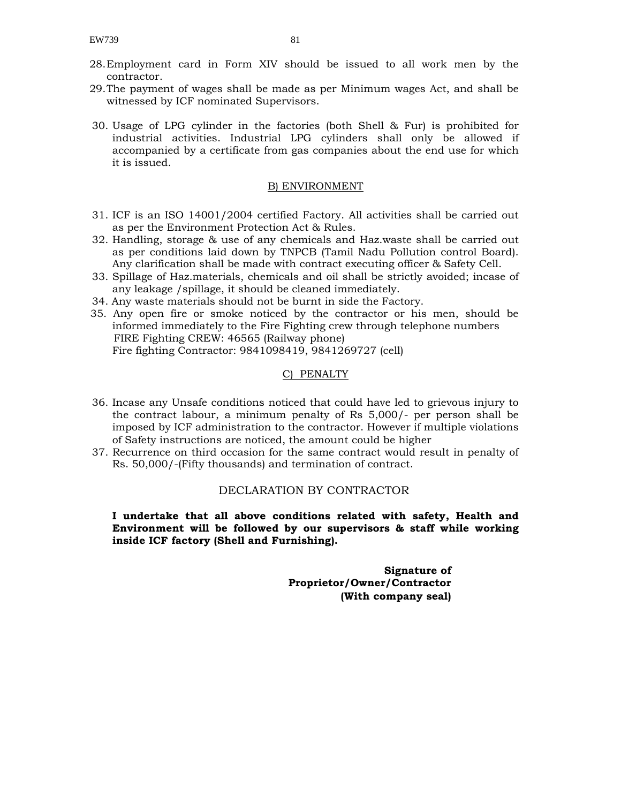- 28.Employment card in Form XIV should be issued to all work men by the contractor.
- 29.The payment of wages shall be made as per Minimum wages Act, and shall be witnessed by ICF nominated Supervisors.
- 30. Usage of LPG cylinder in the factories (both Shell & Fur) is prohibited for industrial activities. Industrial LPG cylinders shall only be allowed if accompanied by a certificate from gas companies about the end use for which it is issued.

#### B) ENVIRONMENT

- 31. ICF is an ISO 14001/2004 certified Factory. All activities shall be carried out as per the Environment Protection Act & Rules.
- 32. Handling, storage & use of any chemicals and Haz.waste shall be carried out as per conditions laid down by TNPCB (Tamil Nadu Pollution control Board). Any clarification shall be made with contract executing officer & Safety Cell.
- 33. Spillage of Haz.materials, chemicals and oil shall be strictly avoided; incase of any leakage /spillage, it should be cleaned immediately.
- 34. Any waste materials should not be burnt in side the Factory.
- 35. Any open fire or smoke noticed by the contractor or his men, should be informed immediately to the Fire Fighting crew through telephone numbers FIRE Fighting CREW: 46565 (Railway phone) Fire fighting Contractor: 9841098419, 9841269727 (cell)

#### C) PENALTY

- 36. Incase any Unsafe conditions noticed that could have led to grievous injury to the contract labour, a minimum penalty of Rs 5,000/- per person shall be imposed by ICF administration to the contractor. However if multiple violations of Safety instructions are noticed, the amount could be higher
- 37. Recurrence on third occasion for the same contract would result in penalty of Rs. 50,000/-(Fifty thousands) and termination of contract.

#### DECLARATION BY CONTRACTOR

**I undertake that all above conditions related with safety, Health and Environment will be followed by our supervisors & staff while working inside ICF factory (Shell and Furnishing).** 

> **Signature of Proprietor/Owner/Contractor (With company seal)**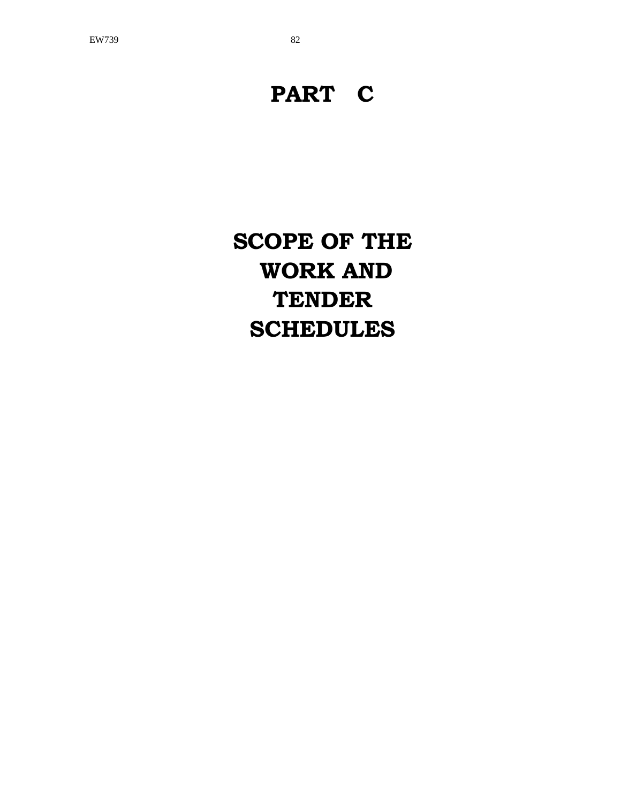# **PART C**

**SCOPE OF THE WORK AND TENDER SCHEDULES**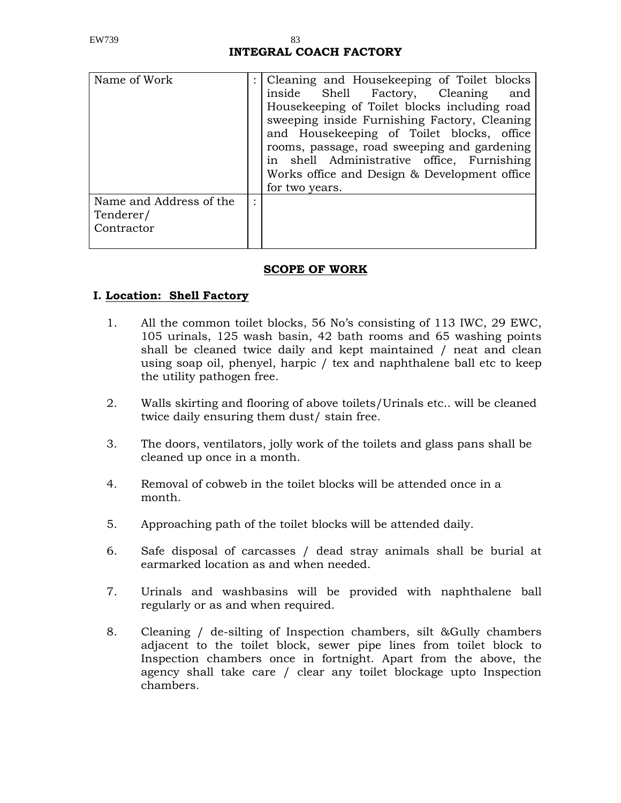# **INTEGRAL COACH FACTORY**

| Name of Work                                       |   | : Cleaning and Housekeeping of Toilet blocks<br>Shell Factory, Cleaning<br>inside<br>and<br>Housekeeping of Toilet blocks including road<br>sweeping inside Furnishing Factory, Cleaning<br>and Housekeeping of Toilet blocks, office<br>rooms, passage, road sweeping and gardening<br>in shell Administrative office, Furnishing<br>Works office and Design & Development office<br>for two years. |
|----------------------------------------------------|---|------------------------------------------------------------------------------------------------------------------------------------------------------------------------------------------------------------------------------------------------------------------------------------------------------------------------------------------------------------------------------------------------------|
| Name and Address of the<br>Tenderer/<br>Contractor | ٠ |                                                                                                                                                                                                                                                                                                                                                                                                      |

## **SCOPE OF WORK**

## **I. Location: Shell Factory**

- 1. All the common toilet blocks, 56 No's consisting of 113 IWC, 29 EWC, 105 urinals, 125 wash basin, 42 bath rooms and 65 washing points shall be cleaned twice daily and kept maintained / neat and clean using soap oil, phenyel, harpic / tex and naphthalene ball etc to keep the utility pathogen free.
- 2. Walls skirting and flooring of above toilets/Urinals etc.. will be cleaned twice daily ensuring them dust/ stain free.
- 3. The doors, ventilators, jolly work of the toilets and glass pans shall be cleaned up once in a month.
- 4. Removal of cobweb in the toilet blocks will be attended once in a month.
- 5. Approaching path of the toilet blocks will be attended daily.
- 6. Safe disposal of carcasses / dead stray animals shall be burial at earmarked location as and when needed.
- 7. Urinals and washbasins will be provided with naphthalene ball regularly or as and when required.
- 8. Cleaning / de-silting of Inspection chambers, silt &Gully chambers adjacent to the toilet block, sewer pipe lines from toilet block to Inspection chambers once in fortnight. Apart from the above, the agency shall take care / clear any toilet blockage upto Inspection chambers.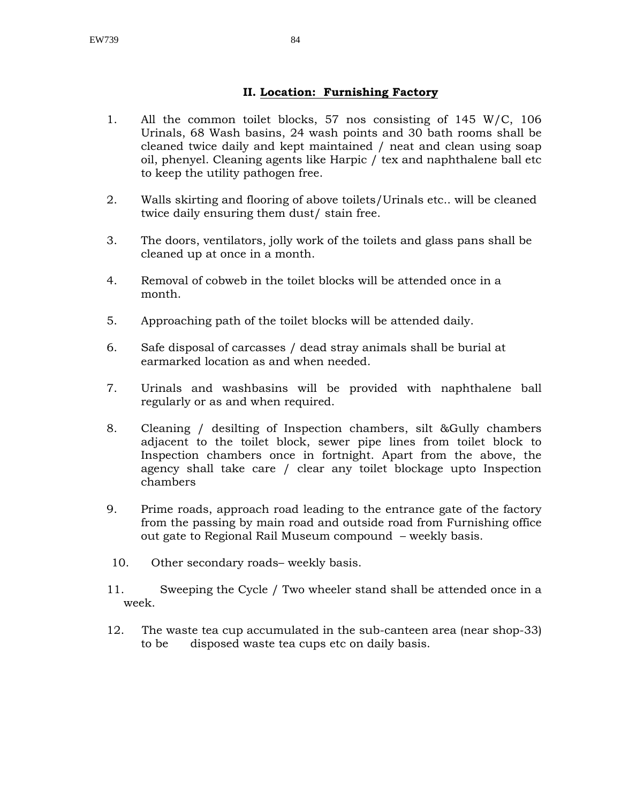#### **II. Location: Furnishing Factory**

- 1. All the common toilet blocks, 57 nos consisting of 145 W/C, 106 Urinals, 68 Wash basins, 24 wash points and 30 bath rooms shall be cleaned twice daily and kept maintained / neat and clean using soap oil, phenyel. Cleaning agents like Harpic / tex and naphthalene ball etc to keep the utility pathogen free.
- 2. Walls skirting and flooring of above toilets/Urinals etc.. will be cleaned twice daily ensuring them dust/ stain free.
- 3. The doors, ventilators, jolly work of the toilets and glass pans shall be cleaned up at once in a month.
- 4. Removal of cobweb in the toilet blocks will be attended once in a month.
- 5. Approaching path of the toilet blocks will be attended daily.
- 6. Safe disposal of carcasses / dead stray animals shall be burial at earmarked location as and when needed.
- 7. Urinals and washbasins will be provided with naphthalene ball regularly or as and when required.
- 8. Cleaning / desilting of Inspection chambers, silt &Gully chambers adjacent to the toilet block, sewer pipe lines from toilet block to Inspection chambers once in fortnight. Apart from the above, the agency shall take care / clear any toilet blockage upto Inspection chambers
- 9. Prime roads, approach road leading to the entrance gate of the factory from the passing by main road and outside road from Furnishing office out gate to Regional Rail Museum compound – weekly basis.
- 10. Other secondary roads– weekly basis.
- 11. Sweeping the Cycle / Two wheeler stand shall be attended once in a week.
- 12. The waste tea cup accumulated in the sub-canteen area (near shop-33) to be disposed waste tea cups etc on daily basis.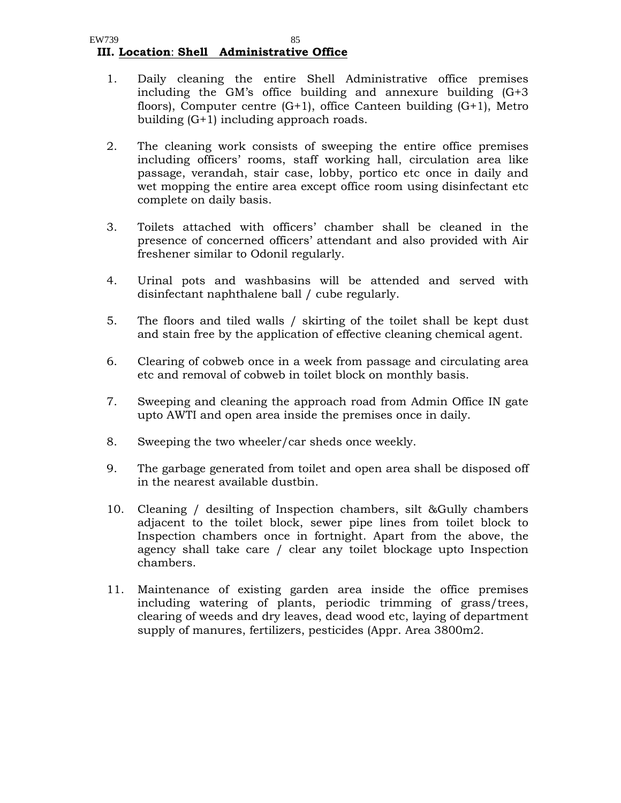#### EW739 85  **III. Location**: **Shell Administrative Office**

- 1. Daily cleaning the entire Shell Administrative office premises including the GM's office building and annexure building (G+3 floors), Computer centre  $(G+1)$ , office Canteen building  $(G+1)$ , Metro building (G+1) including approach roads.
- 2. The cleaning work consists of sweeping the entire office premises including officers' rooms, staff working hall, circulation area like passage, verandah, stair case, lobby, portico etc once in daily and wet mopping the entire area except office room using disinfectant etc complete on daily basis.
- 3. Toilets attached with officers' chamber shall be cleaned in the presence of concerned officers' attendant and also provided with Air freshener similar to Odonil regularly.
- 4. Urinal pots and washbasins will be attended and served with disinfectant naphthalene ball / cube regularly.
- 5. The floors and tiled walls / skirting of the toilet shall be kept dust and stain free by the application of effective cleaning chemical agent.
- 6. Clearing of cobweb once in a week from passage and circulating area etc and removal of cobweb in toilet block on monthly basis.
- 7. Sweeping and cleaning the approach road from Admin Office IN gate upto AWTI and open area inside the premises once in daily.
- 8. Sweeping the two wheeler/car sheds once weekly.
- 9. The garbage generated from toilet and open area shall be disposed off in the nearest available dustbin.
- 10. Cleaning / desilting of Inspection chambers, silt &Gully chambers adjacent to the toilet block, sewer pipe lines from toilet block to Inspection chambers once in fortnight. Apart from the above, the agency shall take care / clear any toilet blockage upto Inspection chambers.
- 11. Maintenance of existing garden area inside the office premises including watering of plants, periodic trimming of grass/trees, clearing of weeds and dry leaves, dead wood etc, laying of department supply of manures, fertilizers, pesticides (Appr. Area 3800m2.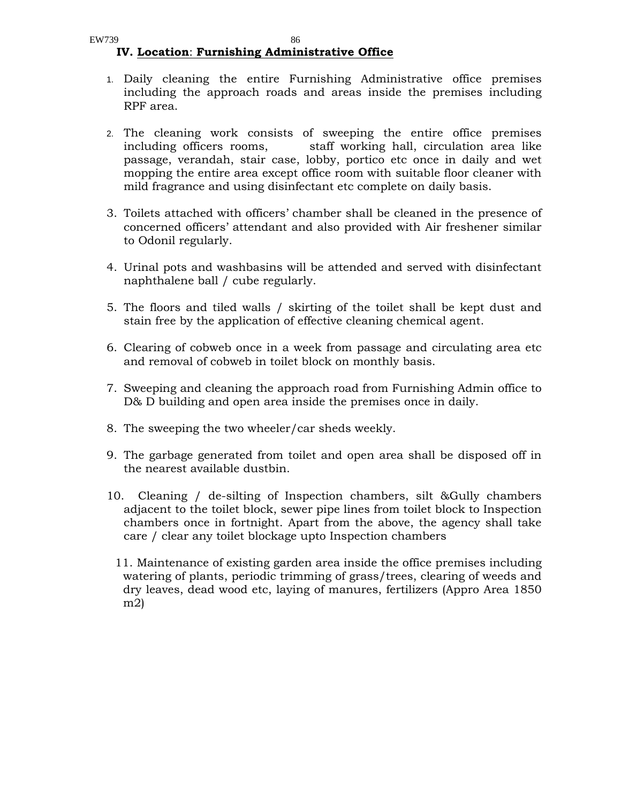- 1. Daily cleaning the entire Furnishing Administrative office premises including the approach roads and areas inside the premises including RPF area.
- 2. The cleaning work consists of sweeping the entire office premises including officers rooms, staff working hall, circulation area like passage, verandah, stair case, lobby, portico etc once in daily and wet mopping the entire area except office room with suitable floor cleaner with mild fragrance and using disinfectant etc complete on daily basis.
- 3. Toilets attached with officers' chamber shall be cleaned in the presence of concerned officers' attendant and also provided with Air freshener similar to Odonil regularly.
- 4. Urinal pots and washbasins will be attended and served with disinfectant naphthalene ball / cube regularly.
- 5. The floors and tiled walls / skirting of the toilet shall be kept dust and stain free by the application of effective cleaning chemical agent.
- 6. Clearing of cobweb once in a week from passage and circulating area etc and removal of cobweb in toilet block on monthly basis.
- 7. Sweeping and cleaning the approach road from Furnishing Admin office to D& D building and open area inside the premises once in daily.
- 8. The sweeping the two wheeler/car sheds weekly.
- 9. The garbage generated from toilet and open area shall be disposed off in the nearest available dustbin.
- 10. Cleaning / de-silting of Inspection chambers, silt &Gully chambers adjacent to the toilet block, sewer pipe lines from toilet block to Inspection chambers once in fortnight. Apart from the above, the agency shall take care / clear any toilet blockage upto Inspection chambers
	- 11. Maintenance of existing garden area inside the office premises including watering of plants, periodic trimming of grass/trees, clearing of weeds and dry leaves, dead wood etc, laying of manures, fertilizers (Appro Area 1850 m2)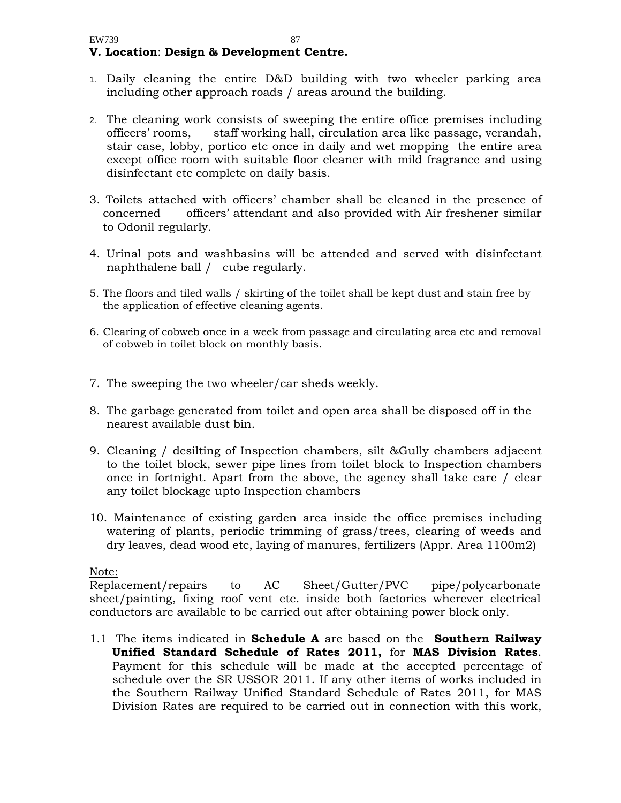- 1. Daily cleaning the entire D&D building with two wheeler parking area including other approach roads / areas around the building.
- 2. The cleaning work consists of sweeping the entire office premises including officers' rooms, staff working hall, circulation area like passage, verandah, stair case, lobby, portico etc once in daily and wet mopping the entire area except office room with suitable floor cleaner with mild fragrance and using disinfectant etc complete on daily basis.
- 3. Toilets attached with officers' chamber shall be cleaned in the presence of concerned officers' attendant and also provided with Air freshener similar to Odonil regularly.
- 4. Urinal pots and washbasins will be attended and served with disinfectant naphthalene ball / cube regularly.
- 5. The floors and tiled walls / skirting of the toilet shall be kept dust and stain free by the application of effective cleaning agents.
- 6. Clearing of cobweb once in a week from passage and circulating area etc and removal of cobweb in toilet block on monthly basis.
- 7. The sweeping the two wheeler/car sheds weekly.
- 8. The garbage generated from toilet and open area shall be disposed off in the nearest available dust bin.
- 9. Cleaning / desilting of Inspection chambers, silt &Gully chambers adjacent to the toilet block, sewer pipe lines from toilet block to Inspection chambers once in fortnight. Apart from the above, the agency shall take care / clear any toilet blockage upto Inspection chambers
- 10. Maintenance of existing garden area inside the office premises including watering of plants, periodic trimming of grass/trees, clearing of weeds and dry leaves, dead wood etc, laying of manures, fertilizers (Appr. Area 1100m2)

## Note:

Replacement/repairs to AC Sheet/Gutter/PVC pipe/polycarbonate sheet/painting, fixing roof vent etc. inside both factories wherever electrical conductors are available to be carried out after obtaining power block only.

1.1 The items indicated in **Schedule A** are based on the **Southern Railway Unified Standard Schedule of Rates 2011,** for **MAS Division Rates**. Payment for this schedule will be made at the accepted percentage of schedule over the SR USSOR 2011. If any other items of works included in the Southern Railway Unified Standard Schedule of Rates 2011, for MAS Division Rates are required to be carried out in connection with this work,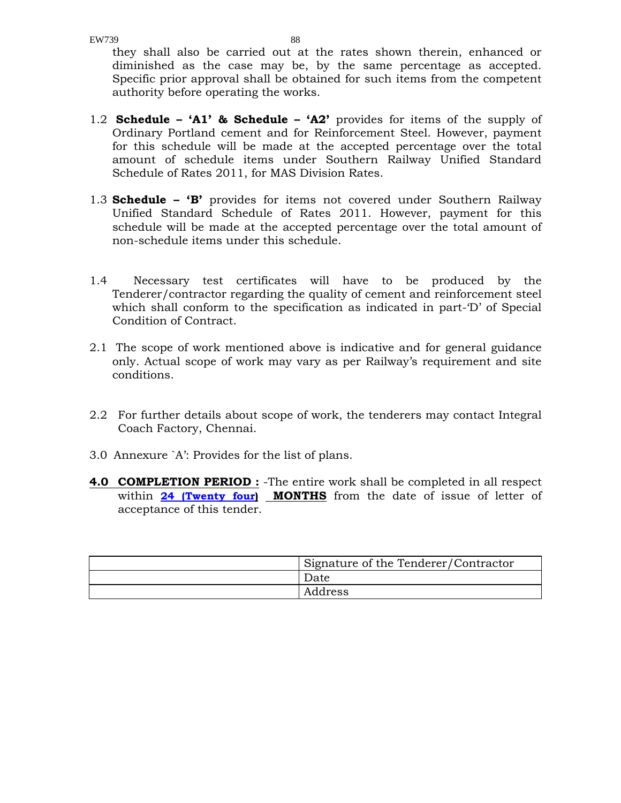EW739 88

they shall also be carried out at the rates shown therein, enhanced or diminished as the case may be, by the same percentage as accepted. Specific prior approval shall be obtained for such items from the competent authority before operating the works.

- 1.2 **Schedule 'A1' & Schedule 'A2'** provides for items of the supply of Ordinary Portland cement and for Reinforcement Steel. However, payment for this schedule will be made at the accepted percentage over the total amount of schedule items under Southern Railway Unified Standard Schedule of Rates 2011, for MAS Division Rates.
- 1.3 **Schedule 'B'** provides for items not covered under Southern Railway Unified Standard Schedule of Rates 2011. However, payment for this schedule will be made at the accepted percentage over the total amount of non-schedule items under this schedule.
- 1.4 Necessary test certificates will have to be produced by the Tenderer/contractor regarding the quality of cement and reinforcement steel which shall conform to the specification as indicated in part-<sup>'</sup>D' of Special Condition of Contract.
- 2.1 The scope of work mentioned above is indicative and for general guidance only. Actual scope of work may vary as per Railway's requirement and site conditions.
- 2.2 For further details about scope of work, the tenderers may contact Integral Coach Factory, Chennai.
- 3.0 Annexure `A': Provides for the list of plans.
- **4.0 COMPLETION PERIOD :** -The entire work shall be completed in all respect within **24 (Twenty four) MONTHS** from the date of issue of letter of acceptance of this tender.

| Signature of the Tenderer/Contractor |
|--------------------------------------|
| Date                                 |
| Address                              |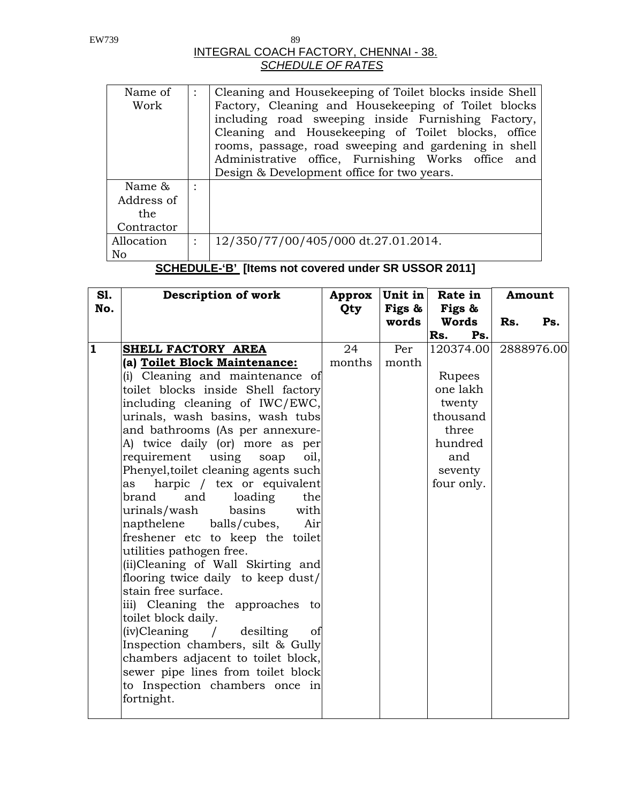## INTEGRAL COACH FACTORY, CHENNAI - 38. *SCHEDULE OF RATES*

| Name of    | Cleaning and Housekeeping of Toilet blocks inside Shell |
|------------|---------------------------------------------------------|
| Work       | Factory, Cleaning and Housekeeping of Toilet blocks     |
|            | including road sweeping inside Furnishing Factory,      |
|            |                                                         |
|            | Cleaning and Housekeeping of Toilet blocks, office      |
|            | rooms, passage, road sweeping and gardening in shell    |
|            | Administrative office, Furnishing Works office and      |
|            | Design & Development office for two years.              |
|            |                                                         |
| Name $\&$  |                                                         |
| Address of |                                                         |
| the        |                                                         |
| Contractor |                                                         |
| Allocation | 12/350/77/00/405/000 dt.27.01.2014.                     |
|            |                                                         |
| No         |                                                         |
|            |                                                         |

**SCHEDULE-'B' [Items not covered under SR USSOR 2011]** 

| <b>S1.</b>   | Description of work                  | Approx | Unit in | Rate in    | Amount     |
|--------------|--------------------------------------|--------|---------|------------|------------|
| No.          |                                      | Qty    | Figs &  | Figs &     |            |
|              |                                      |        | words   | Words      | Rs.<br>Ps. |
|              |                                      |        |         | Ps.<br>Rs. |            |
| $\mathbf{1}$ | SHELL FACTORY AREA                   | 24     | Per     | 120374.00  | 2888976.00 |
|              | (a) Toilet Block Maintenance:        | months | month   |            |            |
|              | (i) Cleaning and maintenance of      |        |         | Rupees     |            |
|              | toilet blocks inside Shell factory   |        |         | one lakh   |            |
|              | including cleaning of IWC/EWC,       |        |         | twenty     |            |
|              | urinals, wash basins, wash tubs      |        |         | thousand   |            |
|              | and bathrooms (As per annexure-      |        |         | three      |            |
|              | A) twice daily (or) more as per      |        |         | hundred    |            |
|              | requirement using soap<br>oil,       |        |         | and        |            |
|              | Phenyel, toilet cleaning agents such |        |         | seventy    |            |
|              | harpic / tex or equivalent<br>as     |        |         | four only. |            |
|              | brand<br>and<br>loading<br>the       |        |         |            |            |
|              | basins<br>with<br>urinals/wash       |        |         |            |            |
|              | napthelene<br>balls/cubes,<br>Air    |        |         |            |            |
|              | freshener etc to keep the toilet     |        |         |            |            |
|              | utilities pathogen free.             |        |         |            |            |
|              | (ii)Cleaning of Wall Skirting and    |        |         |            |            |
|              | flooring twice daily to keep dust/   |        |         |            |            |
|              | stain free surface.                  |        |         |            |            |
|              | iii) Cleaning the approaches to      |        |         |            |            |
|              | toilet block daily.                  |        |         |            |            |
|              | $(iv)$ Cleaning /<br>desilting<br>of |        |         |            |            |
|              | Inspection chambers, silt & Gully    |        |         |            |            |
|              | chambers adjacent to toilet block,   |        |         |            |            |
|              | sewer pipe lines from toilet block   |        |         |            |            |
|              | to Inspection chambers once in       |        |         |            |            |
|              | fortnight.                           |        |         |            |            |
|              |                                      |        |         |            |            |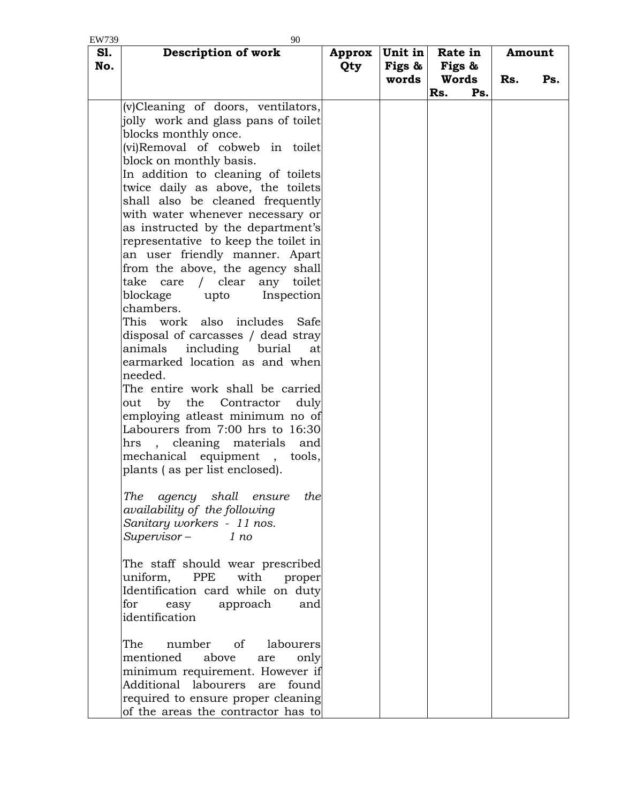| EW739<br><b>S1.</b> | 90<br>Description of work                                                                                                                                                                                                                                                                                                                                                                                                                                                                                                                                                                                                                                                                                                                                                                                                                                                                                                                                                                                        | Approx     | Unit in         | Rate in                |     |     | Amount |
|---------------------|------------------------------------------------------------------------------------------------------------------------------------------------------------------------------------------------------------------------------------------------------------------------------------------------------------------------------------------------------------------------------------------------------------------------------------------------------------------------------------------------------------------------------------------------------------------------------------------------------------------------------------------------------------------------------------------------------------------------------------------------------------------------------------------------------------------------------------------------------------------------------------------------------------------------------------------------------------------------------------------------------------------|------------|-----------------|------------------------|-----|-----|--------|
| No.                 |                                                                                                                                                                                                                                                                                                                                                                                                                                                                                                                                                                                                                                                                                                                                                                                                                                                                                                                                                                                                                  | <b>Qty</b> | Figs &<br>words | Figs &<br><b>Words</b> |     | Rs. | Ps.    |
|                     |                                                                                                                                                                                                                                                                                                                                                                                                                                                                                                                                                                                                                                                                                                                                                                                                                                                                                                                                                                                                                  |            |                 | Rs.                    | Ps. |     |        |
|                     | (v)Cleaning of doors, ventilators,<br>jolly work and glass pans of toilet<br>blocks monthly once.<br>(vi)Removal of cobweb in toilet<br>block on monthly basis.<br>In addition to cleaning of toilets<br>twice daily as above, the toilets<br>shall also be cleaned frequently<br>with water whenever necessary or<br>as instructed by the department's<br>representative to keep the toilet in<br>an user friendly manner. Apart<br>from the above, the agency shall<br>take<br>care<br>clear<br>any toilet<br>$\sqrt{2}$<br>blockage<br>Inspection<br>upto<br>chambers.<br>This work also includes Safe<br>disposal of carcasses / dead stray<br>including burial<br>animals<br>at<br>earmarked location as and when<br>needed.<br>The entire work shall be carried<br>$\mathbf{b} \mathbf{v}$<br>the<br>Contractor<br>duly<br>out<br>employing atleast minimum no of<br>Labourers from 7:00 hrs to 16:30<br>hrs, cleaning materials and<br>mechanical equipment<br>, tools,<br>plants (as per list enclosed). |            |                 |                        |     |     |        |
|                     | agency shall ensure<br>The<br>the<br>availability of the following<br>Sanitary workers - 11 nos.<br>$Supervisor -$<br>1 no                                                                                                                                                                                                                                                                                                                                                                                                                                                                                                                                                                                                                                                                                                                                                                                                                                                                                       |            |                 |                        |     |     |        |
|                     | The staff should wear prescribed<br>PPE<br>with<br>uniform,<br>proper<br>Identification card while on duty<br>for<br>approach<br>and<br>easy<br>identification                                                                                                                                                                                                                                                                                                                                                                                                                                                                                                                                                                                                                                                                                                                                                                                                                                                   |            |                 |                        |     |     |        |
|                     | number of labourers<br>The<br>mentioned<br>above<br>are<br>only<br>minimum requirement. However if<br>Additional labourers are found<br>required to ensure proper cleaning<br>of the areas the contractor has to                                                                                                                                                                                                                                                                                                                                                                                                                                                                                                                                                                                                                                                                                                                                                                                                 |            |                 |                        |     |     |        |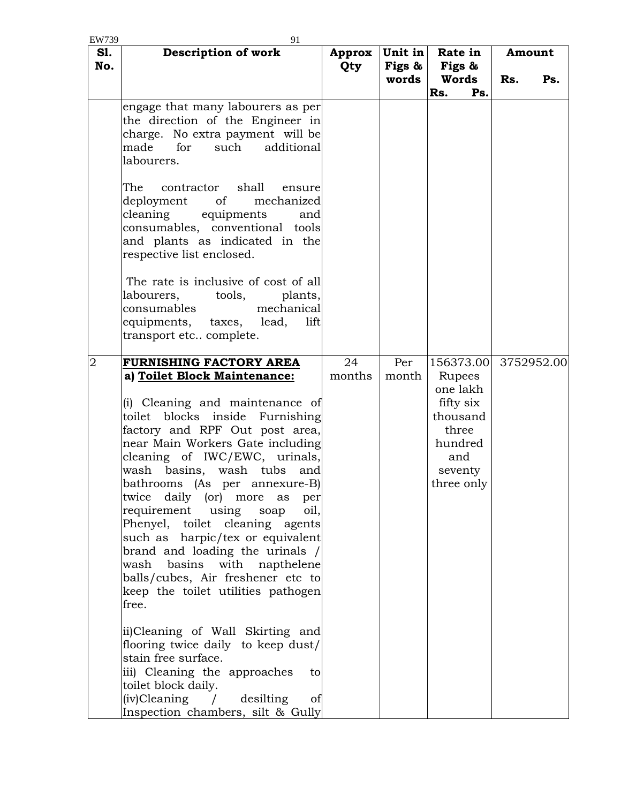| EW739          | 91                                                                                                                                                                                                     |               |                               |                            |                      |
|----------------|--------------------------------------------------------------------------------------------------------------------------------------------------------------------------------------------------------|---------------|-------------------------------|----------------------------|----------------------|
| S1.<br>No.     | Description of work                                                                                                                                                                                    | Approx<br>Qty | Unit in<br>Figs $\&$<br>words | Rate in<br>Figs &<br>Words | Amount<br>Rs.<br>Ps. |
|                |                                                                                                                                                                                                        |               |                               | Rs.<br>Ps.                 |                      |
|                | engage that many labourers as per<br>the direction of the Engineer in<br>charge. No extra payment will be<br>made<br>for<br>such<br>additional<br>labourers.                                           |               |                               |                            |                      |
|                | The<br>contractor shall<br>ensure<br>mechanized<br>deployment<br>of<br>cleaning<br>equipments<br>and<br>consumables, conventional tools<br>and plants as indicated in the<br>respective list enclosed. |               |                               |                            |                      |
|                | The rate is inclusive of cost of all<br>labourers,<br>tools,<br>plants,<br>consumables<br>mechanical<br>equipments, taxes,<br>lead,<br>lift<br>transport etc complete.                                 |               |                               |                            |                      |
| $\overline{2}$ | FURNISHING FACTORY AREA                                                                                                                                                                                | 24            | Per                           | 156373.00                  | 3752952.00           |
|                | a) Toilet Block Maintenance:                                                                                                                                                                           | months        | month                         | Rupees                     |                      |
|                | (i) Cleaning and maintenance of                                                                                                                                                                        |               |                               | one lakh<br>fifty six      |                      |
|                | toilet blocks inside Furnishing                                                                                                                                                                        |               |                               | thousand                   |                      |
|                | factory and RPF Out post area,                                                                                                                                                                         |               |                               | three                      |                      |
|                | near Main Workers Gate including                                                                                                                                                                       |               |                               | hundred                    |                      |
|                | cleaning of IWC/EWC, urinals,<br>basins, wash tubs<br>wash<br>and                                                                                                                                      |               |                               | and<br>seventy             |                      |
|                | bathrooms (As per annexure-B)                                                                                                                                                                          |               |                               | three only                 |                      |
|                | twice daily (or) more<br>per<br>as                                                                                                                                                                     |               |                               |                            |                      |
|                | requirement using<br>oil,<br>soap<br>Phenyel, toilet cleaning agents                                                                                                                                   |               |                               |                            |                      |
|                | such as harpic/tex or equivalent                                                                                                                                                                       |               |                               |                            |                      |
|                | brand and loading the urinals /<br>wash basins with napthelene                                                                                                                                         |               |                               |                            |                      |
|                | balls/cubes, Air freshener etc to                                                                                                                                                                      |               |                               |                            |                      |
|                | keep the toilet utilities pathogen                                                                                                                                                                     |               |                               |                            |                      |
|                | free.                                                                                                                                                                                                  |               |                               |                            |                      |
|                | ii)Cleaning of Wall Skirting and                                                                                                                                                                       |               |                               |                            |                      |
|                | flooring twice daily to keep dust/                                                                                                                                                                     |               |                               |                            |                      |
|                | stain free surface.<br>iii) Cleaning the approaches<br>to                                                                                                                                              |               |                               |                            |                      |
|                | toilet block daily.                                                                                                                                                                                    |               |                               |                            |                      |
|                | $(iv)$ Cleaning /<br>desilting<br>of                                                                                                                                                                   |               |                               |                            |                      |
|                | Inspection chambers, silt & Gully                                                                                                                                                                      |               |                               |                            |                      |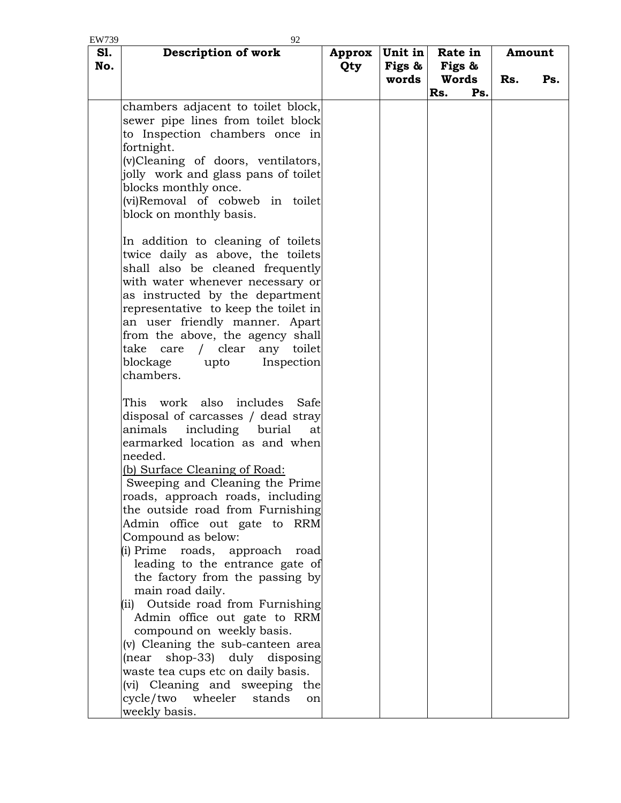| EW739      | 92                                                                  |               |                   |                   |     |     |        |
|------------|---------------------------------------------------------------------|---------------|-------------------|-------------------|-----|-----|--------|
| S1.<br>No. | Description of work                                                 | Approx<br>Qty | Unit in<br>Figs & | Rate in<br>Figs & |     |     | Amount |
|            |                                                                     |               | words             | Words             |     | Rs. | Ps.    |
|            |                                                                     |               |                   | Rs.               | Ps. |     |        |
|            | chambers adjacent to toilet block,                                  |               |                   |                   |     |     |        |
|            | sewer pipe lines from toilet block                                  |               |                   |                   |     |     |        |
|            | to Inspection chambers once in                                      |               |                   |                   |     |     |        |
|            | fortnight.                                                          |               |                   |                   |     |     |        |
|            | (v)Cleaning of doors, ventilators,                                  |               |                   |                   |     |     |        |
|            | jolly work and glass pans of toilet                                 |               |                   |                   |     |     |        |
|            | blocks monthly once.                                                |               |                   |                   |     |     |        |
|            | (vi)Removal of cobweb in toilet                                     |               |                   |                   |     |     |        |
|            | block on monthly basis.                                             |               |                   |                   |     |     |        |
|            |                                                                     |               |                   |                   |     |     |        |
|            | In addition to cleaning of toilets                                  |               |                   |                   |     |     |        |
|            | twice daily as above, the toilets                                   |               |                   |                   |     |     |        |
|            | shall also be cleaned frequently                                    |               |                   |                   |     |     |        |
|            | with water whenever necessary or                                    |               |                   |                   |     |     |        |
|            | as instructed by the department                                     |               |                   |                   |     |     |        |
|            | representative to keep the toilet in                                |               |                   |                   |     |     |        |
|            | an user friendly manner. Apart                                      |               |                   |                   |     |     |        |
|            | from the above, the agency shall                                    |               |                   |                   |     |     |        |
|            | clear<br>take<br>any toilet<br>care<br>$\sqrt{2}$                   |               |                   |                   |     |     |        |
|            | blockage<br>upto<br>Inspection                                      |               |                   |                   |     |     |        |
|            | chambers.                                                           |               |                   |                   |     |     |        |
|            |                                                                     |               |                   |                   |     |     |        |
|            | work also<br>includes<br>This<br>Safe                               |               |                   |                   |     |     |        |
|            | disposal of carcasses / dead stray                                  |               |                   |                   |     |     |        |
|            | including burial<br>animals<br>at                                   |               |                   |                   |     |     |        |
|            | earmarked location as and when                                      |               |                   |                   |     |     |        |
|            | needed.                                                             |               |                   |                   |     |     |        |
|            | (b) Surface Cleaning of Road:                                       |               |                   |                   |     |     |        |
|            | Sweeping and Cleaning the Prime<br>roads, approach roads, including |               |                   |                   |     |     |        |
|            |                                                                     |               |                   |                   |     |     |        |
|            | the outside road from Furnishing<br>Admin office out gate to RRM    |               |                   |                   |     |     |        |
|            | Compound as below:                                                  |               |                   |                   |     |     |        |
|            | (i) Prime<br>roads, approach<br>road                                |               |                   |                   |     |     |        |
|            | leading to the entrance gate of                                     |               |                   |                   |     |     |        |
|            | the factory from the passing by                                     |               |                   |                   |     |     |        |
|            | main road daily.                                                    |               |                   |                   |     |     |        |
|            | Outside road from Furnishing<br>(ii)                                |               |                   |                   |     |     |        |
|            | Admin office out gate to RRM                                        |               |                   |                   |     |     |        |
|            | compound on weekly basis.                                           |               |                   |                   |     |     |        |
|            | (v) Cleaning the sub-canteen area                                   |               |                   |                   |     |     |        |
|            | shop-33) duly disposing<br>(near                                    |               |                   |                   |     |     |        |
|            | waste tea cups etc on daily basis.                                  |               |                   |                   |     |     |        |
|            | (vi) Cleaning and sweeping the                                      |               |                   |                   |     |     |        |
|            | wheeler<br>cycle/two<br>stands<br>on                                |               |                   |                   |     |     |        |
|            | weekly basis.                                                       |               |                   |                   |     |     |        |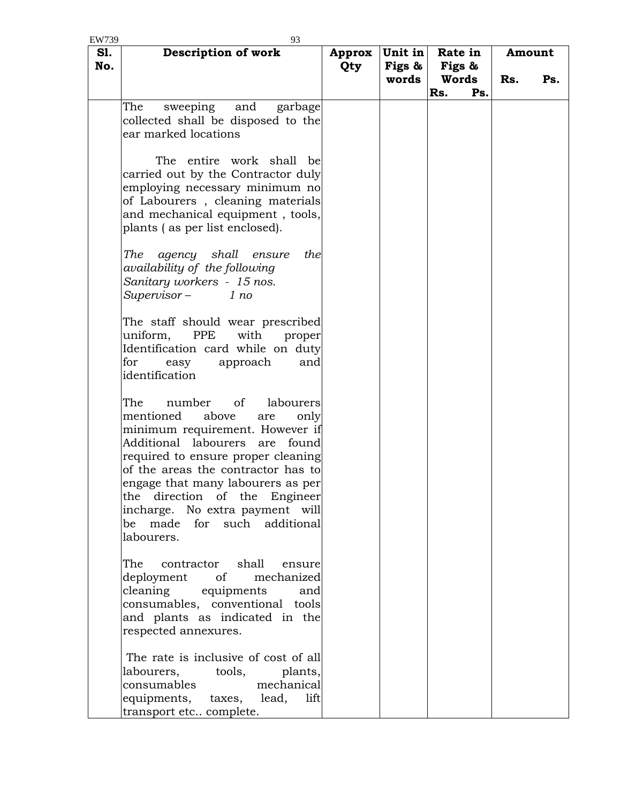| EW739      | 93                                                                                                                                                                                                                                                                                                                                                                           |               |                            |                                   |     |               |     |
|------------|------------------------------------------------------------------------------------------------------------------------------------------------------------------------------------------------------------------------------------------------------------------------------------------------------------------------------------------------------------------------------|---------------|----------------------------|-----------------------------------|-----|---------------|-----|
| S1.<br>No. | Description of work                                                                                                                                                                                                                                                                                                                                                          | Approx<br>Qty | Unit in<br>Figs &<br>words | Rate in<br>Figs &<br><b>Words</b> |     | Amount<br>Rs. | Ps. |
|            |                                                                                                                                                                                                                                                                                                                                                                              |               |                            | Rs.                               | Ps. |               |     |
|            | sweeping and<br>The<br>garbage<br>collected shall be disposed to the<br>ear marked locations                                                                                                                                                                                                                                                                                 |               |                            |                                   |     |               |     |
|            | The entire work shall<br>be<br>carried out by the Contractor duly<br>employing necessary minimum no<br>of Labourers, cleaning materials<br>and mechanical equipment, tools,<br>plants (as per list enclosed).                                                                                                                                                                |               |                            |                                   |     |               |     |
|            | The<br>agency shall<br>ensure<br>the<br>availability of the following<br>Sanitary workers - 15 nos.<br>$Supervisor -$<br>1 no                                                                                                                                                                                                                                                |               |                            |                                   |     |               |     |
|            | The staff should wear prescribed<br>uniform,<br>PPE<br>with<br>proper<br>Identification card while on duty<br>for<br>approach<br>easy<br>and<br>identification                                                                                                                                                                                                               |               |                            |                                   |     |               |     |
|            | number<br>of<br>labourers<br>The<br>mentioned<br>above<br>are<br>only<br>minimum requirement. However if<br>Additional labourers are found<br>required to ensure proper cleaning<br>of the areas the contractor has to<br>engage that many labourers as per<br>the direction of the Engineer<br>incharge. No extra payment will<br>be made for such additional<br>labourers. |               |                            |                                   |     |               |     |
|            | The<br>contractor shall<br>ensure<br>deployment of<br>mechanized<br>cleaning equipments<br>and<br>consumables, conventional tools<br>and plants as indicated in the<br>respected annexures.                                                                                                                                                                                  |               |                            |                                   |     |               |     |
|            | The rate is inclusive of cost of all<br>labourers, tools,<br>plants,<br>consumables<br>mechanical<br>equipments, taxes, lead,<br>lift<br>transport etc complete.                                                                                                                                                                                                             |               |                            |                                   |     |               |     |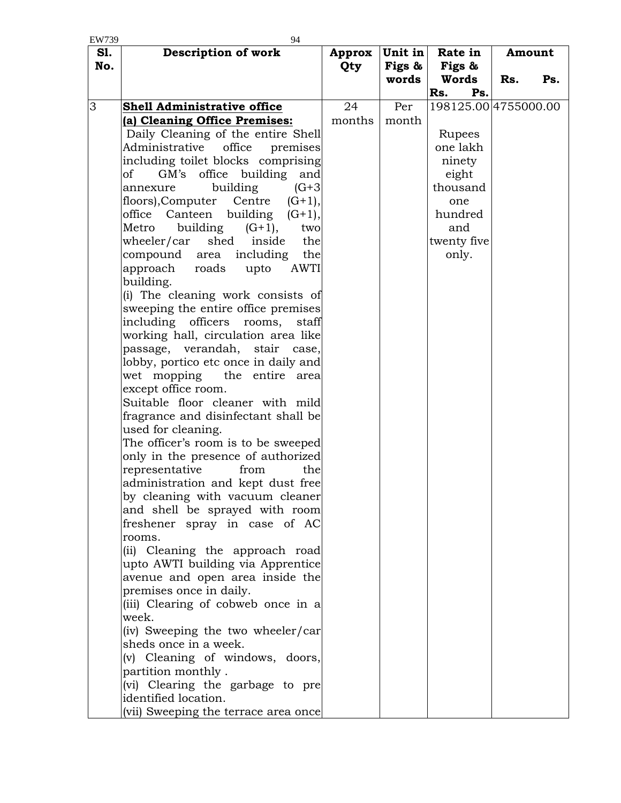| EW739 | 94                                                                        |            |         |                      |     |        |
|-------|---------------------------------------------------------------------------|------------|---------|----------------------|-----|--------|
| S1.   | <b>Description of work</b>                                                | Approx     | Unit in | Rate in              |     | Amount |
| No.   |                                                                           | <b>Qty</b> | Figs &  | Figs &               |     |        |
|       |                                                                           |            | words   | Words                | Rs. | Ps.    |
|       |                                                                           |            |         | Rs.<br>Ps.           |     |        |
| 3     | Shell Administrative office                                               | 24         | Per     | 198125.00 4755000.00 |     |        |
|       | (a) Cleaning Office Premises:                                             | months     | month   |                      |     |        |
|       | Daily Cleaning of the entire Shell                                        |            |         | Rupees               |     |        |
|       | Administrative<br>office<br>premises                                      |            |         | one lakh             |     |        |
|       | including toilet blocks comprising                                        |            |         | ninety               |     |        |
|       | office building<br>of<br>GM's<br>and                                      |            |         | eight                |     |        |
|       | building<br>$(G + 3)$<br>annexure                                         |            |         | thousand             |     |        |
|       | floors),Computer<br>Centre<br>$(G+1),$                                    |            |         | one                  |     |        |
|       | Canteen building<br>office<br>$(G+1),$                                    |            |         | hundred              |     |        |
|       | building<br>Metro<br>$(G+1),$<br>two                                      |            |         | and                  |     |        |
|       | wheeler/car<br>shed<br>the<br>inside                                      |            |         | twenty five          |     |        |
|       | including<br>compound area<br>the                                         |            |         | only.                |     |        |
|       | approach<br>roads<br>upto<br><b>AWTI</b>                                  |            |         |                      |     |        |
|       | building.                                                                 |            |         |                      |     |        |
|       | (i) The cleaning work consists of                                         |            |         |                      |     |        |
|       | sweeping the entire office premises<br>including officers rooms,<br>staff |            |         |                      |     |        |
|       | working hall, circulation area like                                       |            |         |                      |     |        |
|       | passage, verandah, stair case,                                            |            |         |                      |     |        |
|       | lobby, portico etc once in daily and                                      |            |         |                      |     |        |
|       | wet mopping the entire area                                               |            |         |                      |     |        |
|       | except office room.                                                       |            |         |                      |     |        |
|       | Suitable floor cleaner with mild                                          |            |         |                      |     |        |
|       | fragrance and disinfectant shall be                                       |            |         |                      |     |        |
|       | used for cleaning.                                                        |            |         |                      |     |        |
|       | The officer's room is to be sweeped                                       |            |         |                      |     |        |
|       | only in the presence of authorized                                        |            |         |                      |     |        |
|       | representative<br>from<br>the                                             |            |         |                      |     |        |
|       | administration and kept dust free                                         |            |         |                      |     |        |
|       | by cleaning with vacuum cleaner                                           |            |         |                      |     |        |
|       | and shell be sprayed with room                                            |            |         |                      |     |        |
|       | freshener spray in case of AC                                             |            |         |                      |     |        |
|       | rooms.                                                                    |            |         |                      |     |        |
|       | (ii) Cleaning the approach road                                           |            |         |                      |     |        |
|       | upto AWTI building via Apprentice                                         |            |         |                      |     |        |
|       | avenue and open area inside the                                           |            |         |                      |     |        |
|       | premises once in daily.<br>(iii) Clearing of cobweb once in a             |            |         |                      |     |        |
|       | week.                                                                     |            |         |                      |     |        |
|       | (iv) Sweeping the two wheeler/car                                         |            |         |                      |     |        |
|       | sheds once in a week.                                                     |            |         |                      |     |        |
|       | (v) Cleaning of windows, doors,                                           |            |         |                      |     |        |
|       | partition monthly.                                                        |            |         |                      |     |        |
|       | (vi) Clearing the garbage to pre                                          |            |         |                      |     |        |
|       | identified location.                                                      |            |         |                      |     |        |
|       | (vii) Sweeping the terrace area once                                      |            |         |                      |     |        |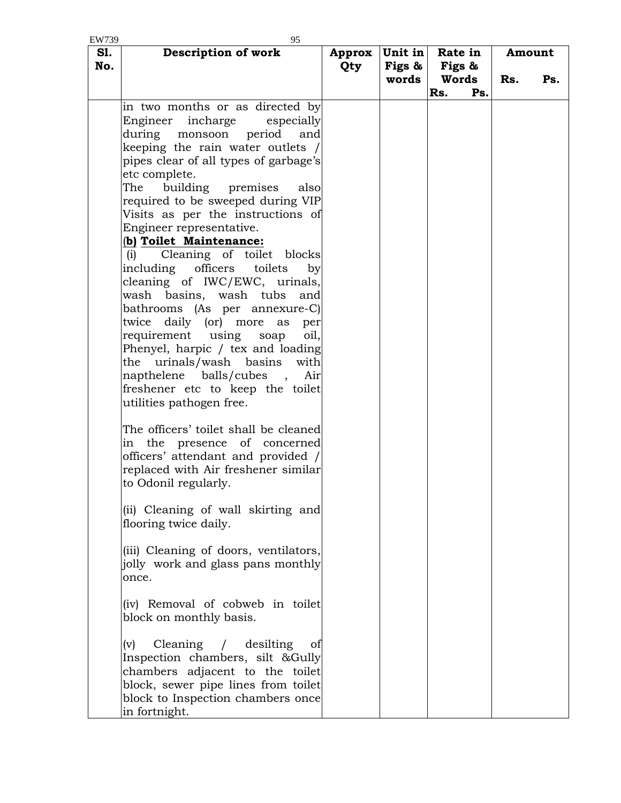| EW739             | 95                                                                                                                                                                                                                                                                                                                                                                                                                                                                                                                                                                                                                                                                                                                                                                              |                      |                   |                   |     |        |     |
|-------------------|---------------------------------------------------------------------------------------------------------------------------------------------------------------------------------------------------------------------------------------------------------------------------------------------------------------------------------------------------------------------------------------------------------------------------------------------------------------------------------------------------------------------------------------------------------------------------------------------------------------------------------------------------------------------------------------------------------------------------------------------------------------------------------|----------------------|-------------------|-------------------|-----|--------|-----|
| <b>S1.</b><br>No. | Description of work                                                                                                                                                                                                                                                                                                                                                                                                                                                                                                                                                                                                                                                                                                                                                             | <b>Approx</b><br>Qty | Unit in<br>Figs & | Rate in<br>Figs & |     | Amount |     |
|                   |                                                                                                                                                                                                                                                                                                                                                                                                                                                                                                                                                                                                                                                                                                                                                                                 |                      | words             | Words             |     | Rs.    | Ps. |
|                   | in two months or as directed by<br>Engineer incharge<br>especially<br>during monsoon<br>period<br>and<br>keeping the rain water outlets /<br>pipes clear of all types of garbage's<br>etc complete.<br>The building<br>premises<br>also<br>required to be sweeped during VIP<br>Visits as per the instructions of<br>Engineer representative.<br>(b) Toilet Maintenance:<br>Cleaning of toilet blocks<br>(i)<br>officers<br>toilets<br>including<br>by<br>cleaning of IWC/EWC, urinals,<br>wash basins, wash tubs and<br>bathrooms (As per annexure-C)<br>twice daily (or) more<br>as<br>per<br>requirement using<br>oil,<br>soap<br>Phenyel, harpic / tex and loading<br>the urinals/wash basins<br>with<br>napthelene balls/cubes,<br>Air<br>freshener etc to keep the toilet |                      |                   | Rs.               | Ps. |        |     |
|                   | utilities pathogen free.<br>The officers' toilet shall be cleaned<br>in the presence of concerned<br>officers' attendant and provided /<br>replaced with Air freshener similar<br>to Odonil regularly.<br>(ii) Cleaning of wall skirting and<br>flooring twice daily.<br>(iii) Cleaning of doors, ventilators,                                                                                                                                                                                                                                                                                                                                                                                                                                                                  |                      |                   |                   |     |        |     |
|                   | jolly work and glass pans monthly<br>once.                                                                                                                                                                                                                                                                                                                                                                                                                                                                                                                                                                                                                                                                                                                                      |                      |                   |                   |     |        |     |
|                   | (iv) Removal of cobweb in toilet<br>block on monthly basis.                                                                                                                                                                                                                                                                                                                                                                                                                                                                                                                                                                                                                                                                                                                     |                      |                   |                   |     |        |     |
|                   | Cleaning / desilting<br>(v)<br>0 <sup>t</sup><br>Inspection chambers, silt &Gully<br>chambers adjacent to the toilet<br>block, sewer pipe lines from toilet<br>block to Inspection chambers once<br>in fortnight.                                                                                                                                                                                                                                                                                                                                                                                                                                                                                                                                                               |                      |                   |                   |     |        |     |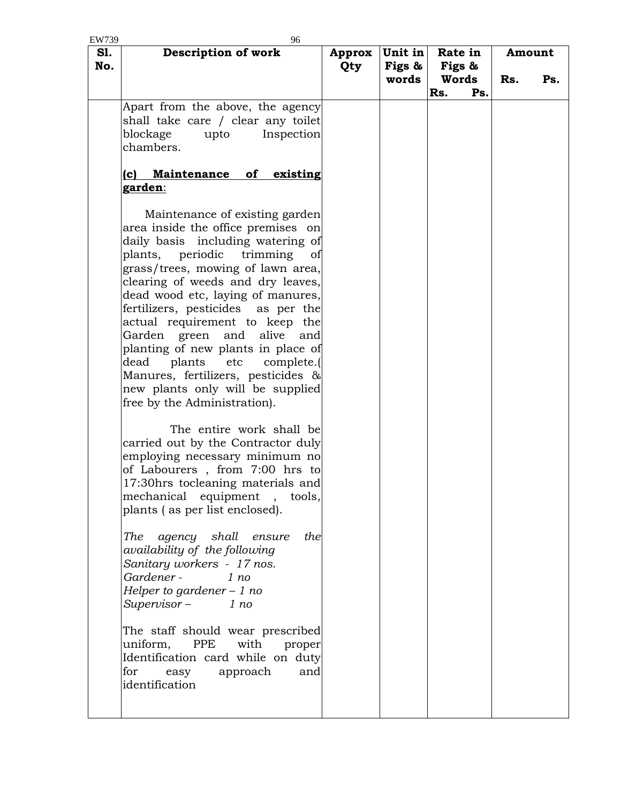| EW739      | 96                                                                                                                                                                                                                                                                                                                                                                                                                                                                                                                                                                                                                                                                                                                                                                                                                                                                                                                                                                                                                                                                                                                                                                                                                                                                                      |               |                            |                            |     |               |
|------------|-----------------------------------------------------------------------------------------------------------------------------------------------------------------------------------------------------------------------------------------------------------------------------------------------------------------------------------------------------------------------------------------------------------------------------------------------------------------------------------------------------------------------------------------------------------------------------------------------------------------------------------------------------------------------------------------------------------------------------------------------------------------------------------------------------------------------------------------------------------------------------------------------------------------------------------------------------------------------------------------------------------------------------------------------------------------------------------------------------------------------------------------------------------------------------------------------------------------------------------------------------------------------------------------|---------------|----------------------------|----------------------------|-----|---------------|
| S1.<br>No. | Description of work                                                                                                                                                                                                                                                                                                                                                                                                                                                                                                                                                                                                                                                                                                                                                                                                                                                                                                                                                                                                                                                                                                                                                                                                                                                                     | Approx<br>Qty | Unit in<br>Figs &<br>words | Rate in<br>Figs &<br>Words | Rs. | Amount<br>Ps. |
|            | Apart from the above, the agency<br>shall take care / clear any toilet<br>blockage<br>upto<br>Inspection<br>chambers.<br>Maintenance of existing<br>(c)<br>garden:<br>Maintenance of existing garden<br>area inside the office premises on<br>daily basis including watering of<br>plants, periodic trimming<br>of<br>grass/trees, mowing of lawn area,<br>clearing of weeds and dry leaves,<br>dead wood etc, laying of manures,<br>fertilizers, pesticides as per the<br>actual requirement to keep the<br>Garden green and alive<br>and<br>planting of new plants in place of<br>plants<br>dead<br>etc<br>complete.<br>Manures, fertilizers, pesticides &<br>new plants only will be supplied<br>free by the Administration).<br>The entire work shall be<br>carried out by the Contractor duly<br>employing necessary minimum no<br>of Labourers, from 7:00 hrs to<br>17:30hrs tocleaning materials and<br>mechanical equipment,<br>tools,<br>plants (as per list enclosed).<br><b>The</b><br>agency shall ensure<br>the<br>availability of the following<br>Sanitary workers - 17 nos.<br>Gardener -<br>1 no<br>Helper to gardener $-1$ no<br>$Supervisor -$<br>1 no<br>The staff should wear prescribed<br>uniform,<br>PPE<br>with<br>proper<br>Identification card while on duty |               |                            | Rs.                        | Ps. |               |
|            | approach<br>for<br>and<br>easy<br>identification                                                                                                                                                                                                                                                                                                                                                                                                                                                                                                                                                                                                                                                                                                                                                                                                                                                                                                                                                                                                                                                                                                                                                                                                                                        |               |                            |                            |     |               |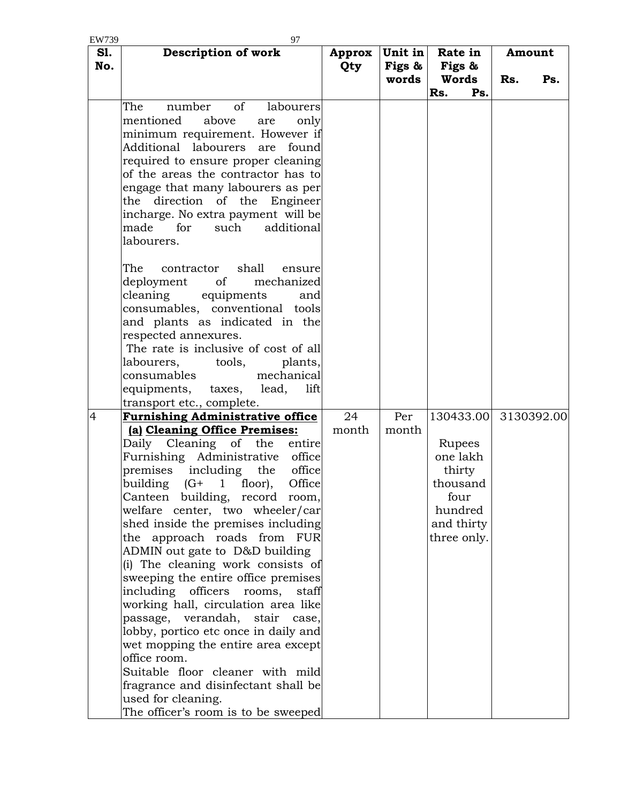| EW739      | 97                                       |        |           |             |            |
|------------|------------------------------------------|--------|-----------|-------------|------------|
| <b>S1.</b> | <b>Description of work</b>               | Approx | Unit in   | Rate in     | Amount     |
| No.        |                                          | Qty    | Figs $\&$ | Figs &      |            |
|            |                                          |        | words     | Words       | Rs.<br>Ps. |
|            |                                          |        |           | Rs.<br>Ps.  |            |
|            | number<br>of<br>The<br>labourers         |        |           |             |            |
|            | mentioned<br>above<br>only<br>are        |        |           |             |            |
|            | minimum requirement. However if          |        |           |             |            |
|            | Additional<br>labourers<br>found<br>are  |        |           |             |            |
|            | required to ensure proper cleaning       |        |           |             |            |
|            | of the areas the contractor has to       |        |           |             |            |
|            | engage that many labourers as per        |        |           |             |            |
|            | the direction of the Engineer            |        |           |             |            |
|            | incharge. No extra payment will be       |        |           |             |            |
|            | made<br>for<br>such<br>additional        |        |           |             |            |
|            | labourers.                               |        |           |             |            |
|            |                                          |        |           |             |            |
|            | The<br>shall<br>contractor<br>ensure     |        |           |             |            |
|            | mechanized<br>deployment<br>of           |        |           |             |            |
|            | cleaning<br>equipments<br>and            |        |           |             |            |
|            | consumables, conventional tools          |        |           |             |            |
|            | and plants as indicated in the           |        |           |             |            |
|            | respected annexures.                     |        |           |             |            |
|            | The rate is inclusive of cost of all     |        |           |             |            |
|            | labourers, tools,<br>plants,             |        |           |             |            |
|            | mechanical<br>consumables                |        |           |             |            |
|            | equipments, taxes, lead,<br>lift         |        |           |             |            |
|            | transport etc., complete.                |        |           |             |            |
| 4          | <b>Furnishing Administrative office</b>  | 24     | Per       | 130433.00   | 3130392.00 |
|            | (a) Cleaning Office Premises:            | month  | month     |             |            |
|            | Daily Cleaning of the<br>entire          |        |           | Rupees      |            |
|            | Furnishing Administrative<br>office      |        |           | one lakh    |            |
|            | premises<br>including<br>office<br>the   |        |           | thirty      |            |
|            | Office<br>building<br>$(G+$<br>1 floor), |        |           | thousand    |            |
|            | Canteen building, record room,           |        |           | four        |            |
|            | welfare center, two wheeler/car          |        |           | hundred     |            |
|            | shed inside the premises including       |        |           | and thirty  |            |
|            | the approach roads from FUR              |        |           | three only. |            |
|            | ADMIN out gate to D&D building           |        |           |             |            |
|            | (i) The cleaning work consists of        |        |           |             |            |
|            | sweeping the entire office premises      |        |           |             |            |
|            | including officers<br>rooms,<br>staff    |        |           |             |            |
|            | working hall, circulation area like      |        |           |             |            |
|            | passage, verandah, stair case,           |        |           |             |            |
|            | lobby, portico etc once in daily and     |        |           |             |            |
|            | wet mopping the entire area except       |        |           |             |            |
|            | office room.                             |        |           |             |            |
|            | Suitable floor cleaner with mild         |        |           |             |            |
|            | fragrance and disinfectant shall be      |        |           |             |            |
|            | used for cleaning.                       |        |           |             |            |
|            | The officer's room is to be sweeped      |        |           |             |            |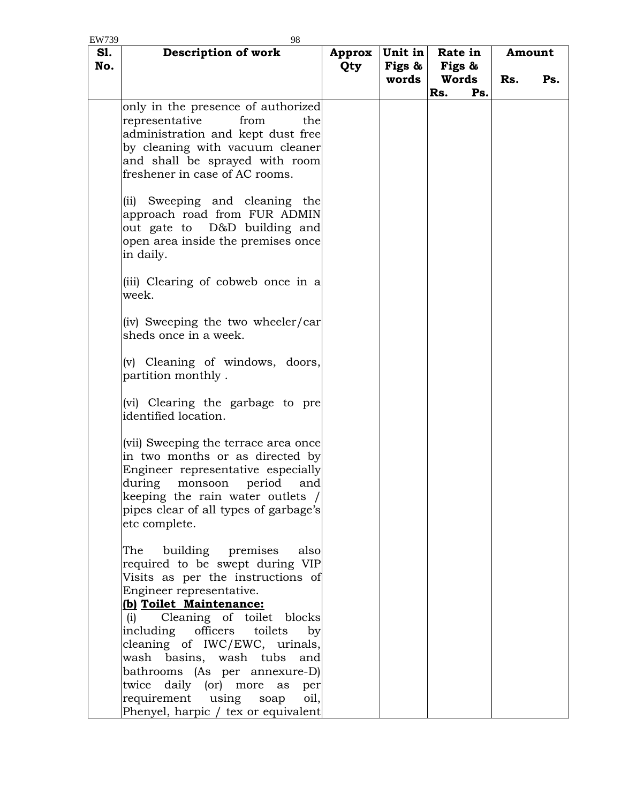| EW739      | 98                                                                                                                                                                                                                                                |               |                            |                            |     |               |     |
|------------|---------------------------------------------------------------------------------------------------------------------------------------------------------------------------------------------------------------------------------------------------|---------------|----------------------------|----------------------------|-----|---------------|-----|
| S1.<br>No. | Description of work                                                                                                                                                                                                                               | Approx<br>Qty | Unit in<br>Figs &<br>words | Rate in<br>Figs &<br>Words |     | Amount<br>Rs. | Ps. |
|            |                                                                                                                                                                                                                                                   |               |                            | Rs.                        | Ps. |               |     |
|            | only in the presence of authorized<br>representative<br>from<br>thel<br>administration and kept dust free<br>by cleaning with vacuum cleaner<br>and shall be sprayed with room<br>freshener in case of AC rooms.                                  |               |                            |                            |     |               |     |
|            | (ii) Sweeping and cleaning the<br>approach road from FUR ADMIN<br>out gate to D&D building and<br>open area inside the premises once<br>in daily.                                                                                                 |               |                            |                            |     |               |     |
|            | (iii) Clearing of cobweb once in a<br>week.                                                                                                                                                                                                       |               |                            |                            |     |               |     |
|            | (iv) Sweeping the two wheeler/car<br>sheds once in a week.                                                                                                                                                                                        |               |                            |                            |     |               |     |
|            | (v) Cleaning of windows, doors,<br>partition monthly.                                                                                                                                                                                             |               |                            |                            |     |               |     |
|            | (vi) Clearing the garbage to pre<br>identified location.                                                                                                                                                                                          |               |                            |                            |     |               |     |
|            | (vii) Sweeping the terrace area once<br>in two months or as directed by<br>Engineer representative especially<br>during<br>period<br>and<br>monsoon<br>keeping the rain water outlets /<br>pipes clear of all types of garbage's<br>etc complete. |               |                            |                            |     |               |     |
|            | building premises<br>The<br>also<br>required to be swept during VIP<br>Visits as per the instructions of<br>Engineer representative.<br>(b) Toilet Maintenance:                                                                                   |               |                            |                            |     |               |     |
|            | Cleaning of toilet blocks<br>(i)<br>including officers toilets<br>by<br>cleaning of IWC/EWC, urinals,<br>wash basins, wash tubs and                                                                                                               |               |                            |                            |     |               |     |
|            | bathrooms (As per annexure-D)<br>twice daily (or) more as<br>per<br>requirement using soap<br>oil,                                                                                                                                                |               |                            |                            |     |               |     |
|            | Phenyel, harpic / tex or equivalent                                                                                                                                                                                                               |               |                            |                            |     |               |     |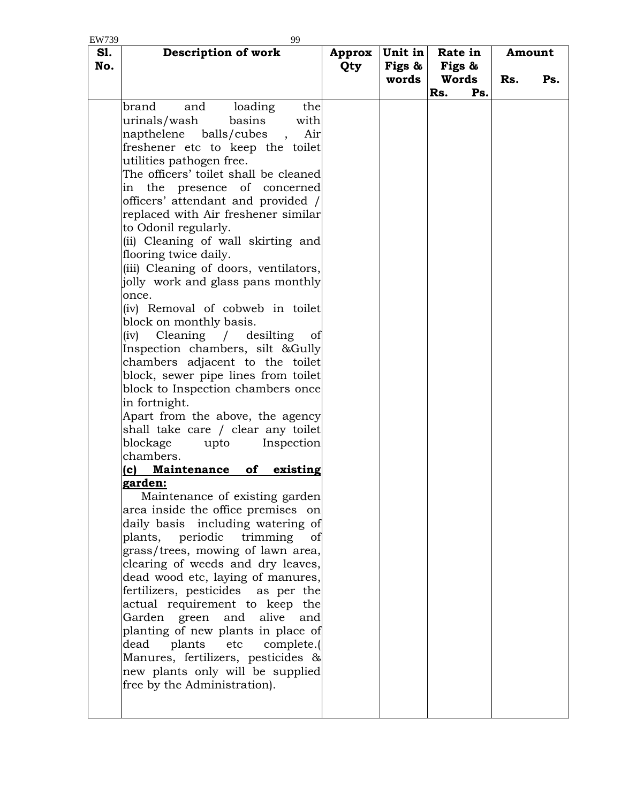| EW739 | 99                                                       |        |         |         |     |        |     |
|-------|----------------------------------------------------------|--------|---------|---------|-----|--------|-----|
| S1.   | <b>Description of work</b>                               | Approx | Unit in | Rate in |     | Amount |     |
| No.   |                                                          | Qty    | Figs &  | Figs &  |     |        |     |
|       |                                                          |        | words   | Words   |     | Rs.    | Ps. |
|       |                                                          |        |         | Rs.     | Ps. |        |     |
|       |                                                          |        |         |         |     |        |     |
|       | brand<br>and<br>loading<br>the                           |        |         |         |     |        |     |
|       | urinals/wash<br>basins<br>with                           |        |         |         |     |        |     |
|       | balls/cubes<br>Air<br>napthelene<br>$\ddot{\phantom{1}}$ |        |         |         |     |        |     |
|       | freshener etc to keep the toilet                         |        |         |         |     |        |     |
|       | utilities pathogen free.                                 |        |         |         |     |        |     |
|       | The officers' toilet shall be cleaned                    |        |         |         |     |        |     |
|       | in the presence of concerned                             |        |         |         |     |        |     |
|       | officers' attendant and provided /                       |        |         |         |     |        |     |
|       | replaced with Air freshener similar                      |        |         |         |     |        |     |
|       | to Odonil regularly.                                     |        |         |         |     |        |     |
|       | (ii) Cleaning of wall skirting and                       |        |         |         |     |        |     |
|       | flooring twice daily.                                    |        |         |         |     |        |     |
|       | (iii) Cleaning of doors, ventilators,                    |        |         |         |     |        |     |
|       | jolly work and glass pans monthly                        |        |         |         |     |        |     |
|       | once.                                                    |        |         |         |     |        |     |
|       |                                                          |        |         |         |     |        |     |
|       | (iv) Removal of cobweb in toilet                         |        |         |         |     |        |     |
|       | block on monthly basis.                                  |        |         |         |     |        |     |
|       | Cleaning / desilting<br>(iv)<br>of                       |        |         |         |     |        |     |
|       | Inspection chambers, silt &Gully                         |        |         |         |     |        |     |
|       | chambers adjacent to the toilet                          |        |         |         |     |        |     |
|       | block, sewer pipe lines from toilet                      |        |         |         |     |        |     |
|       | block to Inspection chambers once                        |        |         |         |     |        |     |
|       | in fortnight.                                            |        |         |         |     |        |     |
|       | Apart from the above, the agency                         |        |         |         |     |        |     |
|       | shall take care / clear any toilet                       |        |         |         |     |        |     |
|       | blockage<br>Inspection<br>upto                           |        |         |         |     |        |     |
|       | chambers.                                                |        |         |         |     |        |     |
|       | of<br>existing<br>Maintenance<br>(c)                     |        |         |         |     |        |     |
|       | garden:                                                  |        |         |         |     |        |     |
|       | Maintenance of existing garden                           |        |         |         |     |        |     |
|       | area inside the office premises on                       |        |         |         |     |        |     |
|       | daily basis including watering of                        |        |         |         |     |        |     |
|       | plants, periodic<br>trimming<br>of                       |        |         |         |     |        |     |
|       | grass/trees, mowing of lawn area,                        |        |         |         |     |        |     |
|       | clearing of weeds and dry leaves,                        |        |         |         |     |        |     |
|       | dead wood etc, laying of manures,                        |        |         |         |     |        |     |
|       | fertilizers, pesticides as per the                       |        |         |         |     |        |     |
|       | actual requirement to keep the                           |        |         |         |     |        |     |
|       |                                                          |        |         |         |     |        |     |
|       | Garden green<br>and<br>alive<br>and                      |        |         |         |     |        |     |
|       | planting of new plants in place of                       |        |         |         |     |        |     |
|       | plants<br>dead<br>etc<br>complete.(                      |        |         |         |     |        |     |
|       | Manures, fertilizers, pesticides &                       |        |         |         |     |        |     |
|       | new plants only will be supplied                         |        |         |         |     |        |     |
|       | free by the Administration).                             |        |         |         |     |        |     |
|       |                                                          |        |         |         |     |        |     |
|       |                                                          |        |         |         |     |        |     |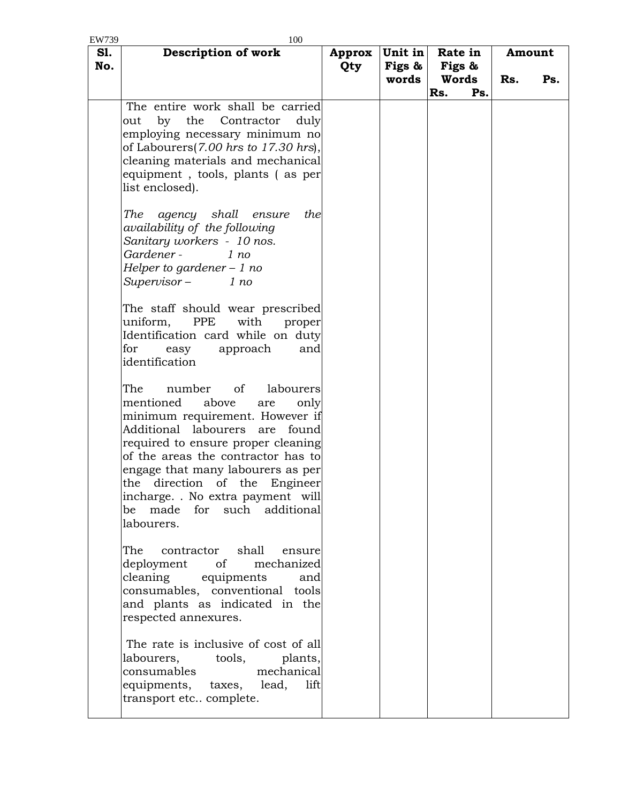| EW739      | 100                                                                                                                                                                                                                                                                                                                                                                                     |                      |                            |                            |     |               |     |
|------------|-----------------------------------------------------------------------------------------------------------------------------------------------------------------------------------------------------------------------------------------------------------------------------------------------------------------------------------------------------------------------------------------|----------------------|----------------------------|----------------------------|-----|---------------|-----|
| S1.<br>No. | Description of work                                                                                                                                                                                                                                                                                                                                                                     | <b>Approx</b><br>Qty | Unit in<br>Figs &<br>words | Rate in<br>Figs &<br>Words |     | Amount<br>Rs. | Ps. |
|            |                                                                                                                                                                                                                                                                                                                                                                                         |                      |                            | Rs.                        | Ps. |               |     |
|            | The entire work shall be carried<br>by the<br>Contractor<br>out<br>duly<br>employing necessary minimum no<br>of Labourers(7.00 hrs to 17.30 hrs),<br>cleaning materials and mechanical<br>equipment, tools, plants (as per<br>list enclosed).<br>agency shall<br>the<br>The<br>ensure<br>availability of the following<br>Sanitary workers - 10 nos.<br>Gardener -<br>1 no              |                      |                            |                            |     |               |     |
|            | Helper to gardener $-1$ no<br>$Supervisor -$<br>1 no<br>The staff should wear prescribed<br>uniform, PPE<br>with<br>proper<br>Identification card while on duty<br>for<br>approach<br>easy<br>and<br>identification                                                                                                                                                                     |                      |                            |                            |     |               |     |
|            | The<br>number<br>of<br>labourers<br>mentioned<br>above<br>only<br>are<br>minimum requirement. However if<br>Additional labourers are found<br>required to ensure proper cleaning<br>of the areas the contractor has to<br>engage that many labourers as per<br>the<br>direction<br>of the<br>Engineer<br>incharge. . No extra payment will<br>be made for such additional<br>labourers. |                      |                            |                            |     |               |     |
|            | The<br>shall<br>contractor<br>ensure<br>deployment of<br>mechanized<br>cleaning<br>equipments<br>and<br>consumables, conventional tools<br>and plants as indicated in the<br>respected annexures.                                                                                                                                                                                       |                      |                            |                            |     |               |     |
|            | The rate is inclusive of cost of all<br>labourers,<br>tools,<br>plants,<br>consumables<br>mechanical<br>equipments, taxes, lead,<br>lift<br>transport etc complete.                                                                                                                                                                                                                     |                      |                            |                            |     |               |     |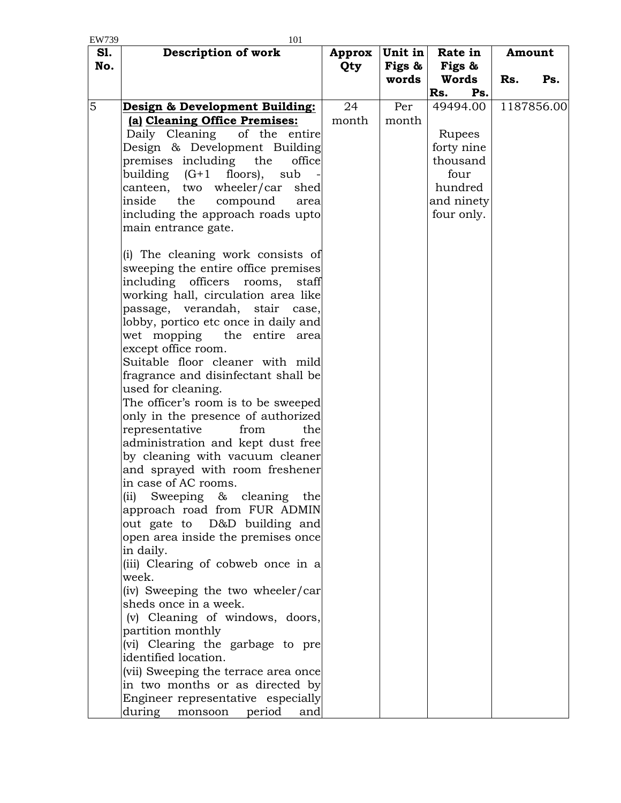| EW739      | 101                                                     |               |                   |                        |     |            |
|------------|---------------------------------------------------------|---------------|-------------------|------------------------|-----|------------|
| S1.<br>No. | Description of work                                     | Approx<br>Qty | Unit in<br>Figs & | Rate in<br>Figs &      |     | Amount     |
|            |                                                         |               | words             | Words                  | Rs. | Ps.        |
|            |                                                         |               |                   | Rs.<br>Ps.             |     |            |
| 5          | Design & Development Building:                          | 24            | Per               | 49494.00               |     | 1187856.00 |
|            | (a) Cleaning Office Premises:                           | month         | month             |                        |     |            |
|            | Daily Cleaning<br>of the entire                         |               |                   | Rupees                 |     |            |
|            | Design & Development Building<br>the<br>office          |               |                   | forty nine<br>thousand |     |            |
|            | premises including<br>building (G+1 floors),<br>sub     |               |                   | four                   |     |            |
|            | canteen, two wheeler/car<br>shed                        |               |                   | hundred                |     |            |
|            | inside<br>compound<br>the<br>area                       |               |                   | and ninety             |     |            |
|            | including the approach roads upto                       |               |                   | four only.             |     |            |
|            | main entrance gate.                                     |               |                   |                        |     |            |
|            | (i) The cleaning work consists of                       |               |                   |                        |     |            |
|            | sweeping the entire office premises                     |               |                   |                        |     |            |
|            | including officers<br>rooms,<br>staff                   |               |                   |                        |     |            |
|            | working hall, circulation area like                     |               |                   |                        |     |            |
|            | passage, verandah, stair case,                          |               |                   |                        |     |            |
|            | lobby, portico etc once in daily and                    |               |                   |                        |     |            |
|            | the entire area<br>wet mopping                          |               |                   |                        |     |            |
|            | except office room.<br>Suitable floor cleaner with mild |               |                   |                        |     |            |
|            | fragrance and disinfectant shall be                     |               |                   |                        |     |            |
|            | used for cleaning.                                      |               |                   |                        |     |            |
|            | The officer's room is to be sweeped                     |               |                   |                        |     |            |
|            | only in the presence of authorized                      |               |                   |                        |     |            |
|            | representative<br>from<br>the                           |               |                   |                        |     |            |
|            | administration and kept dust free                       |               |                   |                        |     |            |
|            | by cleaning with vacuum cleaner                         |               |                   |                        |     |            |
|            | and sprayed with room freshener                         |               |                   |                        |     |            |
|            | in case of AC rooms.                                    |               |                   |                        |     |            |
|            | Sweeping & cleaning the<br>(ii)                         |               |                   |                        |     |            |
|            | approach road from FUR ADMIN                            |               |                   |                        |     |            |
|            | out gate to D&D building and                            |               |                   |                        |     |            |
|            | open area inside the premises once                      |               |                   |                        |     |            |
|            | in daily.                                               |               |                   |                        |     |            |
|            | (iii) Clearing of cobweb once in a<br>week.             |               |                   |                        |     |            |
|            | (iv) Sweeping the two wheeler/car                       |               |                   |                        |     |            |
|            | sheds once in a week.                                   |               |                   |                        |     |            |
|            | (v) Cleaning of windows, doors,                         |               |                   |                        |     |            |
|            | partition monthly                                       |               |                   |                        |     |            |
|            | (vi) Clearing the garbage to pre                        |               |                   |                        |     |            |
|            | identified location.                                    |               |                   |                        |     |            |
|            | (vii) Sweeping the terrace area once                    |               |                   |                        |     |            |
|            | in two months or as directed by                         |               |                   |                        |     |            |
|            | Engineer representative especially                      |               |                   |                        |     |            |
|            | during<br>period<br>monsoon<br>and                      |               |                   |                        |     |            |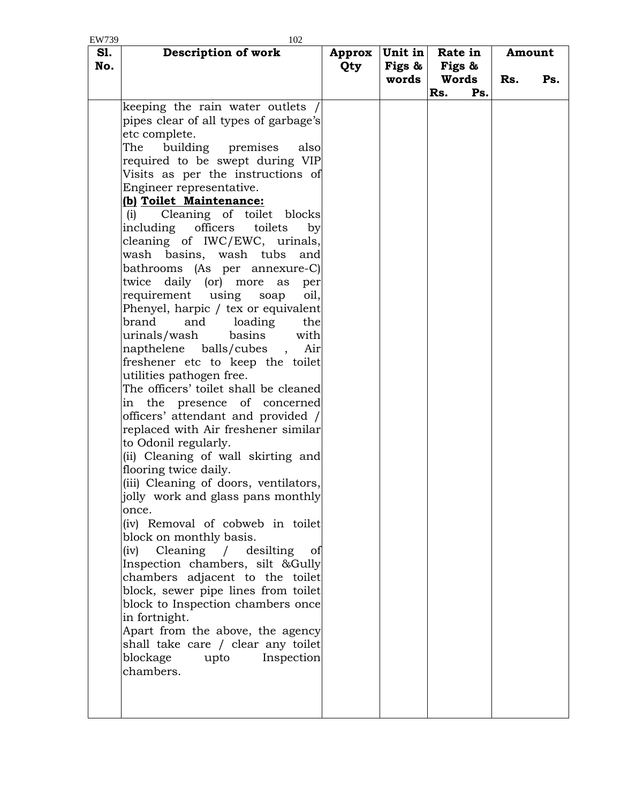| EW739      | 102                                   |               |                   |                   |     |        |     |
|------------|---------------------------------------|---------------|-------------------|-------------------|-----|--------|-----|
| S1.<br>No. | Description of work                   | Approx<br>Qty | Unit in<br>Figs & | Rate in<br>Figs & |     | Amount |     |
|            |                                       |               | words             | Words             |     | Rs.    | Ps. |
|            |                                       |               |                   | Rs.               | Ps. |        |     |
|            | keeping the rain water outlets /      |               |                   |                   |     |        |     |
|            | pipes clear of all types of garbage's |               |                   |                   |     |        |     |
|            | etc complete.                         |               |                   |                   |     |        |     |
|            | The<br>building premises<br>also      |               |                   |                   |     |        |     |
|            | required to be swept during VIP       |               |                   |                   |     |        |     |
|            | Visits as per the instructions of     |               |                   |                   |     |        |     |
|            | Engineer representative.              |               |                   |                   |     |        |     |
|            | (b) Toilet Maintenance:               |               |                   |                   |     |        |     |
|            | Cleaning of toilet blocks<br>(i)      |               |                   |                   |     |        |     |
|            | including officers<br>toilets         |               |                   |                   |     |        |     |
|            | by                                    |               |                   |                   |     |        |     |
|            | cleaning of IWC/EWC, urinals,         |               |                   |                   |     |        |     |
|            | wash basins, wash tubs<br>and         |               |                   |                   |     |        |     |
|            | bathrooms (As per annexure-C)         |               |                   |                   |     |        |     |
|            | twice<br>daily (or) more<br>as<br>per |               |                   |                   |     |        |     |
|            | requirement using<br>soap<br>oil,     |               |                   |                   |     |        |     |
|            | Phenyel, harpic / tex or equivalent   |               |                   |                   |     |        |     |
|            | brand<br>and<br>loading<br>the        |               |                   |                   |     |        |     |
|            | urinals/wash<br>basins<br>with        |               |                   |                   |     |        |     |
|            | napthelene balls/cubes<br>Air         |               |                   |                   |     |        |     |
|            | freshener etc to keep the toilet      |               |                   |                   |     |        |     |
|            | utilities pathogen free.              |               |                   |                   |     |        |     |
|            | The officers' toilet shall be cleaned |               |                   |                   |     |        |     |
|            | in the presence of concerned          |               |                   |                   |     |        |     |
|            | officers' attendant and provided /    |               |                   |                   |     |        |     |
|            | replaced with Air freshener similar   |               |                   |                   |     |        |     |
|            | to Odonil regularly.                  |               |                   |                   |     |        |     |
|            | (ii) Cleaning of wall skirting and    |               |                   |                   |     |        |     |
|            | flooring twice daily.                 |               |                   |                   |     |        |     |
|            | (iii) Cleaning of doors, ventilators, |               |                   |                   |     |        |     |
|            | jolly work and glass pans monthly     |               |                   |                   |     |        |     |
|            | once.                                 |               |                   |                   |     |        |     |
|            | (iv) Removal of cobweb in toilet      |               |                   |                   |     |        |     |
|            | block on monthly basis.               |               |                   |                   |     |        |     |
|            | Cleaning / desilting<br>(iv)<br>of    |               |                   |                   |     |        |     |
|            | Inspection chambers, silt &Gully      |               |                   |                   |     |        |     |
|            | chambers adjacent to the toilet       |               |                   |                   |     |        |     |
|            | block, sewer pipe lines from toilet   |               |                   |                   |     |        |     |
|            | block to Inspection chambers once     |               |                   |                   |     |        |     |
|            | in fortnight.                         |               |                   |                   |     |        |     |
|            | Apart from the above, the agency      |               |                   |                   |     |        |     |
|            | shall take care / clear any toilet    |               |                   |                   |     |        |     |
|            | blockage<br>upto<br>Inspection        |               |                   |                   |     |        |     |
|            | chambers.                             |               |                   |                   |     |        |     |
|            |                                       |               |                   |                   |     |        |     |
|            |                                       |               |                   |                   |     |        |     |
|            |                                       |               |                   |                   |     |        |     |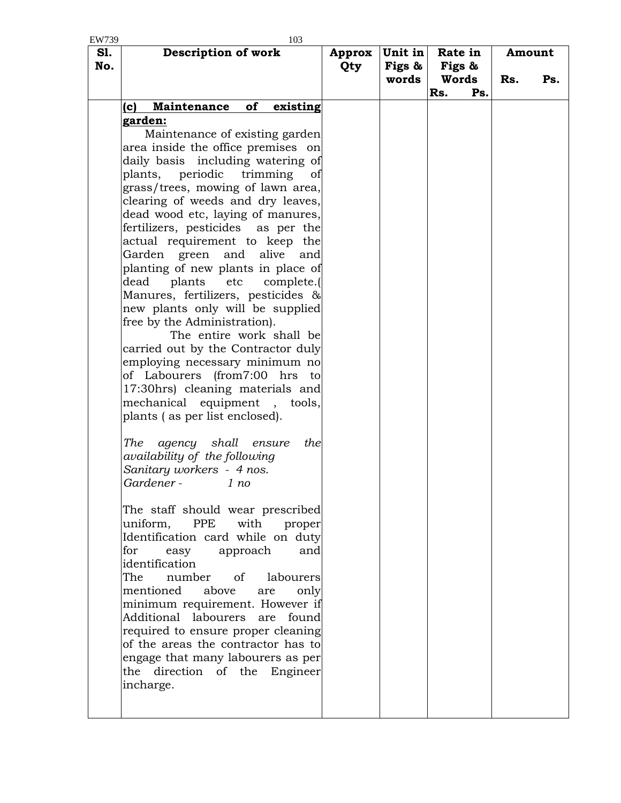| EW739      | 103                                              |               |                   |                   |     |        |     |
|------------|--------------------------------------------------|---------------|-------------------|-------------------|-----|--------|-----|
| S1.<br>No. | <b>Description of work</b>                       | Approx<br>Qty | Unit in<br>Figs & | Rate in<br>Figs & |     | Amount |     |
|            |                                                  |               | words             | Words<br>Rs.      | Ps. | Rs.    | Ps. |
|            | of<br><b>Maintenance</b><br>(c)<br>existing      |               |                   |                   |     |        |     |
|            | <u>garden:</u>                                   |               |                   |                   |     |        |     |
|            | Maintenance of existing garden                   |               |                   |                   |     |        |     |
|            | area inside the office premises on               |               |                   |                   |     |        |     |
|            | daily basis including watering of                |               |                   |                   |     |        |     |
|            | plants, periodic trimming<br>of                  |               |                   |                   |     |        |     |
|            | grass/trees, mowing of lawn area,                |               |                   |                   |     |        |     |
|            | clearing of weeds and dry leaves,                |               |                   |                   |     |        |     |
|            | dead wood etc, laying of manures,                |               |                   |                   |     |        |     |
|            | fertilizers, pesticides as per the               |               |                   |                   |     |        |     |
|            | actual requirement to keep the                   |               |                   |                   |     |        |     |
|            | and<br>alive<br>Garden<br>green<br>and           |               |                   |                   |     |        |     |
|            | planting of new plants in place of               |               |                   |                   |     |        |     |
|            | plants<br>dead<br>etc<br>complete.               |               |                   |                   |     |        |     |
|            | Manures, fertilizers, pesticides &               |               |                   |                   |     |        |     |
|            | new plants only will be supplied                 |               |                   |                   |     |        |     |
|            | free by the Administration).                     |               |                   |                   |     |        |     |
|            | The entire work shall be                         |               |                   |                   |     |        |     |
|            | carried out by the Contractor duly               |               |                   |                   |     |        |     |
|            | employing necessary minimum no                   |               |                   |                   |     |        |     |
|            | of Labourers (from7:00 hrs to                    |               |                   |                   |     |        |     |
|            | 17:30hrs) cleaning materials and                 |               |                   |                   |     |        |     |
|            | mechanical<br>equipment, tools,                  |               |                   |                   |     |        |     |
|            | plants (as per list enclosed).                   |               |                   |                   |     |        |     |
|            |                                                  |               |                   |                   |     |        |     |
|            | agency shall ensure<br>The<br>the                |               |                   |                   |     |        |     |
|            | availability of the following                    |               |                   |                   |     |        |     |
|            | Sanitary workers - 4 nos.                        |               |                   |                   |     |        |     |
|            | Gardener -<br>1 no                               |               |                   |                   |     |        |     |
|            |                                                  |               |                   |                   |     |        |     |
|            | The staff should wear prescribed                 |               |                   |                   |     |        |     |
|            | uniform,<br>with<br>PPE<br>proper                |               |                   |                   |     |        |     |
|            | Identification card while on duty                |               |                   |                   |     |        |     |
|            | for<br>approach<br>easy<br>and<br>identification |               |                   |                   |     |        |     |
|            | $\sigma$<br>The<br>number<br>labourers           |               |                   |                   |     |        |     |
|            | mentioned<br>above                               |               |                   |                   |     |        |     |
|            | only<br>are<br>minimum requirement. However if   |               |                   |                   |     |        |     |
|            | Additional labourers are found                   |               |                   |                   |     |        |     |
|            | required to ensure proper cleaning               |               |                   |                   |     |        |     |
|            | of the areas the contractor has to               |               |                   |                   |     |        |     |
|            | engage that many labourers as per                |               |                   |                   |     |        |     |
|            | direction of the Engineer<br>the                 |               |                   |                   |     |        |     |
|            | incharge.                                        |               |                   |                   |     |        |     |
|            |                                                  |               |                   |                   |     |        |     |
|            |                                                  |               |                   |                   |     |        |     |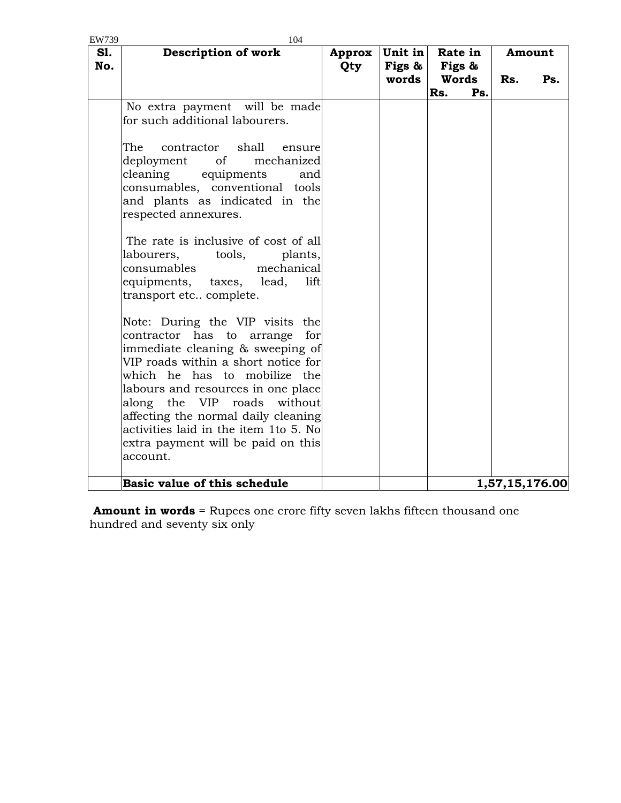| EW739      | 104                                   |            |         |            |                |
|------------|---------------------------------------|------------|---------|------------|----------------|
| <b>S1.</b> | <b>Description of work</b>            | Approx     | Unit in | Rate in    | Amount         |
| No.        |                                       | <b>Qty</b> | Figs &  | Figs &     |                |
|            |                                       |            | words   | Words      | Rs.<br>Ps.     |
|            |                                       |            |         | Ps.<br>Rs. |                |
|            | No extra payment will be made         |            |         |            |                |
|            | for such additional labourers.        |            |         |            |                |
|            |                                       |            |         |            |                |
|            |                                       |            |         |            |                |
|            | contractor shall<br>The<br>ensure     |            |         |            |                |
|            | deployment of<br>mechanized           |            |         |            |                |
|            | cleaning equipments<br>and            |            |         |            |                |
|            | consumables, conventional tools       |            |         |            |                |
|            | and plants as indicated in the        |            |         |            |                |
|            | respected annexures.                  |            |         |            |                |
|            |                                       |            |         |            |                |
|            | The rate is inclusive of cost of all  |            |         |            |                |
|            | labourers, tools,<br>plants,          |            |         |            |                |
|            | consumables<br>mechanical             |            |         |            |                |
|            | equipments, taxes, lead,<br>lift      |            |         |            |                |
|            | transport etc complete.               |            |         |            |                |
|            |                                       |            |         |            |                |
|            | Note: During the VIP visits the       |            |         |            |                |
|            | contractor has to arrange for         |            |         |            |                |
|            | immediate cleaning & sweeping of      |            |         |            |                |
|            | VIP roads within a short notice for   |            |         |            |                |
|            | which he has to mobilize the          |            |         |            |                |
|            | labours and resources in one place    |            |         |            |                |
|            | along the VIP roads<br>without        |            |         |            |                |
|            | affecting the normal daily cleaning   |            |         |            |                |
|            | activities laid in the item 1to 5. No |            |         |            |                |
|            | extra payment will be paid on this    |            |         |            |                |
|            | account.                              |            |         |            |                |
|            |                                       |            |         |            |                |
|            | Basic value of this schedule          |            |         |            | 1,57,15,176.00 |

**Amount in words** = Rupees one crore fifty seven lakhs fifteen thousand one hundred and seventy six only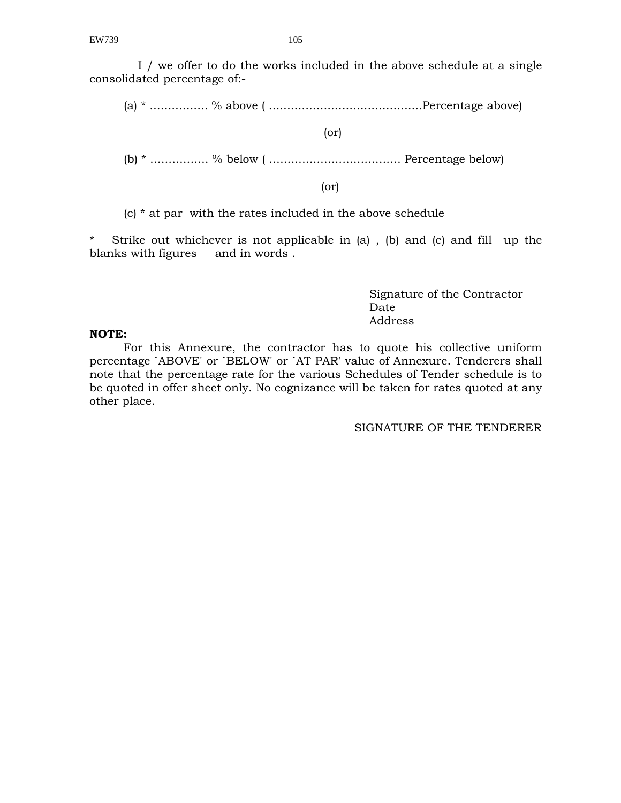I / we offer to do the works included in the above schedule at a single consolidated percentage of:-

(a) \* ................ % above ( ..........................................Percentage above)

(or)

(b) \* ................ % below ( .................................... Percentage below)

(or)

(c) \* at par with the rates included in the above schedule

Strike out whichever is not applicable in  $(a)$ , (b) and (c) and fill up the blanks with figures and in words .

 Signature of the Contractor **Date** Date Address

#### **NOTE:**

For this Annexure, the contractor has to quote his collective uniform percentage `ABOVE' or `BELOW' or `AT PAR' value of Annexure. Tenderers shall note that the percentage rate for the various Schedules of Tender schedule is to be quoted in offer sheet only. No cognizance will be taken for rates quoted at any other place.

SIGNATURE OF THE TENDERER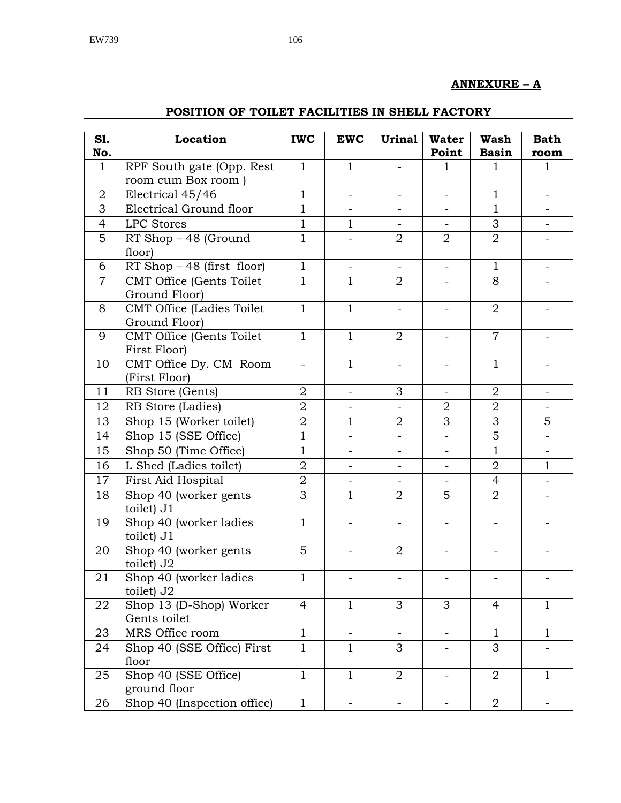## **ANNEXURE – A**

| S1.            | Location                                          | <b>IWC</b>               | <b>EWC</b>               | <b>Urinal</b>            | <b>Water</b>             | <b>Wash</b>    | <b>Bath</b>              |
|----------------|---------------------------------------------------|--------------------------|--------------------------|--------------------------|--------------------------|----------------|--------------------------|
| No.            |                                                   |                          |                          |                          | Point                    | <b>Basin</b>   | room                     |
| $\mathbf{1}$   | RPF South gate (Opp. Rest<br>room cum Box room)   | $\mathbf{1}$             | $\mathbf{1}$             |                          | 1                        | 1              | 1                        |
| $\overline{2}$ | Electrical 45/46                                  | $\mathbf{1}$             | $\overline{\phantom{a}}$ |                          | $\overline{\phantom{0}}$ | $\mathbf{1}$   | $\overline{\phantom{a}}$ |
| 3              | Electrical Ground floor                           | $\mathbf{1}$             |                          |                          | $\overline{\phantom{0}}$ | 1              |                          |
| 4              | LPC Stores                                        | $\mathbf{1}$             | 1                        |                          | $\blacksquare$           | 3              |                          |
| 5              | RT Shop - 48 (Ground<br>floor)                    | $\mathbf 1$              |                          | $\overline{2}$           | $\overline{2}$           | $\overline{2}$ |                          |
| 6              | $RT$ Shop $-48$ (first floor)                     | $\mathbf{1}$             | $\overline{\phantom{a}}$ | $\equiv$                 | $\equiv$                 | $\mathbf{1}$   | $\overline{\phantom{0}}$ |
| $\overline{7}$ | CMT Office (Gents Toilet<br>Ground Floor)         | $\mathbf{1}$             | 1                        | 2                        |                          | 8              |                          |
| 8              | <b>CMT Office (Ladies Toilet</b><br>Ground Floor) | $\mathbf{1}$             | $\mathbf{1}$             | $\qquad \qquad -$        | $\overline{\phantom{a}}$ | $\overline{2}$ |                          |
| 9              | CMT Office (Gents Toilet<br>First Floor)          | $\mathbf{1}$             | $\mathbf{1}$             | $\overline{2}$           |                          | $\overline{7}$ |                          |
| 10             | CMT Office Dy. CM Room<br>(First Floor)           | $\overline{\phantom{0}}$ | $\mathbf{1}$             |                          |                          | $\mathbf{1}$   |                          |
| 11             | RB Store (Gents)                                  | $\overline{2}$           | $\overline{\phantom{a}}$ | 3                        | $\overline{\phantom{a}}$ | $\overline{2}$ | $\overline{\phantom{a}}$ |
| 12             | RB Store (Ladies)                                 | $\overline{2}$           |                          |                          | $\overline{2}$           | $\overline{2}$ |                          |
| 13             | Shop 15 (Worker toilet)                           | $\sqrt{2}$               | $\mathbf{1}$             | 2                        | 3                        | 3              | 5                        |
| 14             | Shop 15 (SSE Office)                              | $\mathbf{1}$             | $\overline{\phantom{a}}$ | $\overline{\phantom{0}}$ | $\overline{\phantom{a}}$ | 5              | $\overline{\phantom{a}}$ |
| 15             | Shop 50 (Time Office)                             | $\mathbf{1}$             |                          |                          |                          | $\mathbf{1}$   |                          |
| 16             | L Shed (Ladies toilet)                            | $\overline{2}$           | $\overline{\phantom{a}}$ | $\overline{\phantom{0}}$ | $\overline{\phantom{a}}$ | $\overline{2}$ | $\mathbf{1}$             |
| 17             | First Aid Hospital                                | $\overline{2}$           |                          |                          |                          | 4              |                          |
| 18             | Shop 40 (worker gents<br>toilet) J1               | 3                        | $\mathbf{1}$             | $\overline{2}$           | 5                        | $\overline{2}$ |                          |
| 19             | Shop 40 (worker ladies<br>toilet) J1              | $\mathbf{1}$             |                          |                          |                          |                |                          |
| 20             | Shop 40 (worker gents<br>toilet) J2               | 5                        |                          | $\overline{2}$           |                          |                |                          |
| 21             | Shop 40 (worker ladies<br>toilet) J2              | $\mathbf{1}$             |                          |                          |                          |                |                          |
| 22             | Shop 13 (D-Shop) Worker<br>Gents toilet           | 4                        | 1                        | 3                        | 3                        | 4              | $\mathbf{1}$             |
| 23             | MRS Office room                                   | $\mathbf{1}$             |                          |                          | $\equiv$                 | $\mathbf{1}$   | $\mathbf{1}$             |
| 24             | Shop 40 (SSE Office) First<br>floor               | $\mathbf{1}$             | $\mathbf{1}$             | 3                        |                          | 3              |                          |
| 25             | Shop 40 (SSE Office)<br>ground floor              | $\mathbf{1}$             | $\mathbf{1}$             | $\overline{2}$           |                          | $\overline{2}$ | $\mathbf{1}$             |
| 26             | Shop 40 (Inspection office)                       | $\mathbf{1}$             | $\overline{\phantom{0}}$ | $\equiv$                 | $\overline{\phantom{a}}$ | $\overline{2}$ | $\overline{\phantom{a}}$ |

## **POSITION OF TOILET FACILITIES IN SHELL FACTORY**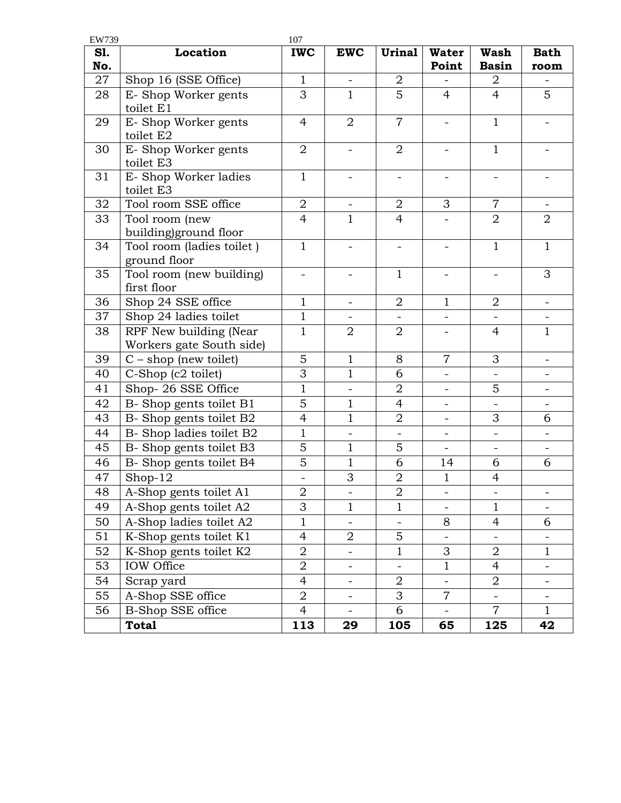| EW739           |                                           | 107            |                          |                          |                          |                             |                          |
|-----------------|-------------------------------------------|----------------|--------------------------|--------------------------|--------------------------|-----------------------------|--------------------------|
| S1.<br>No.      | <b>Location</b>                           | <b>IWC</b>     | <b>EWC</b>               | <b>Urinal</b>            | <b>Water</b><br>Point    | <b>Wash</b><br><b>Basin</b> | <b>Bath</b><br>room      |
| 27              | Shop 16 (SSE Office)                      | $\mathbf{1}$   | $\overline{\phantom{a}}$ | 2                        |                          | 2                           |                          |
| 28              | E-Shop Worker gents                       | 3              | $\mathbf{1}$             | 5                        | $\overline{4}$           | $\overline{4}$              | 5                        |
|                 | toilet E1                                 |                |                          |                          |                          |                             |                          |
| 29              | E-Shop Worker gents<br>toilet E2          | $\overline{4}$ | $\overline{2}$           | $\overline{7}$           | $\overline{\phantom{0}}$ | $\mathbf{1}$                |                          |
| 30              | E-Shop Worker gents<br>toilet E3          | $\overline{2}$ |                          | $\overline{2}$           |                          | $\mathbf{1}$                |                          |
| 31              | E- Shop Worker ladies<br>toilet E3        | $\mathbf{1}$   |                          | $\qquad \qquad -$        | -                        |                             |                          |
| 32              | Tool room SSE office                      | $\overline{2}$ |                          | $\overline{2}$           | 3                        | $\overline{7}$              |                          |
| 33              | Tool room (new                            | $\overline{4}$ | $\mathbf{1}$             | $\overline{4}$           |                          | $\overline{2}$              | $\overline{2}$           |
|                 | building)ground floor                     |                |                          |                          |                          |                             |                          |
| 34              | Tool room (ladies toilet)<br>ground floor | $\mathbf{1}$   |                          |                          | -                        | $\mathbf{1}$                | $\mathbf{1}$             |
| 35              | Tool room (new building)<br>first floor   | $\overline{a}$ |                          | 1                        |                          |                             | 3                        |
| 36              | Shop 24 SSE office                        | $\mathbf{1}$   |                          | $\overline{2}$           | $\mathbf{1}$             | $\overline{2}$              |                          |
| 37              | Shop 24 ladies toilet                     | $\mathbf{1}$   |                          | $\overline{\phantom{0}}$ | $\overline{\phantom{0}}$ | $\overline{\phantom{a}}$    | $\overline{\phantom{a}}$ |
| 38              | RPF New building (Near                    | $\mathbf{1}$   | $\overline{2}$           | $\overline{2}$           | ÷,                       | $\overline{4}$              | $\mathbf{1}$             |
|                 | Workers gate South side)                  |                |                          |                          |                          |                             |                          |
| 39              | $C - shop$ (new toilet)                   | 5              | $\mathbf{1}$             | 8                        | $\overline{7}$           | 3                           | $\overline{\phantom{a}}$ |
| 40              | C-Shop (c2 toilet)                        | 3              | $\mathbf{1}$             | 6                        | $\overline{a}$           |                             |                          |
| 41              | Shop-26 SSE Office                        | $1\,$          |                          | $\sqrt{2}$               | $\overline{\phantom{0}}$ | 5                           | $\overline{\phantom{a}}$ |
| 42              | B-Shop gents toilet B1                    | 5              | 1                        | $\overline{4}$           | $\overline{\phantom{0}}$ | $\overline{\phantom{a}}$    |                          |
| 43              | B- Shop gents toilet B2                   | $\overline{4}$ | $\mathbf{1}$             | $\overline{2}$           | $\overline{\phantom{0}}$ | 3                           | 6                        |
| 44              | B- Shop ladies toilet B2                  | $\mathbf{1}$   | $\overline{\phantom{a}}$ | $\overline{\phantom{a}}$ | $\overline{\phantom{0}}$ | $\overline{\phantom{a}}$    | $\overline{\phantom{0}}$ |
| 45              | B- Shop gents toilet B3                   | 5              | 1                        | 5                        |                          |                             |                          |
| 46              | B- Shop gents toilet B4                   | $\overline{5}$ | $\mathbf{1}$             | 6                        | 14                       | 6                           | 6                        |
| 47              | Shop-12                                   |                | 3                        | $\mathbf 2$              | $\mathbf{1}$             | $\overline{4}$              |                          |
| $\overline{48}$ | A-Shop gents toilet A1                    | $\overline{2}$ | $\overline{\phantom{a}}$ | $\overline{2}$           | -                        | $\overline{\phantom{a}}$    | $\overline{\phantom{a}}$ |
| 49              | A-Shop gents toilet A2                    | 3              | $\mathbf{1}$             | $\mathbf{1}$             | $\overline{\phantom{0}}$ | $\mathbf{1}$                |                          |
| 50              | A-Shop ladies toilet A2                   | $\mathbf{1}$   |                          | -                        | 8                        | 4                           | 6                        |
| 51              | K-Shop gents toilet K1                    | 4              | 2                        | 5                        | $\overline{\phantom{a}}$ |                             |                          |
| 52              | K-Shop gents toilet K2                    | $\overline{2}$ | $\overline{\phantom{a}}$ | $\mathbf{1}$             | 3                        | $\overline{2}$              | $\mathbf{1}$             |
| 53              | IOW Office                                | $\overline{2}$ | $\overline{\phantom{a}}$ | $\overline{\phantom{a}}$ | $\mathbf{1}$             | $\overline{4}$              | $\overline{\phantom{a}}$ |
| 54              | Scrap yard                                | $\overline{4}$ | $\overline{\phantom{a}}$ | $\overline{2}$           | $\overline{a}$           | 2                           |                          |
| 55              | A-Shop SSE office                         | $\overline{2}$ | $\overline{\phantom{a}}$ | 3                        | $\overline{7}$           |                             | -                        |
| 56              | <b>B-Shop SSE office</b>                  | $\overline{4}$ |                          | 6                        |                          | $\overline{7}$              | $\mathbf{1}$             |
|                 | <b>Total</b>                              | 113            | 29                       | 105                      | 65                       | 125                         | 42                       |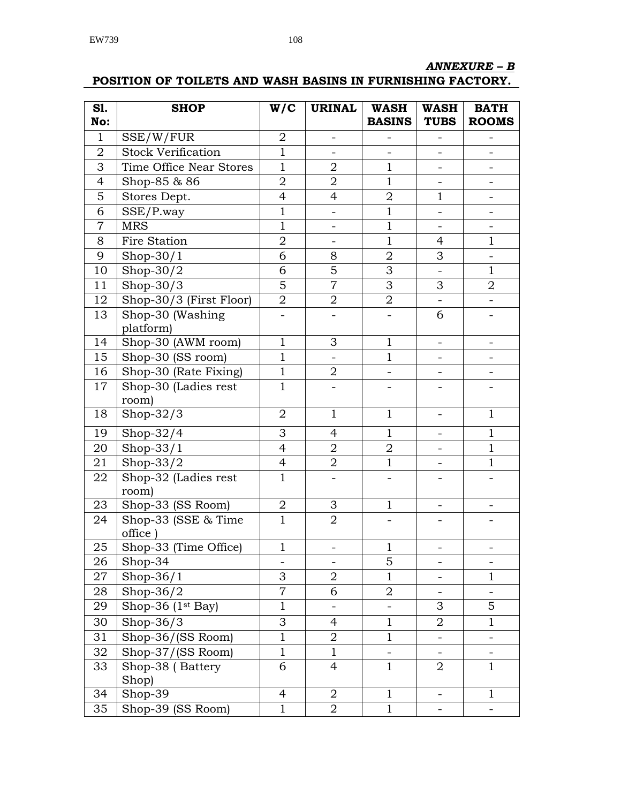## *ANNEXURE – B*

## **POSITION OF TOILETS AND WASH BASINS IN FURNISHING FACTORY.**

| $\mathbf{1}$<br>SSE/W/FUR<br>$\overline{2}$<br>$\qquad \qquad -$<br>$\mathbf{1}$<br><b>Stock Verification</b><br>$\overline{2}$<br>$\qquad \qquad -$<br>$\overline{\phantom{a}}$<br>$\mathbf{1}$<br>3<br>Time Office Near Stores<br>$\overline{2}$<br>$\mathbf 1$<br>$\overline{2}$<br>$\overline{2}$<br>$\mathbf{1}$<br>$\overline{4}$<br>Shop-85 & 86<br>5<br>Stores Dept.<br>$\mathbf 2$<br>$\mathbf{1}$<br>4<br>$\overline{4}$<br>$\mathbf{1}$<br>6<br>$\mathbf{1}$<br>SSE/P.way<br><b>MRS</b><br>$\mathbf{1}$<br>$\mathbf{1}$<br>$\overline{7}$<br>$\overline{2}$<br>$\mathbf{1}$<br>8<br>Fire Station<br>$\mathbf{1}$<br>$\overline{4}$<br>6<br>$\overline{2}$<br>3<br>9<br>Shop- $30/1$<br>8<br>5<br>3<br>6<br>Shop- $30/2$<br>$\mathbf{1}$<br>10<br>$\overline{\phantom{0}}$<br>5<br>$\overline{7}$<br>3<br>$\boldsymbol{2}$<br>11<br>3<br>$Shop-30/3$<br>Shop-30/3 (First Floor)<br>$\overline{2}$<br>$\overline{2}$<br>12<br>$\overline{2}$<br>13<br>Shop-30 (Washing<br>6<br>platform)<br>$\mathbf{1}$<br>3<br>$\mathbf{1}$<br>14<br>Shop-30 (AWM room)<br>$\overline{\phantom{a}}$<br>Shop-30 (SS room)<br>$\mathbf{1}$<br>15<br>$\mathbf{1}$<br>$\mathbf{1}$<br>$\sqrt{2}$<br>Shop-30 (Rate Fixing)<br>16<br>$\qquad \qquad -$<br>17<br>Shop-30 (Ladies rest<br>$\mathbf{1}$<br>room)<br>18<br>Shop- $32/3$<br>$\overline{2}$<br>$\mathbf{1}$<br>$\mathbf{1}$<br>$\mathbf{1}$<br>3<br>$\mathbf{1}$<br>19<br>Shop- $32/4$<br>$\overline{4}$<br>$\mathbf{1}$<br>$\overline{\phantom{0}}$<br>Shop- $33/1$<br>$\overline{4}$<br>20<br>$\overline{2}$<br>$\overline{2}$<br>$\mathbf{1}$<br>$\overline{4}$<br>$\overline{2}$<br>$\mathbf{1}$<br>Shop- $33/2$<br>$\mathbf{1}$<br>21<br>$\overline{\phantom{0}}$<br>$\mathbf{1}$<br>22<br>Shop-32 (Ladies rest<br>room)<br>Shop-33 (SS Room)<br>$\sqrt{2}$<br>3<br>23<br>$\mathbf{1}$<br>Shop-33 (SSE & Time<br>$\mathbf{1}$<br>24<br>2<br>office<br>Shop-33 (Time Office)<br>$\mathbf{1}$<br>25<br>$\mathbf{1}$<br>5<br>26<br>Shop-34<br>$\qquad \qquad -$<br>-<br>3<br>$\boldsymbol{2}$<br>$\,1$<br>27<br>Shop- $36/1$<br>$\mathbf{1}$<br>-<br>$\overline{7}$<br>6<br>Shop- $36/2$<br>$\overline{2}$<br>28<br>$\overline{\phantom{0}}$ | S1. | <b>SHOP</b>                   | W/C          | <b>URINAL</b> | <b>WASH</b>   | <b>WASH</b> | <b>BATH</b>  |
|-----------------------------------------------------------------------------------------------------------------------------------------------------------------------------------------------------------------------------------------------------------------------------------------------------------------------------------------------------------------------------------------------------------------------------------------------------------------------------------------------------------------------------------------------------------------------------------------------------------------------------------------------------------------------------------------------------------------------------------------------------------------------------------------------------------------------------------------------------------------------------------------------------------------------------------------------------------------------------------------------------------------------------------------------------------------------------------------------------------------------------------------------------------------------------------------------------------------------------------------------------------------------------------------------------------------------------------------------------------------------------------------------------------------------------------------------------------------------------------------------------------------------------------------------------------------------------------------------------------------------------------------------------------------------------------------------------------------------------------------------------------------------------------------------------------------------------------------------------------------------------------------------------------------------------------------------------------------------------------------------------------------------------------------------------------------------------------------------------------------------------------------------------------------------------------------------|-----|-------------------------------|--------------|---------------|---------------|-------------|--------------|
|                                                                                                                                                                                                                                                                                                                                                                                                                                                                                                                                                                                                                                                                                                                                                                                                                                                                                                                                                                                                                                                                                                                                                                                                                                                                                                                                                                                                                                                                                                                                                                                                                                                                                                                                                                                                                                                                                                                                                                                                                                                                                                                                                                                               | No: |                               |              |               | <b>BASINS</b> | <b>TUBS</b> | <b>ROOMS</b> |
|                                                                                                                                                                                                                                                                                                                                                                                                                                                                                                                                                                                                                                                                                                                                                                                                                                                                                                                                                                                                                                                                                                                                                                                                                                                                                                                                                                                                                                                                                                                                                                                                                                                                                                                                                                                                                                                                                                                                                                                                                                                                                                                                                                                               |     |                               |              |               |               |             |              |
|                                                                                                                                                                                                                                                                                                                                                                                                                                                                                                                                                                                                                                                                                                                                                                                                                                                                                                                                                                                                                                                                                                                                                                                                                                                                                                                                                                                                                                                                                                                                                                                                                                                                                                                                                                                                                                                                                                                                                                                                                                                                                                                                                                                               |     |                               |              |               |               |             |              |
|                                                                                                                                                                                                                                                                                                                                                                                                                                                                                                                                                                                                                                                                                                                                                                                                                                                                                                                                                                                                                                                                                                                                                                                                                                                                                                                                                                                                                                                                                                                                                                                                                                                                                                                                                                                                                                                                                                                                                                                                                                                                                                                                                                                               |     |                               |              |               |               |             |              |
|                                                                                                                                                                                                                                                                                                                                                                                                                                                                                                                                                                                                                                                                                                                                                                                                                                                                                                                                                                                                                                                                                                                                                                                                                                                                                                                                                                                                                                                                                                                                                                                                                                                                                                                                                                                                                                                                                                                                                                                                                                                                                                                                                                                               |     |                               |              |               |               |             |              |
|                                                                                                                                                                                                                                                                                                                                                                                                                                                                                                                                                                                                                                                                                                                                                                                                                                                                                                                                                                                                                                                                                                                                                                                                                                                                                                                                                                                                                                                                                                                                                                                                                                                                                                                                                                                                                                                                                                                                                                                                                                                                                                                                                                                               |     |                               |              |               |               |             |              |
|                                                                                                                                                                                                                                                                                                                                                                                                                                                                                                                                                                                                                                                                                                                                                                                                                                                                                                                                                                                                                                                                                                                                                                                                                                                                                                                                                                                                                                                                                                                                                                                                                                                                                                                                                                                                                                                                                                                                                                                                                                                                                                                                                                                               |     |                               |              |               |               |             |              |
|                                                                                                                                                                                                                                                                                                                                                                                                                                                                                                                                                                                                                                                                                                                                                                                                                                                                                                                                                                                                                                                                                                                                                                                                                                                                                                                                                                                                                                                                                                                                                                                                                                                                                                                                                                                                                                                                                                                                                                                                                                                                                                                                                                                               |     |                               |              |               |               |             |              |
|                                                                                                                                                                                                                                                                                                                                                                                                                                                                                                                                                                                                                                                                                                                                                                                                                                                                                                                                                                                                                                                                                                                                                                                                                                                                                                                                                                                                                                                                                                                                                                                                                                                                                                                                                                                                                                                                                                                                                                                                                                                                                                                                                                                               |     |                               |              |               |               |             |              |
|                                                                                                                                                                                                                                                                                                                                                                                                                                                                                                                                                                                                                                                                                                                                                                                                                                                                                                                                                                                                                                                                                                                                                                                                                                                                                                                                                                                                                                                                                                                                                                                                                                                                                                                                                                                                                                                                                                                                                                                                                                                                                                                                                                                               |     |                               |              |               |               |             |              |
|                                                                                                                                                                                                                                                                                                                                                                                                                                                                                                                                                                                                                                                                                                                                                                                                                                                                                                                                                                                                                                                                                                                                                                                                                                                                                                                                                                                                                                                                                                                                                                                                                                                                                                                                                                                                                                                                                                                                                                                                                                                                                                                                                                                               |     |                               |              |               |               |             |              |
|                                                                                                                                                                                                                                                                                                                                                                                                                                                                                                                                                                                                                                                                                                                                                                                                                                                                                                                                                                                                                                                                                                                                                                                                                                                                                                                                                                                                                                                                                                                                                                                                                                                                                                                                                                                                                                                                                                                                                                                                                                                                                                                                                                                               |     |                               |              |               |               |             |              |
|                                                                                                                                                                                                                                                                                                                                                                                                                                                                                                                                                                                                                                                                                                                                                                                                                                                                                                                                                                                                                                                                                                                                                                                                                                                                                                                                                                                                                                                                                                                                                                                                                                                                                                                                                                                                                                                                                                                                                                                                                                                                                                                                                                                               |     |                               |              |               |               |             |              |
|                                                                                                                                                                                                                                                                                                                                                                                                                                                                                                                                                                                                                                                                                                                                                                                                                                                                                                                                                                                                                                                                                                                                                                                                                                                                                                                                                                                                                                                                                                                                                                                                                                                                                                                                                                                                                                                                                                                                                                                                                                                                                                                                                                                               |     |                               |              |               |               |             |              |
|                                                                                                                                                                                                                                                                                                                                                                                                                                                                                                                                                                                                                                                                                                                                                                                                                                                                                                                                                                                                                                                                                                                                                                                                                                                                                                                                                                                                                                                                                                                                                                                                                                                                                                                                                                                                                                                                                                                                                                                                                                                                                                                                                                                               |     |                               |              |               |               |             |              |
|                                                                                                                                                                                                                                                                                                                                                                                                                                                                                                                                                                                                                                                                                                                                                                                                                                                                                                                                                                                                                                                                                                                                                                                                                                                                                                                                                                                                                                                                                                                                                                                                                                                                                                                                                                                                                                                                                                                                                                                                                                                                                                                                                                                               |     |                               |              |               |               |             |              |
|                                                                                                                                                                                                                                                                                                                                                                                                                                                                                                                                                                                                                                                                                                                                                                                                                                                                                                                                                                                                                                                                                                                                                                                                                                                                                                                                                                                                                                                                                                                                                                                                                                                                                                                                                                                                                                                                                                                                                                                                                                                                                                                                                                                               |     |                               |              |               |               |             |              |
|                                                                                                                                                                                                                                                                                                                                                                                                                                                                                                                                                                                                                                                                                                                                                                                                                                                                                                                                                                                                                                                                                                                                                                                                                                                                                                                                                                                                                                                                                                                                                                                                                                                                                                                                                                                                                                                                                                                                                                                                                                                                                                                                                                                               |     |                               |              |               |               |             |              |
|                                                                                                                                                                                                                                                                                                                                                                                                                                                                                                                                                                                                                                                                                                                                                                                                                                                                                                                                                                                                                                                                                                                                                                                                                                                                                                                                                                                                                                                                                                                                                                                                                                                                                                                                                                                                                                                                                                                                                                                                                                                                                                                                                                                               |     |                               |              |               |               |             |              |
|                                                                                                                                                                                                                                                                                                                                                                                                                                                                                                                                                                                                                                                                                                                                                                                                                                                                                                                                                                                                                                                                                                                                                                                                                                                                                                                                                                                                                                                                                                                                                                                                                                                                                                                                                                                                                                                                                                                                                                                                                                                                                                                                                                                               |     |                               |              |               |               |             |              |
|                                                                                                                                                                                                                                                                                                                                                                                                                                                                                                                                                                                                                                                                                                                                                                                                                                                                                                                                                                                                                                                                                                                                                                                                                                                                                                                                                                                                                                                                                                                                                                                                                                                                                                                                                                                                                                                                                                                                                                                                                                                                                                                                                                                               |     |                               |              |               |               |             |              |
|                                                                                                                                                                                                                                                                                                                                                                                                                                                                                                                                                                                                                                                                                                                                                                                                                                                                                                                                                                                                                                                                                                                                                                                                                                                                                                                                                                                                                                                                                                                                                                                                                                                                                                                                                                                                                                                                                                                                                                                                                                                                                                                                                                                               |     |                               |              |               |               |             |              |
|                                                                                                                                                                                                                                                                                                                                                                                                                                                                                                                                                                                                                                                                                                                                                                                                                                                                                                                                                                                                                                                                                                                                                                                                                                                                                                                                                                                                                                                                                                                                                                                                                                                                                                                                                                                                                                                                                                                                                                                                                                                                                                                                                                                               |     |                               |              |               |               |             |              |
|                                                                                                                                                                                                                                                                                                                                                                                                                                                                                                                                                                                                                                                                                                                                                                                                                                                                                                                                                                                                                                                                                                                                                                                                                                                                                                                                                                                                                                                                                                                                                                                                                                                                                                                                                                                                                                                                                                                                                                                                                                                                                                                                                                                               |     |                               |              |               |               |             |              |
|                                                                                                                                                                                                                                                                                                                                                                                                                                                                                                                                                                                                                                                                                                                                                                                                                                                                                                                                                                                                                                                                                                                                                                                                                                                                                                                                                                                                                                                                                                                                                                                                                                                                                                                                                                                                                                                                                                                                                                                                                                                                                                                                                                                               |     |                               |              |               |               |             |              |
|                                                                                                                                                                                                                                                                                                                                                                                                                                                                                                                                                                                                                                                                                                                                                                                                                                                                                                                                                                                                                                                                                                                                                                                                                                                                                                                                                                                                                                                                                                                                                                                                                                                                                                                                                                                                                                                                                                                                                                                                                                                                                                                                                                                               |     |                               |              |               |               |             |              |
|                                                                                                                                                                                                                                                                                                                                                                                                                                                                                                                                                                                                                                                                                                                                                                                                                                                                                                                                                                                                                                                                                                                                                                                                                                                                                                                                                                                                                                                                                                                                                                                                                                                                                                                                                                                                                                                                                                                                                                                                                                                                                                                                                                                               |     |                               |              |               |               |             |              |
|                                                                                                                                                                                                                                                                                                                                                                                                                                                                                                                                                                                                                                                                                                                                                                                                                                                                                                                                                                                                                                                                                                                                                                                                                                                                                                                                                                                                                                                                                                                                                                                                                                                                                                                                                                                                                                                                                                                                                                                                                                                                                                                                                                                               |     |                               |              |               |               |             |              |
|                                                                                                                                                                                                                                                                                                                                                                                                                                                                                                                                                                                                                                                                                                                                                                                                                                                                                                                                                                                                                                                                                                                                                                                                                                                                                                                                                                                                                                                                                                                                                                                                                                                                                                                                                                                                                                                                                                                                                                                                                                                                                                                                                                                               |     |                               |              |               |               |             |              |
|                                                                                                                                                                                                                                                                                                                                                                                                                                                                                                                                                                                                                                                                                                                                                                                                                                                                                                                                                                                                                                                                                                                                                                                                                                                                                                                                                                                                                                                                                                                                                                                                                                                                                                                                                                                                                                                                                                                                                                                                                                                                                                                                                                                               |     |                               |              |               |               |             |              |
|                                                                                                                                                                                                                                                                                                                                                                                                                                                                                                                                                                                                                                                                                                                                                                                                                                                                                                                                                                                                                                                                                                                                                                                                                                                                                                                                                                                                                                                                                                                                                                                                                                                                                                                                                                                                                                                                                                                                                                                                                                                                                                                                                                                               |     |                               |              |               |               |             |              |
|                                                                                                                                                                                                                                                                                                                                                                                                                                                                                                                                                                                                                                                                                                                                                                                                                                                                                                                                                                                                                                                                                                                                                                                                                                                                                                                                                                                                                                                                                                                                                                                                                                                                                                                                                                                                                                                                                                                                                                                                                                                                                                                                                                                               |     |                               |              |               |               |             |              |
|                                                                                                                                                                                                                                                                                                                                                                                                                                                                                                                                                                                                                                                                                                                                                                                                                                                                                                                                                                                                                                                                                                                                                                                                                                                                                                                                                                                                                                                                                                                                                                                                                                                                                                                                                                                                                                                                                                                                                                                                                                                                                                                                                                                               | 29  | Shop-36 (1 <sup>st</sup> Bay) | $\mathbf{1}$ |               |               | 3           | 5            |
| 3<br>Shop- $36/3$<br>$\mathbf{1}$<br>$\mathbf{1}$<br>30<br>$\overline{4}$<br>2                                                                                                                                                                                                                                                                                                                                                                                                                                                                                                                                                                                                                                                                                                                                                                                                                                                                                                                                                                                                                                                                                                                                                                                                                                                                                                                                                                                                                                                                                                                                                                                                                                                                                                                                                                                                                                                                                                                                                                                                                                                                                                                |     |                               |              |               |               |             |              |
| $\mathbf{1}$<br>31<br>$\overline{2}$<br>Shop-36/(SS Room)<br>$\mathbf{1}$                                                                                                                                                                                                                                                                                                                                                                                                                                                                                                                                                                                                                                                                                                                                                                                                                                                                                                                                                                                                                                                                                                                                                                                                                                                                                                                                                                                                                                                                                                                                                                                                                                                                                                                                                                                                                                                                                                                                                                                                                                                                                                                     |     |                               |              |               |               |             |              |
| 32<br>Shop-37/(SS Room)<br>$\mathbf{1}$<br>$\mathbf{1}$<br>$\qquad \qquad -$<br>$\overline{\phantom{0}}$                                                                                                                                                                                                                                                                                                                                                                                                                                                                                                                                                                                                                                                                                                                                                                                                                                                                                                                                                                                                                                                                                                                                                                                                                                                                                                                                                                                                                                                                                                                                                                                                                                                                                                                                                                                                                                                                                                                                                                                                                                                                                      |     |                               |              |               |               |             |              |
| 6<br>$\mathbf{1}$<br>33<br>Shop-38 (Battery<br>$\overline{4}$<br>$\mathbf{1}$<br>$\overline{2}$                                                                                                                                                                                                                                                                                                                                                                                                                                                                                                                                                                                                                                                                                                                                                                                                                                                                                                                                                                                                                                                                                                                                                                                                                                                                                                                                                                                                                                                                                                                                                                                                                                                                                                                                                                                                                                                                                                                                                                                                                                                                                               |     |                               |              |               |               |             |              |
| Shop)                                                                                                                                                                                                                                                                                                                                                                                                                                                                                                                                                                                                                                                                                                                                                                                                                                                                                                                                                                                                                                                                                                                                                                                                                                                                                                                                                                                                                                                                                                                                                                                                                                                                                                                                                                                                                                                                                                                                                                                                                                                                                                                                                                                         |     |                               |              |               |               |             |              |
| 34<br>Shop-39<br>$\overline{4}$<br>$\overline{2}$<br>$\mathbf{1}$<br>$\mathbf{1}$<br>$\overline{\phantom{0}}$                                                                                                                                                                                                                                                                                                                                                                                                                                                                                                                                                                                                                                                                                                                                                                                                                                                                                                                                                                                                                                                                                                                                                                                                                                                                                                                                                                                                                                                                                                                                                                                                                                                                                                                                                                                                                                                                                                                                                                                                                                                                                 |     |                               |              |               |               |             |              |
| 35<br>$\mathbf{1}$<br>$\overline{2}$<br>$\mathbf{1}$<br>Shop-39 (SS Room)<br>$\overline{\phantom{0}}$                                                                                                                                                                                                                                                                                                                                                                                                                                                                                                                                                                                                                                                                                                                                                                                                                                                                                                                                                                                                                                                                                                                                                                                                                                                                                                                                                                                                                                                                                                                                                                                                                                                                                                                                                                                                                                                                                                                                                                                                                                                                                         |     |                               |              |               |               |             |              |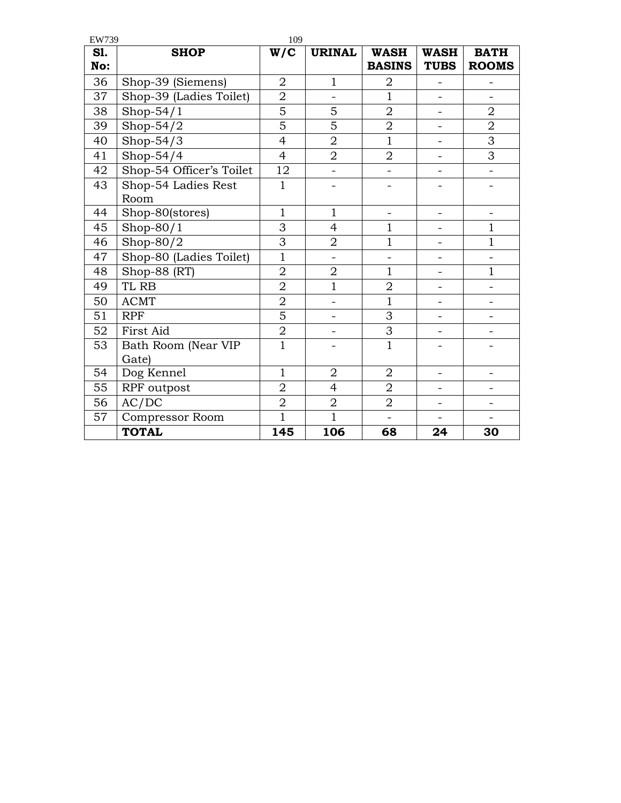| EW739      |                          | 109            |                |                              |                            |                             |
|------------|--------------------------|----------------|----------------|------------------------------|----------------------------|-----------------------------|
| S1.<br>No: | <b>SHOP</b>              | W/C            | <b>URINAL</b>  | <b>WASH</b><br><b>BASINS</b> | <b>WASH</b><br><b>TUBS</b> | <b>BATH</b><br><b>ROOMS</b> |
| 36         | Shop-39 (Siemens)        | $\overline{2}$ | $\overline{1}$ | 2                            | $\overline{a}$             |                             |
| 37         | Shop-39 (Ladies Toilet)  | $\overline{2}$ |                | $\overline{1}$               |                            |                             |
| 38         | Shop- $54/1$             | $\overline{5}$ | 5              | $\overline{2}$               | $\overline{\phantom{0}}$   | $\overline{2}$              |
| 39         | Shop- $54/2$             | 5              | 5              | $\overline{2}$               |                            | $\overline{2}$              |
| 40         | Shop- $54/3$             | $\overline{4}$ | $\overline{2}$ | $\mathbf{1}$                 | $\overline{\phantom{0}}$   | 3                           |
| 41         | Shop- $54/4$             | $\overline{4}$ | $\overline{2}$ | $\overline{2}$               |                            | 3                           |
| 42         | Shop-54 Officer's Toilet | 12             |                |                              |                            |                             |
| 43         | Shop-54 Ladies Rest      | $\mathbf{1}$   |                |                              |                            |                             |
|            | Room                     |                |                |                              |                            |                             |
| 44         | Shop-80(stores)          | $\mathbf{1}$   | $\mathbf{1}$   | $\overline{\phantom{0}}$     | $\overline{\phantom{0}}$   | $\qquad \qquad -$           |
| 45         | Shop- $80/1$             | 3              | $\overline{4}$ | $\mathbf{1}$                 | $\overline{a}$             | $\mathbf{1}$                |
| 46         | Shop- $80/2$             | 3              | $\overline{2}$ | $\mathbf{1}$                 | $\overline{\phantom{0}}$   | $\overline{1}$              |
| 47         | Shop-80 (Ladies Toilet)  | $\overline{1}$ |                |                              |                            |                             |
| 48         | Shop-88 (RT)             | $\overline{2}$ | $\overline{2}$ | $\mathbf{1}$                 | $\overline{\phantom{0}}$   | $\mathbf{1}$                |
| 49         | TL RB                    | $\overline{2}$ | $\overline{1}$ | $\overline{2}$               | $\overline{a}$             |                             |
| 50         | <b>ACMT</b>              | $\overline{2}$ |                | $\overline{1}$               |                            |                             |
| 51         | <b>RPF</b>               | $\overline{5}$ |                | 3                            | $\equiv$                   |                             |
| 52         | First Aid                | $\overline{2}$ | -              | 3                            | -                          |                             |
| 53         | Bath Room (Near VIP      | $\mathbf{1}$   |                | $\mathbf{1}$                 |                            |                             |
|            | Gate)                    |                |                |                              |                            |                             |
| 54         | Dog Kennel               | $\mathbf{1}$   | $\overline{2}$ | $\overline{2}$               | $\overline{\phantom{0}}$   |                             |
| 55         | RPF outpost              | $\overline{2}$ | $\overline{4}$ | $\overline{2}$               |                            |                             |
| 56         | AC/DC                    | $\overline{2}$ | $\overline{2}$ | $\overline{2}$               |                            |                             |
| 57         | <b>Compressor Room</b>   | $\overline{1}$ | $\mathbf{1}$   | $\overline{\phantom{0}}$     |                            |                             |
|            | <b>TOTAL</b>             | 145            | 106            | 68                           | 24                         | 30                          |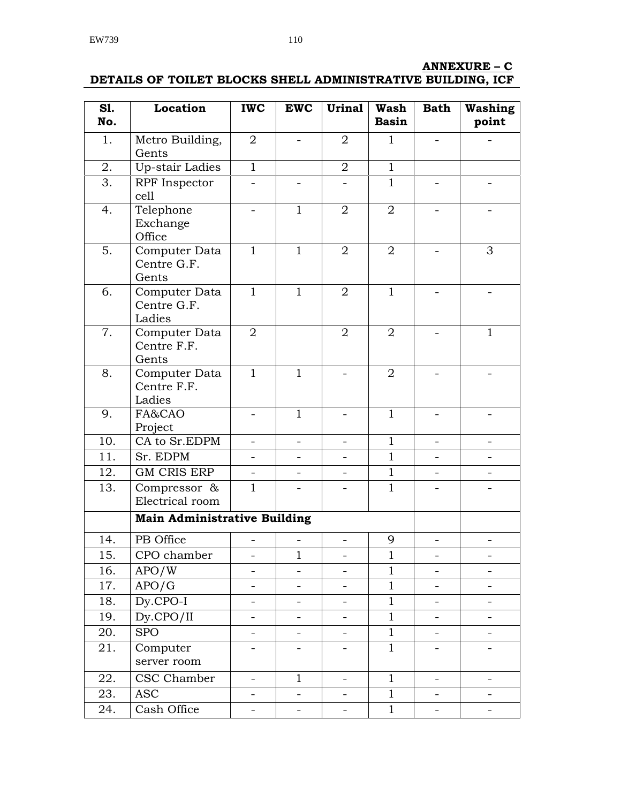# **ANNEXURE – C**

**DETAILS OF TOILET BLOCKS SHELL ADMINISTRATIVE BUILDING, ICF**

| <b>S1.</b><br>No. | <b>Location</b>                        | <b>IWC</b>               | <b>EWC</b>               | <b>Urinal</b>            | <b>Wash</b><br><b>Basin</b> | <b>Bath</b>              | <b>Washing</b><br>point |
|-------------------|----------------------------------------|--------------------------|--------------------------|--------------------------|-----------------------------|--------------------------|-------------------------|
| 1.                | Metro Building,<br>Gents               | $\overline{2}$           |                          | 2                        | $\mathbf{1}$                |                          |                         |
| 2.                | <b>Up-stair Ladies</b>                 | $\mathbf{1}$             |                          | $\overline{2}$           | $\mathbf{1}$                |                          |                         |
| 3.                | RPF Inspector<br>cell                  |                          |                          |                          | $\mathbf{1}$                |                          |                         |
| 4.                | Telephone<br>Exchange<br>Office        |                          | $\mathbf{1}$             | 2                        | 2                           |                          |                         |
| 5.                | Computer Data<br>Centre G.F.<br>Gents  | $\mathbf{1}$             | $\mathbf{1}$             | 2                        | $\overline{2}$              |                          | 3                       |
| 6.                | Computer Data<br>Centre G.F.<br>Ladies | $\mathbf{1}$             | $\mathbf{1}$             | 2                        | $\mathbf{1}$                |                          |                         |
| 7.                | Computer Data<br>Centre F.F.<br>Gents  | 2                        |                          | $\overline{2}$           | $\overline{2}$              |                          | $\mathbf{1}$            |
| 8.                | Computer Data<br>Centre F.F.<br>Ladies | $\mathbf{1}$             | $\mathbf{1}$             |                          | 2                           |                          |                         |
| 9.                | FA&CAO<br>Project                      | -                        | $\mathbf{1}$             |                          | $\mathbf{1}$                |                          |                         |
| 10.               | CA to Sr.EDPM                          |                          |                          |                          | $\mathbf{1}$                |                          |                         |
| 11.               | Sr. EDPM                               |                          |                          |                          | $\mathbf{1}$                |                          |                         |
| 12.               | <b>GM CRIS ERP</b>                     |                          |                          |                          | $\mathbf{1}$                |                          |                         |
| 13.               | Compressor &<br>Electrical room        | $\mathbf{1}$             |                          |                          | $\mathbf{1}$                |                          |                         |
|                   | <b>Main Administrative Building</b>    |                          |                          |                          |                             |                          |                         |
| 14.               | PB Office                              |                          |                          |                          | 9                           |                          |                         |
| 15.               | CPO chamber                            | $\overline{\phantom{0}}$ | 1                        |                          | $\mathbf{1}$                |                          |                         |
| 16.               | APO/W                                  | $\overline{\phantom{0}}$ |                          | $\overline{\phantom{0}}$ | $\mathbf{1}$                | $\overline{\phantom{0}}$ | -                       |
| 17.               | APO/G                                  | -                        |                          | $\overline{\phantom{0}}$ | $\mathbf{1}$                |                          |                         |
| 18.               | $Dy$ .CPO-I                            | $\overline{\phantom{0}}$ | $\overline{\phantom{0}}$ | $\qquad \qquad -$        | $\mathbf{1}$                | $\overline{\phantom{0}}$ | -                       |
| 19.               | $Dy$ .CPO/II                           | $\overline{\phantom{0}}$ |                          |                          | $\mathbf{1}$                |                          |                         |
| 20.               | <b>SPO</b>                             | $\overline{\phantom{a}}$ | $\overline{\phantom{0}}$ |                          | $\mathbf{1}$                | $\overline{\phantom{0}}$ |                         |
| 21.               | Computer<br>server room                | -                        |                          |                          | $\mathbf{1}$                | -                        | -                       |
| 22.               | CSC Chamber                            | $\overline{\phantom{a}}$ | $\mathbf{1}$             | $\overline{\phantom{0}}$ | $\mathbf{1}$                | $\overline{\phantom{0}}$ |                         |
| 23.               | <b>ASC</b>                             | -                        | -                        | $\overline{\phantom{0}}$ | $\mathbf{1}$                | -                        | -                       |
| 24.               | Cash Office                            | -                        |                          |                          | $\mathbf{1}$                | -                        | -                       |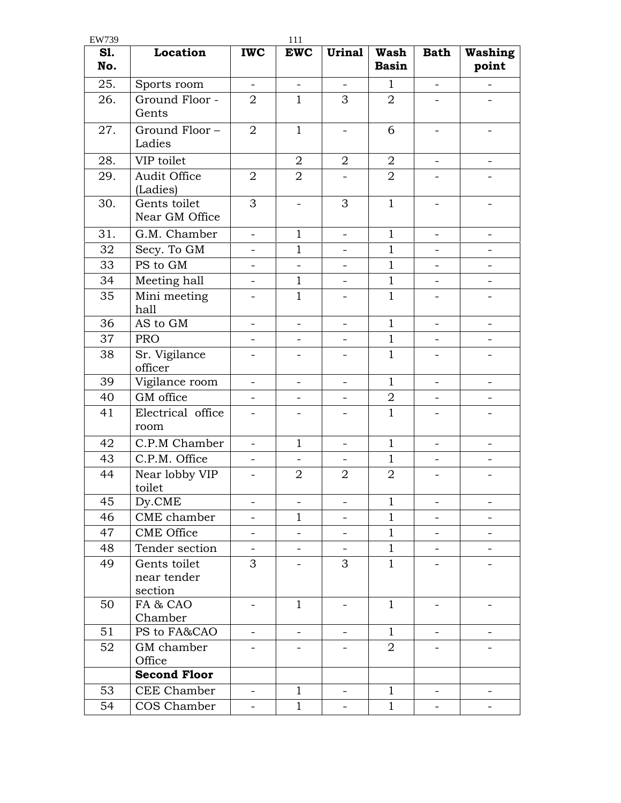| EW739      |                                        |                          | 111                      |                          |                      |                          |                          |
|------------|----------------------------------------|--------------------------|--------------------------|--------------------------|----------------------|--------------------------|--------------------------|
| S1.<br>No. | Location                               | <b>IWC</b>               | <b>EWC</b>               | <b>Urinal</b>            | Wash<br><b>Basin</b> | <b>Bath</b>              | <b>Washing</b><br>point  |
| 25.        | Sports room                            | $\overline{\phantom{a}}$ | $\overline{\phantom{0}}$ | $\overline{\phantom{a}}$ | $\mathbf{1}$         | $\overline{\phantom{0}}$ |                          |
| 26.        | Ground Floor -<br>Gents                | $\overline{2}$           | $\mathbf{1}$             | 3                        | $\overline{2}$       | $\overline{\phantom{0}}$ |                          |
| 27.        | Ground Floor-<br>Ladies                | 2                        | $\mathbf{1}$             | $\overline{\phantom{a}}$ | 6                    | $\overline{\phantom{a}}$ | $\overline{\phantom{0}}$ |
| 28.        | VIP toilet                             |                          | 2                        | $\overline{2}$           | 2                    | $\overline{\phantom{0}}$ | $\overline{\phantom{0}}$ |
| 29.        | Audit Office<br>(Ladies)               | $\overline{2}$           | $\overline{2}$           |                          | $\overline{2}$       |                          |                          |
| 30.        | Gents toilet<br>Near GM Office         | 3                        |                          | 3                        | $\mathbf{1}$         |                          |                          |
| 31.        | G.M. Chamber                           | $\equiv$                 | $\mathbf{1}$             | $\overline{\phantom{a}}$ | $\mathbf{1}$         | $\overline{a}$           | $\overline{\phantom{0}}$ |
| 32         | Secy. To GM                            | $\overline{a}$           | $\mathbf 1$              | $\overline{\phantom{0}}$ | $\mathbf{1}$         | $\overline{\phantom{0}}$ | $\overline{\phantom{0}}$ |
| 33         | PS to GM                               | $\overline{a}$           | $\overline{a}$           | $\overline{\phantom{0}}$ | $\mathbf{1}$         | $\overline{a}$           |                          |
| 34         | Meeting hall                           | $\overline{\phantom{0}}$ | $\mathbf{1}$             | $\overline{\phantom{a}}$ | $\mathbf{1}$         | $\overline{\phantom{0}}$ | $\overline{\phantom{0}}$ |
| 35         | Mini meeting<br>hall                   |                          | $\mathbf{1}$             |                          | $\mathbf{1}$         |                          |                          |
| 36         | AS to GM                               | $\overline{\phantom{0}}$ | $\qquad \qquad -$        | $\overline{\phantom{a}}$ | $\mathbf{1}$         | $\overline{\phantom{0}}$ |                          |
| 37         | <b>PRO</b>                             |                          |                          |                          | $\mathbf{1}$         |                          |                          |
| 38         | Sr. Vigilance<br>officer               | $\overline{\phantom{0}}$ |                          |                          | $\mathbf{1}$         | $\overline{a}$           | -                        |
| 39         | Vigilance room                         | $\overline{a}$           |                          |                          | $\mathbf{1}$         |                          |                          |
| 40         | GM office                              | $\overline{\phantom{0}}$ | $\overline{\phantom{0}}$ | $\overline{\phantom{a}}$ | 2                    | $\overline{\phantom{a}}$ | $\qquad \qquad -$        |
| 41         | Electrical office<br>room              | -                        |                          |                          | $\mathbf{1}$         |                          |                          |
| 42         | C.P.M Chamber                          | $\overline{\phantom{0}}$ | $\mathbf{1}$             | $\overline{\phantom{a}}$ | $\mathbf{1}$         | $\overline{\phantom{0}}$ | $\overline{\phantom{0}}$ |
| 43         | C.P.M. Office                          | $\overline{\phantom{0}}$ | $\overline{\phantom{0}}$ | $\overline{\phantom{0}}$ | $\mathbf{1}$         | $\overline{a}$           |                          |
| 44         | Near lobby VIP<br>toilet               | $\overline{\phantom{0}}$ | $\overline{2}$           | $\overline{2}$           | $\overline{2}$       |                          |                          |
| 45         | Dy.CME                                 |                          | $\overline{\phantom{0}}$ | $\overline{\phantom{0}}$ | $\mathbf{1}$         | $\overline{\phantom{0}}$ | -                        |
| 46         | CME chamber                            | $\overline{\phantom{0}}$ | $\mathbf 1$              |                          | $\mathbf{1}$         | $\overline{\phantom{a}}$ | $\overline{\phantom{0}}$ |
| 47         | <b>CME Office</b>                      | $\overline{\phantom{0}}$ |                          | $\overline{\phantom{0}}$ | $\mathbf{1}$         | $\overline{\phantom{0}}$ | $\overline{\phantom{0}}$ |
| 48         | Tender section                         | $\qquad \qquad -$        |                          | $\overline{\phantom{a}}$ | $\mathbf{1}$         | $\overline{\phantom{0}}$ | $\overline{\phantom{0}}$ |
| 49         | Gents toilet<br>near tender<br>section | 3                        |                          | 3                        | $\mathbf{1}$         |                          |                          |
| 50         | FA & CAO<br>Chamber                    | -                        | $\mathbf{1}$             | -                        | $\mathbf{1}$         | $\qquad \qquad -$        | -                        |
| 51         | PS to FA&CAO                           |                          |                          |                          | $\mathbf{1}$         |                          |                          |
| 52         | GM chamber<br>Office                   |                          |                          |                          | $\overline{2}$       |                          |                          |
|            | <b>Second Floor</b>                    |                          |                          |                          |                      |                          |                          |
| 53         | CEE Chamber                            | $\overline{\phantom{0}}$ | $\mathbf{1}$             | $\equiv$                 | $\mathbf{1}$         | $\overline{\phantom{0}}$ | $\overline{\phantom{0}}$ |
| 54         | COS Chamber                            | -                        | $\mathbf{1}$             | $\qquad \qquad -$        | $\mathbf{1}$         | $\overline{\phantom{0}}$ |                          |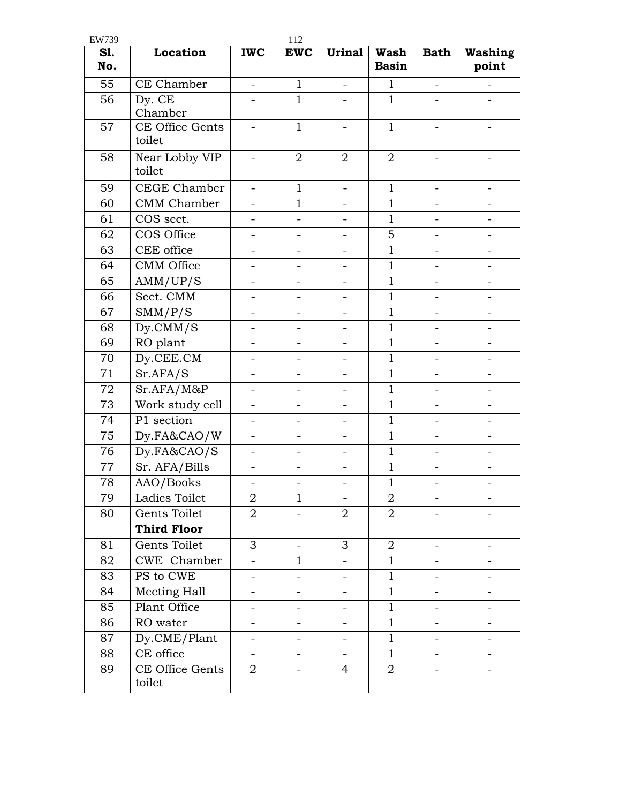| EW739      |                           |                          | 112                      |                          |                             |                          |                          |
|------------|---------------------------|--------------------------|--------------------------|--------------------------|-----------------------------|--------------------------|--------------------------|
| S1.<br>No. | Location                  | <b>IWC</b>               | <b>EWC</b>               | <b>Urinal</b>            | <b>Wash</b><br><b>Basin</b> | <b>Bath</b>              | <b>Washing</b><br>point  |
| 55         | CE Chamber                | $\overline{\phantom{0}}$ | $\mathbf{1}$             | $\overline{\phantom{0}}$ | $\mathbf{1}$                | $\overline{\phantom{0}}$ |                          |
| 56         | Dy. CE<br>Chamber         |                          | $\mathbf{1}$             |                          | $\mathbf{1}$                |                          |                          |
| 57         | CE Office Gents<br>toilet |                          | $\mathbf{1}$             |                          | $\mathbf{1}$                |                          |                          |
| 58         | Near Lobby VIP<br>toilet  | $\overline{\phantom{0}}$ | $\overline{2}$           | $\overline{2}$           | $\overline{2}$              |                          |                          |
| 59         | CEGE Chamber              | $\equiv$                 | $\mathbf{1}$             | $\overline{\phantom{0}}$ | $\mathbf{1}$                | $\qquad \qquad -$        | $\overline{\phantom{0}}$ |
| 60         | <b>CMM</b> Chamber        |                          | $\mathbf{1}$             | $\overline{\phantom{0}}$ | $\mathbf{1}$                | $\overline{a}$           |                          |
| 61         | COS sect.                 | $\overline{\phantom{0}}$ | $\overline{\phantom{0}}$ | $\overline{\phantom{a}}$ | $\mathbf{1}$                | $\overline{\phantom{0}}$ | $\overline{a}$           |
| 62         | COS Office                | $\overline{\phantom{0}}$ | -                        | $\overline{\phantom{0}}$ | 5                           | $\overline{\phantom{0}}$ | $\overline{\phantom{0}}$ |
| 63         | CEE office                | $\overline{\phantom{0}}$ |                          |                          | $\mathbf{1}$                |                          |                          |
| 64         | <b>CMM</b> Office         | $\overline{a}$           |                          |                          | $\mathbf{1}$                |                          |                          |
| 65         | AMM/UP/S                  | $\overline{\phantom{0}}$ | $\overline{\phantom{0}}$ | $\overline{\phantom{a}}$ | $\mathbf{1}$                | $\overline{\phantom{0}}$ | $\overline{\phantom{0}}$ |
| 66         | Sect. CMM                 | $\overline{\phantom{0}}$ |                          |                          | $\mathbf{1}$                | $\overline{\phantom{0}}$ |                          |
| 67         | SMM/P/S                   | $\overline{\phantom{0}}$ | $\qquad \qquad -$        | $\qquad \qquad -$        | $\mathbf{1}$                | $\overline{\phantom{0}}$ | $\overline{\phantom{0}}$ |
| 68         | $Dy$ .CMM/S               | $\overline{\phantom{a}}$ | $\qquad \qquad -$        | $\qquad \qquad -$        | $\mathbf{1}$                | $\qquad \qquad -$        | $\overline{\phantom{0}}$ |
| 69         | RO plant                  | $\overline{\phantom{0}}$ | $\overline{\phantom{0}}$ | $\overline{\phantom{0}}$ | $\mathbf{1}$                | $\overline{a}$           | $\overline{\phantom{0}}$ |
| 70         | Dy.CEE.CM                 | $\overline{\phantom{0}}$ | $\overline{\phantom{0}}$ |                          | $\mathbf{1}$                | $\overline{\phantom{0}}$ | $\overline{\phantom{0}}$ |
| 71         | Sr.AFA/S                  | $\overline{\phantom{0}}$ | $\overline{a}$           | $\overline{\phantom{a}}$ | $\mathbf{1}$                | $\overline{a}$           | $\equiv$                 |
| 72         | Sr.AFA/M&P                | $\overline{\phantom{0}}$ | $\overline{\phantom{0}}$ | $\overline{\phantom{a}}$ | $\mathbf{1}$                | $\overline{\phantom{0}}$ | $\overline{\phantom{0}}$ |
| 73         | Work study cell           |                          |                          |                          | $\mathbf{1}$                |                          |                          |
| 74         | P1 section                | $\overline{\phantom{0}}$ |                          |                          | $\mathbf{1}$                |                          |                          |
| 75         | Dy.FA&CAO/W               | $\overline{a}$           |                          |                          | $\mathbf{1}$                |                          |                          |
| 76         | Dy.FA&CAO/S               | $\overline{\phantom{0}}$ | $\overline{\phantom{0}}$ | $\qquad \qquad -$        | $\mathbf{1}$                | $\overline{\phantom{a}}$ | $\qquad \qquad -$        |
| 77         | Sr. AFA/Bills             | -                        | -                        | -                        | $\mathbf{1}$                | -                        | -                        |
| 78         | AAO/Books                 | $\overline{\phantom{a}}$ | $\overline{\phantom{0}}$ | $\overline{\phantom{a}}$ | $\mathbf{1}$                | $\overline{\phantom{0}}$ | -                        |
| 79         | Ladies Toilet             | 2                        | 1                        |                          | 2                           |                          |                          |
| 80         | Gents Toilet              | $\overline{2}$           |                          | $\overline{2}$           | $\overline{2}$              |                          |                          |
|            | <b>Third Floor</b>        |                          |                          |                          |                             |                          |                          |
| 81         | Gents Toilet              | 3                        |                          | 3                        | $\overline{2}$              |                          |                          |
| 82         | CWE Chamber               | $\overline{\phantom{0}}$ | $\mathbf 1$              |                          | $\mathbf{1}$                |                          |                          |
| 83         | PS to CWE                 | -                        |                          | -                        | $\mathbf{1}$                | -                        | -                        |
| 84         | Meeting Hall              | -                        | -                        | -                        | $\mathbf{1}$                | -                        | -                        |
| 85         | Plant Office              | -                        |                          |                          | $\mathbf{1}$                |                          |                          |
| 86         | RO water                  | $\overline{\phantom{0}}$ |                          | -                        | $\mathbf{1}$                |                          |                          |
| 87         | Dy.CME/Plant              | $\overline{\phantom{0}}$ | $\overline{\phantom{0}}$ | $\overline{\phantom{a}}$ | $\mathbf{1}$                | -                        | -                        |
| 88         | CE office                 | $\overline{\phantom{0}}$ | $\overline{\phantom{0}}$ | $\overline{\phantom{a}}$ | $\mathbf{1}$                | $\overline{\phantom{0}}$ | $\overline{\phantom{0}}$ |
| 89         | CE Office Gents<br>toilet | $\overline{2}$           |                          | 4                        | $\overline{2}$              |                          |                          |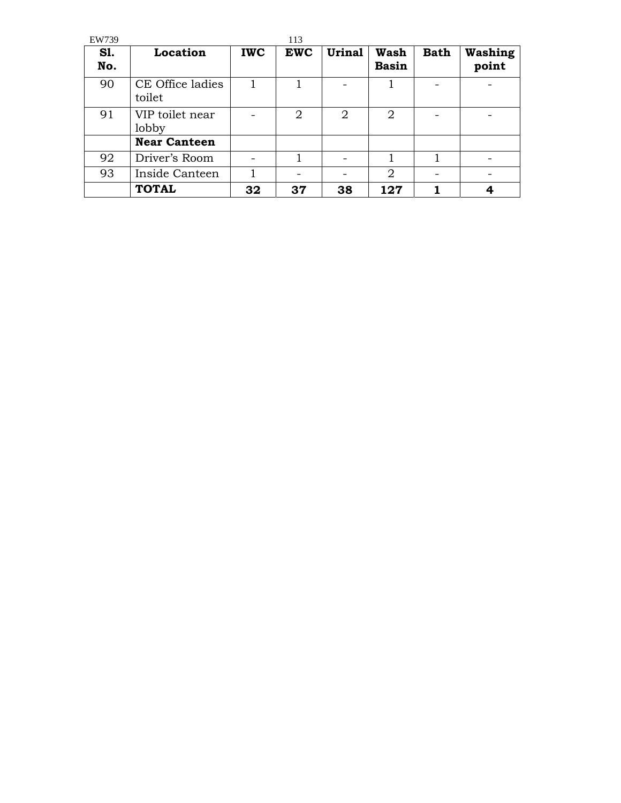| EW739             |                            |            | 113        |               |                             |             |                         |
|-------------------|----------------------------|------------|------------|---------------|-----------------------------|-------------|-------------------------|
| <b>S1.</b><br>No. | Location                   | <b>IWC</b> | <b>EWC</b> | <b>Urinal</b> | <b>Wash</b><br><b>Basin</b> | <b>Bath</b> | <b>Washing</b><br>point |
| 90                | CE Office ladies<br>toilet |            |            |               |                             |             |                         |
| 91                | VIP toilet near<br>lobby   |            | 2          | 2             | 2                           |             |                         |
|                   | <b>Near Canteen</b>        |            |            |               |                             |             |                         |
| 92                | Driver's Room              |            |            |               |                             |             |                         |
| 93                | Inside Canteen             |            |            |               | 2                           |             |                         |
|                   | <b>TOTAL</b>               | 32         | 37         | 38            | 127                         |             |                         |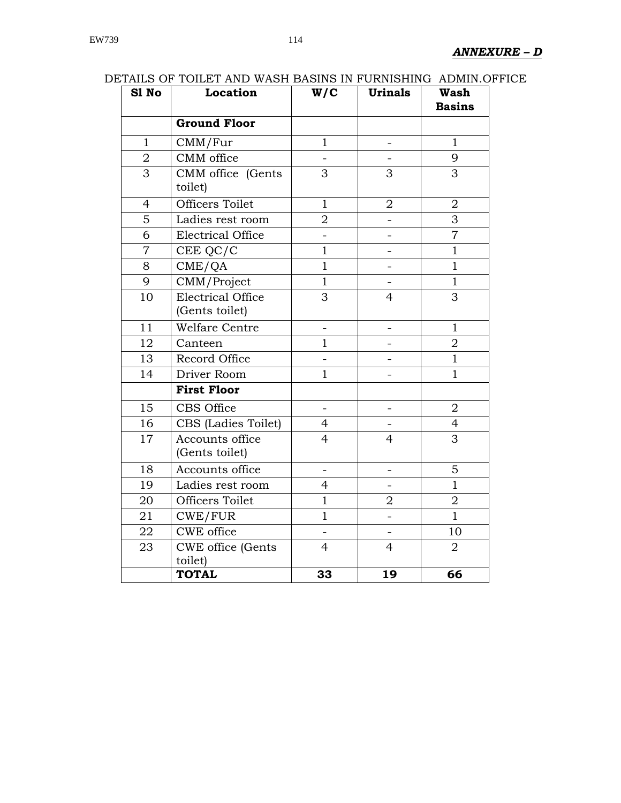| <br>S1 No      | Location                                   | W/C                      | ,,,,,,,,,,,,,<br><b>Urinals</b> | 11111111110<br><b>Wash</b><br><b>Basins</b> |
|----------------|--------------------------------------------|--------------------------|---------------------------------|---------------------------------------------|
|                | <b>Ground Floor</b>                        |                          |                                 |                                             |
| $\mathbf{1}$   | CMM/Fur                                    | $\mathbf{1}$             | $\qquad \qquad -$               | $\mathbf{1}$                                |
| $\overline{2}$ | CMM office                                 |                          |                                 | 9                                           |
| 3              | CMM office (Gents<br>toilet)               | 3                        | 3                               | 3                                           |
| $\overline{4}$ | Officers Toilet                            | $\mathbf{1}$             | $\overline{2}$                  | $\overline{2}$                              |
| 5              | Ladies rest room                           | $\overline{2}$           |                                 | 3                                           |
| 6              | <b>Electrical Office</b>                   |                          |                                 | $\overline{7}$                              |
| $\overline{7}$ | CEE QC/C                                   | $\mathbf{1}$             | $\overline{\phantom{0}}$        | $\mathbf{1}$                                |
| 8              | CME/QA                                     | $\mathbf{1}$             |                                 | $\mathbf{1}$                                |
| 9              | CMM/Project                                | $\mathbf{1}$             |                                 | $\mathbf{1}$                                |
| 10             | <b>Electrical Office</b><br>(Gents toilet) | 3                        | $\overline{4}$                  | 3                                           |
| 11             | Welfare Centre                             | -                        |                                 | $\mathbf{1}$                                |
| 12             | Canteen                                    | $\overline{1}$           |                                 | $\overline{2}$                              |
| 13             | Record Office                              |                          |                                 | $\mathbf{1}$                                |
| 14             | Driver Room                                | $\mathbf{1}$             |                                 | $\overline{1}$                              |
|                | <b>First Floor</b>                         |                          |                                 |                                             |
| 15             | CBS Office                                 |                          |                                 | $\overline{2}$                              |
| 16             | CBS (Ladies Toilet)                        | $\overline{4}$           |                                 | $\overline{4}$                              |
| 17             | Accounts office<br>(Gents toilet)          | $\overline{4}$           | $\overline{4}$                  | $\overline{3}$                              |
| 18             | Accounts office                            | $\overline{\phantom{0}}$ | $\overline{\phantom{0}}$        | 5                                           |
| 19             | Ladies rest room                           | $\overline{4}$           |                                 | $\overline{1}$                              |
| 20             | <b>Officers Toilet</b>                     | $\mathbf{1}$             | $\overline{2}$                  | $\overline{2}$                              |
| 21             | CWE/FUR                                    | $\mathbf{1}$             |                                 | $\mathbf{1}$                                |
| 22             | CWE office                                 |                          |                                 | 10                                          |
| 23             | <b>CWE</b> office (Gents<br>toilet)        | $\overline{4}$           | $\overline{4}$                  | $\overline{2}$                              |
|                | <b>TOTAL</b>                               | 33                       | 19                              | 66                                          |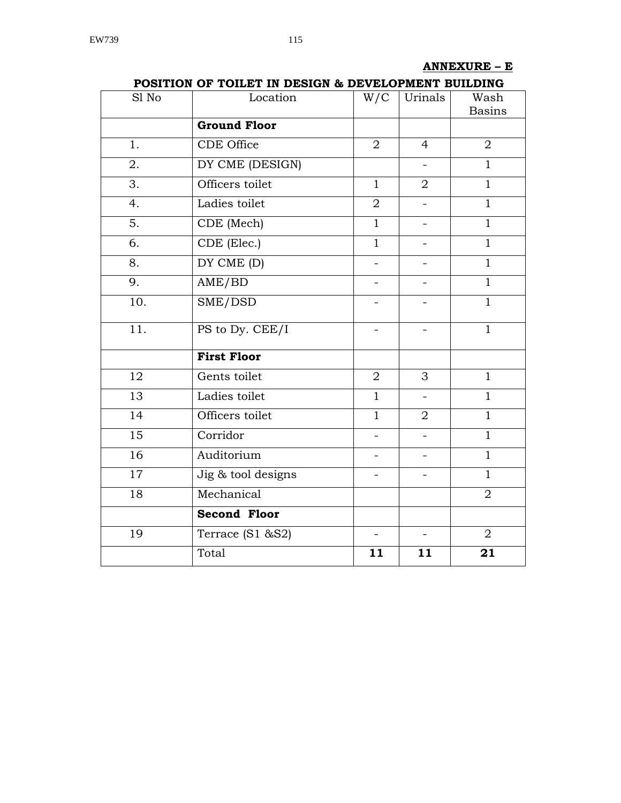# **ANNEXURE – E**

| Sl No            | I ODITION OF TOIDET IN DESIGN W DEVELOI MENT BOIDDING<br>Location | W/C                      | Urinals                  | Wash<br><b>Basins</b> |
|------------------|-------------------------------------------------------------------|--------------------------|--------------------------|-----------------------|
|                  | <b>Ground Floor</b>                                               |                          |                          |                       |
| 1.               | CDE Office                                                        | $\overline{2}$           | $\overline{4}$           | $\overline{2}$        |
| 2.               | DY CME (DESIGN)                                                   |                          | $\equiv$                 | $\mathbf{1}$          |
| 3.               | Officers toilet                                                   | $\mathbf{1}$             | $\overline{2}$           | $\mathbf{1}$          |
| 4.               | Ladies toilet                                                     | $\overline{2}$           | $\equiv$                 | $\mathbf{1}$          |
| $\overline{5}$ . | CDE (Mech)                                                        | $\mathbf{1}$             | $\overline{\phantom{0}}$ | $\mathbf{1}$          |
| 6.               | CDE (Elec.)                                                       | $\mathbf{1}$             | $\overline{\phantom{0}}$ | $\overline{1}$        |
| 8.               | DY CME (D)                                                        | $\overline{a}$           | $\overline{\phantom{a}}$ | $\overline{1}$        |
| 9.               | AME/BD                                                            |                          |                          | $\overline{1}$        |
| 10.              | SME/DSD                                                           |                          |                          | $\mathbf{1}$          |
| 11.              | PS to Dy. CEE/I                                                   | $\qquad \qquad -$        | $\qquad \qquad -$        | $\overline{1}$        |
|                  | <b>First Floor</b>                                                |                          |                          |                       |
| 12               | Gents toilet                                                      | $\overline{2}$           | 3                        | $\mathbf{1}$          |
| 13               | Ladies toilet                                                     | $\mathbf{1}$             | $\equiv$                 | $\overline{1}$        |
| 14               | Officers toilet                                                   | $\mathbf{1}$             | $\overline{2}$           | $\mathbf{1}$          |
| 15               | Corridor                                                          | $\overline{a}$           | $\overline{a}$           | $\overline{1}$        |
| 16               | Auditorium                                                        |                          |                          | $\mathbf{1}$          |
| 17               | Jig & tool designs                                                |                          |                          | $\mathbf{1}$          |
| $\overline{18}$  | Mechanical                                                        |                          |                          | $\overline{2}$        |
|                  | Second Floor                                                      |                          |                          |                       |
| 19               | Terrace (S1 &S2)                                                  | $\overline{\phantom{a}}$ | $\overline{\phantom{0}}$ | $\overline{2}$        |
|                  | Total                                                             | 11                       | 11                       | 21                    |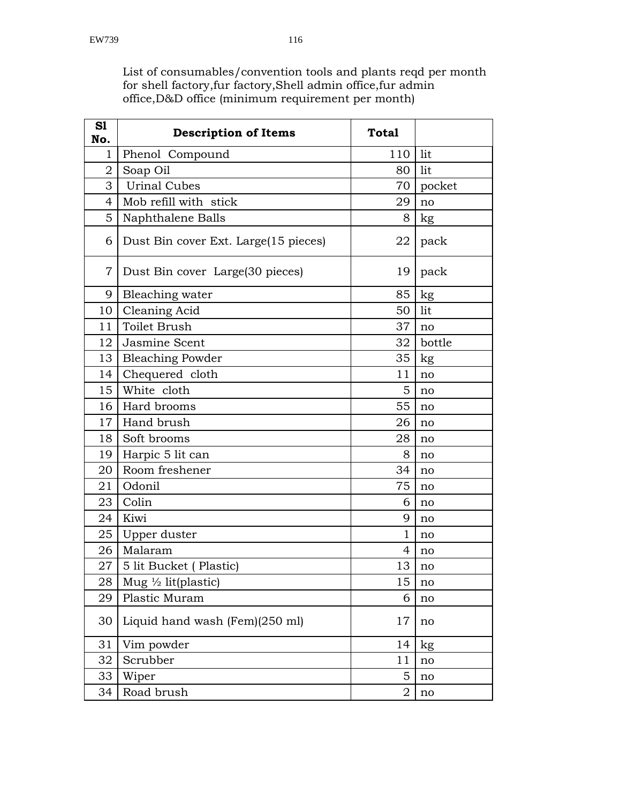List of consumables/convention tools and plants reqd per month for shell factory,fur factory,Shell admin office,fur admin office,D&D office (minimum requirement per month)

| S1<br>No.      | <b>Description of Items</b>           | <b>Total</b> |        |
|----------------|---------------------------------------|--------------|--------|
| 1              | Phenol Compound                       | 110          | lit    |
| $\overline{2}$ | Soap Oil                              | 80           | lit    |
| 3              | <b>Urinal Cubes</b>                   | 70           | pocket |
| 4              | Mob refill with stick                 | 29           | no     |
| 5              | Naphthalene Balls                     | 8            | kg     |
| 6              | Dust Bin cover Ext. Large (15 pieces) | 22           | pack   |
| $\overline{7}$ | Dust Bin cover Large (30 pieces)      | 19           | pack   |
| 9              | Bleaching water                       | 85           | kg     |
| 10             | Cleaning Acid                         | 50           | lit    |
| 11             | Toilet Brush                          | 37           | no     |
| 12             | Jasmine Scent                         | 32           | bottle |
| 13             | <b>Bleaching Powder</b>               | 35           | kg     |
| 14             | Chequered cloth                       | 11           | no     |
| 15             | White cloth                           | 5            | no     |
| 16             | Hard brooms                           | 55           | no     |
| 17             | Hand brush                            | 26           | no     |
| 18             | Soft brooms                           | 28           | no     |
| 19             | Harpic 5 lit can                      | 8            | no     |
| 20             | Room freshener                        | 34           | no     |
| 21             | Odonil                                | 75           | no     |
| 23             | Colin                                 | 6            | no     |
| 24             | Kiwi                                  | 9            | no     |
| 25             | Upper duster                          | $\mathbf{1}$ | no     |
| 26             | Malaram                               | 4            | no     |
| 27             | 5 lit Bucket (Plastic)                | 13           | no     |
| 28             | Mug $\frac{1}{2}$ lit(plastic)        | 15           | no     |
| 29             | Plastic Muram                         | 6            | no     |
| 30             | Liquid hand wash (Fem)(250 ml)        | 17           | no     |
| 31             | Vim powder                            | 14           | kg     |
| 32             | Scrubber                              | 11           | no     |
| 33             | Wiper                                 | 5            | no     |
| 34             | Road brush                            | 2            | no     |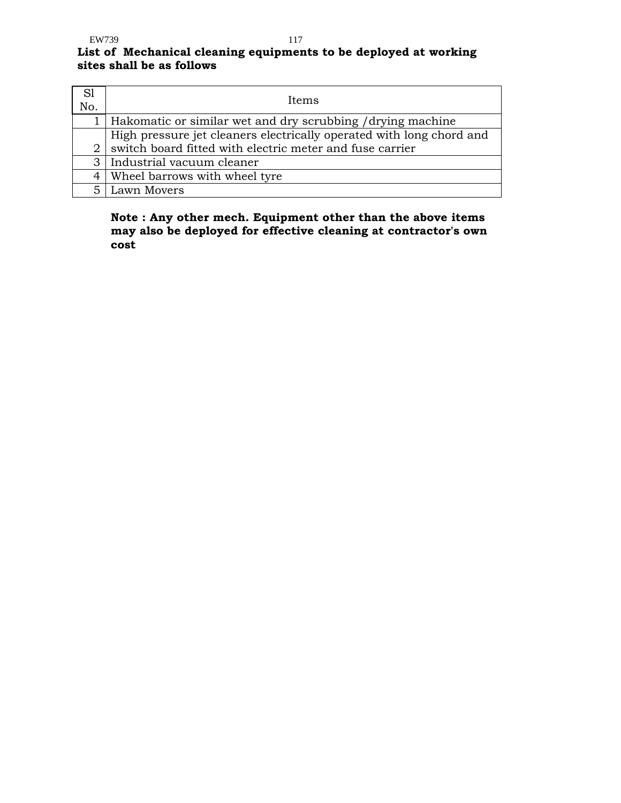# **List of Mechanical cleaning equipments to be deployed at working sites shall be as follows**

| S1<br>No. | Items                                                                |
|-----------|----------------------------------------------------------------------|
|           | Hakomatic or similar wet and dry scrubbing / drying machine          |
|           | High pressure jet cleaners electrically operated with long chord and |
| 2         | switch board fitted with electric meter and fuse carrier             |
|           | 3   Industrial vacuum cleaner                                        |
|           | 4   Wheel barrows with wheel tyre                                    |
|           | 5   Lawn Movers                                                      |

# **Note : Any other mech. Equipment other than the above items may also be deployed for effective cleaning at contractor's own cost**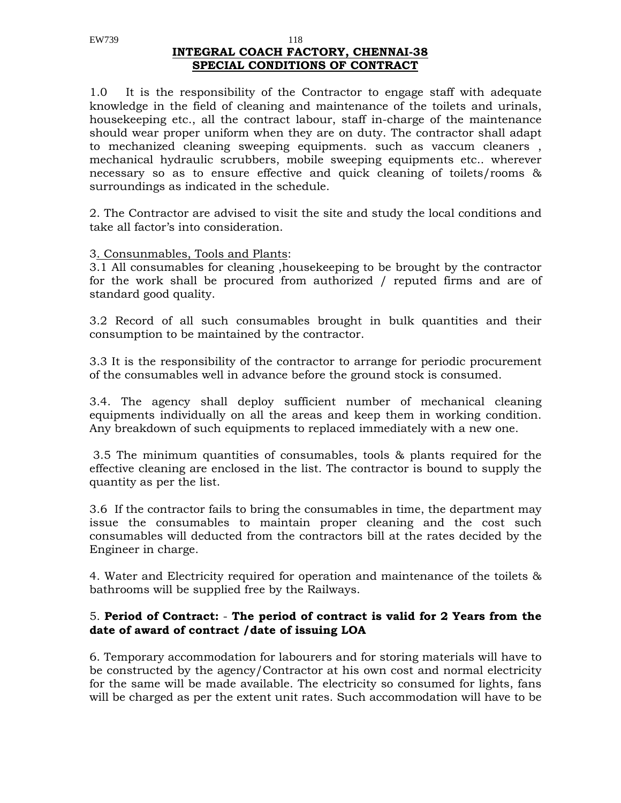#### EW739 118  **INTEGRAL COACH FACTORY, CHENNAI-38 SPECIAL CONDITIONS OF CONTRACT**

1.0 It is the responsibility of the Contractor to engage staff with adequate knowledge in the field of cleaning and maintenance of the toilets and urinals, housekeeping etc., all the contract labour, staff in-charge of the maintenance should wear proper uniform when they are on duty. The contractor shall adapt to mechanized cleaning sweeping equipments. such as vaccum cleaners , mechanical hydraulic scrubbers, mobile sweeping equipments etc.. wherever necessary so as to ensure effective and quick cleaning of toilets/rooms & surroundings as indicated in the schedule.

2. The Contractor are advised to visit the site and study the local conditions and take all factor's into consideration.

### 3. Consunmables, Tools and Plants:

3.1 All consumables for cleaning ,housekeeping to be brought by the contractor for the work shall be procured from authorized / reputed firms and are of standard good quality.

3.2 Record of all such consumables brought in bulk quantities and their consumption to be maintained by the contractor.

3.3 It is the responsibility of the contractor to arrange for periodic procurement of the consumables well in advance before the ground stock is consumed.

3.4. The agency shall deploy sufficient number of mechanical cleaning equipments individually on all the areas and keep them in working condition. Any breakdown of such equipments to replaced immediately with a new one.

 3.5 The minimum quantities of consumables, tools & plants required for the effective cleaning are enclosed in the list. The contractor is bound to supply the quantity as per the list.

3.6 If the contractor fails to bring the consumables in time, the department may issue the consumables to maintain proper cleaning and the cost such consumables will deducted from the contractors bill at the rates decided by the Engineer in charge.

4. Water and Electricity required for operation and maintenance of the toilets & bathrooms will be supplied free by the Railways.

# 5. **Period of Contract:** - **The period of contract is valid for 2 Years from the date of award of contract /date of issuing LOA**

6. Temporary accommodation for labourers and for storing materials will have to be constructed by the agency/Contractor at his own cost and normal electricity for the same will be made available. The electricity so consumed for lights, fans will be charged as per the extent unit rates. Such accommodation will have to be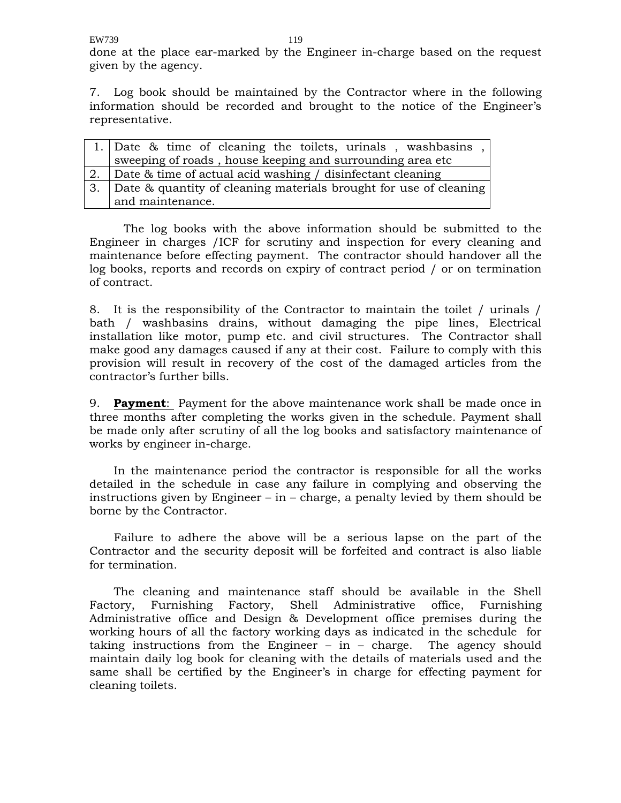EW739 119

done at the place ear-marked by the Engineer in-charge based on the request given by the agency.

7. Log book should be maintained by the Contractor where in the following information should be recorded and brought to the notice of the Engineer's representative.

| 1. Date & time of cleaning the toilets, urinals, washbasing,         |
|----------------------------------------------------------------------|
| sweeping of roads, house keeping and surrounding area etc            |
| 2. Date & time of actual acid washing / disinfectant cleaning        |
| 3. Date & quantity of cleaning materials brought for use of cleaning |
| and maintenance.                                                     |

The log books with the above information should be submitted to the Engineer in charges /ICF for scrutiny and inspection for every cleaning and maintenance before effecting payment. The contractor should handover all the log books, reports and records on expiry of contract period / or on termination of contract.

8. It is the responsibility of the Contractor to maintain the toilet / urinals / bath / washbasins drains, without damaging the pipe lines, Electrical installation like motor, pump etc. and civil structures. The Contractor shall make good any damages caused if any at their cost. Failure to comply with this provision will result in recovery of the cost of the damaged articles from the contractor's further bills.

9. **Payment**: Payment for the above maintenance work shall be made once in three months after completing the works given in the schedule. Payment shall be made only after scrutiny of all the log books and satisfactory maintenance of works by engineer in-charge.

 In the maintenance period the contractor is responsible for all the works detailed in the schedule in case any failure in complying and observing the instructions given by Engineer – in – charge, a penalty levied by them should be borne by the Contractor.

 Failure to adhere the above will be a serious lapse on the part of the Contractor and the security deposit will be forfeited and contract is also liable for termination.

 The cleaning and maintenance staff should be available in the Shell Factory, Furnishing Factory, Shell Administrative office, Furnishing Administrative office and Design & Development office premises during the working hours of all the factory working days as indicated in the schedule for taking instructions from the Engineer  $-$  in  $-$  charge. The agency should maintain daily log book for cleaning with the details of materials used and the same shall be certified by the Engineer's in charge for effecting payment for cleaning toilets.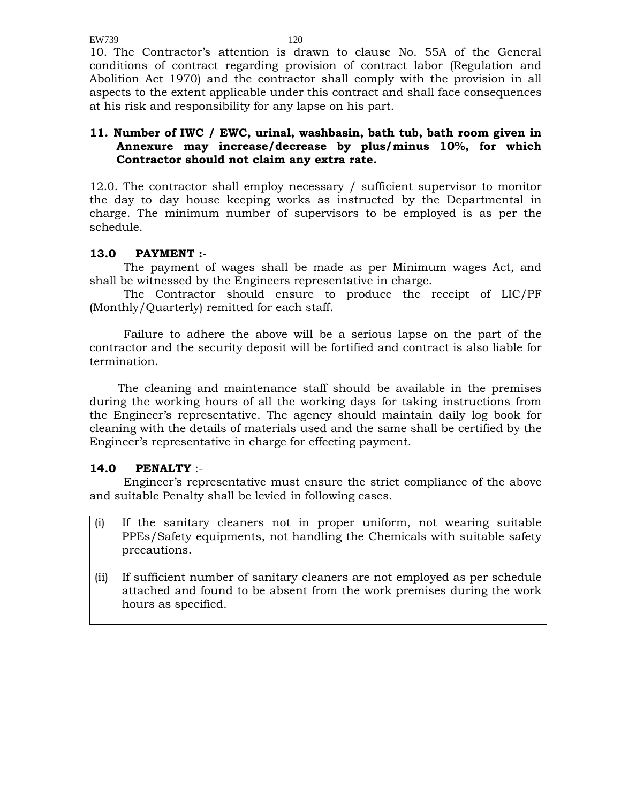EW739 120

10. The Contractor's attention is drawn to clause No. 55A of the General conditions of contract regarding provision of contract labor (Regulation and Abolition Act 1970) and the contractor shall comply with the provision in all aspects to the extent applicable under this contract and shall face consequences at his risk and responsibility for any lapse on his part.

# **11. Number of IWC / EWC, urinal, washbasin, bath tub, bath room given in Annexure may increase/decrease by plus/minus 10%, for which Contractor should not claim any extra rate.**

12.0. The contractor shall employ necessary / sufficient supervisor to monitor the day to day house keeping works as instructed by the Departmental in charge. The minimum number of supervisors to be employed is as per the schedule.

# **13.0 PAYMENT :-**

The payment of wages shall be made as per Minimum wages Act, and shall be witnessed by the Engineers representative in charge.

The Contractor should ensure to produce the receipt of LIC/PF (Monthly/Quarterly) remitted for each staff.

Failure to adhere the above will be a serious lapse on the part of the contractor and the security deposit will be fortified and contract is also liable for termination.

The cleaning and maintenance staff should be available in the premises during the working hours of all the working days for taking instructions from the Engineer's representative. The agency should maintain daily log book for cleaning with the details of materials used and the same shall be certified by the Engineer's representative in charge for effecting payment.

# **14.0 PENALTY** :-

Engineer's representative must ensure the strict compliance of the above and suitable Penalty shall be levied in following cases.

|      | If the sanitary cleaners not in proper uniform, not wearing suitable<br>PPEs/Safety equipments, not handling the Chemicals with suitable safety<br>precautions.             |
|------|-----------------------------------------------------------------------------------------------------------------------------------------------------------------------------|
| (ii) | If sufficient number of sanitary cleaners are not employed as per schedule<br>attached and found to be absent from the work premises during the work<br>hours as specified. |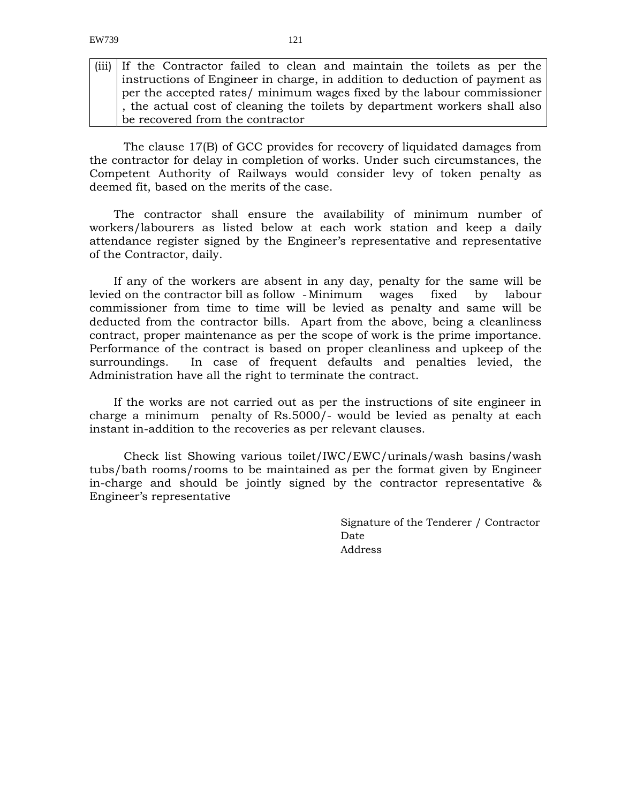(iii) If the Contractor failed to clean and maintain the toilets as per the instructions of Engineer in charge, in addition to deduction of payment as per the accepted rates/ minimum wages fixed by the labour commissioner , the actual cost of cleaning the toilets by department workers shall also be recovered from the contractor

The clause 17(B) of GCC provides for recovery of liquidated damages from the contractor for delay in completion of works. Under such circumstances, the Competent Authority of Railways would consider levy of token penalty as deemed fit, based on the merits of the case.

 The contractor shall ensure the availability of minimum number of workers/labourers as listed below at each work station and keep a daily attendance register signed by the Engineer's representative and representative of the Contractor, daily.

 If any of the workers are absent in any day, penalty for the same will be levied on the contractor bill as follow - Minimum wages fixed by labour commissioner from time to time will be levied as penalty and same will be deducted from the contractor bills. Apart from the above, being a cleanliness contract, proper maintenance as per the scope of work is the prime importance. Performance of the contract is based on proper cleanliness and upkeep of the surroundings. In case of frequent defaults and penalties levied, the Administration have all the right to terminate the contract.

 If the works are not carried out as per the instructions of site engineer in charge a minimum penalty of Rs.5000/- would be levied as penalty at each instant in-addition to the recoveries as per relevant clauses.

Check list Showing various toilet/IWC/EWC/urinals/wash basins/wash tubs/bath rooms/rooms to be maintained as per the format given by Engineer in-charge and should be jointly signed by the contractor representative & Engineer's representative

> Signature of the Tenderer / Contractor Date Address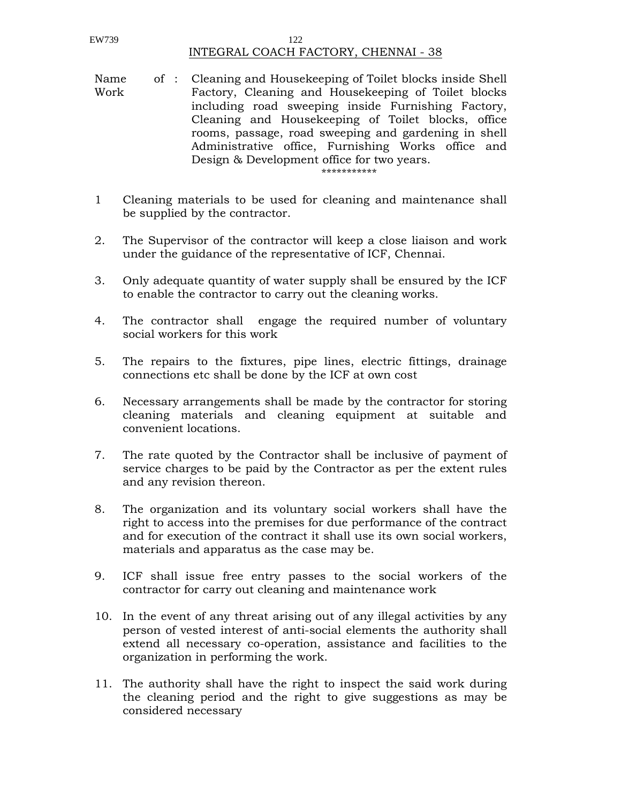#### EW739 122 INTEGRAL COACH FACTORY, CHENNAI - 38

- Name Work : Cleaning and Housekeeping of Toilet blocks inside Shell Factory, Cleaning and Housekeeping of Toilet blocks including road sweeping inside Furnishing Factory, Cleaning and Housekeeping of Toilet blocks, office rooms, passage, road sweeping and gardening in shell Administrative office, Furnishing Works office and Design & Development office for two years. \*\*\*\*\*\*\*\*\*\*\*
- 1 Cleaning materials to be used for cleaning and maintenance shall be supplied by the contractor.
- 2. The Supervisor of the contractor will keep a close liaison and work under the guidance of the representative of ICF, Chennai.
- 3. Only adequate quantity of water supply shall be ensured by the ICF to enable the contractor to carry out the cleaning works.
- 4. The contractor shall engage the required number of voluntary social workers for this work
- 5. The repairs to the fixtures, pipe lines, electric fittings, drainage connections etc shall be done by the ICF at own cost
- 6. Necessary arrangements shall be made by the contractor for storing cleaning materials and cleaning equipment at suitable and convenient locations.
- 7. The rate quoted by the Contractor shall be inclusive of payment of service charges to be paid by the Contractor as per the extent rules and any revision thereon.
- 8. The organization and its voluntary social workers shall have the right to access into the premises for due performance of the contract and for execution of the contract it shall use its own social workers, materials and apparatus as the case may be.
- 9. ICF shall issue free entry passes to the social workers of the contractor for carry out cleaning and maintenance work
- 10. In the event of any threat arising out of any illegal activities by any person of vested interest of anti-social elements the authority shall extend all necessary co-operation, assistance and facilities to the organization in performing the work.
- 11. The authority shall have the right to inspect the said work during the cleaning period and the right to give suggestions as may be considered necessary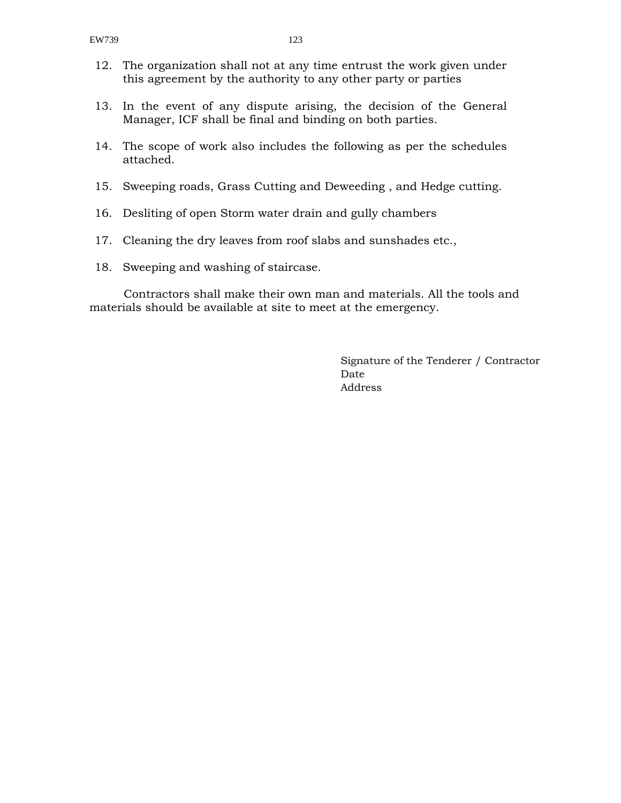- 12. The organization shall not at any time entrust the work given under this agreement by the authority to any other party or parties
- 13. In the event of any dispute arising, the decision of the General Manager, ICF shall be final and binding on both parties.
- 14. The scope of work also includes the following as per the schedules attached.
- 15. Sweeping roads, Grass Cutting and Deweeding , and Hedge cutting.
- 16. Desliting of open Storm water drain and gully chambers
- 17. Cleaning the dry leaves from roof slabs and sunshades etc.,
- 18. Sweeping and washing of staircase.

Contractors shall make their own man and materials. All the tools and materials should be available at site to meet at the emergency.

> Signature of the Tenderer / Contractor Date Address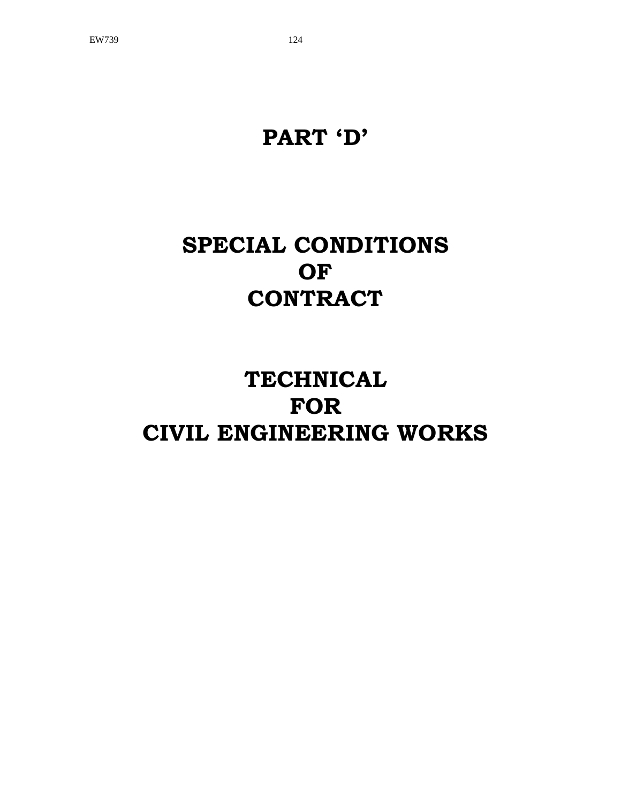# **TECHNICAL FOR CIVIL ENGINEERING WORKS**

# **SPECIAL CONDITIONS OF CONTRACT**

# **PART 'D'**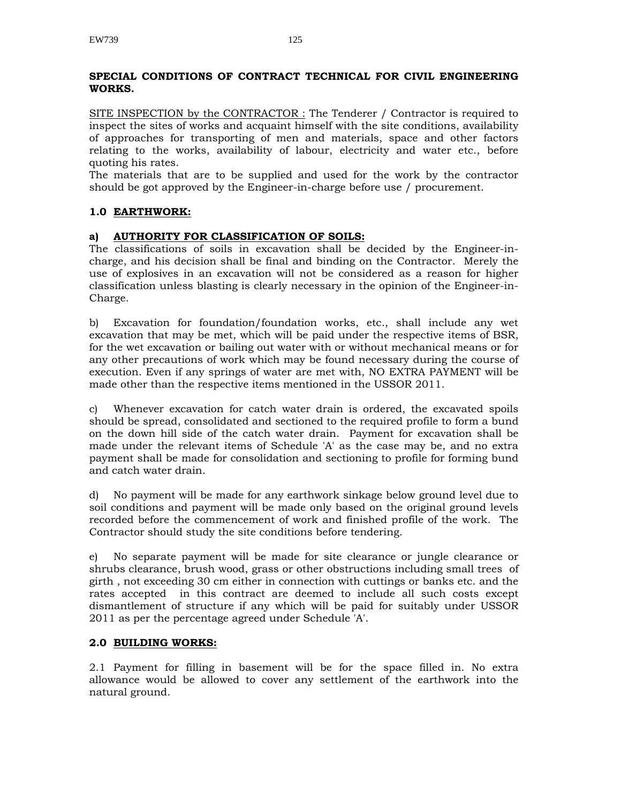### **SPECIAL CONDITIONS OF CONTRACT TECHNICAL FOR CIVIL ENGINEERING WORKS.**

SITE INSPECTION by the CONTRACTOR : The Tenderer / Contractor is required to inspect the sites of works and acquaint himself with the site conditions, availability of approaches for transporting of men and materials, space and other factors relating to the works, availability of labour, electricity and water etc., before quoting his rates.

The materials that are to be supplied and used for the work by the contractor should be got approved by the Engineer-in-charge before use / procurement.

# **1.0 EARTHWORK:**

#### **a) AUTHORITY FOR CLASSIFICATION OF SOILS:**

The classifications of soils in excavation shall be decided by the Engineer-incharge, and his decision shall be final and binding on the Contractor. Merely the use of explosives in an excavation will not be considered as a reason for higher classification unless blasting is clearly necessary in the opinion of the Engineer-in-Charge.

b) Excavation for foundation/foundation works, etc., shall include any wet excavation that may be met, which will be paid under the respective items of BSR, for the wet excavation or bailing out water with or without mechanical means or for any other precautions of work which may be found necessary during the course of execution. Even if any springs of water are met with, NO EXTRA PAYMENT will be made other than the respective items mentioned in the USSOR 2011.

c) Whenever excavation for catch water drain is ordered, the excavated spoils should be spread, consolidated and sectioned to the required profile to form a bund on the down hill side of the catch water drain. Payment for excavation shall be made under the relevant items of Schedule 'A' as the case may be, and no extra payment shall be made for consolidation and sectioning to profile for forming bund and catch water drain.

d) No payment will be made for any earthwork sinkage below ground level due to soil conditions and payment will be made only based on the original ground levels recorded before the commencement of work and finished profile of the work. The Contractor should study the site conditions before tendering.

e) No separate payment will be made for site clearance or jungle clearance or shrubs clearance, brush wood, grass or other obstructions including small trees of girth , not exceeding 30 cm either in connection with cuttings or banks etc. and the rates accepted in this contract are deemed to include all such costs except dismantlement of structure if any which will be paid for suitably under USSOR 2011 as per the percentage agreed under Schedule 'A'.

#### **2.0 BUILDING WORKS:**

2.1 Payment for filling in basement will be for the space filled in. No extra allowance would be allowed to cover any settlement of the earthwork into the natural ground.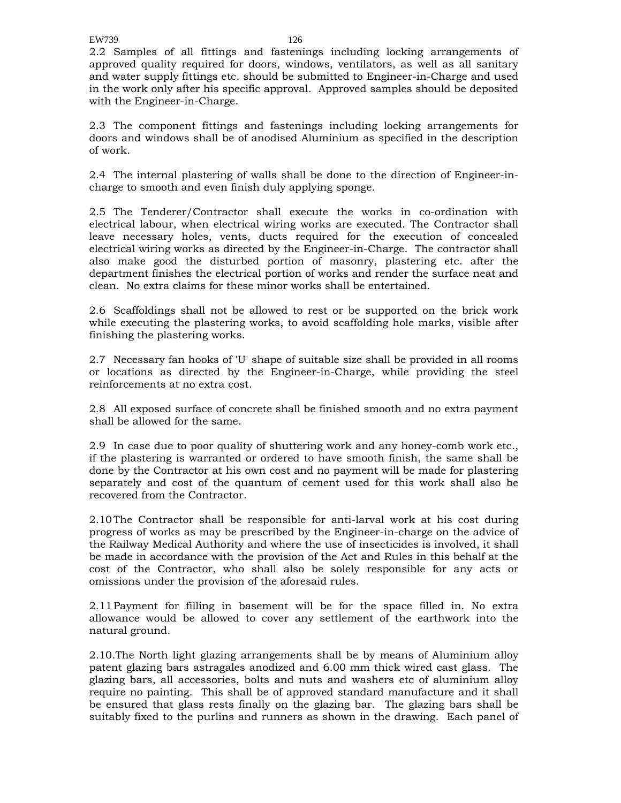2.2 Samples of all fittings and fastenings including locking arrangements of approved quality required for doors, windows, ventilators, as well as all sanitary and water supply fittings etc. should be submitted to Engineer-in-Charge and used in the work only after his specific approval. Approved samples should be deposited with the Engineer-in-Charge.

2.3 The component fittings and fastenings including locking arrangements for doors and windows shall be of anodised Aluminium as specified in the description of work.

2.4 The internal plastering of walls shall be done to the direction of Engineer-incharge to smooth and even finish duly applying sponge.

2.5 The Tenderer/Contractor shall execute the works in co-ordination with electrical labour, when electrical wiring works are executed. The Contractor shall leave necessary holes, vents, ducts required for the execution of concealed electrical wiring works as directed by the Engineer-in-Charge. The contractor shall also make good the disturbed portion of masonry, plastering etc. after the department finishes the electrical portion of works and render the surface neat and clean. No extra claims for these minor works shall be entertained.

2.6 Scaffoldings shall not be allowed to rest or be supported on the brick work while executing the plastering works, to avoid scaffolding hole marks, visible after finishing the plastering works.

2.7 Necessary fan hooks of 'U' shape of suitable size shall be provided in all rooms or locations as directed by the Engineer-in-Charge, while providing the steel reinforcements at no extra cost.

2.8 All exposed surface of concrete shall be finished smooth and no extra payment shall be allowed for the same.

2.9 In case due to poor quality of shuttering work and any honey-comb work etc., if the plastering is warranted or ordered to have smooth finish, the same shall be done by the Contractor at his own cost and no payment will be made for plastering separately and cost of the quantum of cement used for this work shall also be recovered from the Contractor.

2.10 The Contractor shall be responsible for anti-larval work at his cost during progress of works as may be prescribed by the Engineer-in-charge on the advice of the Railway Medical Authority and where the use of insecticides is involved, it shall be made in accordance with the provision of the Act and Rules in this behalf at the cost of the Contractor, who shall also be solely responsible for any acts or omissions under the provision of the aforesaid rules.

2.11 Payment for filling in basement will be for the space filled in. No extra allowance would be allowed to cover any settlement of the earthwork into the natural ground.

2.10.The North light glazing arrangements shall be by means of Aluminium alloy patent glazing bars astragales anodized and 6.00 mm thick wired cast glass. The glazing bars, all accessories, bolts and nuts and washers etc of aluminium alloy require no painting. This shall be of approved standard manufacture and it shall be ensured that glass rests finally on the glazing bar. The glazing bars shall be suitably fixed to the purlins and runners as shown in the drawing. Each panel of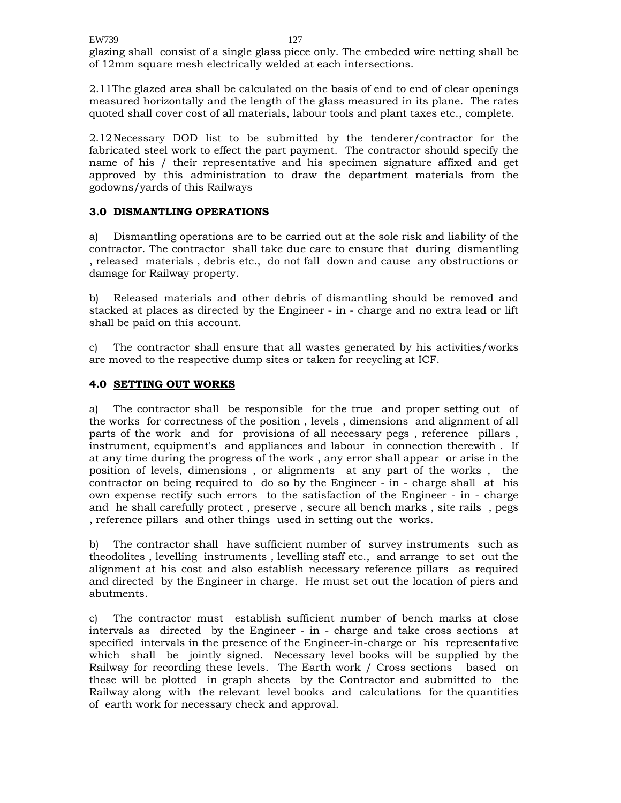glazing shall consist of a single glass piece only. The embeded wire netting shall be of 12mm square mesh electrically welded at each intersections.

2.11The glazed area shall be calculated on the basis of end to end of clear openings measured horizontally and the length of the glass measured in its plane. The rates quoted shall cover cost of all materials, labour tools and plant taxes etc., complete.

2.12 Necessary DOD list to be submitted by the tenderer/contractor for the fabricated steel work to effect the part payment. The contractor should specify the name of his / their representative and his specimen signature affixed and get approved by this administration to draw the department materials from the godowns/yards of this Railways

#### **3.0 DISMANTLING OPERATIONS**

a) Dismantling operations are to be carried out at the sole risk and liability of the contractor. The contractor shall take due care to ensure that during dismantling , released materials , debris etc., do not fall down and cause any obstructions or damage for Railway property.

b) Released materials and other debris of dismantling should be removed and stacked at places as directed by the Engineer - in - charge and no extra lead or lift shall be paid on this account.

c) The contractor shall ensure that all wastes generated by his activities/works are moved to the respective dump sites or taken for recycling at ICF.

#### **4.0 SETTING OUT WORKS**

a) The contractor shall be responsible for the true and proper setting out of the works for correctness of the position , levels , dimensions and alignment of all parts of the work and for provisions of all necessary pegs , reference pillars , instrument, equipment's and appliances and labour in connection therewith . If at any time during the progress of the work , any error shall appear or arise in the position of levels, dimensions , or alignments at any part of the works , the contractor on being required to do so by the Engineer - in - charge shall at his own expense rectify such errors to the satisfaction of the Engineer - in - charge and he shall carefully protect , preserve , secure all bench marks , site rails , pegs , reference pillars and other things used in setting out the works.

b) The contractor shall have sufficient number of survey instruments such as theodolites , levelling instruments , levelling staff etc., and arrange to set out the alignment at his cost and also establish necessary reference pillars as required and directed by the Engineer in charge. He must set out the location of piers and abutments.

c) The contractor must establish sufficient number of bench marks at close intervals as directed by the Engineer - in - charge and take cross sections at specified intervals in the presence of the Engineer-in-charge or his representative which shall be jointly signed. Necessary level books will be supplied by the Railway for recording these levels. The Earth work / Cross sections based on these will be plotted in graph sheets by the Contractor and submitted to the Railway along with the relevant level books and calculations for the quantities of earth work for necessary check and approval.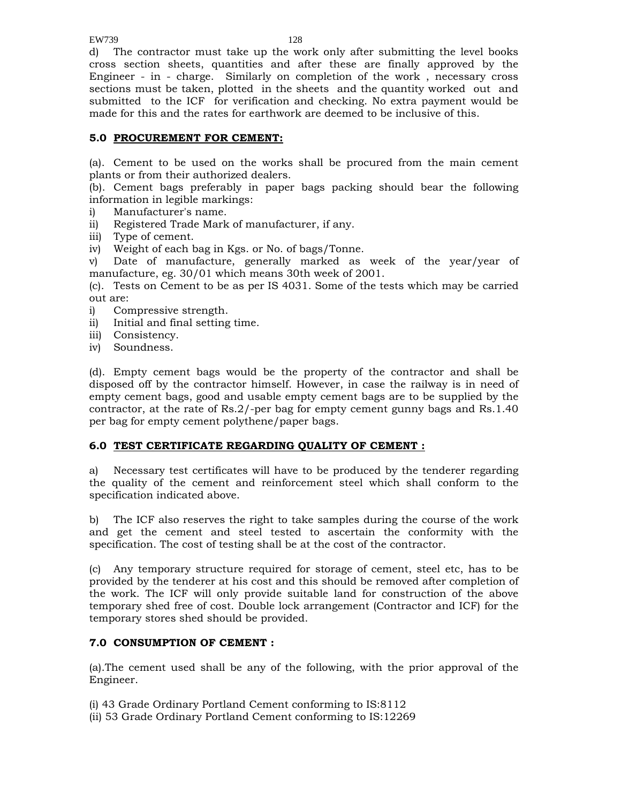EW739 128

d) The contractor must take up the work only after submitting the level books cross section sheets, quantities and after these are finally approved by the Engineer - in - charge. Similarly on completion of the work , necessary cross sections must be taken, plotted in the sheets and the quantity worked out and submitted to the ICF for verification and checking. No extra payment would be made for this and the rates for earthwork are deemed to be inclusive of this.

# **5.0 PROCUREMENT FOR CEMENT:**

(a). Cement to be used on the works shall be procured from the main cement plants or from their authorized dealers.

(b). Cement bags preferably in paper bags packing should bear the following information in legible markings:

- i) Manufacturer's name.
- ii) Registered Trade Mark of manufacturer, if any.
- iii) Type of cement.
- iv) Weight of each bag in Kgs. or No. of bags/Tonne.

v) Date of manufacture, generally marked as week of the year/year of manufacture, eg. 30/01 which means 30th week of 2001.

(c). Tests on Cement to be as per IS 4031. Some of the tests which may be carried out are:

- i) Compressive strength.
- ii) Initial and final setting time.
- iii) Consistency.
- iv) Soundness.

(d). Empty cement bags would be the property of the contractor and shall be disposed off by the contractor himself. However, in case the railway is in need of empty cement bags, good and usable empty cement bags are to be supplied by the contractor, at the rate of  $\text{Rs.}2/-$  per bag for empty cement gunny bags and  $\text{Rs.}1.40$ per bag for empty cement polythene/paper bags.

#### **6.0 TEST CERTIFICATE REGARDING QUALITY OF CEMENT :**

a) Necessary test certificates will have to be produced by the tenderer regarding the quality of the cement and reinforcement steel which shall conform to the specification indicated above.

b) The ICF also reserves the right to take samples during the course of the work and get the cement and steel tested to ascertain the conformity with the specification. The cost of testing shall be at the cost of the contractor.

(c) Any temporary structure required for storage of cement, steel etc, has to be provided by the tenderer at his cost and this should be removed after completion of the work. The ICF will only provide suitable land for construction of the above temporary shed free of cost. Double lock arrangement (Contractor and ICF) for the temporary stores shed should be provided.

#### **7.0 CONSUMPTION OF CEMENT :**

(a).The cement used shall be any of the following, with the prior approval of the Engineer.

(i) 43 Grade Ordinary Portland Cement conforming to IS:8112 (ii) 53 Grade Ordinary Portland Cement conforming to IS:12269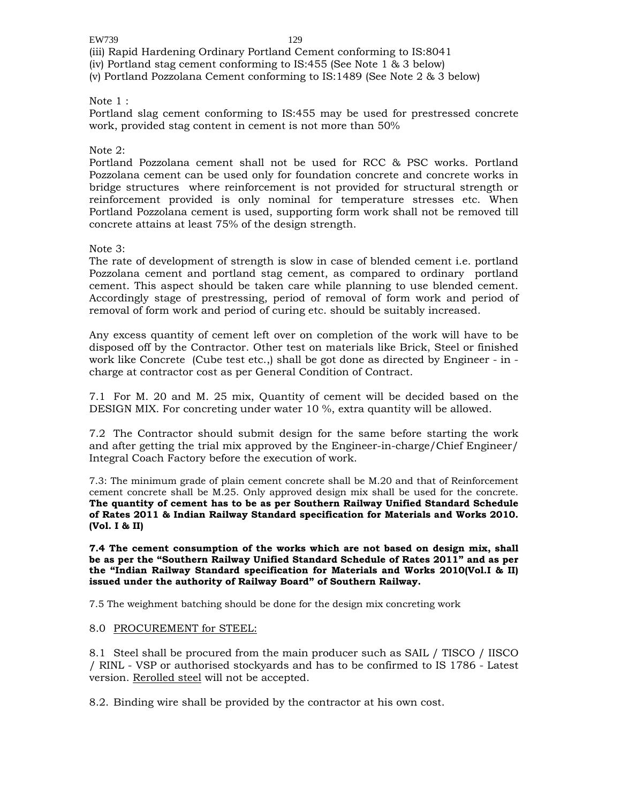(iii) Rapid Hardening Ordinary Portland Cement conforming to IS:8041

(iv) Portland stag cement conforming to IS:455 (See Note 1 & 3 below)

(v) Portland Pozzolana Cement conforming to IS:1489 (See Note 2 & 3 below)

#### Note 1 :

Portland slag cement conforming to IS:455 may be used for prestressed concrete work, provided stag content in cement is not more than 50%

#### Note 2:

Portland Pozzolana cement shall not be used for RCC & PSC works. Portland Pozzolana cement can be used only for foundation concrete and concrete works in bridge structures where reinforcement is not provided for structural strength or reinforcement provided is only nominal for temperature stresses etc. When Portland Pozzolana cement is used, supporting form work shall not be removed till concrete attains at least 75% of the design strength.

#### Note 3:

The rate of development of strength is slow in case of blended cement i.e. portland Pozzolana cement and portland stag cement, as compared to ordinary portland cement. This aspect should be taken care while planning to use blended cement. Accordingly stage of prestressing, period of removal of form work and period of removal of form work and period of curing etc. should be suitably increased.

Any excess quantity of cement left over on completion of the work will have to be disposed off by the Contractor. Other test on materials like Brick, Steel or finished work like Concrete (Cube test etc.,) shall be got done as directed by Engineer - in charge at contractor cost as per General Condition of Contract.

7.1 For M. 20 and M. 25 mix, Quantity of cement will be decided based on the DESIGN MIX. For concreting under water 10 %, extra quantity will be allowed.

7.2 The Contractor should submit design for the same before starting the work and after getting the trial mix approved by the Engineer-in-charge/Chief Engineer/ Integral Coach Factory before the execution of work.

7.3: The minimum grade of plain cement concrete shall be M.20 and that of Reinforcement cement concrete shall be M.25. Only approved design mix shall be used for the concrete. **The quantity of cement has to be as per Southern Railway Unified Standard Schedule of Rates 2011 & Indian Railway Standard specification for Materials and Works 2010. (Vol. I & II)** 

**7.4 The cement consumption of the works which are not based on design mix, shall be as per the "Southern Railway Unified Standard Schedule of Rates 2011" and as per the "Indian Railway Standard specification for Materials and Works 2010(Vol.I & II) issued under the authority of Railway Board" of Southern Railway.** 

7.5 The weighment batching should be done for the design mix concreting work

#### 8.0 PROCUREMENT for STEEL:

8.1 Steel shall be procured from the main producer such as SAIL / TISCO / IISCO / RINL - VSP or authorised stockyards and has to be confirmed to IS 1786 - Latest version. Rerolled steel will not be accepted.

8.2. Binding wire shall be provided by the contractor at his own cost.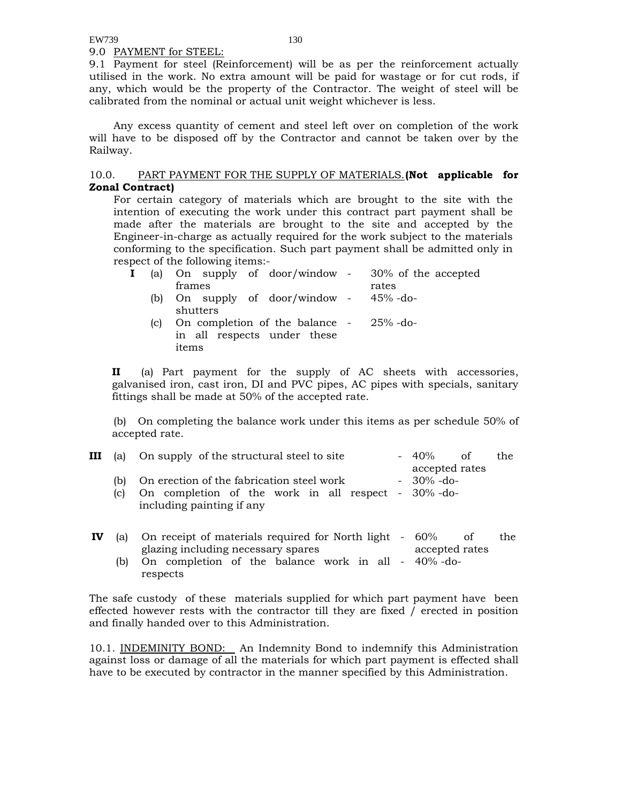9.0 PAYMENT for STEEL:

9.1 Payment for steel (Reinforcement) will be as per the reinforcement actually utilised in the work. No extra amount will be paid for wastage or for cut rods, if any, which would be the property of the Contractor. The weight of steel will be calibrated from the nominal or actual unit weight whichever is less.

 Any excess quantity of cement and steel left over on completion of the work will have to be disposed off by the Contractor and cannot be taken over by the Railway.

#### 10.0. PART PAYMENT FOR THE SUPPLY OF MATERIALS.**(Not applicable for Zonal Contract)**

For certain category of materials which are brought to the site with the intention of executing the work under this contract part payment shall be made after the materials are brought to the site and accepted by the Engineer-in-charge as actually required for the work subject to the materials conforming to the specification. Such part payment shall be admitted only in respect of the following items:-

|     | (a) On supply of door/window - $30\%$ of the accepted |       |
|-----|-------------------------------------------------------|-------|
|     | frames                                                | rates |
| (b) | On supply of door/window - 45% -do-                   |       |
|     | shutters                                              |       |
| (c) | On completion of the balance - 25% -do-               |       |
|     | in all respects under these                           |       |
|     | items                                                 |       |
|     |                                                       |       |

**II** (a) Part payment for the supply of AC sheets with accessories, galvanised iron, cast iron, DI and PVC pipes, AC pipes with specials, sanitary fittings shall be made at 50% of the accepted rate.

 (b) On completing the balance work under this items as per schedule 50% of accepted rate.

|           | <b>III</b> (a) On supply of the structural steel to site<br>$-40\%$<br>- of                                                                                     | the |
|-----------|-----------------------------------------------------------------------------------------------------------------------------------------------------------------|-----|
| (b)<br> c | accepted rates<br>$-30\%$ -do-<br>On erection of the fabrication steel work<br>On completion of the work in all respect - 30% -do-<br>including painting if any |     |
|           | (a) On receipt of materials required for North light $= 60\%$                                                                                                   | th≙ |

- **IV** (a) On receipt of materials required for North light glazing including necessary spares  $60\%$  of the accepted rates
	- (b) On completion of the balance work in all 40% -do respects

The safe custody of these materials supplied for which part payment have been effected however rests with the contractor till they are fixed / erected in position and finally handed over to this Administration.

10.1. INDEMINITY BOND: An Indemnity Bond to indemnify this Administration against loss or damage of all the materials for which part payment is effected shall have to be executed by contractor in the manner specified by this Administration.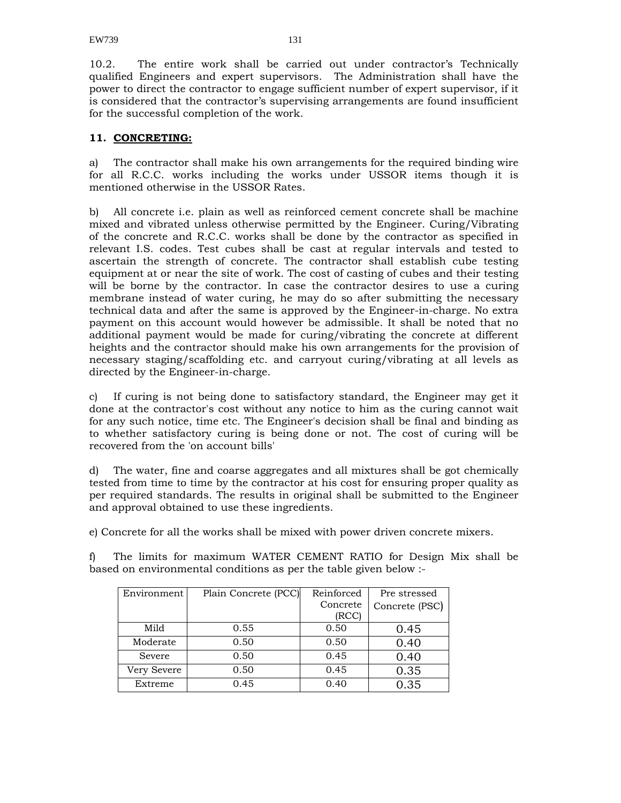10.2. The entire work shall be carried out under contractor's Technically qualified Engineers and expert supervisors. The Administration shall have the power to direct the contractor to engage sufficient number of expert supervisor, if it is considered that the contractor's supervising arrangements are found insufficient for the successful completion of the work.

### **11. CONCRETING:**

a) The contractor shall make his own arrangements for the required binding wire for all R.C.C. works including the works under USSOR items though it is mentioned otherwise in the USSOR Rates.

b) All concrete i.e. plain as well as reinforced cement concrete shall be machine mixed and vibrated unless otherwise permitted by the Engineer. Curing/Vibrating of the concrete and R.C.C. works shall be done by the contractor as specified in relevant I.S. codes. Test cubes shall be cast at regular intervals and tested to ascertain the strength of concrete. The contractor shall establish cube testing equipment at or near the site of work. The cost of casting of cubes and their testing will be borne by the contractor. In case the contractor desires to use a curing membrane instead of water curing, he may do so after submitting the necessary technical data and after the same is approved by the Engineer-in-charge. No extra payment on this account would however be admissible. It shall be noted that no additional payment would be made for curing/vibrating the concrete at different heights and the contractor should make his own arrangements for the provision of necessary staging/scaffolding etc. and carryout curing/vibrating at all levels as directed by the Engineer-in-charge.

c) If curing is not being done to satisfactory standard, the Engineer may get it done at the contractor's cost without any notice to him as the curing cannot wait for any such notice, time etc. The Engineer's decision shall be final and binding as to whether satisfactory curing is being done or not. The cost of curing will be recovered from the 'on account bills'

d) The water, fine and coarse aggregates and all mixtures shall be got chemically tested from time to time by the contractor at his cost for ensuring proper quality as per required standards. The results in original shall be submitted to the Engineer and approval obtained to use these ingredients.

e) Concrete for all the works shall be mixed with power driven concrete mixers.

f) The limits for maximum WATER CEMENT RATIO for Design Mix shall be based on environmental conditions as per the table given below :-

| Environment | Plain Concrete (PCC) | Reinforced | Pre stressed   |
|-------------|----------------------|------------|----------------|
|             |                      | Concrete   | Concrete (PSC) |
|             |                      | (RCC)      |                |
| Mild        | 0.55                 | 0.50       | 0.45           |
| Moderate    | 0.50                 | 0.50       | 0.40           |
| Severe      | 0.50                 | 0.45       | 0.40           |
| Very Severe | 0.50                 | 0.45       | 0.35           |
| Extreme     | 0.45                 | 0.40       | 0.35           |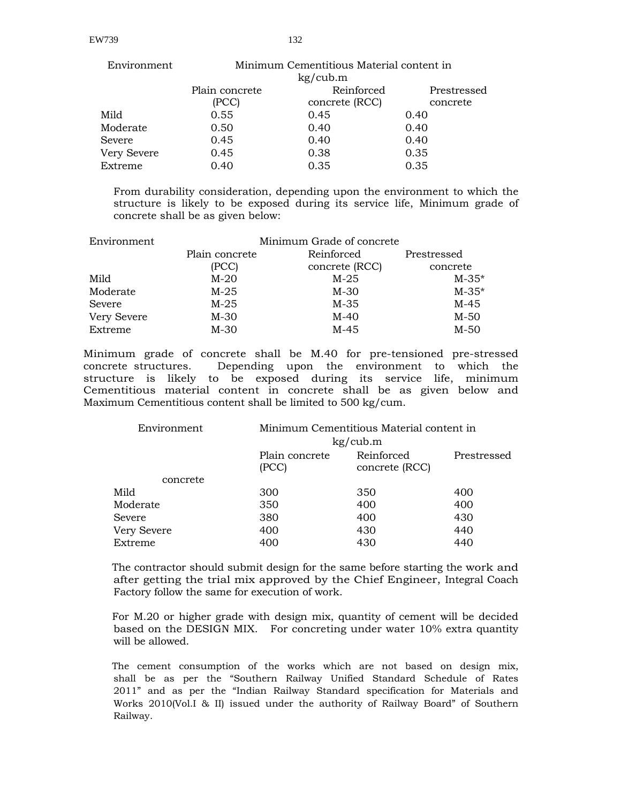| Environment | Minimum Cementitious Material content in<br>kg/cub.m |                |             |
|-------------|------------------------------------------------------|----------------|-------------|
|             | Plain concrete                                       | Reinforced     | Prestressed |
|             | (PCC)                                                | concrete (RCC) | concrete    |
| Mild        | 0.55                                                 | 0.45           | 0.40        |
| Moderate    | 0.50                                                 | 0.40           | 0.40        |
| Severe      | 0.45                                                 | 0.40           | 0.40        |
| Very Severe | 0.45                                                 | 0.38           | 0.35        |
| Extreme     | 0.40                                                 | 0.35           | 0.35        |

From durability consideration, depending upon the environment to which the structure is likely to be exposed during its service life, Minimum grade of concrete shall be as given below:

| Environment        | Minimum Grade of concrete |                |             |  |
|--------------------|---------------------------|----------------|-------------|--|
|                    | Plain concrete            | Reinforced     | Prestressed |  |
|                    | (PCC)                     | concrete (RCC) | concrete    |  |
| Mild               | $M-20$                    | $M-25$         | $M - 35*$   |  |
| Moderate           | $M-25$                    | $M-30$         | $M - 35*$   |  |
| Severe             | $M-25$                    | M-35           | $M-45$      |  |
| <b>Very Severe</b> | $M-30$                    | $M-40$         | $M-50$      |  |
| Extreme            | $M-30$                    | $M-45$         | $M-50$      |  |

Minimum grade of concrete shall be M.40 for pre-tensioned pre-stressed concrete structures. Depending upon the environment to which the structure is likely to be exposed during its service life, minimum Cementitious material content in concrete shall be as given below and Maximum Cementitious content shall be limited to 500 kg/cum.

| Environment | Minimum Cementitious Material content in |                              |             |  |
|-------------|------------------------------------------|------------------------------|-------------|--|
|             |                                          | kg/cub.m                     |             |  |
|             | Plain concrete<br>(PCC)                  | Reinforced<br>concrete (RCC) | Prestressed |  |
| concrete    |                                          |                              |             |  |
| Mild        | 300                                      | 350                          | 400         |  |
| Moderate    | 350                                      | 400                          | 400         |  |
| Severe      | 380                                      | 400                          | 430         |  |
| Very Severe | 400                                      | 430                          | 440         |  |
| Extreme     | 400                                      | 430                          | 440         |  |
|             |                                          |                              |             |  |

The contractor should submit design for the same before starting the work and after getting the trial mix approved by the Chief Engineer, Integral Coach Factory follow the same for execution of work.

For M.20 or higher grade with design mix, quantity of cement will be decided based on the DESIGN MIX. For concreting under water 10% extra quantity will be allowed.

The cement consumption of the works which are not based on design mix, shall be as per the "Southern Railway Unified Standard Schedule of Rates 2011" and as per the "Indian Railway Standard specification for Materials and Works 2010(Vol.I & II) issued under the authority of Railway Board" of Southern Railway.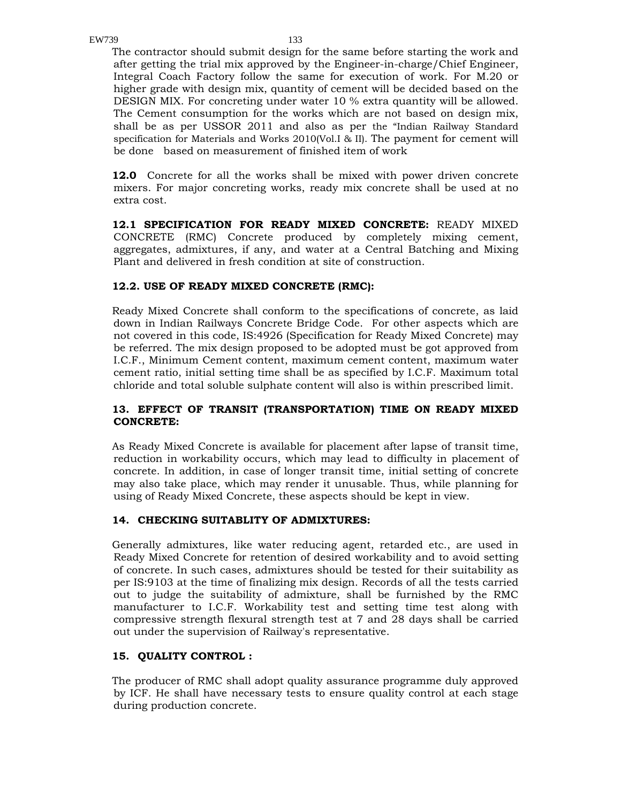The contractor should submit design for the same before starting the work and after getting the trial mix approved by the Engineer-in-charge/Chief Engineer, Integral Coach Factory follow the same for execution of work. For M.20 or higher grade with design mix, quantity of cement will be decided based on the DESIGN MIX. For concreting under water 10 % extra quantity will be allowed. The Cement consumption for the works which are not based on design mix, shall be as per USSOR 2011 and also as per the "Indian Railway Standard specification for Materials and Works 2010(Vol.I & II). The payment for cement will be done based on measurement of finished item of work

**12.0** Concrete for all the works shall be mixed with power driven concrete mixers. For major concreting works, ready mix concrete shall be used at no extra cost.

**12.1 SPECIFICATION FOR READY MIXED CONCRETE:** READY MIXED CONCRETE (RMC) Concrete produced by completely mixing cement, aggregates, admixtures, if any, and water at a Central Batching and Mixing Plant and delivered in fresh condition at site of construction.

#### **12.2. USE OF READY MIXED CONCRETE (RMC):**

Ready Mixed Concrete shall conform to the specifications of concrete, as laid down in Indian Railways Concrete Bridge Code. For other aspects which are not covered in this code, IS:4926 (Specification for Ready Mixed Concrete) may be referred. The mix design proposed to be adopted must be got approved from I.C.F., Minimum Cement content, maximum cement content, maximum water cement ratio, initial setting time shall be as specified by I.C.F. Maximum total chloride and total soluble sulphate content will also is within prescribed limit.

### **13. EFFECT OF TRANSIT (TRANSPORTATION) TIME ON READY MIXED CONCRETE:**

As Ready Mixed Concrete is available for placement after lapse of transit time, reduction in workability occurs, which may lead to difficulty in placement of concrete. In addition, in case of longer transit time, initial setting of concrete may also take place, which may render it unusable. Thus, while planning for using of Ready Mixed Concrete, these aspects should be kept in view.

#### **14. CHECKING SUITABLITY OF ADMIXTURES:**

Generally admixtures, like water reducing agent, retarded etc., are used in Ready Mixed Concrete for retention of desired workability and to avoid setting of concrete. In such cases, admixtures should be tested for their suitability as per IS:9103 at the time of finalizing mix design. Records of all the tests carried out to judge the suitability of admixture, shall be furnished by the RMC manufacturer to I.C.F. Workability test and setting time test along with compressive strength flexural strength test at 7 and 28 days shall be carried out under the supervision of Railway's representative.

#### **15. QUALITY CONTROL :**

The producer of RMC shall adopt quality assurance programme duly approved by ICF. He shall have necessary tests to ensure quality control at each stage during production concrete.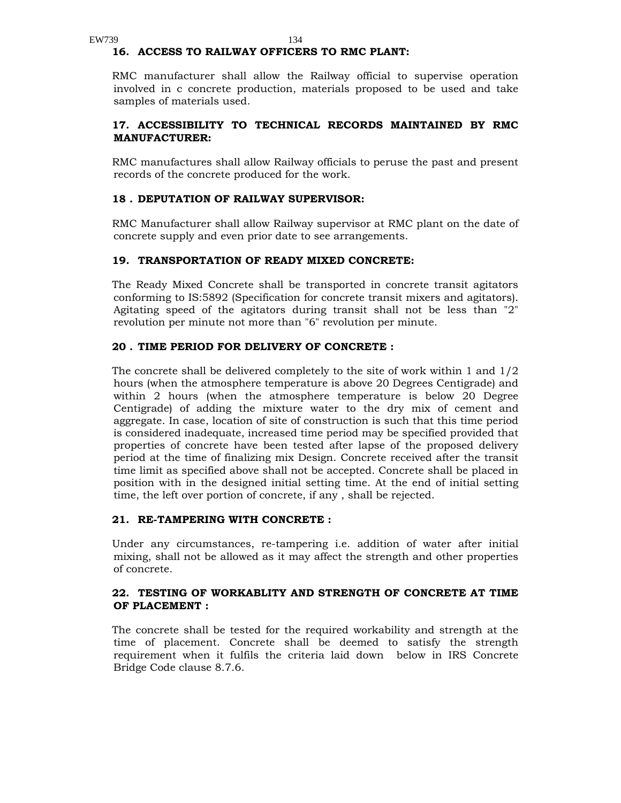#### **16. ACCESS TO RAILWAY OFFICERS TO RMC PLANT:**

RMC manufacturer shall allow the Railway official to supervise operation involved in c concrete production, materials proposed to be used and take samples of materials used.

#### **17. ACCESSIBILITY TO TECHNICAL RECORDS MAINTAINED BY RMC MANUFACTURER:**

RMC manufactures shall allow Railway officials to peruse the past and present records of the concrete produced for the work.

#### **18 . DEPUTATION OF RAILWAY SUPERVISOR:**

RMC Manufacturer shall allow Railway supervisor at RMC plant on the date of concrete supply and even prior date to see arrangements.

#### **19. TRANSPORTATION OF READY MIXED CONCRETE:**

The Ready Mixed Concrete shall be transported in concrete transit agitators conforming to IS:5892 (Specification for concrete transit mixers and agitators). Agitating speed of the agitators during transit shall not be less than "2" revolution per minute not more than "6" revolution per minute.

#### **20 . TIME PERIOD FOR DELIVERY OF CONCRETE :**

The concrete shall be delivered completely to the site of work within 1 and 1/2 hours (when the atmosphere temperature is above 20 Degrees Centigrade) and within 2 hours (when the atmosphere temperature is below 20 Degree Centigrade) of adding the mixture water to the dry mix of cement and aggregate. In case, location of site of construction is such that this time period is considered inadequate, increased time period may be specified provided that properties of concrete have been tested after lapse of the proposed delivery period at the time of finalizing mix Design. Concrete received after the transit time limit as specified above shall not be accepted. Concrete shall be placed in position with in the designed initial setting time. At the end of initial setting time, the left over portion of concrete, if any , shall be rejected.

#### **21. RE-TAMPERING WITH CONCRETE :**

Under any circumstances, re-tampering i.e. addition of water after initial mixing, shall not be allowed as it may affect the strength and other properties of concrete.

#### **22. TESTING OF WORKABLITY AND STRENGTH OF CONCRETE AT TIME OF PLACEMENT :**

The concrete shall be tested for the required workability and strength at the time of placement. Concrete shall be deemed to satisfy the strength requirement when it fulfils the criteria laid down below in IRS Concrete Bridge Code clause 8.7.6.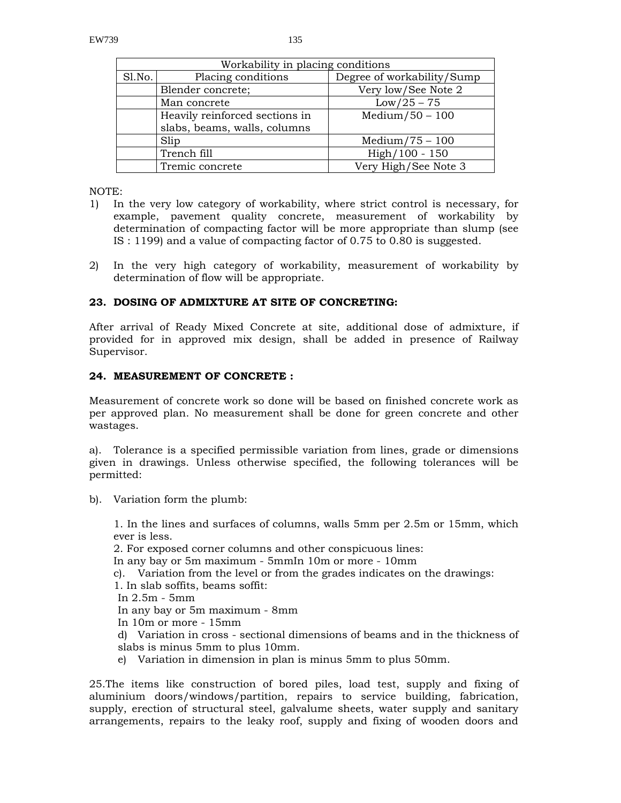| Workability in placing conditions |                                |                            |  |
|-----------------------------------|--------------------------------|----------------------------|--|
| Sl.No.                            | Placing conditions             | Degree of workability/Sump |  |
|                                   | Blender concrete;              | Very low/See Note 2        |  |
|                                   | Man concrete                   | $Low/25 - 75$              |  |
|                                   | Heavily reinforced sections in | $Median/50 - 100$          |  |
|                                   | slabs, beams, walls, columns   |                            |  |
|                                   | Slip                           | $Median/75 - 100$          |  |
|                                   | Trench fill                    | $High/100 - 150$           |  |
|                                   | Tremic concrete                | Very High/See Note 3       |  |

NOTE:

- 1) In the very low category of workability, where strict control is necessary, for example, pavement quality concrete, measurement of workability by determination of compacting factor will be more appropriate than slump (see IS : 1199) and a value of compacting factor of 0.75 to 0.80 is suggested.
- 2) In the very high category of workability, measurement of workability by determination of flow will be appropriate.

#### **23. DOSING OF ADMIXTURE AT SITE OF CONCRETING:**

After arrival of Ready Mixed Concrete at site, additional dose of admixture, if provided for in approved mix design, shall be added in presence of Railway Supervisor.

### **24. MEASUREMENT OF CONCRETE :**

Measurement of concrete work so done will be based on finished concrete work as per approved plan. No measurement shall be done for green concrete and other wastages.

a). Tolerance is a specified permissible variation from lines, grade or dimensions given in drawings. Unless otherwise specified, the following tolerances will be permitted:

b). Variation form the plumb:

1. In the lines and surfaces of columns, walls 5mm per 2.5m or 15mm, which ever is less.

2. For exposed corner columns and other conspicuous lines:

In any bay or 5m maximum - 5mmIn 10m or more - 10mm

c). Variation from the level or from the grades indicates on the drawings:

1. In slab soffits, beams soffit:

In 2.5m - 5mm

In any bay or 5m maximum - 8mm

In 10m or more - 15mm

d) Variation in cross - sectional dimensions of beams and in the thickness of slabs is minus 5mm to plus 10mm.

e) Variation in dimension in plan is minus 5mm to plus 50mm.

25.The items like construction of bored piles, load test, supply and fixing of aluminium doors/windows/partition, repairs to service building, fabrication, supply, erection of structural steel, galvalume sheets, water supply and sanitary arrangements, repairs to the leaky roof, supply and fixing of wooden doors and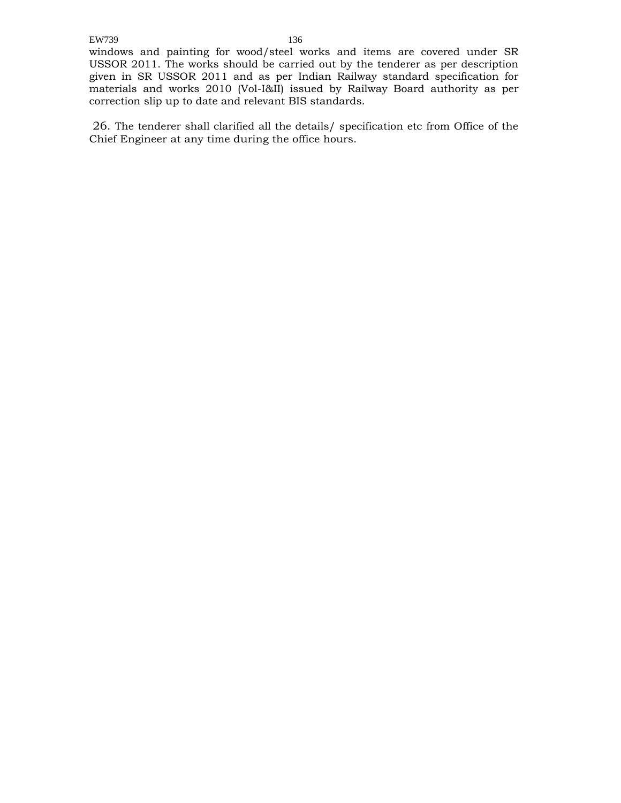windows and painting for wood/steel works and items are covered under SR USSOR 2011. The works should be carried out by the tenderer as per description given in SR USSOR 2011 and as per Indian Railway standard specification for materials and works 2010 (Vol-I&II) issued by Railway Board authority as per correction slip up to date and relevant BIS standards.

 26. The tenderer shall clarified all the details/ specification etc from Office of the Chief Engineer at any time during the office hours.